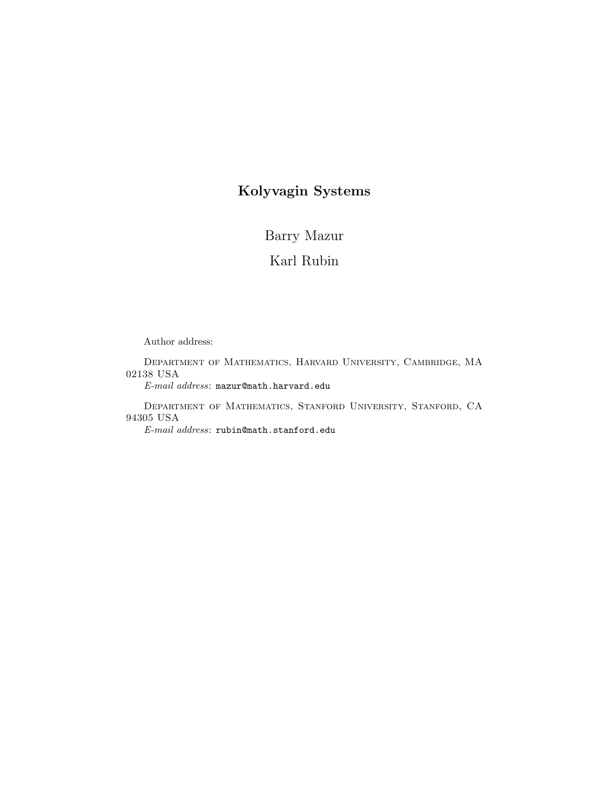# Kolyvagin Systems

Barry Mazur

Karl Rubin

Author address:

Department of Mathematics, Harvard University, Cambridge, MA 02138 USA

E-mail address: mazur@math.harvard.edu

Department of Mathematics, Stanford University, Stanford, CA 94305 USA

E-mail address: rubin@math.stanford.edu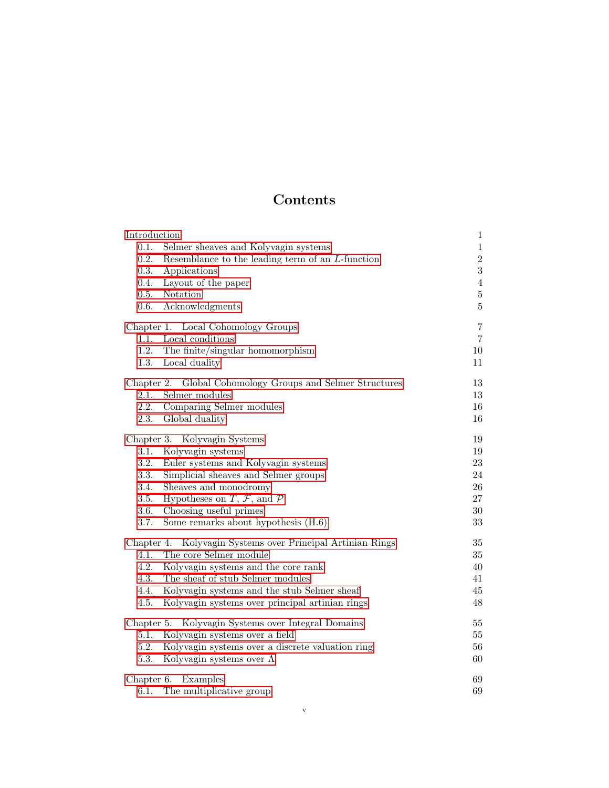# Contents

| Introduction                                                  | $\mathbf{1}$   |
|---------------------------------------------------------------|----------------|
| 0.1.<br>Selmer sheaves and Kolyvagin systems                  | $\,1$          |
| 0.2.<br>Resemblance to the leading term of an L-function      | $\sqrt{2}$     |
| 0.3.<br>Applications                                          | $\sqrt{3}$     |
| 0.4.<br>Layout of the paper                                   | $\,4\,$        |
| 0.5.<br>Notation                                              | $\bf 5$        |
| 0.6.<br>Acknowledgments                                       | $\bf 5$        |
| Chapter 1. Local Cohomology Groups                            | $\overline{7}$ |
| 1.1.<br>Local conditions                                      | $\overline{7}$ |
| 1.2.<br>The finite/singular homomorphism                      | $10\,$         |
| 1.3.<br>Local duality                                         | 11             |
| Chapter 2.<br>Global Cohomology Groups and Selmer Structures  | 13             |
| 2.1.<br>Selmer modules                                        | 13             |
| 2.2.<br>Comparing Selmer modules                              | 16             |
| 2.3.<br>Global duality                                        | 16             |
| Chapter 3. Kolyvagin Systems                                  | 19             |
| 3.1.<br>Kolyvagin systems                                     | 19             |
| 3.2.<br>Euler systems and Kolyvagin systems                   | $23\,$         |
| 3.3.<br>Simplicial sheaves and Selmer groups                  | 24             |
| 3.4.<br>Sheaves and monodromy                                 | 26             |
| 3.5.<br>Hypotheses on $T, \mathcal{F}$ , and $\mathcal{P}$    | 27             |
| 3.6.<br>Choosing useful primes                                | $30\,$         |
| 3.7.<br>Some remarks about hypothesis (H.6)                   | 33             |
| Kolyvagin Systems over Principal Artinian Rings<br>Chapter 4. | 35             |
| The core Selmer module<br>4.1.                                | 35             |
| 4.2.<br>Kolyvagin systems and the core rank                   | 40             |
| The sheaf of stub Selmer modules<br>4.3.                      | 41             |
| Kolyvagin systems and the stub Selmer sheaf<br>4.4.           | 45             |
| 4.5.<br>Kolyvagin systems over principal artinian rings       | 48             |
| Kolyvagin Systems over Integral Domains<br>Chapter 5.         | 55             |
| Kolyvagin systems over a field<br>5.1.                        | $55\,$         |
| 5.2.<br>Kolyvagin systems over a discrete valuation ring      | 56             |
| 5.3.<br>Kolyvagin systems over $\Lambda$                      | 60             |
| Chapter 6.<br>Examples                                        | 69             |
| 6.1.<br>The multiplicative group                              | 69             |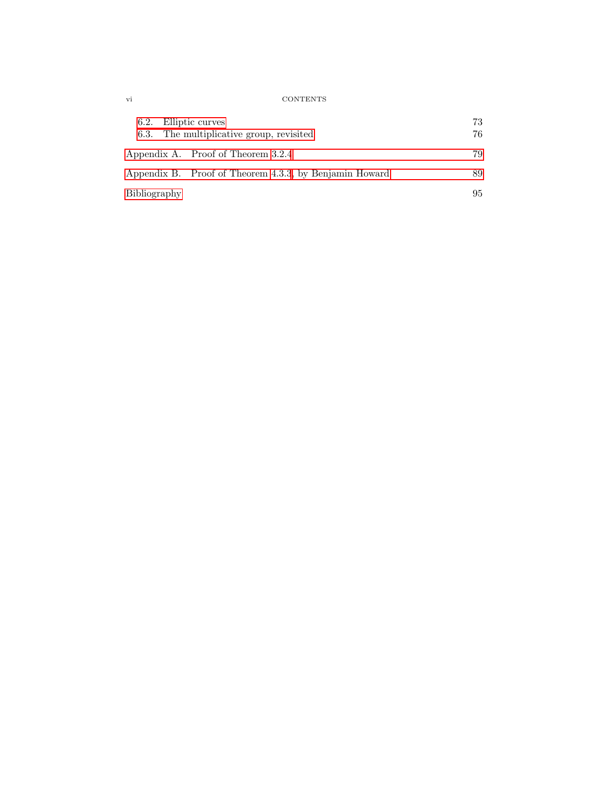vi CONTENTS

| 6.2. Elliptic curves | 6.3. The multiplicative group, revisited               | 73<br>76 |
|----------------------|--------------------------------------------------------|----------|
|                      | Appendix A. Proof of Theorem 3.2.4                     | 79       |
|                      | Appendix B. Proof of Theorem 4.3.3, by Benjamin Howard | 89       |
| Bibliography         |                                                        | 95       |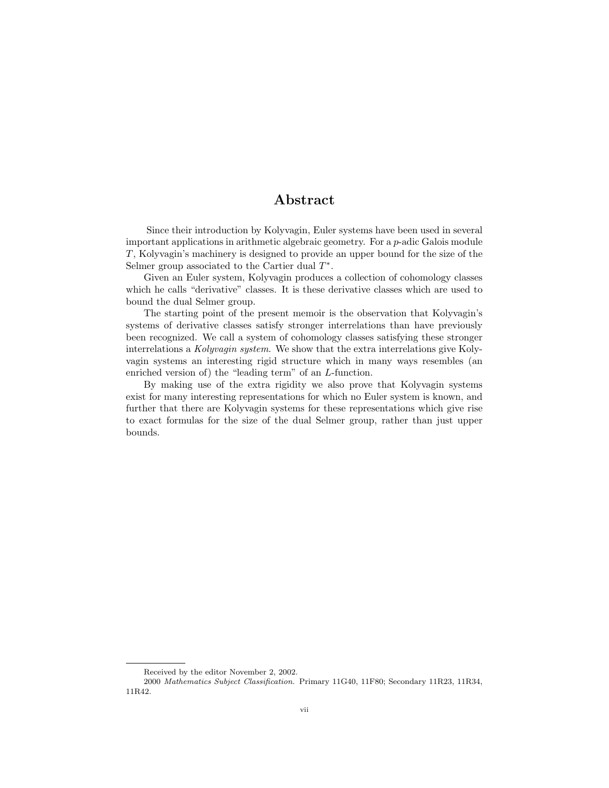# Abstract

<span id="page-4-0"></span>Since their introduction by Kolyvagin, Euler systems have been used in several important applications in arithmetic algebraic geometry. For a p-adic Galois module T, Kolyvagin's machinery is designed to provide an upper bound for the size of the Selmer group associated to the Cartier dual  $T^*$ .

Given an Euler system, Kolyvagin produces a collection of cohomology classes which he calls "derivative" classes. It is these derivative classes which are used to bound the dual Selmer group.

The starting point of the present memoir is the observation that Kolyvagin's systems of derivative classes satisfy stronger interrelations than have previously been recognized. We call a system of cohomology classes satisfying these stronger interrelations a Kolyvagin system. We show that the extra interrelations give Kolyvagin systems an interesting rigid structure which in many ways resembles (an enriched version of) the "leading term" of an L-function.

By making use of the extra rigidity we also prove that Kolyvagin systems exist for many interesting representations for which no Euler system is known, and further that there are Kolyvagin systems for these representations which give rise to exact formulas for the size of the dual Selmer group, rather than just upper bounds.

Received by the editor November 2, 2002.

<sup>2000</sup> Mathematics Subject Classification. Primary 11G40, 11F80; Secondary 11R23, 11R34, 11R42.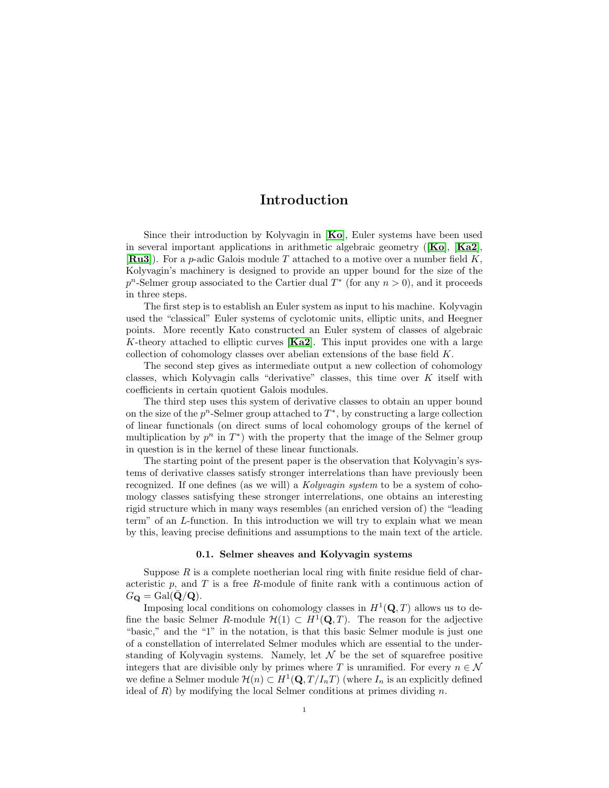# Introduction

Since their introduction by [Ko](#page-100-0)lyvagin in  $[Ko]$ , Euler systems have been used in several important applications in arithmetic algebraic geometry  $([Ko], [Ka2],$  $([Ko], [Ka2],$  $([Ko], [Ka2],$  $([Ko], [Ka2],$  $([Ko], [Ka2],$  $[\mathbf{R} \mathbf{u} \mathbf{3}]$ . For a p-adic Galois module T attached to a motive over a number field K, Kolyvagin's machinery is designed to provide an upper bound for the size of the  $p^{n}$ -Selmer group associated to the Cartier dual  $T^{*}$  (for any  $n > 0$ ), and it proceeds in three steps.

The first step is to establish an Euler system as input to his machine. Kolyvagin used the "classical" Euler systems of cyclotomic units, elliptic units, and Heegner points. More recently Kato constructed an Euler system of classes of algebraic K-theory attached to elliptic curves  $[Ka2]$  $[Ka2]$  $[Ka2]$ . This input provides one with a large collection of cohomology classes over abelian extensions of the base field K.

The second step gives as intermediate output a new collection of cohomology classes, which Kolyvagin calls "derivative" classes, this time over K itself with coefficients in certain quotient Galois modules.

The third step uses this system of derivative classes to obtain an upper bound on the size of the  $p^n$ -Selmer group attached to  $T^*$ , by constructing a large collection of linear functionals (on direct sums of local cohomology groups of the kernel of multiplication by  $p^n$  in  $T^*$ ) with the property that the image of the Selmer group in question is in the kernel of these linear functionals.

The starting point of the present paper is the observation that Kolyvagin's systems of derivative classes satisfy stronger interrelations than have previously been recognized. If one defines (as we will) a Kolyvagin system to be a system of cohomology classes satisfying these stronger interrelations, one obtains an interesting rigid structure which in many ways resembles (an enriched version of) the "leading term" of an L-function. In this introduction we will try to explain what we mean by this, leaving precise definitions and assumptions to the main text of the article.

#### 0.1. Selmer sheaves and Kolyvagin systems

<span id="page-6-0"></span>Suppose  $R$  is a complete noetherian local ring with finite residue field of characteristic  $p$ , and  $T$  is a free  $R$ -module of finite rank with a continuous action of  $G_{\mathbf{Q}} = \text{Gal}(\bar{\mathbf{Q}}/\mathbf{Q}).$ 

Imposing local conditions on cohomology classes in  $H^1(\mathbf{Q}, T)$  allows us to define the basic Selmer R-module  $\mathcal{H}(1) \subset H^1(\mathbf{Q}, T)$ . The reason for the adjective "basic," and the "1" in the notation, is that this basic Selmer module is just one of a constellation of interrelated Selmer modules which are essential to the understanding of Kolyvagin systems. Namely, let  $\mathcal N$  be the set of squarefree positive integers that are divisible only by primes where T is unramified. For every  $n \in \mathcal{N}$ we define a Selmer module  $\mathcal{H}(n) \subset H^1(\mathbf{Q}, T/I_nT)$  (where  $I_n$  is an explicitly defined ideal of  $R$ ) by modifying the local Selmer conditions at primes dividing  $n$ .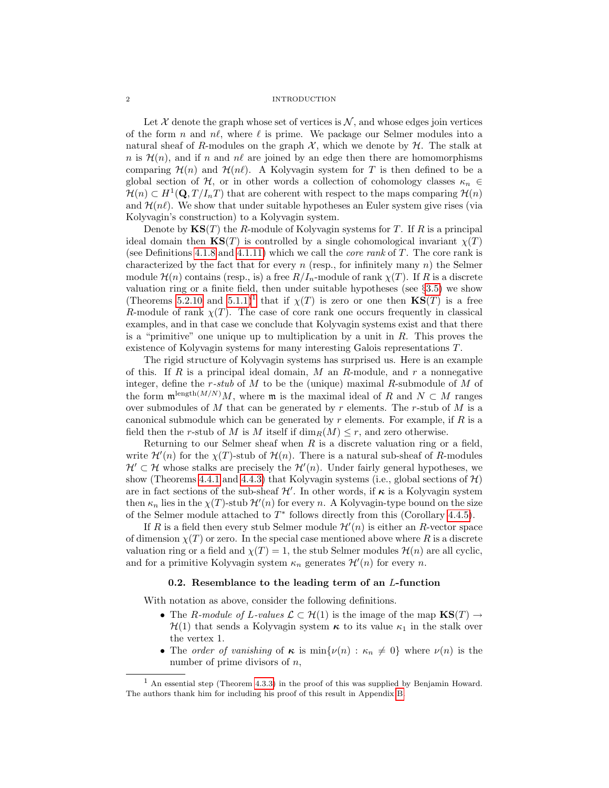#### 2 INTRODUCTION

Let  $\mathcal X$  denote the graph whose set of vertices is  $\mathcal N$ , and whose edges join vertices of the form n and  $n\ell$ , where  $\ell$  is prime. We package our Selmer modules into a natural sheaf of R-modules on the graph  $\mathcal{X}$ , which we denote by  $\mathcal{H}$ . The stalk at n is  $\mathcal{H}(n)$ , and if n and  $n\ell$  are joined by an edge then there are homomorphisms comparing  $\mathcal{H}(n)$  and  $\mathcal{H}(n\ell)$ . A Kolyvagin system for T is then defined to be a global section of H, or in other words a collection of cohomology classes  $\kappa_n \in$  $\mathcal{H}(n) \subset H^1(\mathbf{Q}, T/I_nT)$  that are coherent with respect to the maps comparing  $\mathcal{H}(n)$ and  $\mathcal{H}(n\ell)$ . We show that under suitable hypotheses an Euler system give rises (via Kolyvagin's construction) to a Kolyvagin system.

Denote by  $\mathbf{KS}(T)$  the R-module of Kolyvagin systems for T. If R is a principal ideal domain then  $\mathbf{KS}(T)$  is controlled by a single cohomological invariant  $\chi(T)$ (see Definitions [4.1.8](#page-43-0) and [4.1.11\)](#page-43-1) which we call the *core rank* of  $T$ . The core rank is characterized by the fact that for every n (resp., for infinitely many n) the Selmer module  $\mathcal{H}(n)$  contains (resp., is) a free  $R/I_n$ -module of rank  $\chi(T)$ . If R is a discrete valuation ring or a finite field, then under suitable hypotheses (see §[3.5\)](#page-32-0) we show (Theorems [5.2.10](#page-62-0) and [5.1.1\)](#page-60-2)<sup>[1](#page-7-1)</sup> that if  $\chi(T)$  is zero or one then  $\mathbf{KS}(T)$  is a free R-module of rank  $\chi(T)$ . The case of core rank one occurs frequently in classical examples, and in that case we conclude that Kolyvagin systems exist and that there is a "primitive" one unique up to multiplication by a unit in  $R$ . This proves the existence of Kolyvagin systems for many interesting Galois representations T.

The rigid structure of Kolyvagin systems has surprised us. Here is an example of this. If R is a principal ideal domain, M an R-module, and  $r$  a nonnegative integer, define the  $r$ -stub of  $M$  to be the (unique) maximal  $R$ -submodule of  $M$  of the form  $\mathfrak{m}^{\text{length}(M/N)}M$ , where  $\mathfrak{m}$  is the maximal ideal of R and  $N\subset M$  ranges over submodules of M that can be generated by r elements. The r-stub of M is a canonical submodule which can be generated by  $r$  elements. For example, if  $R$  is a field then the r-stub of M is M itself if  $\dim_R(M) \leq r$ , and zero otherwise.

Returning to our Selmer sheaf when  $R$  is a discrete valuation ring or a field, write  $\mathcal{H}'(n)$  for the  $\chi(T)$ -stub of  $\mathcal{H}(n)$ . There is a natural sub-sheaf of R-modules  $\mathcal{H}' \subset \mathcal{H}$  whose stalks are precisely the  $\mathcal{H}'(n)$ . Under fairly general hypotheses, we show (Theorems [4.4.1](#page-50-1) and [4.4.3\)](#page-51-0) that Kolyvagin systems (i.e., global sections of  $\mathcal{H}$ ) are in fact sections of the sub-sheaf  $\mathcal{H}'$ . In other words, if  $\kappa$  is a Kolyvagin system then  $\kappa_n$  lies in the  $\chi(T)$ -stub  $\mathcal{H}'(n)$  for every n. A Kolyvagin-type bound on the size of the Selmer module attached to  $T^*$  follows directly from this (Corollary [4.4.5\)](#page-52-0).

If R is a field then every stub Selmer module  $\mathcal{H}'(n)$  is either an R-vector space of dimension  $\chi(T)$  or zero. In the special case mentioned above where R is a discrete valuation ring or a field and  $\chi(T) = 1$ , the stub Selmer modules  $\mathcal{H}(n)$  are all cyclic, and for a primitive Kolyvagin system  $\kappa_n$  generates  $\mathcal{H}'(n)$  for every n.

#### 0.2. Resemblance to the leading term of an L-function

<span id="page-7-0"></span>With notation as above, consider the following definitions.

- The R-module of L-values  $\mathcal{L} \subset \mathcal{H}(1)$  is the image of the map  $\mathbf{KS}(T) \to$  $\mathcal{H}(1)$  that sends a Kolyvagin system  $\kappa$  to its value  $\kappa_1$  in the stalk over the vertex 1.
- The order of vanishing of  $\kappa$  is  $\min{\{\nu(n) : \kappa_n \neq 0\}}$  where  $\nu(n)$  is the number of prime divisors of  $n$ ,

<span id="page-7-1"></span><sup>1</sup> An essential step (Theorem [4.3.3\)](#page-46-1) in the proof of this was supplied by Benjamin Howard. The authors thank him for including his proof of this result in Appendix [B.](#page-94-0)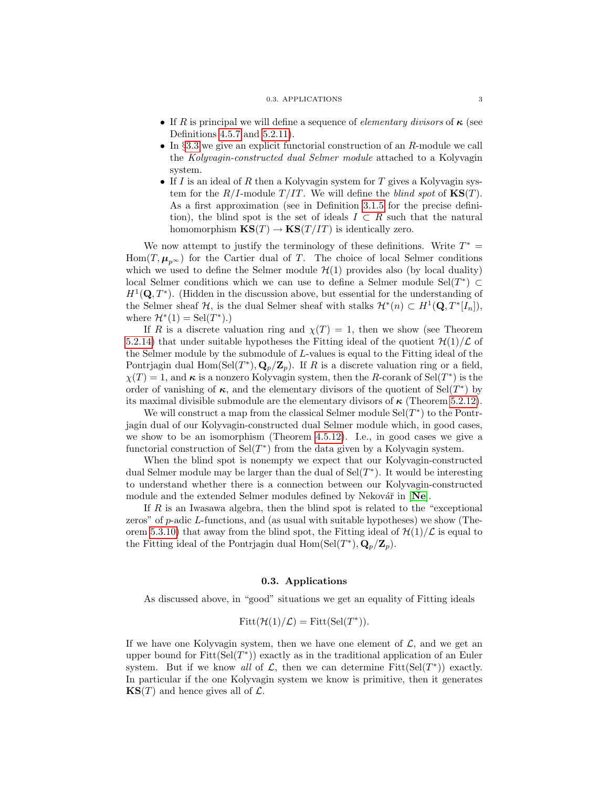#### 0.3. APPLICATIONS 3

- If R is principal we will define a sequence of *elementary divisors* of  $\kappa$  (see Definitions [4.5.7](#page-54-0) and [5.2.11\)](#page-62-1).
- In §[3.3](#page-29-0) we give an explicit functorial construction of an R-module we call the Kolyvagin-constructed dual Selmer module attached to a Kolyvagin system.
- If I is an ideal of R then a Kolyvagin system for T gives a Kolyvagin system for the  $R/I$ -module  $T/IT$ . We will define the *blind spot* of  $\mathbf{KS}(T)$ . As a first approximation (see in Definition [3.1.5](#page-25-0) for the precise definition), the blind spot is the set of ideals  $I \subset R$  such that the natural homomorphism  $KS(T) \rightarrow KS(T/IT)$  is identically zero.

We now attempt to justify the terminology of these definitions. Write  $T^* =$ Hom $(T, \mu_{n^{\infty}})$  for the Cartier dual of T. The choice of local Selmer conditions which we used to define the Selmer module  $\mathcal{H}(1)$  provides also (by local duality) local Selmer conditions which we can use to define a Selmer module  $\text{Sel}(T^*) \subset$  $H^1(\mathbf{Q}, T^*)$ . (Hidden in the discussion above, but essential for the understanding of the Selmer sheaf  $H$ , is the dual Selmer sheaf with stalks  $H^*(n) \subset H^1(\mathbf{Q}, T^*[I_n])$ , where  $\mathcal{H}^*(1) = \text{Sel}(T^*)$ .

If R is a discrete valuation ring and  $\chi(T) = 1$ , then we show (see Theorem [5.2.14\)](#page-64-0) that under suitable hypotheses the Fitting ideal of the quotient  $\mathcal{H}(1)/\mathcal{L}$  of the Selmer module by the submodule of L-values is equal to the Fitting ideal of the Pontrjagin dual  $Hom(Sel(T^*), \mathbf{Q}_p/\mathbf{Z}_p)$ . If R is a discrete valuation ring or a field,  $\chi(T) = 1$ , and  $\kappa$  is a nonzero Kolyvagin system, then the R-corank of Sel $(T^*)$  is the order of vanishing of  $\kappa$ , and the elementary divisors of the quotient of Sel $(T^*)$  by its maximal divisible submodule are the elementary divisors of  $\kappa$  (Theorem [5.2.12\)](#page-63-0).

We will construct a map from the classical Selmer module  $\text{Sel}(T^*)$  to the Pontrjagin dual of our Kolyvagin-constructed dual Selmer module which, in good cases, we show to be an isomorphism (Theorem [4.5.12\)](#page-56-0). I.e., in good cases we give a functorial construction of  $\text{Sel}(T^*)$  from the data given by a Kolyvagin system.

When the blind spot is nonempty we expect that our Kolyvagin-constructed dual Selmer module may be larger than the dual of  $\text{Sel}(T^*)$ . It would be interesting to understand whether there is a connection between our Kolyvagin-constructed module and the extended Selmer modules defined by [Ne](#page-100-3)kovář in  $[Ne]$ .

If  $R$  is an Iwasawa algebra, then the blind spot is related to the "exceptional" zeros" of  $p$ -adic L-functions, and (as usual with suitable hypotheses) we show (The-orem [5.3.10\)](#page-66-0) that away from the blind spot, the Fitting ideal of  $\mathcal{H}(1)/\mathcal{L}$  is equal to the Fitting ideal of the Pontrjagin dual  $\text{Hom}(\text{Sel}(T^*), \mathbf{Q}_p/\mathbf{Z}_p)$ .

#### 0.3. Applications

<span id="page-8-0"></span>As discussed above, in "good" situations we get an equality of Fitting ideals

$$
Fitt(\mathcal{H}(1)/\mathcal{L}) = Fitt(Sel(T^*)).
$$

If we have one Kolyvagin system, then we have one element of  $\mathcal{L}$ , and we get an upper bound for  $Fitt(Sel(T^*))$  exactly as in the traditional application of an Euler system. But if we know all of  $\mathcal{L}$ , then we can determine Fitt(Sel(T<sup>\*</sup>)) exactly. In particular if the one Kolyvagin system we know is primitive, then it generates  $\textbf{KS}(T)$  and hence gives all of  $\mathcal{L}$ .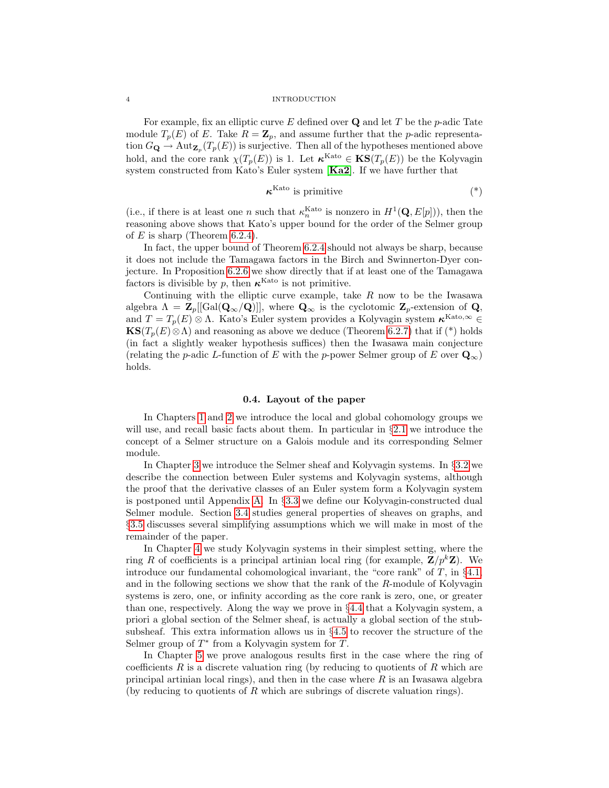#### 4 INTRODUCTION

For example, fix an elliptic curve  $E$  defined over  $Q$  and let  $T$  be the p-adic Tate module  $T_p(E)$  of E. Take  $R = \mathbb{Z}_p$ , and assume further that the p-adic representation  $G_{\mathbf{Q}} \to \text{Aut}_{\mathbf{Z}_{p}}(T_{p}(E))$  is surjective. Then all of the hypotheses mentioned above hold, and the core rank  $\chi(T_p(E))$  is 1. Let  $\kappa^{\text{Kato}} \in \mathbf{KS}(T_p(E))$  be the Kolyvagin system constructed from Kato's Euler system [[Ka2](#page-100-1)]. If we have further that

$$
\boldsymbol{\kappa}^{\mathrm{Kato}} \text{ is primitive} \tag{*}
$$

(i.e., if there is at least one n such that  $\kappa_n^{\text{Kato}}$  is nonzero in  $H^1(\mathbf{Q}, E[p])$ ), then the reasoning above shows that Kato's upper bound for the order of the Selmer group of  $E$  is sharp (Theorem [6.2.4\)](#page-79-0).

In fact, the upper bound of Theorem [6.2.4](#page-79-0) should not always be sharp, because it does not include the Tamagawa factors in the Birch and Swinnerton-Dyer conjecture. In Proposition [6.2.6](#page-80-0) we show directly that if at least one of the Tamagawa factors is divisible by p, then  $\kappa^{\text{Kato}}$  is not primitive.

Continuing with the elliptic curve example, take  $R$  now to be the Iwasawa algebra  $\Lambda = \mathbb{Z}_p[[\text{Gal}(\mathbf{Q}_{\infty}/\mathbf{Q})]]$ , where  $\mathbf{Q}_{\infty}$  is the cyclotomic  $\mathbb{Z}_p$ -extension of  $\mathbf{Q}_{\infty}$ , and  $T = T_p(E) \otimes \Lambda$ . Kato's Euler system provides a Kolyvagin system  $\kappa^{\text{Kato},\infty} \in$  $\text{KS}(T_p(E)\otimes\Lambda)$  and reasoning as above we deduce (Theorem [6.2.7\)](#page-81-1) that if (\*) holds (in fact a slightly weaker hypothesis suffices) then the Iwasawa main conjecture (relating the p-adic L-function of E with the p-power Selmer group of E over  $\mathbf{Q}_{\infty}$ ) holds.

## 0.4. Layout of the paper

<span id="page-9-0"></span>In Chapters [1](#page-12-0) and [2](#page-18-0) we introduce the local and global cohomology groups we will use, and recall basic facts about them. In particular in §[2.1](#page-18-1) we introduce the concept of a Selmer structure on a Galois module and its corresponding Selmer module.

In Chapter [3](#page-24-0) we introduce the Selmer sheaf and Kolyvagin systems. In §[3.2](#page-28-0) we describe the connection between Euler systems and Kolyvagin systems, although the proof that the derivative classes of an Euler system form a Kolyvagin system is postponed until Appendix [A.](#page-84-0) In §[3.3](#page-29-0) we define our Kolyvagin-constructed dual Selmer module. Section [3.4](#page-31-0) studies general properties of sheaves on graphs, and §[3.5](#page-32-0) discusses several simplifying assumptions which we will make in most of the remainder of the paper.

In Chapter [4](#page-40-0) we study Kolyvagin systems in their simplest setting, where the ring R of coefficients is a principal artinian local ring (for example,  $\mathbf{Z}/p^k\mathbf{Z}$ ). We introduce our fundamental cohomological invariant, the "core rank" of  $T$ , in §[4.1,](#page-40-1) and in the following sections we show that the rank of the R-module of Kolyvagin systems is zero, one, or infinity according as the core rank is zero, one, or greater than one, respectively. Along the way we prove in §[4.4](#page-50-0) that a Kolyvagin system, a priori a global section of the Selmer sheaf, is actually a global section of the stubsubsheaf. This extra information allows us in  $\S4.5$  $\S4.5$  to recover the structure of the Selmer group of  $T^*$  from a Kolyvagin system for  $T$ .

In Chapter [5](#page-60-0) we prove analogous results first in the case where the ring of coefficients  $R$  is a discrete valuation ring (by reducing to quotients of  $R$  which are principal artinian local rings), and then in the case where  $R$  is an Iwasawa algebra (by reducing to quotients of  $R$  which are subrings of discrete valuation rings).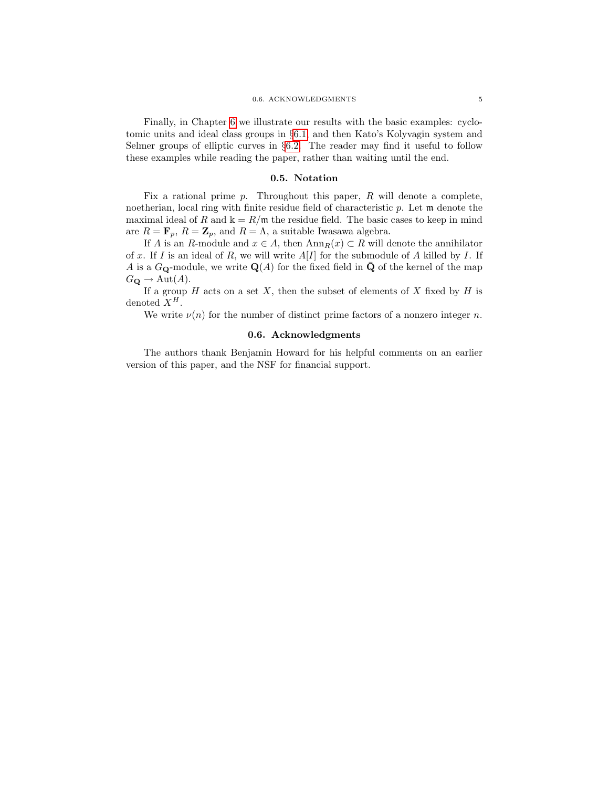Finally, in Chapter [6](#page-74-0) we illustrate our results with the basic examples: cyclotomic units and ideal class groups in §[6.1,](#page-74-1) and then Kato's Kolyvagin system and Selmer groups of elliptic curves in §[6.2.](#page-78-0) The reader may find it useful to follow these examples while reading the paper, rather than waiting until the end.

#### 0.5. Notation

<span id="page-10-0"></span>Fix a rational prime  $p$ . Throughout this paper,  $R$  will denote a complete, noetherian, local ring with finite residue field of characteristic p. Let m denote the maximal ideal of R and  $k = R/m$  the residue field. The basic cases to keep in mind are  $R = \mathbf{F}_p$ ,  $R = \mathbf{Z}_p$ , and  $R = \Lambda$ , a suitable Iwasawa algebra.

If A is an R-module and  $x \in A$ , then  $\text{Ann}_R(x) \subset R$  will denote the annihilator of x. If I is an ideal of R, we will write  $A[I]$  for the submodule of A killed by I. If A is a  $G_{\mathbf{Q}}$ -module, we write  $\mathbf{Q}(A)$  for the fixed field in  $\bar{\mathbf{Q}}$  of the kernel of the map  $G_{\mathbf{Q}} \to \text{Aut}(A).$ 

If a group  $H$  acts on a set  $X$ , then the subset of elements of  $X$  fixed by  $H$  is denoted  $X^H$ .

We write  $\nu(n)$  for the number of distinct prime factors of a nonzero integer n.

## 0.6. Acknowledgments

<span id="page-10-1"></span>The authors thank Benjamin Howard for his helpful comments on an earlier version of this paper, and the NSF for financial support.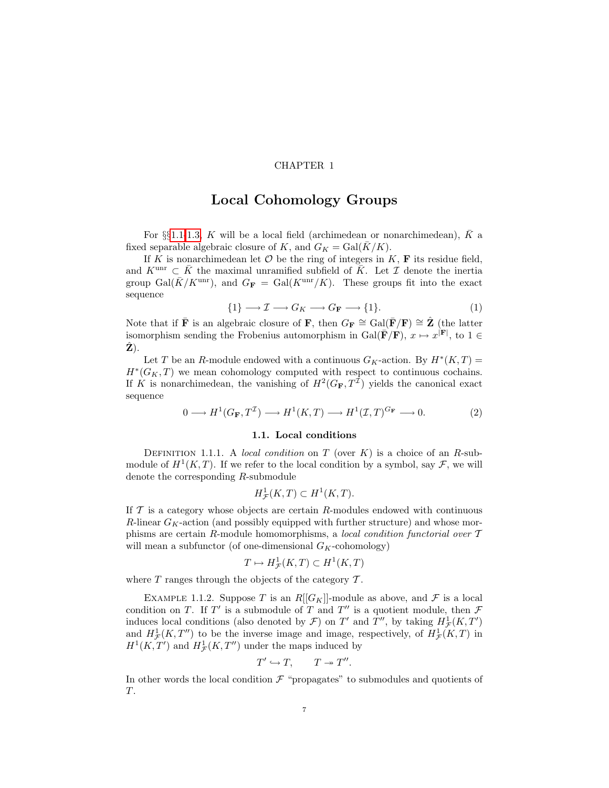# CHAPTER 1

# Local Cohomology Groups

<span id="page-12-0"></span>For §§[1.1-](#page-12-1)[1.3,](#page-16-0) K will be a local field (archimedean or nonarchimedean),  $\overline{K}$  a fixed separable algebraic closure of K, and  $G_K = \text{Gal}(\overline{K}/K)$ .

If K is nonarchimedean let  $\mathcal O$  be the ring of integers in K, **F** its residue field, and  $K^{\text{unr}} \subset \overline{K}$  the maximal unramified subfield of  $\overline{K}$ . Let  $\mathcal I$  denote the inertia group Gal( $\bar{K}/K^{\text{unr}}$ ), and  $G_F = \text{Gal}(K^{\text{unr}}/K)$ . These groups fit into the exact sequence

$$
\{1\} \longrightarrow \mathcal{I} \longrightarrow G_K \longrightarrow G_F \longrightarrow \{1\}.
$$
 (1)

Note that if  $\bar{\mathbf{F}}$  is an algebraic closure of  $\mathbf{F}$ , then  $G_{\mathbf{F}} \cong \text{Gal}(\bar{\mathbf{F}}/\mathbf{F}) \cong \hat{\mathbf{Z}}$  (the latter isomorphism sending the Frobenius automorphism in Gal( $\bar{\mathbf{F}}/\mathbf{F}$ ),  $x \mapsto x^{|\mathbf{F}|}$ , to  $1 \in$  $\mathbf{Z}$ ).

Let T be an R-module endowed with a continuous  $G_K$ -action. By  $H^*(K,T)$  =  $H^*(G_K, T)$  we mean cohomology computed with respect to continuous cochains. If K is nonarchimedean, the vanishing of  $H^2(G_F, T^{\mathcal{I}})$  yields the canonical exact sequence

<span id="page-12-2"></span>
$$
0 \longrightarrow H^1(G_{\mathbf{F}}, T^{\mathcal{I}}) \longrightarrow H^1(K, T) \longrightarrow H^1(\mathcal{I}, T)^{G_{\mathbf{F}}} \longrightarrow 0. \tag{2}
$$

#### 1.1. Local conditions

<span id="page-12-4"></span><span id="page-12-1"></span>DEFINITION 1.1.1. A local condition on T (over  $K$ ) is a choice of an R-submodule of  $H^1(K,T)$ . If we refer to the local condition by a symbol, say  $\mathcal{F}$ , we will denote the corresponding R-submodule

$$
H^1_{\mathcal{F}}(K,T) \subset H^1(K,T).
$$

If  $\mathcal T$  is a category whose objects are certain R-modules endowed with continuous R-linear  $G_K$ -action (and possibly equipped with further structure) and whose morphisms are certain R-module homomorphisms, a local condition functorial over  $T$ will mean a subfunctor (of one-dimensional  $G_K$ -cohomology)

$$
T \mapsto H^1_{\mathcal{F}}(K,T) \subset H^1(K,T)
$$

where  $T$  ranges through the objects of the category  $T$ .

<span id="page-12-3"></span>EXAMPLE 1.1.2. Suppose T is an  $R[[G_K]]$ -module as above, and F is a local condition on T. If T' is a submodule of T and T'' is a quotient module, then  $\mathcal F$ induces local conditions (also denoted by  $\mathcal{F}$ ) on  $T'$  and  $T''$ , by taking  $H^1_{\mathcal{F}}(K,T')$ and  $H^1_{\mathcal{F}}(K,T'')$  to be the inverse image and image, respectively, of  $H^1_{\mathcal{F}}(K,T)$  in  $H^1(K, T')$  and  $H^1_{\mathcal{F}}(K, T'')$  under the maps induced by

$$
T' \hookrightarrow T, \qquad T \twoheadrightarrow T''.
$$

In other words the local condition  $\mathcal F$  "propagates" to submodules and quotients of T.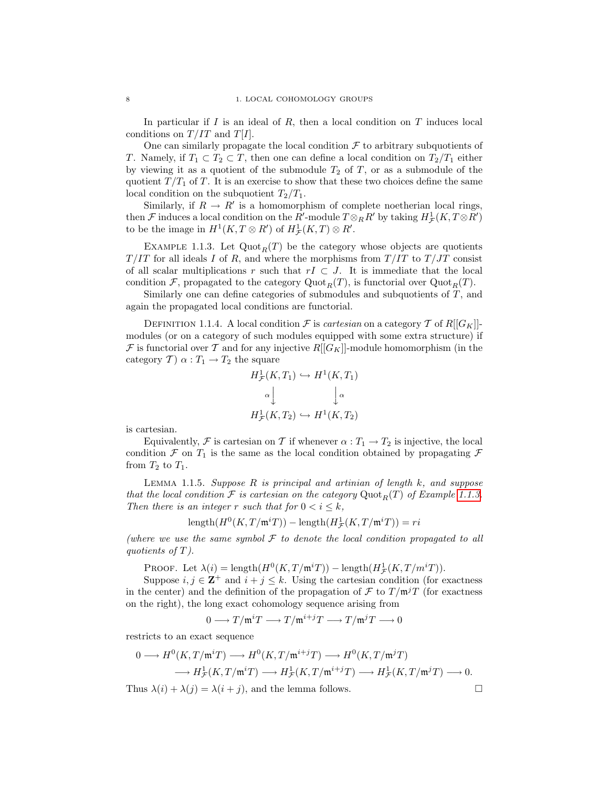In particular if I is an ideal of R, then a local condition on  $T$  induces local conditions on  $T/IT$  and  $T[I]$ .

One can similarly propagate the local condition  $\mathcal F$  to arbitrary subquotients of T. Namely, if  $T_1 \subset T_2 \subset T$ , then one can define a local condition on  $T_2/T_1$  either by viewing it as a quotient of the submodule  $T_2$  of T, or as a submodule of the quotient  $T/T_1$  of T. It is an exercise to show that these two choices define the same local condition on the subquotient  $T_2/T_1$ .

Similarly, if  $R \to R'$  is a homomorphism of complete noetherian local rings, then  $\mathcal F$  induces a local condition on the  $R'$ -module  $T \otimes_R R'$  by taking  $H^1_{\mathcal F}(K,T \otimes R')$ to be the image in  $H^1(K, T \otimes R')$  of  $H^1_{\mathcal{F}}(K, T) \otimes R'$ .

<span id="page-13-0"></span>EXAMPLE 1.1.3. Let  $\text{Quot}_R(T)$  be the category whose objects are quotients  $T/IT$  for all ideals I of R, and where the morphisms from  $T/IT$  to  $T/JT$  consist of all scalar multiplications r such that  $rI \subset J$ . It is immediate that the local condition F, propagated to the category  $\mathrm{Quot}_R(T)$ , is functorial over  $\mathrm{Quot}_R(T)$ .

Similarly one can define categories of submodules and subquotients of  $T$ , and again the propagated local conditions are functorial.

<span id="page-13-2"></span>DEFINITION 1.1.4. A local condition  $\mathcal F$  is *cartesian* on a category  $\mathcal T$  of R[[G<sub>K</sub>]]modules (or on a category of such modules equipped with some extra structure) if  $\mathcal F$  is functorial over  $\mathcal T$  and for any injective  $R[[G_K]]$ -module homomorphism (in the category  $T$ )  $\alpha: T_1 \rightarrow T_2$  the square

$$
H^1_{\mathcal{F}}(K, T_1) \hookrightarrow H^1(K, T_1)
$$

$$
\alpha \downarrow \qquad \qquad \downarrow \alpha
$$

$$
H^1_{\mathcal{F}}(K, T_2) \hookrightarrow H^1(K, T_2)
$$

is cartesian.

Equivalently, F is cartesian on T if whenever  $\alpha: T_1 \to T_2$  is injective, the local condition  $\mathcal F$  on  $T_1$  is the same as the local condition obtained by propagating  $\mathcal F$ from  $T_2$  to  $T_1$ .

LEMMA 1.1.5. Suppose  $R$  is principal and artinian of length  $k$ , and suppose that the local condition F is cartesian on the category  $Quot_R(T)$  of Example [1.1.3.](#page-13-0) Then there is an integer r such that for  $0 < i \leq k$ ,

$$
\operatorname{length}(H^0(K,T/\mathfrak{m}^iT))-\operatorname{length}(H^1_{\mathcal{F}}(K,T/\mathfrak{m}^iT))=ri
$$

(where we use the same symbol  $\mathcal F$  to denote the local condition propagated to all quotients of T).

PROOF. Let  $\lambda(i) = \text{length}(H^0(K, T/\mathfrak{m}^i T)) - \text{length}(H^1_{\mathcal{F}}(K, T/m^i T)).$ 

Suppose  $i, j \in \mathbb{Z}^+$  and  $i + j \leq k$ . Using the cartesian condition (for exactness in the center) and the definition of the propagation of  $\mathcal F$  to  $T/\mathfrak m^jT$  (for exactness on the right), the long exact cohomology sequence arising from

$$
0\longrightarrow T/\mathfrak{m}^iT\longrightarrow T/\mathfrak{m}^{i+j}T\longrightarrow T/\mathfrak{m}^jT\longrightarrow 0
$$

restricts to an exact sequence

$$
0 \longrightarrow H^{0}(K, T/\mathfrak{m}^{i}T) \longrightarrow H^{0}(K, T/\mathfrak{m}^{i+j}T) \longrightarrow H^{0}(K, T/\mathfrak{m}^{j}T)
$$

$$
\longrightarrow H^{1}_{\mathcal{F}}(K, T/\mathfrak{m}^{i}T) \longrightarrow H^{1}_{\mathcal{F}}(K, T/\mathfrak{m}^{i+j}T) \longrightarrow H^{1}_{\mathcal{F}}(K, T/\mathfrak{m}^{j}T) \longrightarrow 0.
$$

<span id="page-13-1"></span>Thus  $\lambda(i) + \lambda(j) = \lambda(i + j)$ , and the lemma follows.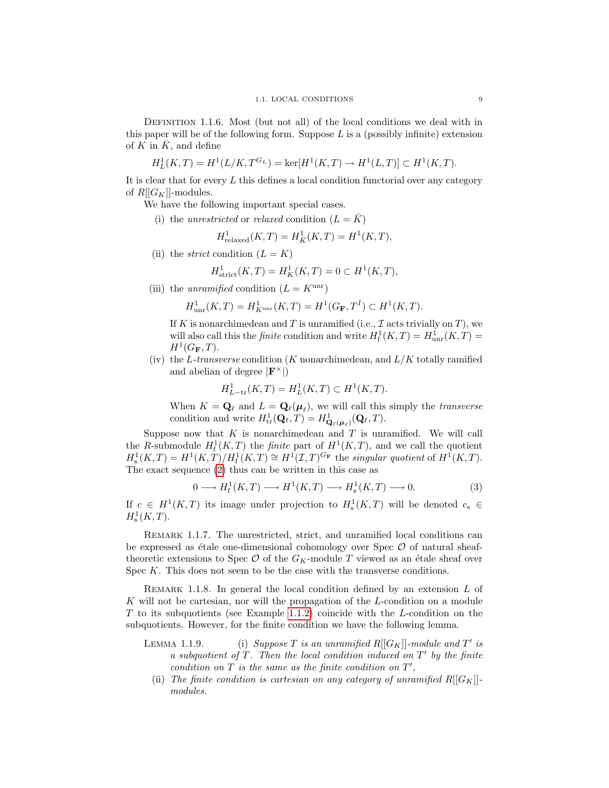DEFINITION 1.1.6. Most (but not all) of the local conditions we deal with in this paper will be of the following form. Suppose  $L$  is a (possibly infinite) extension of K in  $\overline{K}$ , and define

$$
H_L^1(K, T) = H^1(L/K, T^{G_L}) = \ker[H^1(K, T) \to H^1(L, T)] \subset H^1(K, T).
$$

It is clear that for every  $L$  this defines a local condition functorial over any category of  $R[[G_K]]$ -modules.

We have the following important special cases.

(i) the unrestricted or relaxed condition  $(L = \overline{K})$ 

$$
H^1_{\text{relaxed}}(K, T) = H^1_{\bar{K}}(K, T) = H^1(K, T),
$$

(ii) the *strict* condition  $(L = K)$ 

$$
H^1_{\text{strict}}(K, T) = H^1_K(K, T) = 0 \subset H^1(K, T),
$$

(iii) the unramified condition  $(L = K^{\text{unr}})$ 

$$
H^1_{\text{unr}}(K,T) = H^1_{K^{\text{unr}}}(K,T) = H^1(G_F,T^I) \subset H^1(K,T).
$$

If K is nonarchimedean and T is unramified (i.e.,  $\mathcal I$  acts trivially on T), we will also call this the *finite* condition and write  $H^1_f(K,T) = H^1_{unr}(K,T) =$  $H^1(G_{\bf F},T)$ .

(iv) the L-transverse condition (K nonarchimedean, and  $L/K$  totally ramified and abelian of degree  $|\mathbf{F}^{\times}|$ 

<span id="page-14-0"></span>
$$
H^1_{L-\text{tr}}(K,T) = H^1_L(K,T) \subset H^1(K,T).
$$

When  $K = \mathbf{Q}_{\ell}$  and  $L = \mathbf{Q}_{\ell}(\boldsymbol{\mu}_{\ell})$ , we will call this simply the *transverse* condition and write  $H^1_{\text{tr}}(\mathbf{Q}_{\ell}, T) = H^1_{\mathbf{Q}_{\ell}(\boldsymbol{\mu}_{\ell})}(\mathbf{Q}_{\ell}, T)$ .

Suppose now that  $K$  is nonarchimedean and  $T$  is unramified. We will call the R-submodule  $H^1_f(K,T)$  the *finite* part of  $H^1(K,T)$ , and we call the quotient  $H^1_s(K,T) = H^1(K,T)/H^1_f(K,T) \cong H^1(\mathcal{I},T)^{G_{\mathbf{F}}}$  the singular quotient of  $H^1(K,T)$ . The exact sequence [\(2\)](#page-12-2) thus can be written in this case as

$$
0 \longrightarrow H_{\mathbf{f}}^1(K, T) \longrightarrow H^1(K, T) \longrightarrow H_{\mathbf{s}}^1(K, T) \longrightarrow 0. \tag{3}
$$

If  $c \in H^1(K,T)$  its image under projection to  $H^1_s(K,T)$  will be denoted  $c_s \in$  $H^1_{\rm s}(K,T).$ 

REMARK 1.1.7. The unrestricted, strict, and unramified local conditions can be expressed as étale one-dimensional cohomology over Spec  $\mathcal O$  of natural sheaftheoretic extensions to Spec  $\mathcal{O}$  of the  $G_K$ -module T viewed as an étale sheaf over Spec K. This does not seem to be the case with the transverse conditions.

REMARK 1.1.8. In general the local condition defined by an extension  $L$  of K will not be cartesian, nor will the propagation of the L-condition on a module  $T$  to its subquotients (see Example [1.1.2\)](#page-12-3) coincide with the  $L$ -condition on the subquotients. However, for the finite condition we have the following lemma.

- LEMMA 1.1.9. (i) Suppose T is an unramified  $R[[G_K]]$ -module and T' is a subquotient of  $T$ . Then the local condition induced on  $T'$  by the finite condition on  $T$  is the same as the finite condition on  $T'$ ,
	- (ii) The finite condition is cartesian on any category of unramified  $R[[G_K]]$ modules.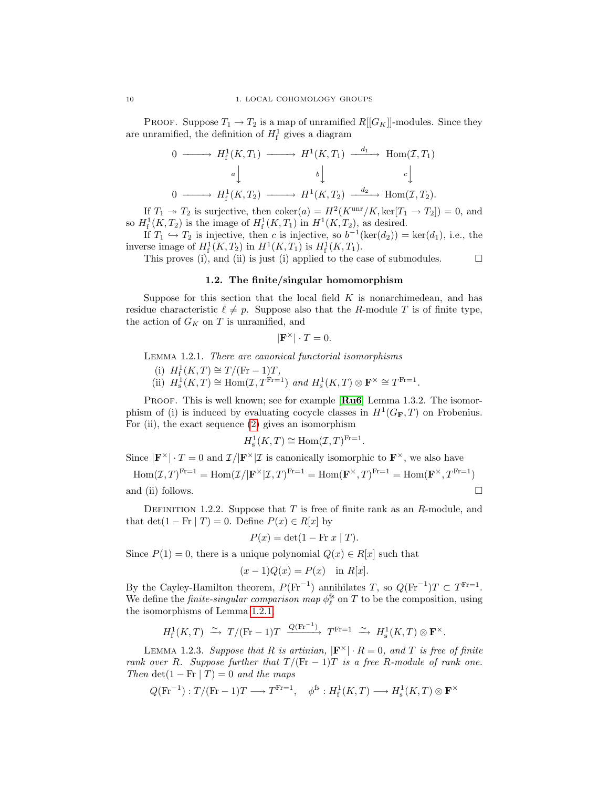PROOF. Suppose  $T_1 \rightarrow T_2$  is a map of unramified  $R[[G_K]]$ -modules. Since they are unramified, the definition of  $H_f^1$  gives a diagram

$$
0 \longrightarrow H_{f}^{1}(K, T_{1}) \longrightarrow H^{1}(K, T_{1}) \xrightarrow{d_{1}} \text{Hom}(\mathcal{I}, T_{1})
$$
\n
$$
a \downarrow \qquad b \downarrow \qquad c \downarrow
$$
\n
$$
0 \longrightarrow H_{f}^{1}(K, T_{2}) \longrightarrow H^{1}(K, T_{2}) \xrightarrow{d_{2}} \text{Hom}(\mathcal{I}, T_{2}).
$$

If  $T_1 \rightarrow T_2$  is surjective, then  $\mathrm{coker}(a) = H^2(K^{\mathrm{unr}}/K, \mathrm{ker}[T_1 \rightarrow T_2]) = 0$ , and so  $H^1_f(K, T_2)$  is the image of  $H^1_f(K, T_1)$  in  $H^1(K, T_2)$ , as desired.

If  $T_1 \hookrightarrow T_2$  is injective, then c is injective, so  $b^{-1}(\ker(d_2)) = \ker(d_1)$ , i.e., the inverse image of  $H^1_{{\rm f}}(K,T_2)$  in  $H^1(K,T_1)$  is  $H^1_{{\rm f}}(K,T_1)$ .

This proves (i), and (ii) is just (i) applied to the case of submodules.  $\Box$ 

### 1.2. The finite/singular homomorphism

<span id="page-15-0"></span>Suppose for this section that the local field  $K$  is nonarchimedean, and has residue characteristic  $\ell \neq p$ . Suppose also that the R-module T is of finite type, the action of  $G_K$  on  $T$  is unramified, and

$$
|\mathbf{F}^{\times}| \cdot T = 0.
$$

<span id="page-15-1"></span>Lemma 1.2.1. There are canonical functorial isomorphisms

- (i)  $H_{\rm f}^1(K,T) \cong T/(\text{Fr}-1)T$ ,
- (ii)  $H_s^1(K,T) \cong \text{Hom}(\mathcal{I}, T^{\text{Fr}=1})$  and  $H_s^1(K,T) \otimes \mathbf{F}^{\times} \cong T^{\text{Fr}=1}$ .

PROOF. This is well known; see for example [[Ru6](#page-100-4)] Lemma 1.3.2. The isomorphism of (i) is induced by evaluating cocycle classes in  $H^1(G_F, T)$  on Frobenius. For (ii), the exact sequence [\(2\)](#page-12-2) gives an isomorphism

$$
H^1_{\mathrm{s}}(K,T) \cong \mathrm{Hom}(\mathcal{I},T)^{\mathrm{Fr}=1}
$$

.

Since  $|\mathbf{F}^{\times}| \cdot T = 0$  and  $\mathcal{I}/|\mathbf{F}^{\times}|\mathcal{I}$  is canonically isomorphic to  $\mathbf{F}^{\times}$ , we also have

Hom
$$
(\mathcal{I}, T)^{\text{Fr}=1}
$$
 = Hom $(\mathcal{I}/|\mathbf{F}^{\times}|\mathcal{I}, T)^{\text{Fr}=1}$  = Hom $(\mathbf{F}^{\times}, T)^{\text{Fr}=1}$  = Hom $(\mathbf{F}^{\times}, T^{\text{Fr}=1})$   
and (ii) follows.

<span id="page-15-2"></span>DEFINITION 1.2.2. Suppose that  $T$  is free of finite rank as an  $R$ -module, and that det(1 – Fr | T) = 0. Define  $P(x) \in R[x]$  by

$$
P(x) = \det(1 - \operatorname{Fr} x \mid T).
$$

Since  $P(1) = 0$ , there is a unique polynomial  $Q(x) \in R[x]$  such that

$$
(x-1)Q(x) = P(x) \quad \text{in } R[x].
$$

By the Cayley-Hamilton theorem,  $P(\text{Fr}^{-1})$  annihilates T, so  $Q(\text{Fr}^{-1})T \subset T^{\text{Fr}=1}$ . We define the *finite-singular comparison map*  $\phi_{\ell}^{\text{fs}}$  on T to be the composition, using the isomorphisms of Lemma [1.2.1,](#page-15-1)

$$
H^1_{\textup{f}}(K,T) \xrightarrow{\sim} T/(\textup{Fr}-1)T \xrightarrow{Q(\textup{Fr}^{-1})} T^{\textup{Fr}=1} \xrightarrow{\sim} H^1_{\textup{s}}(K,T) \otimes \mathbf{F}^{\times}.
$$

<span id="page-15-3"></span>LEMMA 1.2.3. Suppose that R is artinian,  $|\mathbf{F}^{\times}| \cdot R = 0$ , and T is free of finite rank over R. Suppose further that  $T/(\text{Fr} - 1)T$  is a free R-module of rank one. Then det(1 – Fr | T) = 0 and the maps

$$
Q(\text{Fr}^{-1}): T/(\text{Fr} - 1)T \longrightarrow T^{\text{Fr}=1}, \quad \phi^{\text{fs}}: H^{1}_{f}(K, T) \longrightarrow H^{1}_{s}(K, T) \otimes \mathbf{F}^{\times}
$$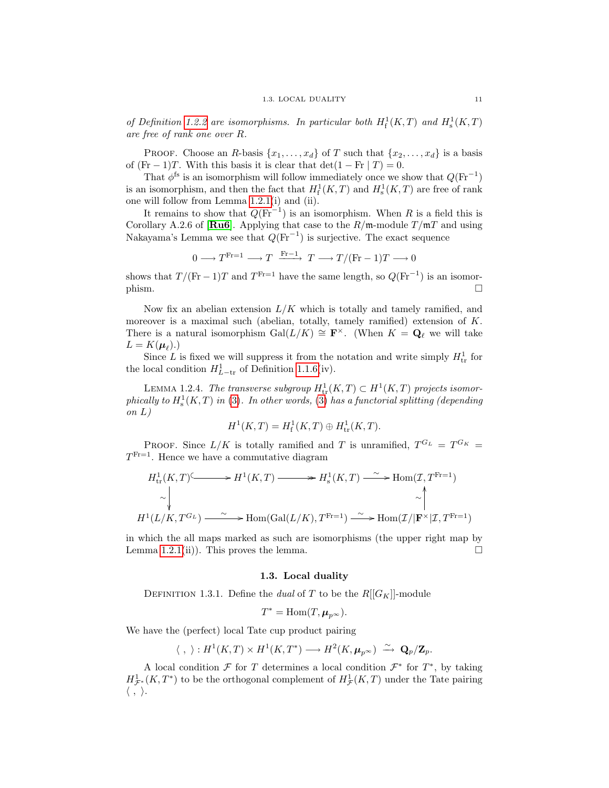of Definition [1.2.2](#page-15-2) are isomorphisms. In particular both  $H^1_f(K,T)$  and  $H^1_s(K,T)$ are free of rank one over R.

PROOF. Choose an R-basis  $\{x_1, \ldots, x_d\}$  of T such that  $\{x_2, \ldots, x_d\}$  is a basis of  $(Fr - 1)T$ . With this basis it is clear that  $\det(1 - Fr | T) = 0$ .

That  $\phi^{\text{fs}}$  is an isomorphism will follow immediately once we show that  $Q(\text{Fr}^{-1})$ is an isomorphism, and then the fact that  $H_f^1(K,T)$  and  $H_s^1(K,T)$  are free of rank one will follow from Lemma [1.2.1\(](#page-15-1)i) and (ii).

It remains to show that  $Q(\text{Fr}^{-1})$  is an isomorphism. When R is a field this is Corollary A.2.6 of [ $\text{Ru6}$  $\text{Ru6}$  $\text{Ru6}$ ]. Applying that case to the  $R/\text{m-model}$  module  $T/\text{m}T$  and using Nakayama's Lemma we see that  $Q(\text{Fr}^{-1})$  is surjective. The exact sequence

$$
0 \longrightarrow T^{\text{Fr}=1} \longrightarrow T \xrightarrow{\text{Fr}-1} T \longrightarrow T/(\text{Fr}-1)T \longrightarrow 0
$$

shows that  $T/(\text{Fr}-1)T$  and  $T^{\text{Fr}=1}$  have the same length, so  $Q(\text{Fr}^{-1})$  is an isomor- $\Box$ 

Now fix an abelian extension  $L/K$  which is totally and tamely ramified, and moreover is a maximal such (abelian, totally, tamely ramified) extension of K. There is a natural isomorphism  $Gal(L/K) \cong \mathbf{F}^{\times}$ . (When  $K = \mathbf{Q}_{\ell}$  we will take  $L = K(\boldsymbol{\mu}_{\ell}).$ 

Since L is fixed we will suppress it from the notation and write simply  $H_{\text{tr}}^1$  for the local condition  $H_{L-\text{tr}}^1$  of Definition [1.1.6\(](#page-13-1)iv).

<span id="page-16-1"></span>LEMMA 1.2.4. The transverse subgroup  $H^1_{\text{tr}}(K,T) \subset H^1(K,T)$  projects isomorphically to  $H^1_s(K,T)$  in [\(3\)](#page-14-0). In other words, (3) has a functorial splitting (depending on L)

$$
H^{1}(K, T) = H^{1}_{f}(K, T) \oplus H^{1}_{tr}(K, T).
$$

PROOF. Since  $L/K$  is totally ramified and T is unramified,  $T^{G_L} = T^{G_K} =$  $T^{\text{Fr}=1}$ . Hence we have a commutative diagram

$$
H^1_{\text{tr}}(K,T) \longrightarrow H^1(K,T) \longrightarrow H^1_{\text{s}}(K,T) \longrightarrow \text{Hom}(\mathcal{I},T^{\text{Fr}=1})
$$
  
\n
$$
\sim \downarrow \qquad \qquad \sim \downarrow
$$
  
\n
$$
H^1(L/K,T^{G_L}) \longrightarrow \text{Hom}(\text{Gal}(L/K),T^{\text{Fr}=1}) \longrightarrow \text{Hom}(\mathcal{I}/|\mathbf{F}^{\times}|\mathcal{I},T^{\text{Fr}=1})
$$

in which the all maps marked as such are isomorphisms (the upper right map by Lemma [1.2.1\(](#page-15-1)ii)). This proves the lemma.  $\square$ 

# 1.3. Local duality

<span id="page-16-2"></span><span id="page-16-0"></span>DEFINITION 1.3.1. Define the *dual* of T to be the  $R[[G_K]]$ -module

$$
T^* = \text{Hom}(T, \mu_{p^\infty}).
$$

We have the (perfect) local Tate cup product pairing

$$
\langle \ , \ \rangle : H^1(K,T) \times H^1(K,T^*) \longrightarrow H^2(K,\mu_{p^\infty}) \ \stackrel{\sim}{\longrightarrow} \ {\bf Q}_p/{\bf Z}_p.
$$

A local condition  $\mathcal F$  for T determines a local condition  $\mathcal F^*$  for  $T^*$ , by taking  $H^1_{\mathcal{F}^*}(K,T^*)$  to be the orthogonal complement of  $H^1_{\mathcal{F}}(K,T)$  under the Tate pairing  $\langle , \rangle.$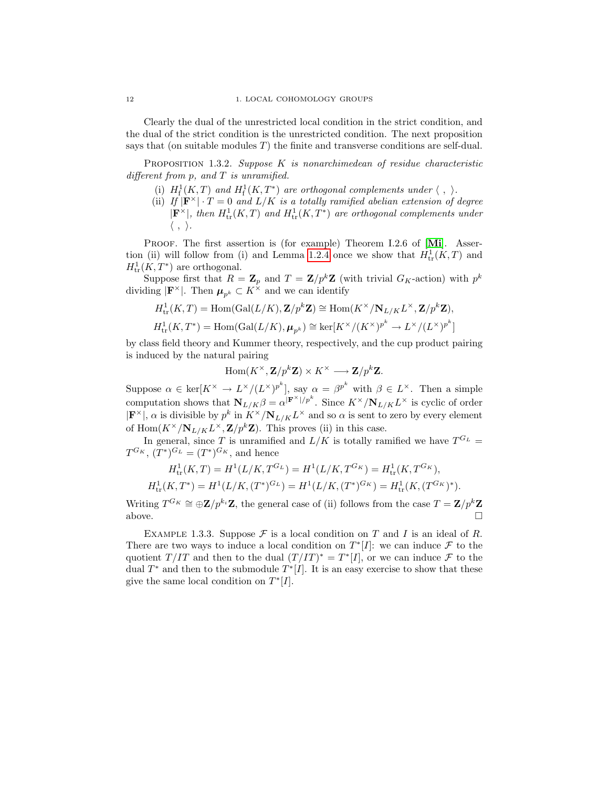Clearly the dual of the unrestricted local condition in the strict condition, and the dual of the strict condition is the unrestricted condition. The next proposition says that (on suitable modules  $T$ ) the finite and transverse conditions are self-dual.

<span id="page-17-0"></span>PROPOSITION 1.3.2. Suppose  $K$  is nonarchimedean of residue characteristic different from  $p$ , and  $T$  is unramified.

- (i)  $H_f^1(K,T)$  and  $H_f^1(K,T^*)$  are orthogonal complements under  $\langle , \rangle$ .
- (ii) If  $|\mathbf{F}^{\times}| \cdot T = 0$  and  $L/K$  is a totally ramified abelian extension of degree  $|\mathbf{F}^{\times}|$ , then  $H^1_{\text{tr}}(K,T)$  and  $H^1_{\text{tr}}(K,T^*)$  are orthogonal complements under  $\langle , \rangle$ .

PROOF. The first assertion is (for example) Theorem I.2.6 of [[Mi](#page-100-5)]. Asser-tion (ii) will follow from (i) and Lemma [1.2.4](#page-16-1) once we show that  $H^1_{tr}(K,T)$  and  $H^1_{\rm tr}(K,T^*)$  are orthogonal.

Suppose first that  $R = \mathbf{Z}_p$  and  $T = \mathbf{Z}/p^k\mathbf{Z}$  (with trivial  $G_K$ -action) with  $p^k$ dividing  $|\mathbf{F}^{\times}|$ . Then  $\boldsymbol{\mu}_{p^k} \subset K^{\times}$  and we can identify

$$
\begin{split} &H^1_{\mathrm{tr}}(K,T)=\mathrm{Hom}(\mathrm{Gal}(L/K),\mathbf{Z}/p^k\mathbf{Z})\cong \mathrm{Hom}(K^\times/\mathbf{N}_{L/K}L^\times,\mathbf{Z}/p^k\mathbf{Z}),\\ &H^1_{\mathrm{tr}}(K,T^*)=\mathrm{Hom}(\mathrm{Gal}(L/K),\pmb{\mu}_{p^k})\cong \ker[{K^\times}/{(K^\times)^{p^k}}\rightarrow {L^\times}/{(L^\times)^{p^k}}] \end{split}
$$

by class field theory and Kummer theory, respectively, and the cup product pairing is induced by the natural pairing

$$
\operatorname{Hom}(K^{\times}, \mathbf{Z}/p^k \mathbf{Z}) \times K^{\times} \longrightarrow \mathbf{Z}/p^k \mathbf{Z}.
$$

Suppose  $\alpha \in \text{ker}[K^{\times} \to L^{\times}/(L^{\times})^{p^k}]$ , say  $\alpha = \beta^{p^k}$  with  $\beta \in L^{\times}$ . Then a simple computation shows that  $N_{L/K}\beta = \alpha^{|\mathbf{F}^{\times}|/p^{k}}$ . Since  $K^{\times}/N_{L/K}L^{\times}$  is cyclic of order  $|\mathbf{F}^{\times}|$ ,  $\alpha$  is divisible by  $p^k$  in  $K^{\times}/\mathbf{N}_{L/K}L^{\times}$  and so  $\alpha$  is sent to zero by every element of  $\text{Hom}(K^{\times}/\mathbf{N}_{L/K}L^{\times}, \mathbf{Z}/p^k\mathbf{Z})$ . This proves (ii) in this case.

In general, since T is unramified and  $L/K$  is totally ramified we have  $T^{G_L} =$  $T^{G_K}$ ,  $(T^*)^{G_L} = (T^*)^{G_K}$ , and hence

$$
H_{\text{tr}}^1(K,T) = H^1(L/K, T^{G_L}) = H^1(L/K, T^{G_K}) = H_{\text{tr}}^1(K, T^{G_K}),
$$
  

$$
H_{\text{tr}}^1(K,T^*) = H^1(L/K, (T^*)^{G_L}) = H^1(L/K, (T^*)^{G_K}) = H_{\text{tr}}^1(K, (T^{G_K})^*).
$$

Writing  $T^{G_K} \cong \bigoplus \mathbf{Z}/p^{k_i}\mathbf{Z}$ , the general case of (ii) follows from the case  $T = \mathbf{Z}/p^k\mathbf{Z}$ above.  $\square$ 

<span id="page-17-1"></span>EXAMPLE 1.3.3. Suppose  $\mathcal F$  is a local condition on T and I is an ideal of R. There are two ways to induce a local condition on  $T^*[I]$ : we can induce  $\mathcal F$  to the quotient  $T/IT$  and then to the dual  $(T/IT)^* = T^*[I]$ , or we can induce  $\mathcal F$  to the dual  $T^*$  and then to the submodule  $T^*[I]$ . It is an easy exercise to show that these give the same local condition on  $T^*[I]$ .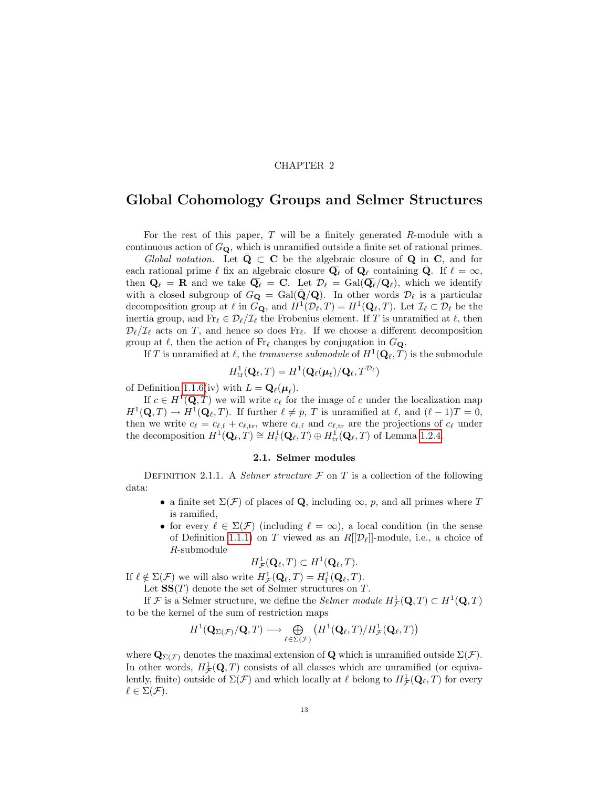# CHAPTER 2

# <span id="page-18-0"></span>Global Cohomology Groups and Selmer Structures

For the rest of this paper,  $T$  will be a finitely generated  $R$ -module with a continuous action of  $G_{\mathbf{Q}}$ , which is unramified outside a finite set of rational primes.

Global notation. Let  $\bar{Q} \subset C$  be the algebraic closure of Q in C, and for each rational prime  $\ell$  fix an algebraic closure  $\overline{\mathbf{Q}}_{\ell}$  of  $\mathbf{Q}_{\ell}$  containing  $\overline{\mathbf{Q}}$ . If  $\ell = \infty$ , then  $\mathbf{Q}_{\ell} = \mathbf{R}$  and we take  $\overline{\mathbf{Q}}_{\ell} = \mathbf{C}$ . Let  $\mathcal{D}_{\ell} = \text{Gal}(\overline{\mathbf{Q}}_{\ell}/\mathbf{Q}_{\ell}),$  which we identify with a closed subgroup of  $G_{\mathbf{Q}} = \text{Gal}(\bar{\mathbf{Q}}/\mathbf{Q})$ . In other words  $\mathcal{D}_{\ell}$  is a particular decomposition group at  $\ell$  in  $G_{\mathbf{Q}}$ , and  $H^1(\mathcal{D}_\ell, T) = H^1(\mathbf{Q}_\ell, T)$ . Let  $\mathcal{I}_\ell \subset \mathcal{D}_\ell$  be the inertia group, and  $\text{Fr}_\ell \in \mathcal{D}_\ell/\mathcal{I}_\ell$  the Frobenius element. If T is unramified at  $\ell$ , then  $\mathcal{D}_\ell/\mathcal{I}_\ell$  acts on T, and hence so does Fr<sub>l</sub>. If we choose a different decomposition group at  $\ell$ , then the action of  $Fr_{\ell}$  changes by conjugation in  $G_{\mathbf{Q}}$ .

If T is unramified at  $\ell$ , the *transverse submodule* of  $H^1(\mathbf{Q}_\ell, T)$  is the submodule

$$
H^1_{\text{tr}}(\mathbf{Q}_{\ell},T)=H^1(\mathbf{Q}_{\ell}(\boldsymbol{\mu}_{\ell})/\mathbf{Q}_{\ell},T^{\mathcal{D}_{\ell}})
$$

of Definition [1.1.6\(](#page-13-1)iv) with  $L = \mathbf{Q}_{\ell}(\boldsymbol{\mu}_{\ell}).$ 

If  $c \in H^1(\mathbf{Q}, T)$  we will write  $c_{\ell}$  for the image of c under the localization map  $H^1(\mathbf{Q}, T) \to H^1(\mathbf{Q}_\ell, T)$ . If further  $\ell \neq p$ , T is unramified at  $\ell$ , and  $(\ell - 1)T = 0$ , then we write  $c_{\ell} = c_{\ell,f} + c_{\ell,tr}$ , where  $c_{\ell,f}$  and  $c_{\ell,tr}$  are the projections of  $c_{\ell}$  under the decomposition  $H^1(\mathbf{Q}_\ell, T) \cong H^1_f(\mathbf{Q}_\ell, T) \oplus H^1_{tr}(\mathbf{Q}_\ell, T)$  of Lemma [1.2.4.](#page-16-1)

### 2.1. Selmer modules

<span id="page-18-1"></span>DEFINITION 2.1.1. A *Selmer structure*  $\mathcal F$  on  $T$  is a collection of the following data:

- a finite set  $\Sigma(\mathcal{F})$  of places of Q, including  $\infty$ , p, and all primes where T is ramified,
- for every  $\ell \in \Sigma(\mathcal{F})$  (including  $\ell = \infty$ ), a local condition (in the sense of Definition [1.1.1\)](#page-12-4) on T viewed as an  $R[[\mathcal{D}_\ell]]$ -module, i.e., a choice of R-submodule

$$
H^1_{\mathcal{F}}(\mathbf{Q}_{\ell},T) \subset H^1(\mathbf{Q}_{\ell},T).
$$

If  $\ell \notin \Sigma(\mathcal{F})$  we will also write  $H^1_{\mathcal{F}}(\mathbf{Q}_\ell, T) = H^1_{\mathbf{f}}(\mathbf{Q}_\ell, T)$ .

Let  $SS(T)$  denote the set of Selmer structures on T.

If  $\mathcal F$  is a Selmer structure, we define the *Selmer module*  $H^1_{\mathcal F}(\mathbf Q, T) \subset H^1(\mathbf Q, T)$ to be the kernel of the sum of restriction maps

$$
H^1({\bf Q}_{\Sigma(\mathcal{F})}/{\bf Q},T)\longrightarrow\bigoplus_{\ell\in \Sigma(\mathcal{F})}\left(H^1({\bf Q}_\ell,T)/H^1_{\mathcal{F}}({\bf Q}_\ell,T)\right)
$$

where  $\mathbf{Q}_{\Sigma(\mathcal{F})}$  denotes the maximal extension of  $\mathbf{Q}$  which is unramified outside  $\Sigma(\mathcal{F})$ . In other words,  $H^1_{\mathcal{F}}(\mathbf{Q}, T)$  consists of all classes which are unramified (or equivalently, finite) outside of  $\Sigma(\mathcal{F})$  and which locally at  $\ell$  belong to  $H^1_{\mathcal{F}}(\mathbf{Q}_\ell, T)$  for every  $\ell \in \Sigma(\mathcal{F}).$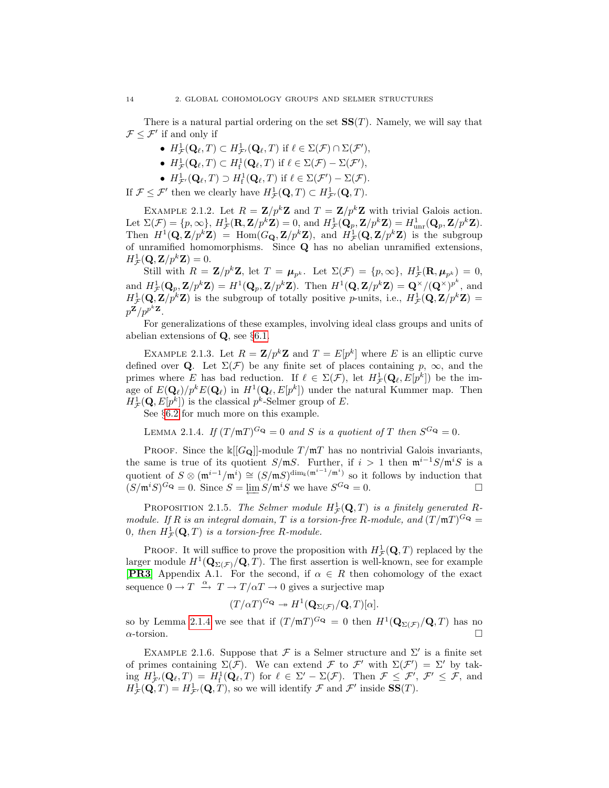There is a natural partial ordering on the set  $SS(T)$ . Namely, we will say that  $\mathcal{F} \leq \mathcal{F}'$  if and only if

- $H^1_{\mathcal{F}}(\mathbf{Q}_\ell,T) \subset H^1_{\mathcal{F}'}(\mathbf{Q}_\ell,T)$  if  $\ell \in \Sigma(\mathcal{F}) \cap \Sigma(\mathcal{F}'),$
- $H^1_{\mathcal{F}}(\mathbf{Q}_\ell, T) \subset H^1_{\mathrm{f}}(\mathbf{Q}_\ell, T)$  if  $\ell \in \Sigma(\mathcal{F}) \Sigma(\mathcal{F}'),$
- $H^1_{\mathcal{F}'}(\mathbf{Q}_\ell,T) \supset H^1_{\mathrm{f}}(\mathbf{Q}_\ell,T)$  if  $\ell \in \Sigma(\mathcal{F}') \Sigma(\mathcal{F})$ .

If  $\mathcal{F} \leq \mathcal{F}'$  then we clearly have  $H^1_{\mathcal{F}}(\mathbf{Q}, T) \subset H^1_{\mathcal{F}'}(\mathbf{Q}, T)$ .

EXAMPLE 2.1.2. Let  $R = \mathbf{Z}/p^k\mathbf{Z}$  and  $T = \mathbf{Z}/p^k\mathbf{Z}$  with trivial Galois action. Let  $\Sigma(\mathcal{F}) = \{p, \infty\}, H^1_{\mathcal{F}}(\mathbf{R}, \mathbf{Z}/p^k \mathbf{Z}) = 0$ , and  $H^1_{\mathcal{F}}(\mathbf{Q}_p, \mathbf{Z}/p^k \mathbf{Z}) = H^1_{\text{unr}}(\mathbf{Q}_p, \mathbf{Z}/p^k \mathbf{Z}).$ Then  $H^1(\mathbf{Q}, \mathbf{Z}/p^k \mathbf{Z}) = \text{Hom}(G_{\mathbf{Q}}, \mathbf{Z}/p^k \mathbf{Z})$ , and  $H^1_{\mathcal{F}}(\mathbf{Q}, \mathbf{Z}/p^k \mathbf{Z})$  is the subgroup of unramified homomorphisms. Since Q has no abelian unramified extensions,  $H^1_{\mathcal{F}}(\mathbf{Q}, \mathbf{Z}/p^k \mathbf{Z}) = 0.$ 

Still with  $R = \mathbf{Z}/p^k \mathbf{Z}$ , let  $T = \boldsymbol{\mu}_{p^k}$ . Let  $\Sigma(\mathcal{F}) = \{p, \infty\}$ ,  $H^1_{\mathcal{F}}(\mathbf{R}, \boldsymbol{\mu}_{p^k}) = 0$ , and  $H^1_{\mathcal{F}}(\mathbf{Q}_p, \mathbf{Z}/p^k \mathbf{Z}) = H^1(\mathbf{Q}_p, \mathbf{Z}/p^k \mathbf{Z})$ . Then  $H^1(\mathbf{Q}, \mathbf{Z}/p^k \mathbf{Z}) = \mathbf{Q}^{\times}/(\mathbf{Q}^{\times})^{p^k}$ , and  $H^1_{\mathcal{F}}(\mathbf{Q}, \mathbf{Z}/p^k \mathbf{Z})$  is the subgroup of totally positive p-units, i.e.,  $H^1_{\mathcal{F}}(\mathbf{Q}, \mathbf{Z}/p^k \mathbf{Z}) =$  $p^{\mathbf{Z}}/p^{p^k\mathbf{Z}}$ .

For generalizations of these examples, involving ideal class groups and units of abelian extensions of  $\mathbf{Q}$ , see §[6.1.](#page-74-1)

EXAMPLE 2.1.3. Let  $R = \mathbb{Z}/p^k \mathbb{Z}$  and  $T = E[p^k]$  where E is an elliptic curve defined over **Q**. Let  $\Sigma(\mathcal{F})$  be any finite set of places containing p,  $\infty$ , and the primes where E has bad reduction. If  $\ell \in \Sigma(\mathcal{F})$ , let  $H^1_{\mathcal{F}}(\mathbf{Q}_\ell, E[p^k])$  be the image of  $E(\mathbf{Q}_\ell)/p^k E(\mathbf{Q}_\ell)$  in  $H^1(\mathbf{Q}_\ell, E[p^k])$  under the natural Kummer map. Then  $H^1_{\mathcal{F}}(\mathbf{Q}, E[p^k])$  is the classical  $p^k$ -Selmer group of E.

See §[6.2](#page-78-0) for much more on this example.

<span id="page-19-0"></span>LEMMA 2.1.4. If  $(T/\mathfrak{m}T)^{G_Q} = 0$  and S is a quotient of T then  $S^{G_Q} = 0$ .

PROOF. Since the  $\kappa[[G_{\mathbf{Q}}]]$ -module  $T/\mathfrak{m}T$  has no nontrivial Galois invariants, the same is true of its quotient S/mS. Further, if  $i > 1$  then  $\mathfrak{m}^{i-1}S/\mathfrak{m}^iS$  is a quotient of  $S \otimes (\mathfrak{m}^{i-1}/\mathfrak{m}^i) \cong (S/\mathfrak{m} S)^{\dim_k(\mathfrak{m}^{i-1}/\mathfrak{m}^i)}$  so it follows by induction that  $(S/\mathfrak{m}^iS)^{G_Q} = 0$ . Since  $S = \underleftarrow{\lim} S/\mathfrak{m}^iS$  we have  $S^{G_Q} = 0$ .

PROPOSITION 2.1.5. The Selmer module  $H^1_{\mathcal{F}}(\mathbf{Q},T)$  is a finitely generated Rmodule. If R is an integral domain, T is a torsion-free R-module, and  $(T/\mathfrak{m}T)^{G_{\mathbf{Q}}} =$ 0, then  $H^1_{\mathcal{F}}(\mathbf{Q},T)$  is a torsion-free R-module.

**PROOF.** It will suffice to prove the proposition with  $H^1_{\mathcal{F}}(\mathbf{Q}, T)$  replaced by the larger module  $H^1(\mathbf{Q}_{\Sigma(\mathcal{F})}/\mathbf{Q}, T)$ . The first assertion is well-known, see for example [[PR3](#page-100-6)] Appendix A.1. For the second, if  $\alpha \in R$  then cohomology of the exact sequence  $0 \to T \stackrel{\alpha}{\to} T \to T/\alpha T \to 0$  gives a surjective map

$$
(T/\alpha T)^{G_{\mathbf{Q}}} \twoheadrightarrow H^1(\mathbf{Q}_{\Sigma(\mathcal{F})}/\mathbf{Q},T)[\alpha].
$$

so by Lemma [2.1.4](#page-19-0) we see that if  $(T/\mathfrak{m}T)^{G_Q} = 0$  then  $H^1(\mathbf{Q}_{\Sigma(\mathcal{F})}/\mathbf{Q}, T)$  has no  $\alpha$ -torsion.

<span id="page-19-1"></span>EXAMPLE 2.1.6. Suppose that  $\mathcal F$  is a Selmer structure and  $\Sigma'$  is a finite set of primes containing  $\Sigma(\mathcal{F})$ . We can extend  $\mathcal{F}$  to  $\mathcal{F}'$  with  $\Sigma(\mathcal{F}') = \Sigma'$  by tak- $\text{ing } H^1_{\mathcal{F}}(\mathbf{Q}_\ell,T) = H^1_{\text{f}}(\mathbf{Q}_\ell,T) \text{ for } \ell \in \Sigma' - \Sigma(\mathcal{F}). \text{ Then } \mathcal{F} \leq \mathcal{F}', \mathcal{F}' \leq \mathcal{F}, \text{ and}$  $H^1_{\mathcal{F}}(\mathbf{Q},T) = H^1_{\mathcal{F}'}(\mathbf{Q},T)$ , so we will identify  $\mathcal F$  and  $\mathcal F'$  inside  $SS(T)$ .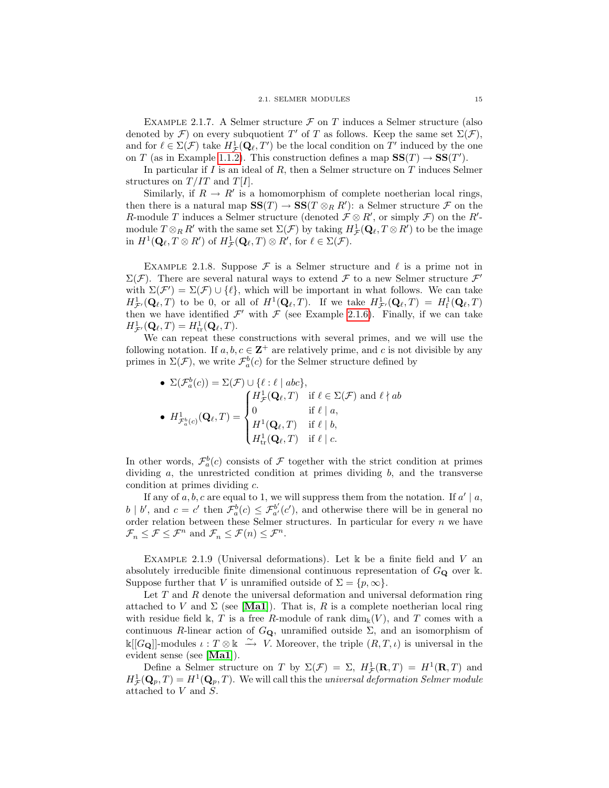EXAMPLE 2.1.7. A Selmer structure  $\mathcal F$  on T induces a Selmer structure (also denoted by  $\mathcal{F}$ ) on every subquotient T' of T as follows. Keep the same set  $\Sigma(\mathcal{F})$ , and for  $\ell \in \Sigma(\mathcal{F})$  take  $H^1_{\mathcal{F}}(\mathbf{Q}_{\ell}, T')$  be the local condition on  $T'$  induced by the one on T (as in Example [1.1.2\)](#page-12-3). This construction defines a map  $SS(T) \rightarrow SS(T')$ .

In particular if  $I$  is an ideal of  $R$ , then a Selmer structure on  $T$  induces Selmer structures on  $T/IT$  and  $T[I]$ .

Similarly, if  $R \to R'$  is a homomorphism of complete noetherian local rings, then there is a natural map  $SS(T) \to SS(T \otimes_R R')$ : a Selmer structure  $\mathcal F$  on the R-module T induces a Selmer structure (denoted  $\mathcal{F} \otimes R'$ , or simply  $\mathcal{F}$ ) on the  $R'$ module  $T \otimes_R R'$  with the same set  $\Sigma(\mathcal{F})$  by taking  $H^1_{\mathcal{F}}(\mathbf{Q}_\ell, T \otimes R')$  to be the image in  $H^1(\mathbf{Q}_\ell, T \otimes R')$  of  $H^1_{\mathcal{F}}(\mathbf{Q}_\ell, T) \otimes R'$ , for  $\ell \in \Sigma(\mathcal{F})$ .

EXAMPLE 2.1.8. Suppose  $\mathcal F$  is a Selmer structure and  $\ell$  is a prime not in  $\Sigma(\mathcal{F})$ . There are several natural ways to extend  $\mathcal F$  to a new Selmer structure  $\mathcal F'$ with  $\Sigma(\mathcal{F}') = \Sigma(\mathcal{F}) \cup \{ \ell \},$  which will be important in what follows. We can take  $H^1_{\mathcal{F}'}(\mathbf{Q}_\ell,T)$  to be 0, or all of  $H^1(\mathbf{Q}_\ell,T)$ . If we take  $H^1_{\mathcal{F}'}(\mathbf{Q}_\ell,T) = H^1_f(\mathbf{Q}_\ell,T)$ then we have identified  $\mathcal{F}'$  with  $\mathcal F$  (see Example [2.1.6\)](#page-19-1). Finally, if we can take  $H^1_{\mathcal{F}'}(\mathbf{Q}_\ell,T) = H^1_{\text{tr}}(\mathbf{Q}_\ell,T).$ 

We can repeat these constructions with several primes, and we will use the following notation. If  $a, b, c \in \mathbb{Z}^+$  are relatively prime, and c is not divisible by any primes in  $\Sigma(\mathcal{F})$ , we write  $\mathcal{F}_a^b(c)$  for the Selmer structure defined by

\n- \n
$$
\Sigma(\mathcal{F}_a^b(c)) = \Sigma(\mathcal{F}) \cup \{\ell : \ell \mid abc\},
$$
\n
\n- \n
$$
H^1_{\mathcal{F}_a^b(c)}(\mathbf{Q}_{\ell}, T) =\n \begin{cases}\n H^1_{\mathcal{F}}(\mathbf{Q}_{\ell}, T) & \text{if } \ell \in \Sigma(\mathcal{F}) \text{ and } \ell \nmid ab \\
 0 & \text{if } \ell \mid a, \\
 H^1(\mathbf{Q}_{\ell}, T) & \text{if } \ell \mid b, \\
 H^1_{\text{tr}}(\mathbf{Q}_{\ell}, T) & \text{if } \ell \mid c.\n \end{cases}
$$
\n
\n

In other words,  $\mathcal{F}_a^b(c)$  consists of  $\mathcal F$  together with the strict condition at primes dividing  $a$ , the unrestricted condition at primes dividing  $b$ , and the transverse condition at primes dividing c.

If any of  $a, b, c$  are equal to 1, we will suppress them from the notation. If  $a' | a$ ,  $b \mid b'$ , and  $c = c'$  then  $\mathcal{F}_a^b(c) \leq \mathcal{F}_{a'}^{b'}(c')$ , and otherwise there will be in general no order relation between these Selmer structures. In particular for every  $n$  we have  $\mathcal{F}_n \leq \mathcal{F} \leq \mathcal{F}^n$  and  $\mathcal{F}_n \leq \mathcal{F}(n) \leq \mathcal{F}^n$ .

EXAMPLE 2.1.9 (Universal deformations). Let  $\Bbbk$  be a finite field and V an absolutely irreducible finite dimensional continuous representation of  $G_Q$  over k. Suppose further that V is unramified outside of  $\Sigma = \{p, \infty\}.$ 

Let  $T$  and  $R$  denote the universal deformation and universal deformation ring attached to V and  $\Sigma$  (see [[Ma1](#page-100-7)]). That is, R is a complete noetherian local ring with residue field k, T is a free R-module of rank  $\dim_k(V)$ , and T comes with a continuous R-linear action of  $G_{\mathbf{Q}}$ , unramified outside  $\Sigma$ , and an isomorphism of  $\Bbbk[[G_{\bf Q}]]$ -modules  $\iota: T \otimes \Bbbk \stackrel{\sim}{\to} V$ . Moreover, the triple  $(R, T, \iota)$  is universal in the evident sense (see [[Ma1](#page-100-7)]).

Define a Selmer structure on T by  $\Sigma(\mathcal{F}) = \Sigma$ ,  $H^1_{\mathcal{F}}(\mathbf{R},T) = H^1(\mathbf{R},T)$  and  $H^1_{\mathcal{F}}(\mathbf{Q}_p,T) = H^1(\mathbf{Q}_p,T)$ . We will call this the universal deformation Selmer module attached to V and S.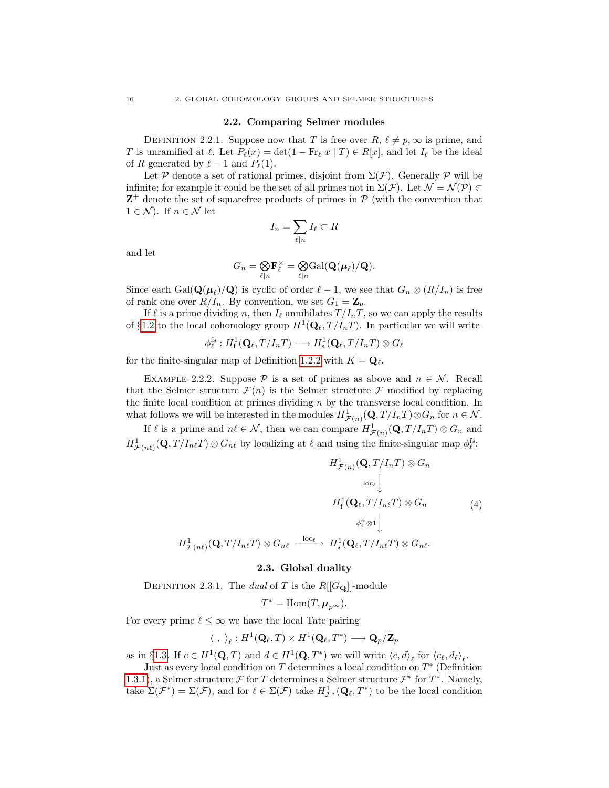#### 2.2. Comparing Selmer modules

<span id="page-21-2"></span><span id="page-21-0"></span>DEFINITION 2.2.1. Suppose now that T is free over  $R, \ell \neq p, \infty$  is prime, and T is unramified at  $\ell$ . Let  $P_{\ell}(x) = \det(1 - Fr_{\ell} x | T) \in R[x]$ , and let  $I_{\ell}$  be the ideal of R generated by  $\ell - 1$  and  $P_{\ell}(1)$ .

Let P denote a set of rational primes, disjoint from  $\Sigma(\mathcal{F})$ . Generally P will be infinite; for example it could be the set of all primes not in  $\Sigma(\mathcal{F})$ . Let  $\mathcal{N} = \mathcal{N}(\mathcal{P}) \subset$  $Z^+$  denote the set of squarefree products of primes in  $P$  (with the convention that  $1 \in \mathcal{N}$ ). If  $n \in \mathcal{N}$  let

$$
I_n = \sum_{\ell|n} I_\ell \subset R
$$

and let

$$
G_n = \underset{\ell|n}{\bigotimes} \mathbf{F}_{\ell}^{\times} = \underset{\ell|n}{\bigotimes} \mathrm{Gal}(\mathbf{Q}(\boldsymbol{\mu}_{\ell})/\mathbf{Q}).
$$

Since each  $Gal(\mathbf{Q}(\boldsymbol{\mu}_{\ell})/\mathbf{Q})$  is cyclic of order  $\ell - 1$ , we see that  $G_n \otimes (R/I_n)$  is free of rank one over  $R/I_n$ . By convention, we set  $G_1 = \mathbf{Z}_p$ .

If  $\ell$  is a prime dividing n, then  $I_\ell$  annihilates  $T / I_n \tilde{T}$ , so we can apply the results of §[1.2](#page-15-0) to the local cohomology group  $H^1(\mathbf{Q}_\ell, T / I_n T)$ . In particular we will write

 $\phi_{\ell}^{\mathrm{fs}}: H^1_{\mathrm{f}}(\mathbf{Q}_{\ell}, T/I_nT) \longrightarrow H^1_{\mathrm{s}}(\mathbf{Q}_{\ell}, T/I_nT) \otimes G_{\ell}$ 

for the finite-singular map of Definition [1.2.2](#page-15-2) with  $K = \mathbf{Q}_{\ell}$ .

<span id="page-21-3"></span>EXAMPLE 2.2.2. Suppose  $P$  is a set of primes as above and  $n \in \mathcal{N}$ . Recall that the Selmer structure  $\mathcal{F}(n)$  is the Selmer structure  $\mathcal F$  modified by replacing the finite local condition at primes dividing  $n$  by the transverse local condition. In what follows we will be interested in the modules  $H^1_{\mathcal{F}(n)}(\mathbf{Q}, T/I_nT) \otimes G_n$  for  $n \in \mathcal{N}$ .

If  $\ell$  is a prime and  $n\ell \in \mathcal{N}$ , then we can compare  $H^1_{\mathcal{F}(n)}(\mathbf{Q}, T / I_n T) \otimes G_n$  and  $H^1_{\mathcal{F}(n\ell)}(\mathbf{Q}, T/I_{n\ell}T) \otimes G_{n\ell}$  by localizing at  $\ell$  and using the finite-singular map  $\phi_{\ell}^{\text{fs}}$ :

$$
H^1_{\mathcal{F}(n)}(\mathbf{Q}, T/I_nT) \otimes G_n
$$

$$
\log_{\ell} \Bigg\downarrow
$$

$$
H^1_{\mathbf{f}}(\mathbf{Q}_{\ell}, T/I_{n\ell}T) \otimes G_n \qquad (4)
$$

$$
\phi_{\ell}^{\text{fs}} \otimes 1 \Bigg\downarrow
$$

$$
H^1_{\mathcal{F}(n\ell)}(\mathbf{Q}, T/I_{n\ell}T) \otimes G_{n\ell} \xrightarrow{\text{loc}_{\ell}} H^1_{\mathbf{s}}(\mathbf{Q}_{\ell}, T/I_{n\ell}T) \otimes G_{n\ell}.
$$

### <span id="page-21-4"></span>2.3. Global duality

<span id="page-21-1"></span>DEFINITION 2.3.1. The dual of T is the  $R[[G_{\bf Q}]]$ -module

$$
T^* = \text{Hom}(T, \mu_{p^\infty}).
$$

For every prime  $\ell \leq \infty$  we have the local Tate pairing

$$
\langle \ , \ \rangle_{\ell}: H^1({\bf Q}_{\ell},T) \times H^1({\bf Q}_{\ell},T^*) \longrightarrow {\bf Q}_{p}/{\bf Z}_{p}
$$

as in §[1.3.](#page-16-0) If  $c \in H^1(\mathbf{Q}, T)$  and  $d \in H^1(\mathbf{Q}, T^*)$  we will write  $\langle c, d \rangle_{\ell}$  for  $\langle c_{\ell}, d_{\ell} \rangle_{\ell}$ .

Just as every local condition on  $T$  determines a local condition on  $T^*$  (Definition [1.3.1\)](#page-16-2), a Selmer structure  $\mathcal F$  for T determines a Selmer structure  $\mathcal F^*$  for  $T^*$ . Namely, take  $\Sigma(\mathcal{F}^*) = \Sigma(\mathcal{F})$ , and for  $\ell \in \Sigma(\mathcal{F})$  take  $H^1_{\mathcal{F}^*}(\mathbf{Q}_{\ell}, T^*)$  to be the local condition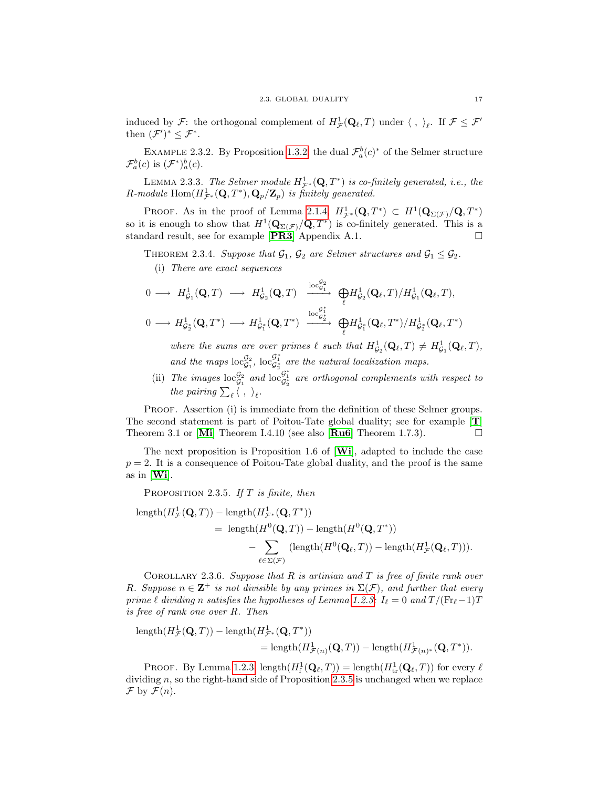induced by  $\mathcal{F}$ : the orthogonal complement of  $H^1_{\mathcal{F}}(\mathbf{Q}_\ell,T)$  under  $\langle , \ \rangle_\ell$ . If  $\mathcal{F} \leq \mathcal{F}'$ then  $(\mathcal{F}')^* \leq \mathcal{F}^*$ .

EXAMPLE 2.3.2. By Proposition [1.3.2,](#page-17-0) the dual  $\mathcal{F}_a^b(c)^*$  of the Selmer structure  $\mathcal{F}_a^b(c)$  is  $(\mathcal{F}^*)_a^b(c)$ .

LEMMA 2.3.3. The Selmer module  $H^1_{\mathcal{F}^*}(\mathbf{Q},T^*)$  is co-finitely generated, i.e., the  $R$ -module  $\text{Hom}(H^{1}_{\mathcal{F}^*}(\mathbf{Q},T^*),\mathbf{Q}_p/\mathbf{Z}_p)$  is finitely generated.

PROOF. As in the proof of Lemma [2.1.4,](#page-19-0)  $H^1_{\mathcal{F}^*}(\mathbf{Q}, T^*) \subset H^1(\mathbf{Q}_{\Sigma(\mathcal{F})}/\mathbf{Q}, T^*)$ so it is enough to show that  $H^1(\mathbf{Q}_{\Sigma(\mathcal{F})}/\mathbf{Q}, T^*)$  is co-finitely generated. This is a standard result, see for example  $[\mathbf{PR3}]$  $[\mathbf{PR3}]$  $[\mathbf{PR3}]$  Appendix A.1.

<span id="page-22-1"></span>THEOREM 2.3.4. Suppose that  $\mathcal{G}_1$ ,  $\mathcal{G}_2$  are Selmer structures and  $\mathcal{G}_1 \leq \mathcal{G}_2$ .

(i) There are exact sequences

$$
\begin{array}{cccc}\n0 \longrightarrow & H^1_{\mathcal{G}_1}(\mathbf{Q}, T) \longrightarrow & H^1_{\mathcal{G}_2}(\mathbf{Q}, T) \xrightarrow{\operatorname{loc}^{\mathcal{G}_2}_{\mathcal{G}_1}} & \bigoplus_{\ell} H^1_{\mathcal{G}_2}(\mathbf{Q}_{\ell}, T) / H^1_{\mathcal{G}_1}(\mathbf{Q}_{\ell}, T), \\
0 \longrightarrow & H^1_{\mathcal{G}_2^*}(\mathbf{Q}, T^*) \longrightarrow & H^1_{\mathcal{G}_1^*}(\mathbf{Q}, T^*) \xrightarrow{\operatorname{loc}^{\mathcal{G}_1^*}_{\mathcal{G}_2^*}} & \bigoplus_{\ell} H^1_{\mathcal{G}_1^*}(\mathbf{Q}_{\ell}, T^*) / H^1_{\mathcal{G}_2^*}(\mathbf{Q}_{\ell}, T^*)\n\end{array}
$$

where the sums are over primes  $\ell$  such that  $H^1_{\mathcal{G}_2}(\mathbf{Q}_{\ell},T) \neq H^1_{\mathcal{G}_1}(\mathbf{Q}_{\ell},T)$ , and the maps  $\mathrm{loc}_{\mathcal{G}_1}^{\mathcal{G}_2}$ ,  $\mathrm{loc}_{\mathcal{G}_2^*}^{\mathcal{G}_1^*}$  are the natural localization maps.

(ii) The images  $\mathrm{loc}^{\mathcal{G}_2}_{\mathcal{G}_1}$  and  $\mathrm{loc}^{\mathcal{G}_1^*}_{\mathcal{G}_2^*}$  are orthogonal complements with respect to the pairing  $\sum_{\ell} \langle , \rangle_{\ell}$ .

PROOF. Assertion (i) is immediate from the definition of these Selmer groups. The second statement is part of Poitou-Tate global duality; see for example [[T](#page-101-0)] Theorem 3.1 or  $\text{[Mi]}$  $\text{[Mi]}$  $\text{[Mi]}$  Theorem I.4.10 (see also  $\text{[Ru6]}$  $\text{[Ru6]}$  $\text{[Ru6]}$  Theorem 1.7.3).

The next proposition is Proposition 1.6 of  $[\textbf{Wi}]$  $[\textbf{Wi}]$  $[\textbf{Wi}]$ , adapted to include the case  $p = 2$ . It is a consequence of Poitou-Tate global duality, and the proof is the same as in [[Wi](#page-101-1)].

<span id="page-22-0"></span>PROPOSITION 2.3.5. If  $T$  is finite, then

length
$$
(H^1_{\mathcal{F}}(\mathbf{Q},T))
$$
 - length $(H^1_{\mathcal{F}^*}(\mathbf{Q},T^*))$   
\n= length $(H^0(\mathbf{Q},T))$  - length $(H^0(\mathbf{Q},T^*))$   
\n- 
$$
\sum_{\ell \in \Sigma(\mathcal{F})} (\text{length}(H^0(\mathbf{Q}_{\ell},T)) - \text{length}(H^1_{\mathcal{F}}(\mathbf{Q}_{\ell},T))).
$$

COROLLARY 2.3.6. Suppose that  $R$  is artinian and  $T$  is free of finite rank over R. Suppose  $n \in \mathbb{Z}^+$  is not divisible by any primes in  $\Sigma(\mathcal{F})$ , and further that every prime  $\ell$  dividing n satisfies the hypotheses of Lemma [1.2.3:](#page-15-3)  $I_{\ell} = 0$  and  $T / (\mathrm{Fr}_{\ell} - 1)T$ is free of rank one over R. Then

length
$$
(H^1_{\mathcal{F}}(\mathbf{Q},T))
$$
 – length $(H^1_{\mathcal{F}^*}(\mathbf{Q},T^*))$   
= length $(H^1_{\mathcal{F}(n)}(\mathbf{Q},T))$  – length $(H^1_{\mathcal{F}(n)^*}(\mathbf{Q},T^*))$ .

PROOF. By Lemma [1.2.3,](#page-15-3)  $\text{length}(H^1_f(\mathbf{Q}_\ell, T)) = \text{length}(H^1_{\text{tr}}(\mathbf{Q}_\ell, T))$  for every  $\ell$ dividing  $n$ , so the right-hand side of Proposition [2.3.5](#page-22-0) is unchanged when we replace  $\mathcal F$  by  $\mathcal F(n)$ .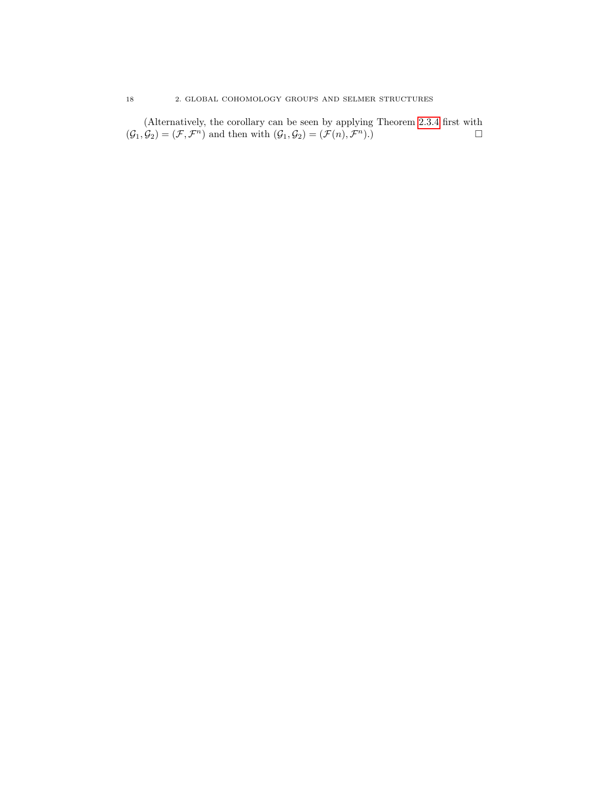(Alternatively, the corollary can be seen by applying Theorem [2.3.4](#page-22-1) first with  $(\mathcal{G}_1, \mathcal{G}_2) = (\mathcal{F}, \mathcal{F}^n)$  and then with  $(\mathcal{G}_1, \mathcal{G}_2) = (\mathcal{F}(n), \mathcal{F}^n)$ .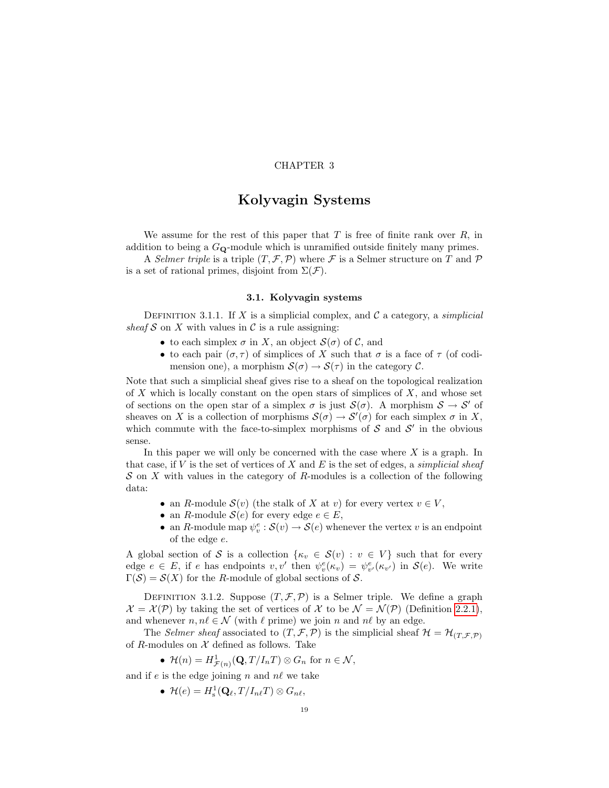## CHAPTER 3

# Kolyvagin Systems

<span id="page-24-0"></span>We assume for the rest of this paper that  $T$  is free of finite rank over  $R$ , in addition to being a  $G_{\mathbf{Q}}$ -module which is unramified outside finitely many primes.

A Selmer triple is a triple  $(T, \mathcal{F}, \mathcal{P})$  where  $\mathcal{F}$  is a Selmer structure on T and  $\mathcal{P}$ is a set of rational primes, disjoint from  $\Sigma(\mathcal{F})$ .

### 3.1. Kolyvagin systems

<span id="page-24-3"></span><span id="page-24-1"></span>DEFINITION 3.1.1. If X is a simplicial complex, and  $\mathcal C$  a category, a *simplicial* sheaf S on X with values in C is a rule assigning:

- to each simplex  $\sigma$  in X, an object  $\mathcal{S}(\sigma)$  of C, and
- to each pair  $(\sigma, \tau)$  of simplices of X such that  $\sigma$  is a face of  $\tau$  (of codimension one), a morphism  $S(\sigma) \to S(\tau)$  in the category C.

Note that such a simplicial sheaf gives rise to a sheaf on the topological realization of  $X$  which is locally constant on the open stars of simplices of  $X$ , and whose set of sections on the open star of a simplex  $\sigma$  is just  $\mathcal{S}(\sigma)$ . A morphism  $\mathcal{S} \to \mathcal{S}'$  of sheaves on X is a collection of morphisms  $\mathcal{S}(\sigma) \to \mathcal{S}'(\sigma)$  for each simplex  $\sigma$  in X, which commute with the face-to-simplex morphisms of  $S$  and  $S'$  in the obvious sense.

In this paper we will only be concerned with the case where  $X$  is a graph. In that case, if  $V$  is the set of vertices of  $X$  and  $E$  is the set of edges, a *simplicial sheaf*  $S$  on X with values in the category of R-modules is a collection of the following data:

- an R-module  $\mathcal{S}(v)$  (the stalk of X at v) for every vertex  $v \in V$ ,
- an R-module  $\mathcal{S}(e)$  for every edge  $e \in E$ ,
- an R-module map  $\psi_v^e : \mathcal{S}(v) \to \mathcal{S}(e)$  whenever the vertex v is an endpoint of the edge e.

A global section of S is a collection  $\{\kappa_v \in \mathcal{S}(v) : v \in V\}$  such that for every edge  $e \in E$ , if e has endpoints  $v, v'$  then  $\psi_v^e(\kappa_v) = \psi_{v'}^e(\kappa_{v'})$  in  $\mathcal{S}(e)$ . We write  $\Gamma(\mathcal{S}) = \mathcal{S}(X)$  for the R-module of global sections of  $\mathcal{S}$ .

<span id="page-24-2"></span>DEFINITION 3.1.2. Suppose  $(T, \mathcal{F}, \mathcal{P})$  is a Selmer triple. We define a graph  $\mathcal{X} = \mathcal{X}(\mathcal{P})$  by taking the set of vertices of X to be  $\mathcal{N} = \mathcal{N}(\mathcal{P})$  (Definition [2.2.1\)](#page-21-2), and whenever  $n, n\ell \in \mathcal{N}$  (with  $\ell$  prime) we join n and n $\ell$  by an edge.

The Selmer sheaf associated to  $(T, \mathcal{F}, \mathcal{P})$  is the simplicial sheaf  $\mathcal{H} = \mathcal{H}_{(T, \mathcal{F}, \mathcal{P})}$ of R-modules on  $X$  defined as follows. Take

•  $\mathcal{H}(n) = H^1_{\mathcal{F}(n)}(\mathbf{Q}, T/I_nT) \otimes G_n$  for  $n \in \mathcal{N}$ ,

and if e is the edge joining n and  $n\ell$  we take

•  $\mathcal{H}(e) = H^1_{\mathrm{s}}(\mathbf{Q}_\ell, T / I_{n\ell} T) \otimes G_{n\ell},$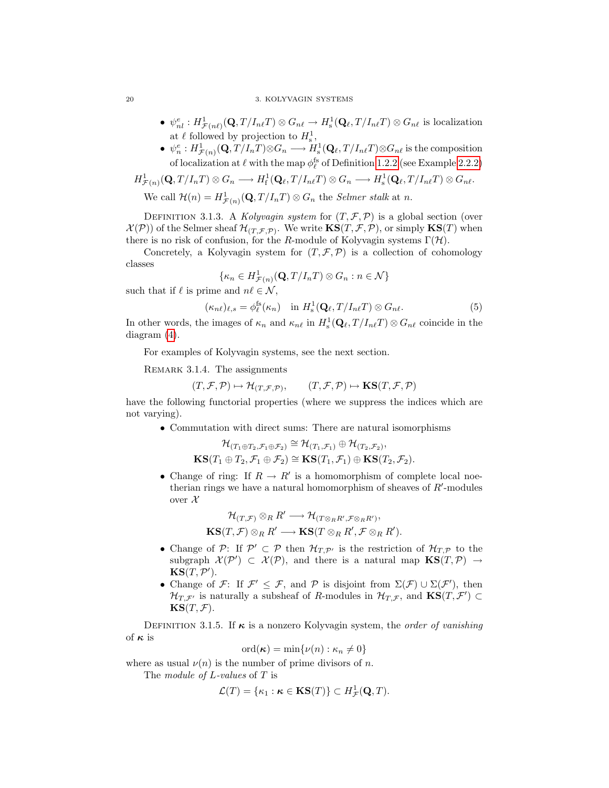#### 20 3. KOLYVAGIN SYSTEMS

- $\psi_{nl}^e : H^1_{\mathcal{F}(n\ell)}(\mathbf{Q}, T/I_{nl}T) \otimes G_{n\ell} \to H^1_{\rm s}(\mathbf{Q}_\ell, T/I_{nl}T) \otimes G_{n\ell}$  is localization at  $\ell$  followed by projection to  $H_s^1$ ,
- $\psi_n^e : H^1_{\mathcal{F}(n)}(\mathbf{Q}, T/I_nT) \otimes G_n \longrightarrow H^1_{\mathrm{s}}(\mathbf{Q}_\ell, T/I_{n\ell}T) \otimes G_{n\ell}$  is the composition of localization at  $\ell$  with the map  $\phi_{\ell}^{\text{fs}}$  of Definition [1.2.2](#page-15-2) (see Example [2.2.2\)](#page-21-3)

$$
H^1_{\mathcal{F}(n)}(\mathbf{Q}, T/I_nT) \otimes G_n \longrightarrow H^1_{\mathbf{f}}(\mathbf{Q}_{\ell}, T/I_{n\ell}T) \otimes G_n \longrightarrow H^1_{\mathbf{s}}(\mathbf{Q}_{\ell}, T/I_{n\ell}T) \otimes G_{n\ell}.
$$
  
We call  $\mathcal{H}(n) = H^1_{\mathcal{F}(n)}(\mathbf{Q}, T/I_nT) \otimes G_n$  the *Selmer stalk* at *n*.

DEFINITION 3.1.3. A Kolyvagin system for  $(T, \mathcal{F}, \mathcal{P})$  is a global section (over  $\mathcal{X}(\mathcal{P})$  of the Selmer sheaf  $\mathcal{H}_{(T,\mathcal{F},\mathcal{P})}$ . We write  $\mathbf{KS}(T,\mathcal{F},\mathcal{P})$ , or simply  $\mathbf{KS}(T)$  when there is no risk of confusion, for the R-module of Kolyvagin systems  $\Gamma(\mathcal{H})$ .

Concretely, a Kolyvagin system for  $(T, \mathcal{F}, \mathcal{P})$  is a collection of cohomology classes

<span id="page-25-2"></span>
$$
\{\kappa_n \in H^1_{\mathcal{F}(n)}(\mathbf{Q}, T/I_nT) \otimes G_n : n \in \mathcal{N}\}\
$$

such that if  $\ell$  is prime and  $n\ell \in \mathcal{N}$ ,

$$
(\kappa_{n\ell})_{\ell,s} = \phi_{\ell}^{\text{fs}}(\kappa_n) \quad \text{in } H^1_{\text{s}}(\mathbf{Q}_{\ell}, T/I_{n\ell}T) \otimes G_{n\ell}.
$$

In other words, the images of  $\kappa_n$  and  $\kappa_{n\ell}$  in  $H^1_s(\mathbf{Q}_\ell, T / I_{n\ell} T) \otimes G_{n\ell}$  coincide in the diagram [\(4\)](#page-21-4).

<span id="page-25-1"></span>For examples of Kolyvagin systems, see the next section.

REMARK 3.1.4. The assignments

$$
(T, \mathcal{F}, \mathcal{P}) \mapsto \mathcal{H}_{(T, \mathcal{F}, \mathcal{P})}, \qquad (T, \mathcal{F}, \mathcal{P}) \mapsto \mathbf{KS}(T, \mathcal{F}, \mathcal{P})
$$

have the following functorial properties (where we suppress the indices which are not varying).

• Commutation with direct sums: There are natural isomorphisms

$$
\mathcal{H}_{(T_1 \oplus T_2, \mathcal{F}_1 \oplus \mathcal{F}_2)} \cong \mathcal{H}_{(T_1, \mathcal{F}_1)} \oplus \mathcal{H}_{(T_2, \mathcal{F}_2)},
$$
  

$$
KS(T_1 \oplus T_2, \mathcal{F}_1 \oplus \mathcal{F}_2) \cong KS(T_1, \mathcal{F}_1) \oplus KS(T_2, \mathcal{F}_2).
$$

• Change of ring: If  $R \to R'$  is a homomorphism of complete local noetherian rings we have a natural homomorphism of sheaves of  $R'$ -modules over  $\mathcal X$ 

$$
\mathcal{H}_{(T,\mathcal{F})}\otimes_R R'\longrightarrow \mathcal{H}_{(T\otimes_R R',\mathcal{F}\otimes_R R')} ,\\ {\bf KS}(T,\mathcal{F})\otimes_R R'\longrightarrow {\bf KS}(T\otimes_R R',\mathcal{F}\otimes_R R').
$$

- Change of P: If  $\mathcal{P}' \subset \mathcal{P}$  then  $\mathcal{H}_{T,\mathcal{P}'}$  is the restriction of  $\mathcal{H}_{T,\mathcal{P}}$  to the subgraph  $\mathcal{X}(\mathcal{P}') \subset \mathcal{X}(\mathcal{P})$ , and there is a natural map  $\mathbf{KS}(T,\mathcal{P}) \rightarrow$  $\textbf{KS}(T, \mathcal{P}^\prime).$
- Change of F: If  $\mathcal{F}' \leq \mathcal{F}$ , and P is disjoint from  $\Sigma(\mathcal{F}) \cup \Sigma(\mathcal{F}')$ , then  $\mathcal{H}_{T,\mathcal{F}'}$  is naturally a subsheaf of R-modules in  $\mathcal{H}_{T,\mathcal{F}}$ , and  $\textbf{KS}(T,\mathcal{F}') \subset$  $KS(T, \mathcal{F}).$

<span id="page-25-0"></span>DEFINITION 3.1.5. If  $\kappa$  is a nonzero Kolyvagin system, the *order of vanishing* of  $\kappa$  is

$$
\mathrm{ord}(\kappa)=\min\{\nu(n):\kappa_n\neq 0\}
$$

where as usual  $\nu(n)$  is the number of prime divisors of n.

The *module of L*-values of T is

$$
\mathcal{L}(T) = \{\kappa_1 : \kappa \in \mathbf{KS}(T)\} \subset H^1_{\mathcal{F}}(\mathbf{Q}, T).
$$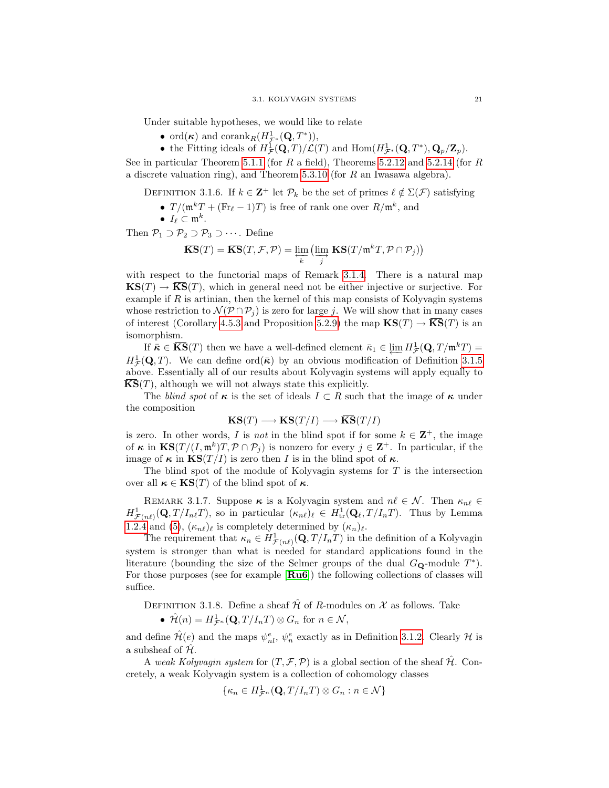Under suitable hypotheses, we would like to relate

- ord $(\kappa)$  and corank<sub>R</sub> $(H^1_{\mathcal{F}^*}(\mathbf{Q}, T^*)),$
- the Fitting ideals of  $H^1_{\mathcal{F}}(\mathbf{Q}, T)/\mathcal{L}(T)$  and  $\text{Hom}(H^1_{\mathcal{F}^*}(\mathbf{Q}, T^*), \mathbf{Q}_p/\mathbf{Z}_p)$ .

See in particular Theorem [5.1.1](#page-60-2) (for R a field), Theorems [5.2.12](#page-63-0) and [5.2.14](#page-64-0) (for R a discrete valuation ring), and Theorem [5.3.10](#page-66-0) (for R an Iwasawa algebra).

<span id="page-26-1"></span>DEFINITION 3.1.6. If  $k \in \mathbb{Z}^+$  let  $\mathcal{P}_k$  be the set of primes  $\ell \notin \Sigma(\mathcal{F})$  satisfying

- $T/(\mathfrak{m}^k T + (\text{Fr}_\ell 1)T)$  is free of rank one over  $R/\mathfrak{m}^k$ , and
- $I_{\ell} \subset \mathfrak{m}^k$ .

Then  $\mathcal{P}_1 \supset \mathcal{P}_2 \supset \mathcal{P}_3 \supset \cdots$ . Define

$$
\overline{\textbf{KS}}(T) = \overline{\textbf{KS}}(T, \mathcal{F}, \mathcal{P}) = \varprojlim_{k} \left( \varinjlim_{j} \textbf{KS}(T/\mathfrak{m}^{k} T, \mathcal{P} \cap \mathcal{P}_{j}) \right)
$$

with respect to the functorial maps of Remark [3.1.4.](#page-25-1) There is a natural map  $\mathbf{KS}(T) \to \overline{\mathbf{KS}}(T)$ , which in general need not be either injective or surjective. For example if  $R$  is artinian, then the kernel of this map consists of Kolyvagin systems whose restriction to  $\mathcal{N}(\mathcal{P} \cap \mathcal{P}_j)$  is zero for large j. We will show that in many cases of interest (Corollary [4.5.3](#page-53-1) and Proposition [5.2.9\)](#page-62-2) the map  $\mathbf{KS}(T) \to \overline{\mathbf{KS}}(T)$  is an isomorphism.

If  $\bar{\kappa} \in \overline{\mathbf{KS}}(T)$  then we have a well-defined element  $\bar{\kappa}_1 \in \varprojlim H^1_{\mathcal{F}}(\mathbf{Q}, T/\mathfrak{m}^k T) =$  $H^1_{\mathcal{F}}(\mathbf{Q}, T)$ . We can define ord $(\bar{\kappa})$  by an obvious modification of Definition [3.1.5](#page-25-0) above. Essentially all of our results about Kolyvagin systems will apply equally to  $\overline{\textbf{KS}}(T)$ , although we will not always state this explicitly.

The blind spot of  $\kappa$  is the set of ideals  $I \subset R$  such that the image of  $\kappa$  under the composition

$$
KS(T) \longrightarrow KS(T/I) \longrightarrow \overline{KS}(T/I)
$$

is zero. In other words, I is not in the blind spot if for some  $k \in \mathbb{Z}^+$ , the image of  $\kappa$  in  $\mathbf{KS}(T/(I, \mathfrak{m}^k)T, \mathcal{P} \cap \mathcal{P}_j)$  is nonzero for every  $j \in \mathbf{Z}^+$ . In particular, if the image of  $\kappa$  in  $\text{KS}(T/I)$  is zero then I is in the blind spot of  $\kappa$ .

The blind spot of the module of Kolyvagin systems for  $T$  is the intersection over all  $\kappa \in \text{KS}(T)$  of the blind spot of  $\kappa$ .

<span id="page-26-0"></span>REMARK 3.1.7. Suppose  $\kappa$  is a Kolyvagin system and  $n\ell \in \mathcal{N}$ . Then  $\kappa_{n\ell} \in$  $H^1_{\mathcal{F}(n\ell)}(\mathbf{Q}, T/I_{n\ell}T)$ , so in particular  $(\kappa_{n\ell})_\ell \in H^1_{\text{tr}}(\mathbf{Q}_\ell, T/I_nT)$ . Thus by Lemma [1.2.4](#page-16-1) and [\(5\)](#page-25-2),  $(\kappa_{n\ell})_\ell$  is completely determined by  $(\kappa_n)_\ell$ .

The requirement that  $\kappa_n \in H^1_{\mathcal{F}(n\ell)}(\mathbf{Q}, T/I_nT)$  in the definition of a Kolyvagin system is stronger than what is needed for standard applications found in the literature (bounding the size of the Selmer groups of the dual  $G_{\mathbf{Q}}$ -module  $T^*$ ). For those purposes (see for example [[Ru6](#page-100-4)]) the following collections of classes will suffice.

DEFINITION 3.1.8. Define a sheaf  $\hat{\mathcal{H}}$  of R-modules on  $\mathcal{X}$  as follows. Take

•  $\hat{\mathcal{H}}(n) = H^1_{\mathcal{F}^n}(\mathbf{Q}, T/I_nT) \otimes G_n$  for  $n \in \mathcal{N}$ ,

and define  $\hat{\mathcal{H}}(e)$  and the maps  $\psi_{nl}^e$ ,  $\psi_n^e$  exactly as in Definition [3.1.2.](#page-24-2) Clearly  $\mathcal{H}$  is a subsheaf of  $H$ .

A weak Kolyvagin system for  $(T, \mathcal{F}, \mathcal{P})$  is a global section of the sheaf  $\mathcal{H}$ . Concretely, a weak Kolyvagin system is a collection of cohomology classes

$$
\{\kappa_n \in H^1_{\mathcal{F}^n}(\mathbf{Q}, T/I_nT) \otimes G_n : n \in \mathcal{N}\}\
$$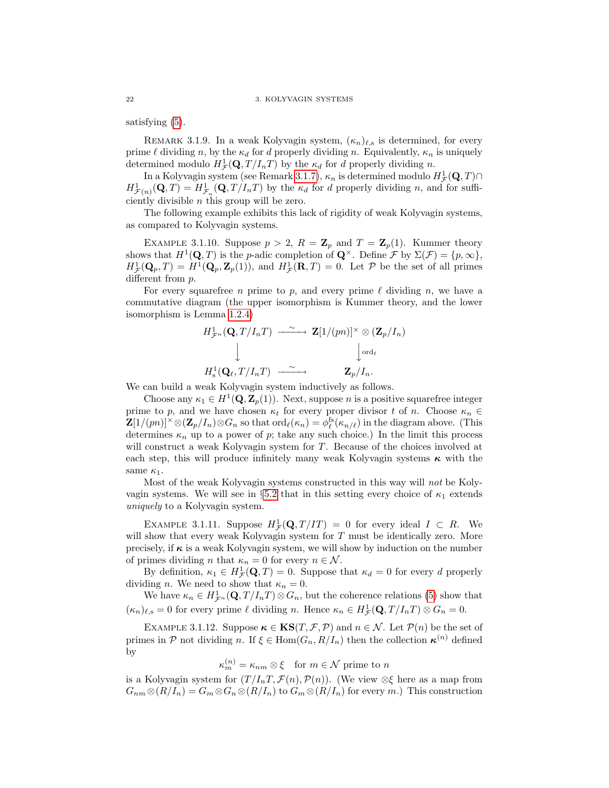satisfying [\(5\)](#page-25-2).

REMARK 3.1.9. In a weak Kolyvagin system,  $(\kappa_n)_{\ell,s}$  is determined, for every prime  $\ell$  dividing n, by the  $\kappa_d$  for d properly dividing n. Equivalently,  $\kappa_n$  is uniquely determined modulo  $H^1_{\mathcal{F}}(\mathbf{Q}, T/I_nT)$  by the  $\kappa_d$  for d properly dividing n.

In a Kolyvagin system (see Remark [3.1.7\)](#page-26-0),  $\kappa_n$  is determined modulo  $H^1_{\mathcal{F}}(\mathbf{Q}, T) \cap$  $H^1_{\mathcal{F}(n)}(\mathbf{Q},T) = H^1_{\mathcal{F}_n}(\mathbf{Q},T/I_nT)$  by the  $\kappa_d$  for d properly dividing n, and for sufficiently divisible n this group will be zero.

The following example exhibits this lack of rigidity of weak Kolyvagin systems, as compared to Kolyvagin systems.

EXAMPLE 3.1.10. Suppose  $p > 2$ ,  $R = \mathbb{Z}_p$  and  $T = \mathbb{Z}_p(1)$ . Kummer theory shows that  $H^1(\mathbf{Q}, T)$  is the p-adic completion of  $\mathbf{Q}^{\times}$ . Define F by  $\Sigma(\mathcal{F}) = \{p, \infty\},$  $H^1_{\mathcal{F}}(\mathbf{Q}_p, T) = H^1(\mathbf{Q}_p, \mathbf{Z}_p(1)),$  and  $H^1_{\mathcal{F}}(\mathbf{R}, T) = 0$ . Let  $\mathcal{P}$  be the set of all primes different from  $p$ .

For every squarefree *n* prime to *p*, and every prime  $\ell$  dividing *n*, we have a commutative diagram (the upper isomorphism is Kummer theory, and the lower isomorphism is Lemma [1.2.4\)](#page-16-1)

$$
H^1_{\mathcal{F}^n}(\mathbf{Q}, T/I_nT) \xrightarrow{\sim} \mathbf{Z}[1/(pn)]^{\times} \otimes (\mathbf{Z}_p/I_n)
$$
  
\n
$$
\downarrow \qquad \qquad \downarrow \qquad \qquad \downarrow \text{ord}_{\ell}
$$
  
\n
$$
H^1_{\mathrm{s}}(\mathbf{Q}_{\ell}, T/I_nT) \xrightarrow{\sim} \mathbf{Z}_p/I_n.
$$

We can build a weak Kolyvagin system inductively as follows.

Choose any  $\kappa_1 \in H^1(\mathbf{Q}, \mathbf{Z}_p(1))$ . Next, suppose *n* is a positive squarefree integer prime to p, and we have chosen  $\kappa_t$  for every proper divisor t of n. Choose  $\kappa_n \in$  $\mathbf{Z}[1/(pn)]^{\times}\otimes(\mathbf{Z}_p/I_n)\otimes G_n$  so that  $\text{ord}_{\ell}(\kappa_n) = \phi_{\ell}^{\text{fs}}(\kappa_{n/\ell})$  in the diagram above. (This determines  $\kappa_n$  up to a power of p; take any such choice.) In the limit this process will construct a weak Kolyvagin system for T. Because of the choices involved at each step, this will produce infinitely many weak Kolyvagin systems  $\kappa$  with the same  $\kappa_1$ .

Most of the weak Kolyvagin systems constructed in this way will not be Koly-vagin systems. We will see in §[5.2](#page-61-0) that in this setting every choice of  $\kappa_1$  extends uniquely to a Kolyvagin system.

EXAMPLE 3.1.11. Suppose  $H^1_{\mathcal{F}}(\mathbf{Q}, T/T) = 0$  for every ideal  $I \subset R$ . We will show that every weak Kolyvagin system for T must be identically zero. More precisely, if  $\kappa$  is a weak Kolyvagin system, we will show by induction on the number of primes dividing n that  $\kappa_n = 0$  for every  $n \in \mathcal{N}$ .

By definition,  $\kappa_1 \in H^1_{\mathcal{F}}(\mathbf{Q}, T) = 0$ . Suppose that  $\kappa_d = 0$  for every d properly dividing *n*. We need to show that  $\kappa_n = 0$ .

We have  $\kappa_n \in H^1_{\mathcal{F}^n}(\mathbf{Q}, T/I_nT) \otimes G_n$ , but the coherence relations [\(5\)](#page-25-2) show that  $(\kappa_n)_{\ell,s} = 0$  for every prime  $\ell$  dividing n. Hence  $\kappa_n \in H^1_{\mathcal{F}}(\mathbf{Q}, T / I_n T) \otimes G_n = 0$ .

EXAMPLE 3.1.12. Suppose  $\kappa \in \text{KS}(T, \mathcal{F}, \mathcal{P})$  and  $n \in \mathcal{N}$ . Let  $\mathcal{P}(n)$  be the set of primes in P not dividing n. If  $\xi \in \text{Hom}(G_n, R/I_n)$  then the collection  $\kappa^{(n)}$  defined by

$$
\kappa_m^{(n)} = \kappa_{nm} \otimes \xi \quad \text{for } m \in \mathcal{N} \text{ prime to } n
$$

is a Kolyvagin system for  $(T/I_nT,\mathcal{F}(n),\mathcal{P}(n))$ . (We view  $\otimes \xi$  here as a map from  $G_{nm} \otimes (R/I_n) = G_m \otimes G_n \otimes (R/I_n)$  to  $G_m \otimes (R/I_n)$  for every m.) This construction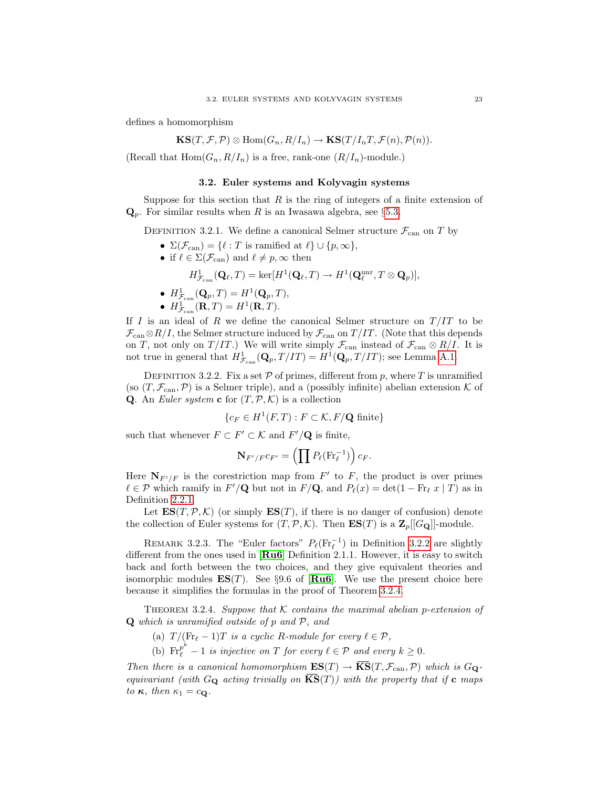defines a homomorphism

$$
\textup{\textbf{KS}}(T,\mathcal{F},\mathcal{P})\otimes \textup{Hom}(G_n,R/I_n)\to \textup{\textbf{KS}}(T/I_nT,\mathcal{F}(n),\mathcal{P}(n)).
$$

(Recall that  $Hom(G_n, R/I_n)$  is a free, rank-one  $(R/I_n)$ -module.)

#### 3.2. Euler systems and Kolyvagin systems

<span id="page-28-0"></span>Suppose for this section that  $R$  is the ring of integers of a finite extension of  $\mathbf{Q}_p$ . For similar results when R is an Iwasawa algebra, see §[5.3.](#page-65-0)

DEFINITION 3.2.1. We define a canonical Selmer structure  $\mathcal{F}_{\text{can}}$  on T by

- $\Sigma(\mathcal{F}_{\text{can}}) = \{\ell : T \text{ is ramified at } \ell\} \cup \{p,\infty\},\$
- if  $\ell \in \Sigma(\mathcal{F}_{\mathrm{can}})$  and  $\ell \neq p, \infty$  then

$$
H^1_{\mathcal{F}_{\text{can}}}(\mathbf{Q}_{\ell},T) = \text{ker}[H^1(\mathbf{Q}_{\ell},T) \to H^1(\mathbf{Q}_{\ell}^{\text{unr}},T \otimes \mathbf{Q}_p)],
$$

- $H^1_{\mathcal{F}_{\text{can}}}(\mathbf{Q}_p, T) = H^1(\mathbf{Q}_p, T),$
- $H^1_{\mathcal{F}_{\text{can}}}(\mathbf{R},T) = H^1(\mathbf{R},T).$

If I is an ideal of R we define the canonical Selmer structure on  $T/IT$  to be  $\mathcal{F}_{\text{can}} \otimes R/I$ , the Selmer structure induced by  $\mathcal{F}_{\text{can}}$  on  $T/IT$ . (Note that this depends on T, not only on T/IT.) We will write simply  $\mathcal{F}_{\text{can}}$  instead of  $\mathcal{F}_{\text{can}} \otimes R/I$ . It is not true in general that  $H^1_{\mathcal{F}_{\text{can}}}(\mathbf{Q}_p, T/IT) = H^1(\mathbf{Q}_p, T/IT)$ ; see Lemma [A.1.](#page-84-1)

<span id="page-28-2"></span>DEFINITION 3.2.2. Fix a set  $P$  of primes, different from p, where T is unramified (so  $(T, \mathcal{F}_{\text{can}}, \mathcal{P})$ ) is a Selmer triple), and a (possibly infinite) abelian extension K of **Q**. An *Euler system* **c** for  $(T, \mathcal{P}, \mathcal{K})$  is a collection

$$
\{c_F \in H^1(F,T) : F \subset \mathcal{K}, F/\mathbf{Q} \text{ finite}\}
$$

such that whenever  $F \subset F' \subset \mathcal{K}$  and  $F'/\mathbf{Q}$  is finite,

$$
\mathbf{N}_{F'/F}c_{F'}=\left(\prod P_{\ell}(\mathrm{Fr}_{\ell}^{-1})\right)c_{F}.
$$

Here  $\mathbf{N}_{F'/F}$  is the corestriction map from  $F'$  to F, the product is over primes  $\ell \in \mathcal{P}$  which ramify in  $F' / \mathbf{Q}$  but not in  $F / \mathbf{Q}$ , and  $P_{\ell}(x) = \det(1 - \text{Fr}_{\ell} x | T)$  as in Definition [2.2.1.](#page-21-2)

Let  $ES(T, \mathcal{P}, \mathcal{K})$  (or simply  $ES(T)$ , if there is no danger of confusion) denote the collection of Euler systems for  $(T, \mathcal{P}, \mathcal{K})$ . Then  $ES(T)$  is a  $\mathbb{Z}_p[[G_{\mathbf{Q}}]]$ -module.

REMARK 3.2.3. The "Euler factors"  $P_{\ell}(\text{Fr}_{\ell}^{-1})$  in Definition [3.2.2](#page-28-2) are slightly different from the ones used in [ $Ru6$ ] Definition 2.1.1. However, it is easy to switch back and forth between the two choices, and they give equivalent theories and isomorphic modules  $ES(T)$ . See §9.6 of [[Ru6](#page-100-4)]. We use the present choice here because it simplifies the formulas in the proof of Theorem [3.2.4.](#page-28-1)

<span id="page-28-1"></span>THEOREM 3.2.4. Suppose that K contains the maximal abelian p-extension of  $Q$  which is unramified outside of p and  $P$ , and

- (a)  $T / (Fr_{\ell} 1)T$  is a cyclic R-module for every  $\ell \in \mathcal{P}$ ,
- (b)  $\text{Fr}_{\ell}^{p^k} 1$  is injective on T for every  $\ell \in \mathcal{P}$  and every  $k \geq 0$ .

Then there is a canonical homomorphism  $ES(T) \to \overline{KS}(T, \mathcal{F}_{\text{can}}, \mathcal{P})$  which is  $G_{\mathbf{Q}}$ equivariant (with  $G_{\mathbf{Q}}$  acting trivially on  $\mathbf{KS}(T)$ ) with the property that if  $\mathbf{c}$  maps to  $\kappa$ , then  $\kappa_1 = c_{\mathbf{Q}}$ .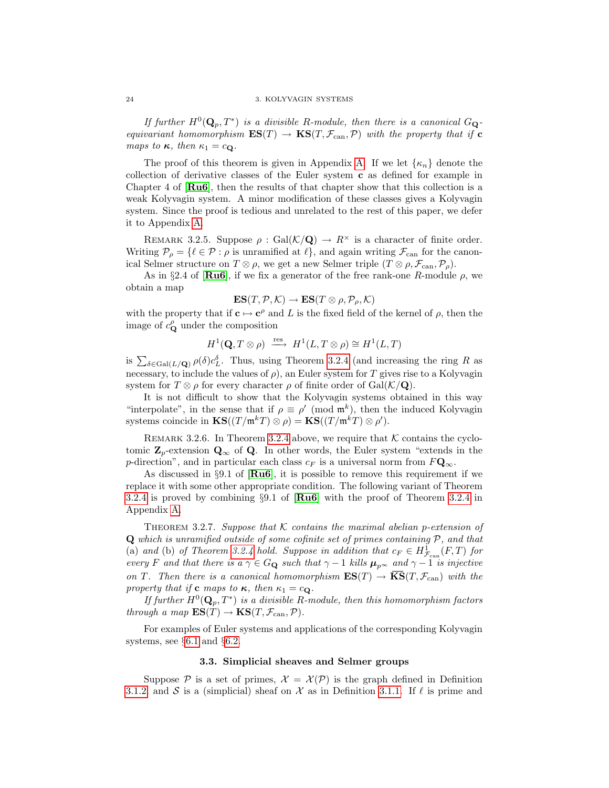If further  $H^0(\mathbf{Q}_p, T^*)$  is a divisible R-module, then there is a canonical  $G_{\mathbf{Q}}$ equivariant homomorphism  $ES(T) \rightarrow KS(T, \mathcal{F}_{can}, \mathcal{P})$  with the property that if **c** maps to  $\kappa$ , then  $\kappa_1 = c_Q$ .

The proof of this theorem is given in Appendix [A.](#page-84-0) If we let  $\{\kappa_n\}$  denote the collection of derivative classes of the Euler system c as defined for example in Chapter 4 of [[Ru6](#page-100-4)], then the results of that chapter show that this collection is a weak Kolyvagin system. A minor modification of these classes gives a Kolyvagin system. Since the proof is tedious and unrelated to the rest of this paper, we defer it to Appendix [A.](#page-84-0)

REMARK 3.2.5. Suppose  $\rho : \text{Gal}(\mathcal{K}/\mathbf{Q}) \to R^{\times}$  is a character of finite order. Writing  $\mathcal{P}_{\rho} = \{ \ell \in \mathcal{P} : \rho \text{ is unramified at } \ell \}, \text{ and again writing } \mathcal{F}_{\text{can}} \text{ for the canon-}$ ical Selmer structure on  $T \otimes \rho$ , we get a new Selmer triple  $(T \otimes \rho, \mathcal{F}_{\text{can}}, \mathcal{P}_{\rho})$ .

As in §2.4 of  $\left[\mathbf{Ru6}\right]$  $\left[\mathbf{Ru6}\right]$  $\left[\mathbf{Ru6}\right]$ , if we fix a generator of the free rank-one R-module  $\rho$ , we obtain a map

$$
\mathbf{ES}(T, \mathcal{P}, \mathcal{K}) \to \mathbf{ES}(T \otimes \rho, \mathcal{P}_{\rho}, \mathcal{K})
$$

with the property that if  $c \mapsto c^{\rho}$  and L is the fixed field of the kernel of  $\rho$ , then the image of  $c_{\mathbf{Q}}^{\rho}$  under the composition

$$
H^1(\mathbf{Q}, T \otimes \rho) \stackrel{\text{res}}{\longrightarrow} H^1(L, T \otimes \rho) \cong H^1(L, T)
$$

is  $\sum_{\delta \in \text{Gal}(L/\mathbf{Q})} \rho(\delta) c_L^{\delta}$ . Thus, using Theorem [3.2.4](#page-28-1) (and increasing the ring R as necessary, to include the values of  $\rho$ ), an Euler system for T gives rise to a Kolyvagin system for  $T \otimes \rho$  for every character  $\rho$  of finite order of  $Gal(\mathcal{K}/\mathbf{Q})$ .

It is not difficult to show that the Kolyvagin systems obtained in this way "interpolate", in the sense that if  $\rho \equiv \rho' \pmod{\mathfrak{m}^k}$ , then the induced Kolyvagin systems coincide in  $\mathbf{KS}((T/\mathfrak{m}^k T) \otimes \rho) = \mathbf{KS}((T/\mathfrak{m}^k T) \otimes \rho').$ 

REMARK 3.2.6. In Theorem [3.2.4](#page-28-1) above, we require that  $K$  contains the cyclotomic  $\mathbf{Z}_p$ -extension  $\mathbf{Q}_\infty$  of  $\mathbf{Q}$ . In other words, the Euler system "extends in the p-direction", and in particular each class  $c_F$  is a universal norm from  $F\mathbf{Q}_{\infty}$ .

As discussed in  $\S 9.1$  of  $\text{Ru6}$  $\text{Ru6}$  $\text{Ru6}$ , it is possible to remove this requirement if we replace it with some other appropriate condition. The following variant of Theorem [3.2.4](#page-28-1) is proved by combining  $\S 9.1$  of  $\mathbf{R} \mathbf{u}$  with the proof of Theorem [3.2.4](#page-28-1) in Appendix [A.](#page-84-0)

THEOREM 3.2.7. Suppose that K contains the maximal abelian p-extension of  $Q$  which is unramified outside of some cofinite set of primes containing  $P$ , and that (a) and (b) of Theorem [3.2.4](#page-28-1) hold. Suppose in addition that  $c_F \in H^1_{\mathcal{F}_{\text{can}}}(F,T)$  for every F and that there is a  $\gamma \in G_{\mathbf{Q}}$  such that  $\gamma - 1$  kills  $\mu_{p^{\infty}}$  and  $\gamma - 1$  is injective on T. Then there is a canonical homomorphism  $ES(T) \rightarrow \overline{KS}(T, \mathcal{F}_{can})$  with the property that if **c** maps to  $\kappa$ , then  $\kappa_1 = c_Q$ .

If further  $H^0(\mathbf{Q}_p, T^*)$  is a divisible R-module, then this homomorphism factors through a map  $ES(T) \rightarrow KS(T, \mathcal{F}_{\text{can}}, \mathcal{P}).$ 

For examples of Euler systems and applications of the corresponding Kolyvagin systems, see §[6.1](#page-74-1) and §[6.2.](#page-78-0)

#### 3.3. Simplicial sheaves and Selmer groups

<span id="page-29-0"></span>Suppose P is a set of primes,  $\mathcal{X} = \mathcal{X}(\mathcal{P})$  is the graph defined in Definition [3.1.2,](#page-24-2) and S is a (simplicial) sheaf on X as in Definition [3.1.1.](#page-24-3) If  $\ell$  is prime and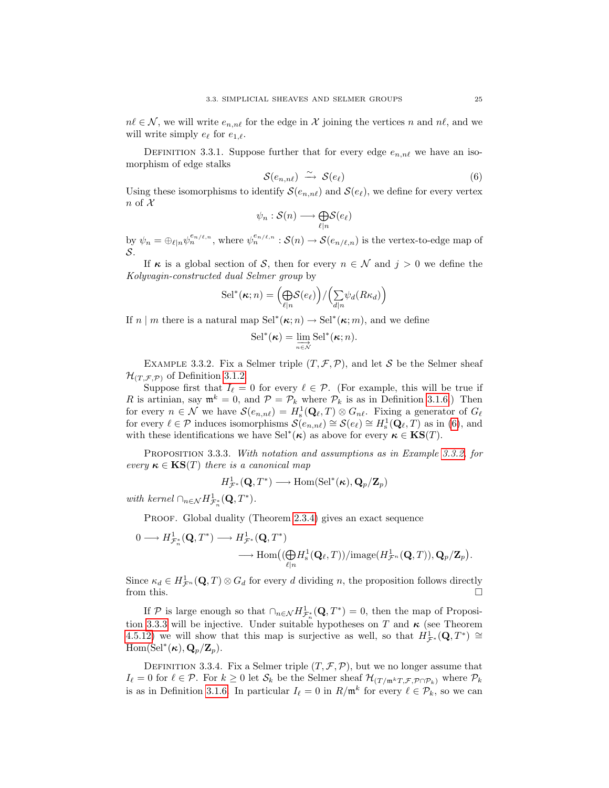$n\ell \in \mathcal{N}$ , we will write  $e_{n,n\ell}$  for the edge in X joining the vertices n and  $n\ell$ , and we will write simply  $e_{\ell}$  for  $e_{1,\ell}$ .

DEFINITION 3.3.1. Suppose further that for every edge  $e_{n,n\ell}$  we have an isomorphism of edge stalks

<span id="page-30-0"></span>
$$
S(e_{n,n\ell}) \stackrel{\sim}{\longrightarrow} S(e_{\ell}) \tag{6}
$$

Using these isomorphisms to identify  $\mathcal{S}(e_{n,n\ell})$  and  $\mathcal{S}(e_{\ell})$ , we define for every vertex  $n \text{ of } \mathcal{X}$ 

$$
\psi_n : \mathcal{S}(n) \longrightarrow \underset{\ell|n}{\bigoplus} \mathcal{S}(e_{\ell})
$$

by  $\psi_n = \bigoplus_{\ell|n} \psi_n^{e_{n/\ell,n}}$ , where  $\psi_n^{e_{n/\ell,n}} : \mathcal{S}(n) \to \mathcal{S}(e_{n/\ell,n})$  is the vertex-to-edge map of S.

If  $\kappa$  is a global section of S, then for every  $n \in \mathcal{N}$  and  $j > 0$  we define the Kolyvagin-constructed dual Selmer group by

$$
\mathrm{Sel}^*(\kappa;n) = \left(\underset{\ell|n}{\bigoplus} \mathcal{S}(e_{\ell})\right) / \left(\underset{d|n}{\sum} \psi_d(R\kappa_d)\right)
$$

If  $n \mid m$  there is a natural map  $\text{Sel}^*(\kappa; n) \to \text{Sel}^*(\kappa; m)$ , and we define

$$
\mathrm{Sel}^*(\kappa) = \varinjlim_{n \in \mathcal{N}} \mathrm{Sel}^*(\kappa; n).
$$

<span id="page-30-1"></span>EXAMPLE 3.3.2. Fix a Selmer triple  $(T, \mathcal{F}, \mathcal{P})$ , and let S be the Selmer sheaf  $\mathcal{H}_{(T,\mathcal{F},\mathcal{P})}$  of Definition [3.1.2.](#page-24-2)

Suppose first that  $I_\ell = 0$  for every  $\ell \in \mathcal{P}$ . (For example, this will be true if R is artinian, say  $\mathfrak{m}^k = 0$ , and  $\mathcal{P} = \mathcal{P}_k$  where  $\mathcal{P}_k$  is as in Definition [3.1.6.](#page-26-1)) Then for every  $n \in \mathcal{N}$  we have  $\mathcal{S}(e_{n,n\ell}) = H^1_{\rm s}(\mathbf{Q}_\ell,T) \otimes G_{n\ell}$ . Fixing a generator of  $G_\ell$ for every  $\ell \in \mathcal{P}$  induces isomorphisms  $\mathcal{S}(e_{n,n\ell}) \cong \mathcal{S}(e_{\ell}) \cong H^1_{\rm s}(\mathbf{Q}_{\ell},T)$  as in [\(6\)](#page-30-0), and with these identifications we have Sel<sup>\*</sup>( $\kappa$ ) as above for every  $\kappa \in \mathbf{KS}(T)$ .

<span id="page-30-2"></span>PROPOSITION 3.3.3. With notation and assumptions as in Example [3.3.2,](#page-30-1) for every  $\kappa \in \text{KS}(T)$  there is a canonical map

$$
H^{1}_{\mathcal{F}^*}(\mathbf{Q},T^*) \longrightarrow \mathrm{Hom}(\mathrm{Sel}^*(\kappa), \mathbf{Q}_p/\mathbf{Z}_p)
$$

with kernel  $\bigcap_{n\in\mathcal{N}}H^1_{\mathcal{F}_n^*}(\mathbf{Q},T^*)$ .

PROOF. Global duality (Theorem [2.3.4\)](#page-22-1) gives an exact sequence

$$
\begin{aligned}\n0 &\longrightarrow H^{1}_{\mathcal{F}_{n}^{*}}(\mathbf{Q},T^{*}) \longrightarrow H^{1}_{\mathcal{F}^{*}}(\mathbf{Q},T^{*}) \\
&\longrightarrow \text{Hom}\big((\bigoplus_{\ell|n}H^{1}_{s}(\mathbf{Q}_{\ell},T))/\text{image}(H^{1}_{\mathcal{F}^{n}}(\mathbf{Q},T)),\mathbf{Q}_{p}/\mathbf{Z}_{p}\big).\n\end{aligned}
$$

Since  $\kappa_d \in H^1_{\mathcal{F}^n}(\mathbf{Q},T) \otimes G_d$  for every d dividing n, the proposition follows directly from this.  $\square$ 

If P is large enough so that  $\bigcap_{n\in\mathcal{N}}H^1_{\mathcal{F}^*_n}(\mathbf{Q},T^*)=0$ , then the map of Proposi-tion [3.3.3](#page-30-2) will be injective. Under suitable hypotheses on T and  $\kappa$  (see Theorem [4.5.12\)](#page-56-0) we will show that this map is surjective as well, so that  $H^1_{\mathcal{F}^*}(\mathbf{Q},T^*)\cong$  $\mathrm{Hom}(\mathrm{Sel}^*(\kappa), \mathbf{Q}_p/\mathbf{Z}_p).$ 

DEFINITION 3.3.4. Fix a Selmer triple  $(T, \mathcal{F}, \mathcal{P})$ , but we no longer assume that  $I_\ell = 0$  for  $\ell \in \mathcal{P}$ . For  $k \geq 0$  let  $\mathcal{S}_k$  be the Selmer sheaf  $\mathcal{H}_{(T/\mathfrak{m}^k T, \mathcal{F}, \mathcal{P} \cap \mathcal{P}_k)}$  where  $\mathcal{P}_k$ is as in Definition [3.1.6.](#page-26-1) In particular  $I_\ell = 0$  in  $R/\mathfrak{m}^k$  for every  $\ell \in \mathcal{P}_k$ , so we can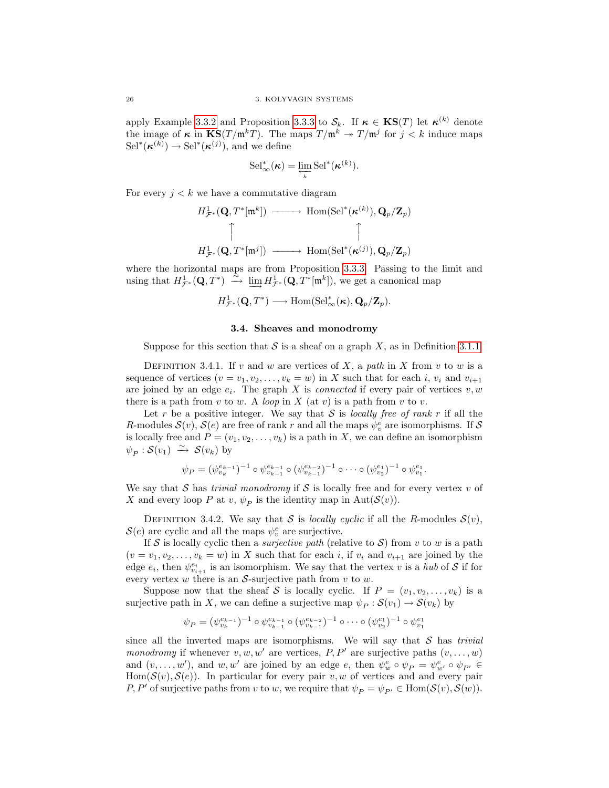apply Example [3.3.2](#page-30-1) and Proposition [3.3.3](#page-30-2) to  $S_k$ . If  $\kappa \in \mathbf{KS}(T)$  let  $\kappa^{(k)}$  denote the image of  $\kappa$  in  $\text{KS}(T/\mathfrak{m}^k)$ . The maps  $T/\mathfrak{m}^k \to T/\mathfrak{m}^j$  for  $j < k$  induce maps  $\text{Sel}^*(\kappa^{(k)}) \to \text{Sel}^*(\kappa^{(j)})$ , and we define

$$
\mathrm{Sel}_{\infty}^*(\kappa) = \varprojlim_{k} \mathrm{Sel}^*(\kappa^{(k)}).
$$

For every  $j < k$  we have a commutative diagram

$$
H^1_{\mathcal{F}^*}(\mathbf{Q}, T^*[\mathfrak{m}^k]) \longrightarrow \text{Hom}(\text{Sel}^*(\kappa^{(k)}), \mathbf{Q}_p/\mathbf{Z}_p)
$$
  

$$
\uparrow \qquad \qquad \uparrow
$$
  

$$
H^1_{\mathcal{F}^*}(\mathbf{Q}, T^*[\mathfrak{m}^j]) \longrightarrow \text{Hom}(\text{Sel}^*(\kappa^{(j)}), \mathbf{Q}_p/\mathbf{Z}_p)
$$

where the horizontal maps are from Proposition [3.3.3.](#page-30-2) Passing to the limit and using that  $H^1_{\mathcal{F}^*}(\mathbf{Q}, T^*) \stackrel{\sim}{\longrightarrow} \lim_{\longrightarrow} H^1_{\mathcal{F}^*}(\mathbf{Q}, T^*[\mathfrak{m}^k])$ , we get a canonical map

$$
H^1_{\mathcal{F}^*}(\mathbf{Q},T^*) \longrightarrow \mathrm{Hom}(\mathrm{Sel}^*_{\infty}(\kappa), \mathbf{Q}_p/\mathbf{Z}_p).
$$

## 3.4. Sheaves and monodromy

<span id="page-31-0"></span>Suppose for this section that S is a sheaf on a graph X, as in Definition [3.1.1.](#page-24-3)

<span id="page-31-1"></span>DEFINITION 3.4.1. If v and w are vertices of X, a path in X from v to w is a sequence of vertices  $(v = v_1, v_2, \ldots, v_k = w)$  in X such that for each i,  $v_i$  and  $v_{i+1}$ are joined by an edge  $e_i$ . The graph X is *connected* if every pair of vertices  $v, w$ there is a path from v to w. A loop in X (at v) is a path from v to v.

Let r be a positive integer. We say that  $S$  is locally free of rank r if all the R-modules  $\mathcal{S}(v)$ ,  $\mathcal{S}(e)$  are free of rank r and all the maps  $\psi_v^e$  are isomorphisms. If  $\mathcal{S}$ is locally free and  $P = (v_1, v_2, \ldots, v_k)$  is a path in X, we can define an isomorphism  $\psi_P : \mathcal{S}(v_1) \stackrel{\sim}{\longrightarrow} \mathcal{S}(v_k)$  by

$$
\psi_P = (\psi_{v_k}^{e_{k-1}})^{-1} \circ \psi_{v_{k-1}}^{e_{k-1}} \circ (\psi_{v_{k-1}}^{e_{k-2}})^{-1} \circ \cdots \circ (\psi_{v_2}^{e_1})^{-1} \circ \psi_{v_1}^{e_1}.
$$

We say that S has *trivial monodromy* if S is locally free and for every vertex v of X and every loop P at  $v, \psi_P$  is the identity map in  $\text{Aut}(\mathcal{S}(v))$ .

<span id="page-31-2"></span>DEFINITION 3.4.2. We say that S is locally cyclic if all the R-modules  $S(v)$ ,  $\mathcal{S}(e)$  are cyclic and all the maps  $\psi_v^e$  are surjective.

If S is locally cyclic then a *surjective path* (relative to S) from v to w is a path  $(v = v_1, v_2, \ldots, v_k = w)$  in X such that for each i, if  $v_i$  and  $v_{i+1}$  are joined by the edge  $e_i$ , then  $\psi_{v_{i+1}}^{e_i}$  is an isomorphism. We say that the vertex v is a hub of S if for every vertex  $w$  there is an  $S$ -surjective path from  $v$  to  $w$ .

Suppose now that the sheaf S is locally cyclic. If  $P = (v_1, v_2, \ldots, v_k)$  is a surjective path in X, we can define a surjective map  $\psi_P : \mathcal{S}(v_1) \to \mathcal{S}(v_k)$  by

$$
\psi_P = (\psi_{v_k}^{e_{k-1}})^{-1} \circ \psi_{v_{k-1}}^{e_{k-1}} \circ (\psi_{v_{k-1}}^{e_{k-2}})^{-1} \circ \cdots \circ (\psi_{v_2}^{e_1})^{-1} \circ \psi_{v_1}^{e_1}
$$

since all the inverted maps are isomorphisms. We will say that  $S$  has *trivial* monodromy if whenever  $v, w, w'$  are vertices, P, P' are surjective paths  $(v, \ldots, w)$ and  $(v, \ldots, w')$ , and  $w, w'$  are joined by an edge  $e$ , then  $\psi_w^e \circ \psi_P = \psi_{w'}^e \circ \psi_{P'} \in$  $Hom(\mathcal{S}(v), \mathcal{S}(e))$ . In particular for every pair v, w of vertices and and every pair P, P' of surjective paths from v to w, we require that  $\psi_P = \psi_{P'} \in \text{Hom}(\mathcal{S}(v), \mathcal{S}(w)).$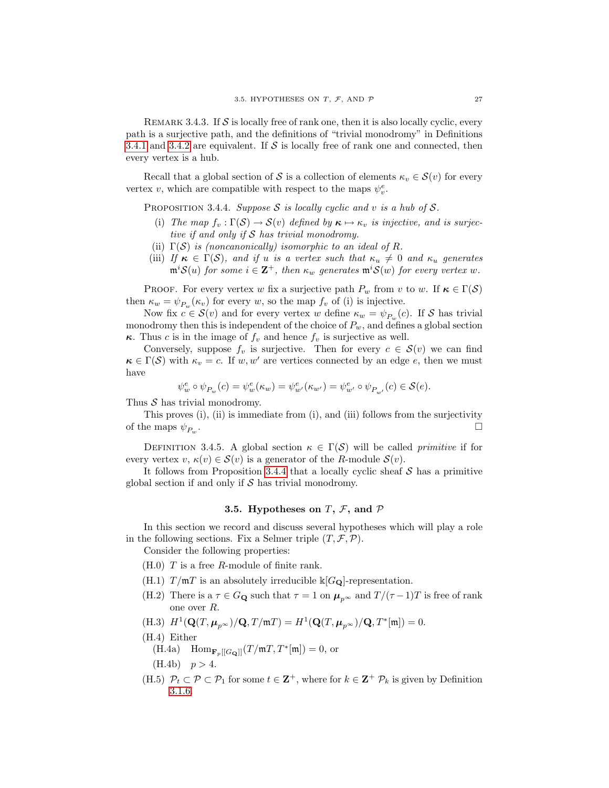REMARK 3.4.3. If  $S$  is locally free of rank one, then it is also locally cyclic, every path is a surjective path, and the definitions of "trivial monodromy" in Definitions [3.4.1](#page-31-1) and [3.4.2](#page-31-2) are equivalent. If  $S$  is locally free of rank one and connected, then every vertex is a hub.

Recall that a global section of S is a collection of elements  $\kappa_v \in \mathcal{S}(v)$  for every vertex v, which are compatible with respect to the maps  $\psi_v^e$ .

<span id="page-32-1"></span>PROPOSITION 3.4.4. Suppose  $S$  is locally cyclic and v is a hub of  $S$ .

- (i) The map  $f_v : \Gamma(S) \to S(v)$  defined by  $\kappa \mapsto \kappa_v$  is injective, and is surjective if and only if  $S$  has trivial monodromy.
- (ii)  $\Gamma(S)$  is (noncanonically) isomorphic to an ideal of R.
- (iii) If  $\kappa \in \Gamma(\mathcal{S})$ , and if u is a vertex such that  $\kappa_u \neq 0$  and  $\kappa_u$  generates  $\mathfrak{m}^i\mathcal{S}(u)$  for some  $i\in \mathbf{Z}^+$ , then  $\kappa_w$  generates  $\mathfrak{m}^i\mathcal{S}(w)$  for every vertex  $w$ .

PROOF. For every vertex w fix a surjective path  $P_w$  from v to w. If  $\kappa \in \Gamma(\mathcal{S})$ then  $\kappa_w = \psi_{P_w}(\kappa_v)$  for every w, so the map  $f_v$  of (i) is injective.

Now fix  $c \in \mathcal{S}(v)$  and for every vertex w define  $\kappa_w = \psi_{P_w}(c)$ . If  $\mathcal S$  has trivial monodromy then this is independent of the choice of  $P_w$ , and defines a global section **κ**. Thus c is in the image of  $f_v$  and hence  $f_v$  is surjective as well.

Conversely, suppose  $f_v$  is surjective. Then for every  $c \in \mathcal{S}(v)$  we can find  $\kappa \in \Gamma(\mathcal{S})$  with  $\kappa_v = c$ . If  $w, w'$  are vertices connected by an edge e, then we must have

$$
\psi^e_w\circ\psi_{P_w}(c)=\psi^e_w(\kappa_w)=\psi^e_{w'}(\kappa_{w'})=\psi^e_{w'}\circ\psi_{P_{w'}}(c)\in\mathcal{S}(e).
$$

Thus  $S$  has trivial monodromy.

This proves (i), (ii) is immediate from (i), and (iii) follows from the surjectivity of the maps  $\psi_{P_{\mu\nu}}$ . .

DEFINITION 3.4.5. A global section  $\kappa \in \Gamma(\mathcal{S})$  will be called *primitive* if for every vertex  $v, \kappa(v) \in \mathcal{S}(v)$  is a generator of the R-module  $\mathcal{S}(v)$ .

It follows from Proposition [3.4.4](#page-32-1) that a locally cyclic sheaf  $S$  has a primitive global section if and only if  $S$  has trivial monodromy.

# 3.5. Hypotheses on  $T$ ,  $\mathcal{F}$ , and  $\mathcal{P}$

<span id="page-32-0"></span>In this section we record and discuss several hypotheses which will play a role in the following sections. Fix a Selmer triple  $(T, \mathcal{F}, \mathcal{P})$ .

Consider the following properties:

- $(H.0)$  T is a free R-module of finite rank.
- (H.1)  $T/\mathfrak{m}T$  is an absolutely irreducible  $\Bbbk[G_{\mathbf{Q}}]$ -representation.
- (H.2) There is a  $\tau \in G_{\mathbf{Q}}$  such that  $\tau = 1$  on  $\mu_{p^{\infty}}$  and  $T/(\tau -1)T$  is free of rank one over R.
- (H.3)  $H^1(\mathbf{Q}(T,\mu_{p^{\infty}})/\mathbf{Q},T/\mathfrak{m}T) = H^1(\mathbf{Q}(T,\mu_{p^{\infty}})/\mathbf{Q},T^*[\mathfrak{m}]) = 0.$
- (H.4) Either
	- $(H.4a)$   $Hom_{\mathbf{F}_p[[G_{\mathbf{Q}}]]}(T/\mathfrak{m}T,T^*[\mathfrak{m}])=0,$  or
	- $(H.4b)$   $p > 4.$
- (H.5)  $\mathcal{P}_t \subset \mathcal{P} \subset \mathcal{P}_1$  for some  $t \in \mathbf{Z}^+$ , where for  $k \in \mathbf{Z}^+$   $\mathcal{P}_k$  is given by Definition [3.1.6.](#page-26-1)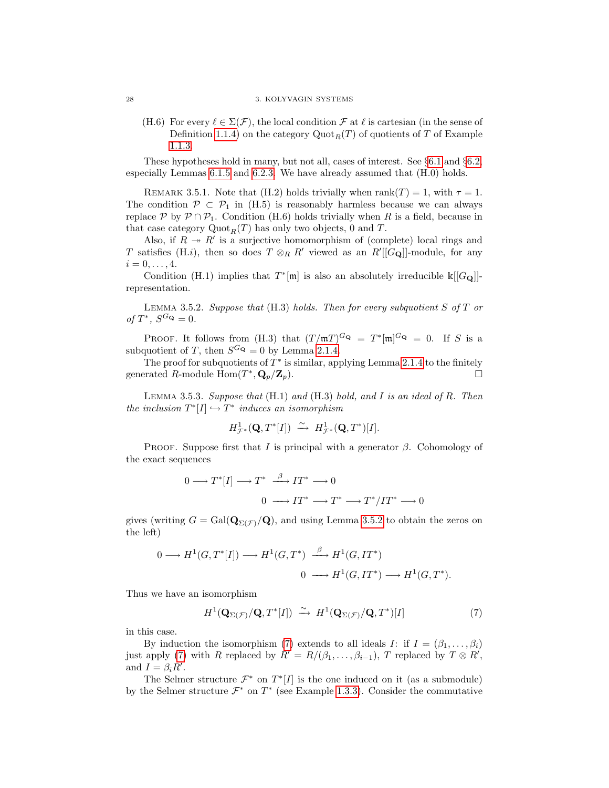(H.6) For every  $\ell \in \Sigma(\mathcal{F})$ , the local condition  $\mathcal{F}$  at  $\ell$  is cartesian (in the sense of Definition [1.1.4\)](#page-13-2) on the category  $Quot_R(T)$  of quotients of T of Example [1.1.3.](#page-13-0)

These hypotheses hold in many, but not all, cases of interest. See §[6.1](#page-74-1) and §[6.2,](#page-78-0) especially Lemmas [6.1.5](#page-76-0) and [6.2.3.](#page-79-1) We have already assumed that (H.0) holds.

REMARK 3.5.1. Note that (H.2) holds trivially when rank $(T) = 1$ , with  $\tau = 1$ . The condition  $\mathcal{P} \subset \mathcal{P}_1$  in (H.5) is reasonably harmless because we can always replace P by  $\mathcal{P} \cap \mathcal{P}_1$ . Condition (H.6) holds trivially when R is a field, because in that case category  $\mathrm{Quot}_R(T)$  has only two objects, 0 and T.

Also, if  $R \to R'$  is a surjective homomorphism of (complete) local rings and T satisfies (H.i), then so does  $T \otimes_R R'$  viewed as an  $R'[[G_{\mathbf{Q}}]]$ -module, for any  $i = 0, \ldots, 4.$ 

Condition (H.1) implies that  $T^*[\mathfrak{m}]$  is also an absolutely irreducible  $\mathbb{k}[[G_{\mathbf{Q}}]]$ representation.

<span id="page-33-0"></span>LEMMA 3.5.2. Suppose that  $(H.3)$  holds. Then for every subquotient S of T or of  $T^*$ ,  $S^{G_{\mathbf{Q}}} = 0$ .

PROOF. It follows from (H.3) that  $(T/\mathfrak{m}T)^{G_{\mathbf{Q}}} = T^*[\mathfrak{m}]^{G_{\mathbf{Q}}} = 0$ . If S is a subquotient of T, then  $S^{G_{\mathbf{Q}}} = 0$  by Lemma [2.1.4.](#page-19-0)

The proof for subquotients of  $T^*$  is similar, applying Lemma [2.1.4](#page-19-0) to the finitely generated R-module  $\text{Hom}(T^*, \mathbf{Q}_p/\mathbf{Z}_p).$ 

<span id="page-33-2"></span>LEMMA 3.5.3. Suppose that  $(H.1)$  and  $(H.3)$  hold, and I is an ideal of R. Then the inclusion  $T^*[I] \hookrightarrow T^*$  induces an isomorphism

$$
H^1_{\mathcal{F}^*}(\mathbf{Q},T^*[I]) \ \stackrel{\sim}{\longrightarrow} \ H^1_{\mathcal{F}^*}(\mathbf{Q},T^*)[I].
$$

PROOF. Suppose first that I is principal with a generator  $\beta$ . Cohomology of the exact sequences

$$
0 \longrightarrow T^*[I] \longrightarrow T^* \xrightarrow{\beta} IT^* \longrightarrow 0
$$
  

$$
0 \longrightarrow IT^* \longrightarrow T^* \longrightarrow T^*/IT^* \longrightarrow 0
$$

gives (writing  $G = \text{Gal}(\mathbf{Q}_{\Sigma(\mathcal{F})}/\mathbf{Q})$ , and using Lemma [3.5.2](#page-33-0) to obtain the zeros on the left)

$$
0 \longrightarrow H^1(G, T^*[I]) \longrightarrow H^1(G, T^*) \xrightarrow{\beta} H^1(G, I T^*)
$$
  

$$
0 \longrightarrow H^1(G, I T^*) \longrightarrow H^1(G, T^*).
$$

Thus we have an isomorphism

<span id="page-33-1"></span>
$$
H^1(\mathbf{Q}_{\Sigma(\mathcal{F})}/\mathbf{Q},T^*[I]) \stackrel{\sim}{\longrightarrow} H^1(\mathbf{Q}_{\Sigma(\mathcal{F})}/\mathbf{Q},T^*)[I] \tag{7}
$$

in this case.

By induction the isomorphism [\(7\)](#page-33-1) extends to all ideals I: if  $I = (\beta_1, \ldots, \beta_i)$ just apply [\(7\)](#page-33-1) with R replaced by  $R' = R/(\beta_1, \ldots, \beta_{i-1}),$  T replaced by  $T \otimes R'$ , and  $I = \beta_i R'$ .

The Selmer structure  $\mathcal{F}^*$  on  $T^*[I]$  is the one induced on it (as a submodule) by the Selmer structure  $\mathcal{F}^*$  on  $T^*$  (see Example [1.3.3\)](#page-17-1). Consider the commutative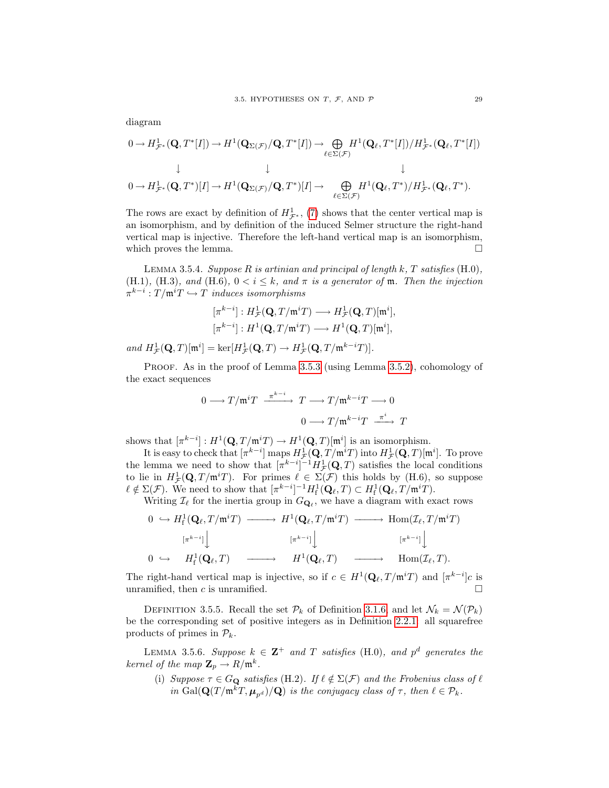$$
\begin{array}{ccc}\n0 \to H^{1}_{\mathcal{F}^{*}}(\mathbf{Q}, T^{*}[I]) \to H^{1}(\mathbf{Q}_{\Sigma(\mathcal{F})}/\mathbf{Q}, T^{*}[I]) \to \bigoplus_{\ell \in \Sigma(\mathcal{F})} H^{1}(\mathbf{Q}_{\ell}, T^{*}[I])/H^{1}_{\mathcal{F}^{*}}(\mathbf{Q}_{\ell}, T^{*}[I]) \\
&\downarrow &\downarrow &\downarrow &\downarrow \\
0 \to H^{1}_{\mathcal{F}^{*}}(\mathbf{Q}, T^{*})[I] \to H^{1}(\mathbf{Q}_{\Sigma(\mathcal{F})}/\mathbf{Q}, T^{*})[I] \to \bigoplus_{\ell \in \Sigma(\mathcal{F})} H^{1}(\mathbf{Q}_{\ell}, T^{*})/H^{1}_{\mathcal{F}^{*}}(\mathbf{Q}_{\ell}, T^{*}).\n\end{array}
$$

The rows are exact by definition of  $H^1_{\mathcal{F}^*}$ , [\(7\)](#page-33-1) shows that the center vertical map is an isomorphism, and by definition of the induced Selmer structure the right-hand vertical map is injective. Therefore the left-hand vertical map is an isomorphism, which proves the lemma.  $\Box$ 

LEMMA 3.5.4. Suppose  $R$  is artinian and principal of length  $k$ ,  $T$  satisfies  $(H.0)$ , (H.1), (H.3), and (H.6),  $0 < i \leq k$ , and  $\pi$  is a generator of  $\mathfrak{m}$ . Then the injection  $\pi^{k-i}: T/\mathfrak{m}^i T \hookrightarrow T$  induces isomorphisms

$$
[\pi^{k-i}]: H^1_{\mathcal{F}}(\mathbf{Q}, T/\mathfrak{m}^i T) \longrightarrow H^1_{\mathcal{F}}(\mathbf{Q}, T)[\mathfrak{m}^i],
$$
  

$$
[\pi^{k-i}]: H^1(\mathbf{Q}, T/\mathfrak{m}^i T) \longrightarrow H^1(\mathbf{Q}, T)[\mathfrak{m}^i],
$$

and  $H^1_{\mathcal{F}}(\mathbf{Q},T)[\mathfrak{m}^i] = \ker[H^1_{\mathcal{F}}(\mathbf{Q},T) \to H^1_{\mathcal{F}}(\mathbf{Q},T/\mathfrak{m}^{k-i}T)].$ 

PROOF. As in the proof of Lemma [3.5.3](#page-33-2) (using Lemma [3.5.2\)](#page-33-0), cohomology of the exact sequences

$$
0 \longrightarrow T/\mathfrak{m}^i T \xrightarrow{\pi^{k-i}} T \longrightarrow T/\mathfrak{m}^{k-i} T \longrightarrow 0
$$

$$
0 \longrightarrow T/\mathfrak{m}^{k-i} T \xrightarrow{\pi^i} T
$$

shows that  $[\pi^{k-i}] : H^1(\mathbf{Q}, T/\mathfrak{m}^i T) \to H^1(\mathbf{Q}, T)[\mathfrak{m}^i]$  is an isomorphism.

It is easy to check that  $[\pi^{k-i}]$  maps  $H^1_{\mathcal{F}}(\mathbf{Q}, T/\mathfrak{m}^i T)$  into  $H^1_{\mathcal{F}}(\mathbf{Q}, T)[\mathfrak{m}^i]$ . To prove the lemma we need to show that  $[\pi^{k-i}]^{-1}H^1_{\mathcal{F}}(\mathbf{Q},T)$  satisfies the local conditions to lie in  $H^1_{\mathcal{F}}(\mathbf{Q}, T/\mathfrak{m}^i T)$ . For primes  $\ell \in \Sigma(\mathcal{F})$  this holds by (H.6), so suppose  $\ell \notin \Sigma(\mathcal{F})$ . We need to show that  $[\pi^{k-i}]^{-1}H_f^1(\mathbf{Q}_\ell,T) \subset H_f^1(\mathbf{Q}_\ell,T/\mathfrak{m}^iT)$ .

Writing  $\mathcal{I}_{\ell}$  for the inertia group in  $G_{\mathbf{Q}_{\ell}}$ , we have a diagram with exact rows

$$
\begin{array}{ccccccc}\n0 & \hookrightarrow & H^{1}_{f}(\mathbf{Q}_{\ell}, T/\mathfrak{m}^{i}T) & \longrightarrow & H^{1}(\mathbf{Q}_{\ell}, T/\mathfrak{m}^{i}T) & \longrightarrow & \text{Hom}(\mathcal{I}_{\ell}, T/\mathfrak{m}^{i}T) \\
 & & & & & & & & & \\
 & & & & & & & & & \\
0 & \hookrightarrow & & & & & & & & \\
\end{array}
$$

The right-hand vertical map is injective, so if  $c \in H^1(\mathbf{Q}_\ell, T/\mathfrak{m}^i T)$  and  $[\pi^{k-i}]c$  is unramified, then c is unramified.

DEFINITION 3.5.5. Recall the set  $P_k$  of Definition [3.1.6,](#page-26-1) and let  $\mathcal{N}_k = \mathcal{N}(\mathcal{P}_k)$ be the corresponding set of positive integers as in Definition [2.2.1:](#page-21-2) all squarefree products of primes in  $\mathcal{P}_k$ .

LEMMA 3.5.6. Suppose  $k \in \mathbb{Z}^+$  and T satisfies (H.0), and  $p^d$  generates the kernel of the map  $\mathbb{Z}_p \to R/\mathfrak{m}^k$ .

(i) Suppose  $\tau \in G_{\mathbf{Q}}$  satisfies (H.2). If  $\ell \notin \Sigma(\mathcal{F})$  and the Frobenius class of  $\ell$ in Gal $(\mathbf{Q}(T/\mathfrak{m}^kT, \boldsymbol{\mu}_{n^d})/\mathbf{Q})$  is the conjugacy class of  $\tau$ , then  $\ell \in \mathcal{P}_k$ .

diagram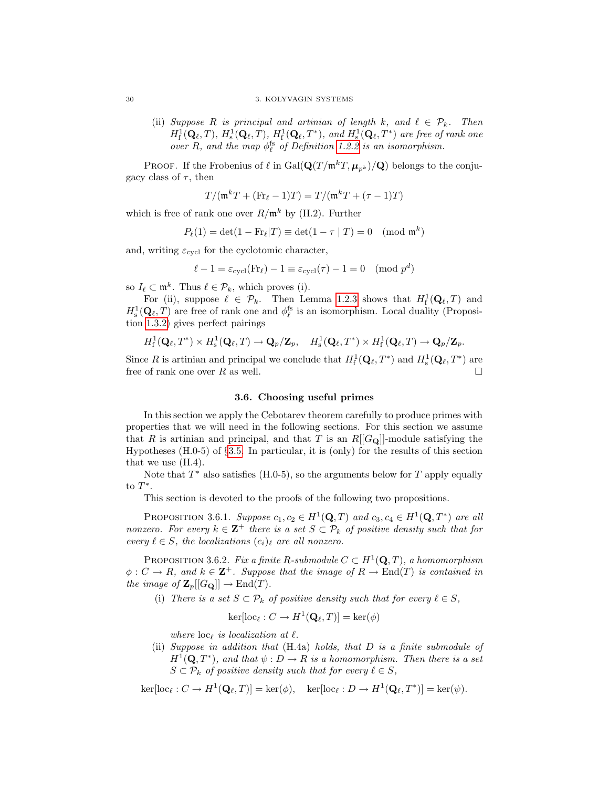(ii) Suppose R is principal and artinian of length k, and  $\ell \in \mathcal{P}_k$ . Then  $H^1_\mathrm{f}(\mathbf{Q}_\ell,T), H^1_\mathrm{s}(\mathbf{Q}_\ell,T), H^1_\mathrm{f}(\mathbf{Q}_\ell,T^*),$  and  $H^1_\mathrm{s}(\mathbf{Q}_\ell,T^*)$  are free of rank one over R, and the map  $\phi_{\ell}^{\text{fs}}$  of Definition [1.2.2](#page-15-2) is an isomorphism.

PROOF. If the Frobenius of  $\ell$  in Gal $(\mathbf{Q}(T / \mathfrak{m}^k T, \boldsymbol{\mu}_{n^k}) / \mathbf{Q})$  belongs to the conjugacy class of  $\tau$ , then

$$
T/(\mathfrak{m}^k T + (\text{Fr}_{\ell} - 1)T) = T/(\mathfrak{m}^k T + (\tau - 1)T)
$$

which is free of rank one over  $R/\mathfrak{m}^k$  by (H.2). Further

$$
P_{\ell}(1) = \det(1 - \text{Fr}_{\ell}|T) \equiv \det(1 - \tau | T) = 0 \pmod{\mathfrak{m}^k}
$$

and, writing  $\varepsilon_{\text{cycl}}$  for the cyclotomic character,

$$
\ell - 1 = \varepsilon_{\text{cycl}}(\text{Fr}_{\ell}) - 1 \equiv \varepsilon_{\text{cycl}}(\tau) - 1 = 0 \pmod{p^d}
$$

so  $I_\ell \subset \mathfrak{m}^k$ . Thus  $\ell \in \mathcal{P}_k$ , which proves (i).

For (ii), suppose  $\ell \in \mathcal{P}_k$ . Then Lemma [1.2.3](#page-15-3) shows that  $H^1_{\text{f}}(\mathbf{Q}_{\ell}, T)$  and  $H^1_\mathbf{s}(\mathbf{Q}_\ell,T)$  are free of rank one and  $\phi_\ell^{\text{fs}}$  is an isomorphism. Local duality (Proposition [1.3.2\)](#page-17-0) gives perfect pairings

$$
H^1_{\mathrm{f}}(\mathbf{Q}_\ell,T^*)\times H^1_{\mathrm{s}}(\mathbf{Q}_\ell,T)\to \mathbf{Q}_p/\mathbf{Z}_p,\quad H^1_{\mathrm{s}}(\mathbf{Q}_\ell,T^*)\times H^1_{\mathrm{f}}(\mathbf{Q}_\ell,T)\to \mathbf{Q}_p/\mathbf{Z}_p.
$$

Since R is artinian and principal we conclude that  $H_f^1(\mathbf{Q}_\ell, T^*)$  and  $H_s^1(\mathbf{Q}_\ell, T^*)$  are free of rank one over  $R$  as well.

### 3.6. Choosing useful primes

<span id="page-35-0"></span>In this section we apply the Cebotarev theorem carefully to produce primes with properties that we will need in the following sections. For this section we assume that R is artinian and principal, and that T is an  $R[[G_{\mathbf{Q}}]]$ -module satisfying the Hypotheses (H.0-5) of §[3.5.](#page-32-0) In particular, it is (only) for the results of this section that we use (H.4).

Note that  $T^*$  also satisfies (H.0-5), so the arguments below for  $T$  apply equally to  $T^*$ .

This section is devoted to the proofs of the following two propositions.

PROPOSITION 3.6.1. Suppose  $c_1, c_2 \in H^1(\mathbf{Q}, T)$  and  $c_3, c_4 \in H^1(\mathbf{Q}, T^*)$  are all nonzero. For every  $k \in \mathbb{Z}^+$  there is a set  $S \subset \mathcal{P}_k$  of positive density such that for every  $\ell \in S$ , the localizations  $(c_i)_{\ell}$  are all nonzero.

PROPOSITION 3.6.2. Fix a finite R-submodule  $C \subset H^1(\mathbf{Q}, T)$ , a homomorphism  $\phi: C \to R$ , and  $k \in \mathbb{Z}^+$ . Suppose that the image of  $R \to \text{End}(T)$  is contained in the image of  $\mathbf{Z}_p[[G_{\mathbf{Q}}]] \to \text{End}(T)$ .

(i) There is a set  $S \subset \mathcal{P}_k$  of positive density such that for every  $\ell \in S$ ,

$$
\ker[\mathrm{loc}_{\ell}: C \to H^1(\mathbf{Q}_{\ell}, T)] = \ker(\phi)
$$

where  $\mathrm{loc}_{\ell}$  is localization at  $\ell$ .

(ii) Suppose in addition that (H.4a) holds, that D is a finite submodule of  $H^1(\mathbf{Q}, T^*)$ , and that  $\psi : D \to R$  is a homomorphism. Then there is a set  $S \subset \mathcal{P}_k$  of positive density such that for every  $\ell \in S$ ,

 $\ker[\text{loc}_{\ell}: C \to H^1(\mathbf{Q}_{\ell}, T)] = \ker(\phi), \quad \ker[\text{loc}_{\ell}: D \to H^1(\mathbf{Q}_{\ell}, T^*)] = \ker(\psi).$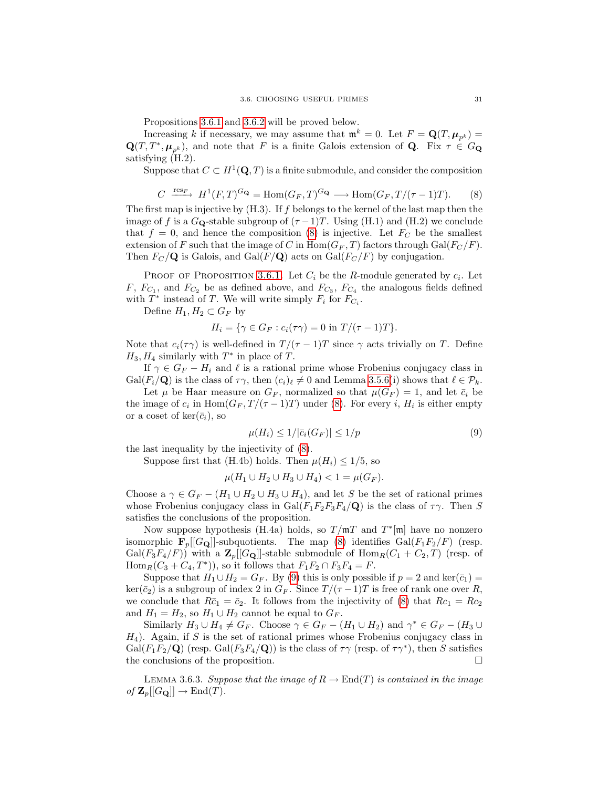Propositions [3.6.1](#page-35-0) and [3.6.2](#page-35-1) will be proved below.

Increasing k if necessary, we may assume that  $\mathfrak{m}^k = 0$ . Let  $F = \mathbf{Q}(T, \mu_{p^k}) =$  $\mathbf{Q}(T, T^*, \mu_{p^k})$ , and note that F is a finite Galois extension of Q. Fix  $\tau \in G_{\mathbf{Q}}$ satisfying (H.2).

<span id="page-36-0"></span>Suppose that  $C \subset H^1(\mathbf{Q}, T)$  is a finite submodule, and consider the composition

$$
C \xrightarrow{\text{res}_F} H^1(F, T)^{G_{\mathbf{Q}}} = \text{Hom}(G_F, T)^{G_{\mathbf{Q}}} \longrightarrow \text{Hom}(G_F, T/(\tau - 1)T). \tag{8}
$$

The first map is injective by  $(H.3)$ . If f belongs to the kernel of the last map then the image of f is a  $G_{\mathbf{Q}}$ -stable subgroup of  $(\tau -1)T$ . Using (H.1) and (H.2) we conclude that  $f = 0$ , and hence the composition [\(8\)](#page-36-0) is injective. Let  $F_C$  be the smallest extension of F such that the image of C in  $\text{Hom}(G_F, T)$  factors through  $\text{Gal}(F_C/F)$ . Then  $F_C/\mathbf{Q}$  is Galois, and Gal( $F/\mathbf{Q}$ ) acts on Gal( $F_C/F$ ) by conjugation.

PROOF OF PROPOSITION [3.6.1.](#page-35-0) Let  $C_i$  be the R-module generated by  $c_i$ . Let  $F, F_{C_1}$ , and  $F_{C_2}$  be as defined above, and  $F_{C_3}$ ,  $F_{C_4}$  the analogous fields defined with  $T^*$  instead of T. We will write simply  $F_i$  for  $F_{C_i}$ .

Define  $H_1, H_2 \subset G_F$  by

$$
H_i = \{ \gamma \in G_F : c_i(\tau \gamma) = 0 \text{ in } T/(\tau - 1)T \}.
$$

Note that  $c_i(\tau \gamma)$  is well-defined in  $T/(\tau - 1)T$  since  $\gamma$  acts trivially on T. Define  $H_3, H_4$  similarly with  $T^*$  in place of T.

If  $\gamma \in G_F - H_i$  and  $\ell$  is a rational prime whose Frobenius conjugacy class in  $Gal(F_i/\mathbf{Q})$  is the class of  $\tau\gamma$ , then  $(c_i)_{\ell} \neq 0$  and Lemma [3.5.6\(](#page-34-0)i) shows that  $\ell \in \mathcal{P}_k$ .

Let  $\mu$  be Haar measure on  $G_F$ , normalized so that  $\mu(G_F) = 1$ , and let  $\bar{c}_i$  be the image of  $c_i$  in  $\text{Hom}(G_F, T/(\tau-1)T)$  under [\(8\)](#page-36-0). For every i,  $H_i$  is either empty or a coset of ker $(\bar{c}_i)$ , so

<span id="page-36-1"></span>
$$
\mu(H_i) \le 1/|\bar{c}_i(G_F)| \le 1/p \tag{9}
$$

the last inequality by the injectivity of [\(8\)](#page-36-0).

Suppose first that (H.4b) holds. Then  $\mu(H_i) \leq 1/5$ , so

$$
\mu(H_1 \cup H_2 \cup H_3 \cup H_4) < 1 = \mu(G_F).
$$

Choose a  $\gamma \in G_F - (H_1 \cup H_2 \cup H_3 \cup H_4)$ , and let S be the set of rational primes whose Frobenius conjugacy class in Gal( $F_1F_2F_3F_4/Q$ ) is the class of  $\tau\gamma$ . Then S satisfies the conclusions of the proposition.

Now suppose hypothesis (H.4a) holds, so  $T/\mathfrak{m}T$  and  $T^*[\mathfrak{m}]$  have no nonzero isomorphic  $\mathbf{F}_p[[G_{\mathbf{Q}}]]$ -subquotients. The map [\(8\)](#page-36-0) identifies  $Gal(F_1F_2/F)$  (resp.  $Gal(F_3F_4/F))$  with a  $\mathbb{Z}_p[[G_{\mathbb{Q}}]]$ -stable submodule of  $Hom_R(C_1 + C_2, T)$  (resp. of  $\text{Hom}_{R}(C_3 + C_4, T^*),$  so it follows that  $F_1F_2 \cap F_3F_4 = F$ .

Suppose that  $H_1 \cup H_2 = G_F$ . By [\(9\)](#page-36-1) this is only possible if  $p = 2$  and ker( $\bar{c}_1$ ) =  $\ker(\bar{c}_2)$  is a subgroup of index 2 in  $G_F$ . Since  $T/(\tau-1)T$  is free of rank one over R, we conclude that  $R\bar{c}_1 = \bar{c}_2$ . It follows from the injectivity of [\(8\)](#page-36-0) that  $Rc_1 = Rc_2$ and  $H_1 = H_2$ , so  $H_1 \cup H_2$  cannot be equal to  $G_F$ .

Similarly  $H_3 \cup H_4 \neq G_F$ . Choose  $\gamma \in G_F - (H_1 \cup H_2)$  and  $\gamma^* \in G_F - (H_3 \cup$  $H_4$ ). Again, if S is the set of rational primes whose Frobenius conjugacy class in  $Gal(F_1F_2/\mathbf{Q})$  (resp.  $Gal(F_3F_4/\mathbf{Q})$ ) is the class of  $\tau\gamma$  (resp. of  $\tau\gamma^*$ ), then S satisfies the conclusions of the proposition.

<span id="page-36-2"></span>LEMMA 3.6.3. Suppose that the image of  $R \to \text{End}(T)$  is contained in the image of  $\mathbf{Z}_p[[G_{\mathbf{Q}}]] \to \text{End}(T)$ .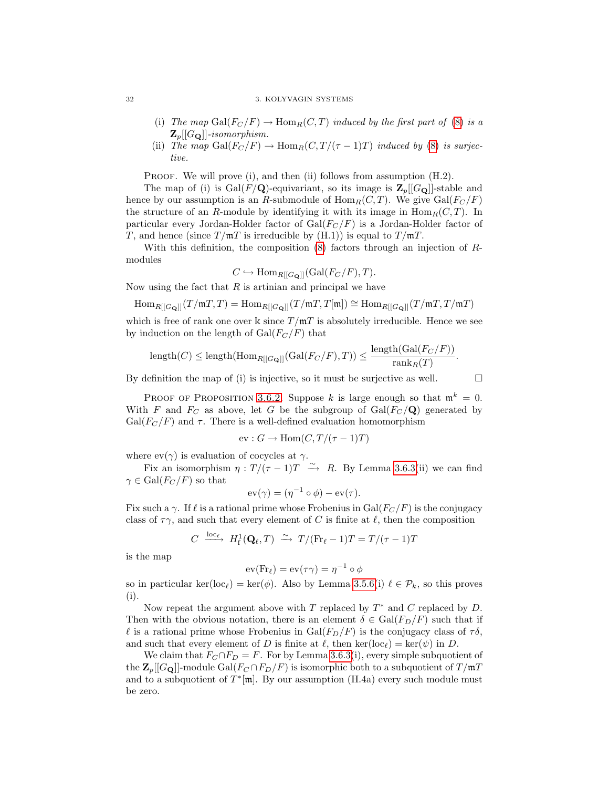#### 32 3. KOLYVAGIN SYSTEMS

- (i) The map  $Gal(F_C/F) \to Hom_R(C,T)$  induced by the first part of [\(8\)](#page-36-0) is a  $\mathbf{Z}_{p}[[G_{\mathbf{Q}}]]$ -isomorphism.
- (ii) The map Gal( $F_C/F$ )  $\rightarrow$  Hom<sub>R</sub>(C,  $T/(\tau 1)T$ ) induced by [\(8\)](#page-36-0) is surjective.

PROOF. We will prove (i), and then (ii) follows from assumption (H.2).

The map of (i) is  $Gal(F/Q)$ -equivariant, so its image is  $\mathbb{Z}_p[[G_Q]]$ -stable and hence by our assumption is an R-submodule of  $\text{Hom}_R(C, T)$ . We give  $\text{Gal}(F_C/F)$ the structure of an R-module by identifying it with its image in  $\text{Hom}_R(C, T)$ . In particular every Jordan-Holder factor of  $Gal(F_C/F)$  is a Jordan-Holder factor of T, and hence (since  $T/\mathfrak{m}T$  is irreducible by (H.1)) is equal to  $T/\mathfrak{m}T$ .

With this definition, the composition  $(8)$  factors through an injection of Rmodules

$$
C \hookrightarrow \text{Hom}_{R[[G_{\mathbf{Q}}]]}(\text{Gal}(F_C/F), T).
$$

Now using the fact that  $R$  is artinian and principal we have

$$
\operatorname{Hom}_{R[[G_{\mathbf{Q}}]]}(T/\mathfrak{m} T,T)=\operatorname{Hom}_{R[[G_{\mathbf{Q}}]]}(T/\mathfrak{m} T,T[\mathfrak{m}])\cong \operatorname{Hom}_{R[[G_{\mathbf{Q}}]]}(T/\mathfrak{m} T,T/\mathfrak{m} T)
$$

which is free of rank one over k since  $T/\mathfrak{m}T$  is absolutely irreducible. Hence we see by induction on the length of  $Gal(F_C/F)$  that

$$
\text{length}(C) \le \text{length}(\text{Hom}_{R[[G_{\mathbf{Q}}]]}(\text{Gal}(F_C/F),T)) \le \frac{\text{length}(\text{Gal}(F_C/F))}{\text{rank}_R(T)}.
$$

By definition the map of (i) is injective, so it must be surjective as well.  $\Box$ 

PROOF OF PROPOSITION [3.6.2.](#page-35-1) Suppose k is large enough so that  $\mathfrak{m}^k = 0$ . With F and  $F_C$  as above, let G be the subgroup of  $Gal(F_C/Q)$  generated by  $Gal(F_C/F)$  and  $\tau$ . There is a well-defined evaluation homomorphism

$$
ev: G \to \text{Hom}(C, T/(\tau - 1)T)
$$

where  $ev(\gamma)$  is evaluation of cocycles at  $\gamma$ .

Fix an isomorphism  $\eta: T/(\tau-1)T \longrightarrow R$ . By Lemma [3.6.3\(](#page-36-2)ii) we can find  $\gamma \in \mathrm{Gal}(F_C/F)$  so that

$$
\operatorname{ev}(\gamma) = (\eta^{-1} \circ \phi) - \operatorname{ev}(\tau).
$$

Fix such a  $\gamma$ . If  $\ell$  is a rational prime whose Frobenius in Gal( $F_C / F$ ) is the conjugacy class of  $\tau \gamma$ , and such that every element of C is finite at  $\ell$ , then the composition

$$
C \xrightarrow{\text{loc}_{\ell}} H_{\text{f}}^1(\mathbf{Q}_{\ell}, T) \xrightarrow{\sim} T/(\text{Fr}_{\ell} - 1)T = T/(\tau - 1)T
$$

is the map

$$
ev(Fr_\ell) = ev(\tau\gamma) = \eta^{-1} \circ \phi
$$

so in particular ker(loc<sub> $\ell$ </sub>) = ker( $\phi$ ). Also by Lemma [3.5.6\(](#page-34-0)i)  $\ell \in \mathcal{P}_k$ , so this proves (i).

Now repeat the argument above with  $T$  replaced by  $T^*$  and  $C$  replaced by  $D$ . Then with the obvious notation, there is an element  $\delta \in \text{Gal}(F_D/F)$  such that if l is a rational prime whose Frobenius in  $Gal(F_D/F)$  is the conjugacy class of  $\tau \delta$ , and such that every element of D is finite at  $\ell$ , then ker(loc<sub> $\ell$ </sub>) = ker( $\psi$ ) in D.

We claim that  $F_C \cap F_D = F$ . For by Lemma [3.6.3\(](#page-36-2)i), every simple subquotient of the  $\mathbf{Z}_p[[G_{\mathbf{Q}}]]$ -module  $Gal(F_C \cap F_D/F)$  is isomorphic both to a subquotient of  $T/\mathfrak{m}T$ and to a subquotient of  $T^*[\mathfrak{m}]$ . By our assumption (H.4a) every such module must be zero.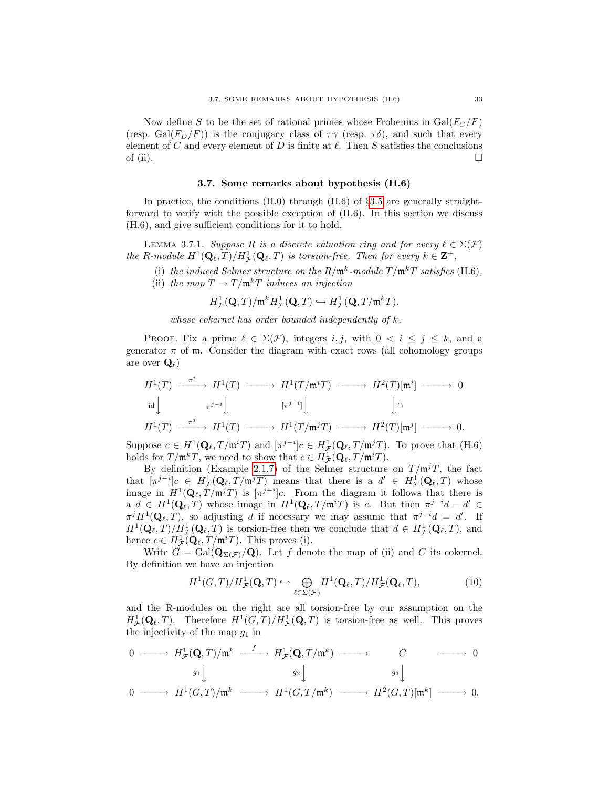Now define S to be the set of rational primes whose Frobenius in  $Gal(F_C/F)$ (resp. Gal( $F_D/F$ )) is the conjugacy class of  $\tau \gamma$  (resp.  $\tau \delta$ ), and such that every element of C and every element of D is finite at  $\ell$ . Then S satisfies the conclusions of (ii).  $\Box$ 

### 3.7. Some remarks about hypothesis (H.6)

In practice, the conditions  $(H.0)$  through  $(H.6)$  of §[3.5](#page-32-0) are generally straightforward to verify with the possible exception of (H.6). In this section we discuss (H.6), and give sufficient conditions for it to hold.

<span id="page-38-1"></span>LEMMA 3.7.1. Suppose R is a discrete valuation ring and for every  $\ell \in \Sigma(\mathcal{F})$ the R-module  $H^1(\mathbf{Q}_\ell,T)/H^1_{\mathcal{F}}(\mathbf{Q}_\ell,T)$  is torsion-free. Then for every  $k \in \mathbf{Z}^+$ ,

- (i) the induced Selmer structure on the  $R/\mathfrak{m}^k$ -module  $T/\mathfrak{m}^k T$  satisfies (H.6),
- (ii) the map  $T \to T/\mathfrak{m}^k T$  induces an injection

$$
H^1_{\mathcal{F}}(\mathbf{Q},T)/\mathfrak{m}^k H^1_{\mathcal{F}}(\mathbf{Q},T) \hookrightarrow H^1_{\mathcal{F}}(\mathbf{Q},T/\mathfrak{m}^k T).
$$

whose cokernel has order bounded independently of k.

PROOF. Fix a prime  $\ell \in \Sigma(\mathcal{F})$ , integers i, j, with  $0 < i \leq j \leq k$ , and a generator  $\pi$  of m. Consider the diagram with exact rows (all cohomology groups are over  $\mathbf{Q}_{\ell}$ )

$$
H^{1}(T) \xrightarrow{\pi^{i}} H^{1}(T) \longrightarrow H^{1}(T/\mathfrak{m}^{i}T) \longrightarrow H^{2}(T)[\mathfrak{m}^{i}] \longrightarrow 0
$$
  
\n
$$
\downarrow \qquad \qquad \downarrow \qquad \qquad [\pi^{j-i}]\downarrow \qquad \qquad \downarrow \cap
$$
  
\n
$$
H^{1}(T) \xrightarrow{\pi^{j}} H^{1}(T) \longrightarrow H^{1}(T/\mathfrak{m}^{j}T) \longrightarrow H^{2}(T)[\mathfrak{m}^{j}] \longrightarrow 0.
$$

Suppose  $c \in H^1(\mathbf{Q}_\ell, T/\mathfrak{m}^i T)$  and  $[\pi^{j-i}]c \in H^1_{\mathcal{F}}(\mathbf{Q}_\ell, T/\mathfrak{m}^j T)$ . To prove that  $(H.6)$ holds for  $T/\mathfrak{m}^k T$ , we need to show that  $c \in H^1_{\mathcal{F}}(\mathbf{Q}_\ell, T/\mathfrak{m}^i T)$ .

By definition (Example [2.1.7\)](#page-19-0) of the Selmer structure on  $T/\mathfrak{m}^jT$ , the fact that  $[\pi^{j-i}]c \in H^1_{\mathcal{F}}(\mathbf{Q}_{\ell}, T/\mathfrak{m}^j T)$  means that there is a  $d' \in H^1_{\mathcal{F}}(\mathbf{Q}_{\ell}, T)$  whose image in  $H^1(\mathbf{Q}_\ell, T/\mathfrak{m}^j T)$  is  $[\pi^{j-i}]c$ . From the diagram it follows that there is a  $d \in H^1(\mathbf{Q}_{\ell}, T)$  whose image in  $H^1(\mathbf{Q}_{\ell}, T/\mathfrak{m}^i T)$  is c. But then  $\pi^{j-i}d - d' \in$  $\pi^{j}H^{1}(\mathbf{Q}_{\ell},T)$ , so adjusting d if necessary we may assume that  $\pi^{j-i}d = d'$ . If  $H^1(\mathbf{Q}_\ell,T)/H^1_{\mathcal{F}}(\mathbf{Q}_\ell,T)$  is torsion-free then we conclude that  $d \in H^1_{\mathcal{F}}(\mathbf{Q}_\ell,T)$ , and hence  $c \in H^1_{\mathcal{F}}(\mathbf{Q}_\ell, T/\mathfrak{m}^i T)$ . This proves (i).

Write  $G = \text{Gal}(\mathbf{Q}_{\Sigma(\mathcal{F})}/\mathbf{Q})$ . Let f denote the map of (ii) and C its cokernel. By definition we have an injection

<span id="page-38-0"></span>
$$
H^1(G,T)/H^1_{\mathcal{F}}(\mathbf{Q},T) \hookrightarrow \bigoplus_{\ell \in \Sigma(\mathcal{F})} H^1(\mathbf{Q}_{\ell},T)/H^1_{\mathcal{F}}(\mathbf{Q}_{\ell},T),\tag{10}
$$

and the R-modules on the right are all torsion-free by our assumption on the  $H^1_{\mathcal{F}}(\mathbf{Q}_\ell,T)$ . Therefore  $H^1(G,T)/H^1_{\mathcal{F}}(\mathbf{Q},T)$  is torsion-free as well. This proves the injectivity of the map  $q_1$  in

$$
\begin{array}{ccccccc}\n0 & \xrightarrow{\hspace{1cm}} & H^1_{\mathcal{F}}(\mathbf{Q}, T) / \mathfrak{m}^k & \xrightarrow{f} & H^1_{\mathcal{F}}(\mathbf{Q}, T / \mathfrak{m}^k) & \xrightarrow{\hspace{1cm}} & C & \xrightarrow{\hspace{1cm}} & 0 \\
 & & & g_1 \downarrow & & g_2 \downarrow & & g_3 \downarrow & \\
0 & \xrightarrow{\hspace{1cm}} & H^1(G, T) / \mathfrak{m}^k & \xrightarrow{\hspace{1cm}} & H^1(G, T / \mathfrak{m}^k) & \xrightarrow{\hspace{1cm}} & H^2(G, T) [\mathfrak{m}^k] & \xrightarrow{\hspace{1cm}} & 0.\n\end{array}
$$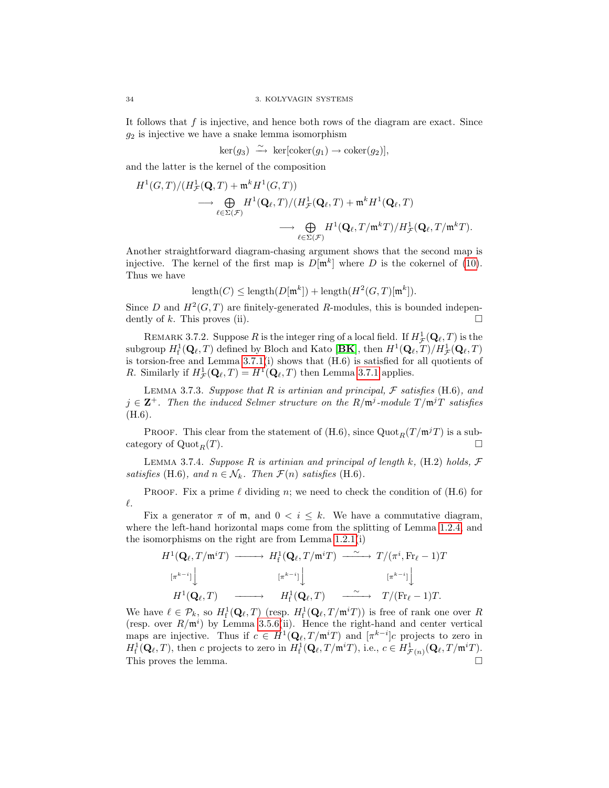It follows that  $f$  is injective, and hence both rows of the diagram are exact. Since  $g_2$  is injective we have a snake lemma isomorphism

$$
\ker(g_3) \stackrel{\sim}{\longrightarrow} \ker[\operatorname{coker}(g_1) \to \operatorname{coker}(g_2)],
$$

and the latter is the kernel of the composition

$$
\begin{split} H^1(G,T)/ (H^1_{\mathcal{F}}(\mathbf{Q},T) + \mathfrak{m}^k H^1(G,T)) \\ \longrightarrow & \bigoplus_{\ell \in \Sigma(\mathcal{F})} H^1(\mathbf{Q}_{\ell},T)/ (H^1_{\mathcal{F}}(\mathbf{Q}_{\ell},T) + \mathfrak{m}^k H^1(\mathbf{Q}_{\ell},T) \\ \longrightarrow & \bigoplus_{\ell \in \Sigma(\mathcal{F})} H^1(\mathbf{Q}_{\ell},T/\mathfrak{m}^k T)/ H^1_{\mathcal{F}}(\mathbf{Q}_{\ell},T/\mathfrak{m}^k T). \end{split}
$$

Another straightforward diagram-chasing argument shows that the second map is injective. The kernel of the first map is  $D[\mathfrak{m}^k]$  where D is the cokernel of [\(10\)](#page-38-0). Thus we have

$$
length(C) \leq length(D[\mathfrak{m}^k]) + length(H^2(G, T)[\mathfrak{m}^k]).
$$

Since D and  $H^2(G,T)$  are finitely-generated R-modules, this is bounded independently of k. This proves (ii).  $\square$ 

REMARK 3.7.2. Suppose R is the integer ring of a local field. If  $H^1_{\mathcal{F}}(\mathbf{Q}_\ell,T)$  is the subgroup  $H^1_f(\mathbf{Q}_\ell, T)$  defined by Bloch and Kato [**[BK](#page-100-0)**], then  $H^1(\mathbf{Q}_\ell, T)/H^1_{\mathcal{F}}(\mathbf{Q}_\ell, T)$ is torsion-free and Lemma [3.7.1\(](#page-38-1)i) shows that (H.6) is satisfied for all quotients of R. Similarly if  $H^1_{\mathcal{F}}(\mathbf{Q}_\ell, T) = H^1(\mathbf{Q}_\ell, T)$  then Lemma [3.7.1](#page-38-1) applies.

LEMMA 3.7.3. Suppose that R is artinian and principal, F satisfies  $(H.6)$ , and  $j \in \mathbb{Z}^+$ . Then the induced Selmer structure on the  $R/\mathfrak{m}^j$ -module  $T/\mathfrak{m}^jT$  satisfies (H.6).

**PROOF.** This clear from the statement of  $(H.6)$ , since  $Quot_R(T / m^jT)$  is a subcategory of  $\mathrm{Quot}_R(T)$ .

<span id="page-39-0"></span>LEMMA 3.7.4. Suppose R is artinian and principal of length k,  $(H.2)$  holds,  $\mathcal F$ satisfies (H.6), and  $n \in \mathcal{N}_k$ . Then  $\mathcal{F}(n)$  satisfies (H.6).

PROOF. Fix a prime  $\ell$  dividing n; we need to check the condition of (H.6) for  $\ell.$ 

Fix a generator  $\pi$  of  $\mathfrak{m}$ , and  $0 < i \leq k$ . We have a commutative diagram, where the left-hand horizontal maps come from the splitting of Lemma [1.2.4,](#page-16-0) and the isomorphisms on the right are from Lemma [1.2.1\(](#page-15-0)i)

$$
H^1(\mathbf{Q}_{\ell}, T/\mathfrak{m}^i T) \longrightarrow H^1_{\mathbf{f}}(\mathbf{Q}_{\ell}, T/\mathfrak{m}^i T) \longrightarrow T/(\pi^i, \text{Fr}_{\ell} - 1)T
$$
  
\n
$$
\begin{array}{ccc}\n[\pi^{k-i}]\n\end{array}\n\Big| \qquad [\pi^{k-i}]\n\Big| \qquad [\pi^{k-i}]\n\Big| \qquad [\pi^{k-i}]\n\Big|
$$
\n
$$
H^1(\mathbf{Q}_{\ell}, T) \longrightarrow H^1_{\mathbf{f}}(\mathbf{Q}_{\ell}, T) \longrightarrow T/(\text{Fr}_{\ell} - 1)T.
$$

We have  $\ell \in \mathcal{P}_k$ , so  $H^1_f(\mathbf{Q}_\ell, T)$  (resp.  $H^1_f(\mathbf{Q}_\ell, T/\mathfrak{m}^i T)$ ) is free of rank one over R (resp. over  $R/\mathfrak{m}^i$ ) by Lemma [3.5.6\(](#page-34-0)ii). Hence the right-hand and center vertical maps are injective. Thus if  $c \in H^1(\mathbf{Q}_\ell, T/\mathfrak{m}^i T)$  and  $[\pi^{k-i}]c$  projects to zero in  $H^1_f(\mathbf{Q}_\ell,T)$ , then c projects to zero in  $H^1_f(\mathbf{Q}_\ell,T/\mathfrak{m}^iT)$ , i.e.,  $c \in H^1_{\mathcal{F}(n)}(\mathbf{Q}_\ell,T/\mathfrak{m}^iT)$ . This proves the lemma.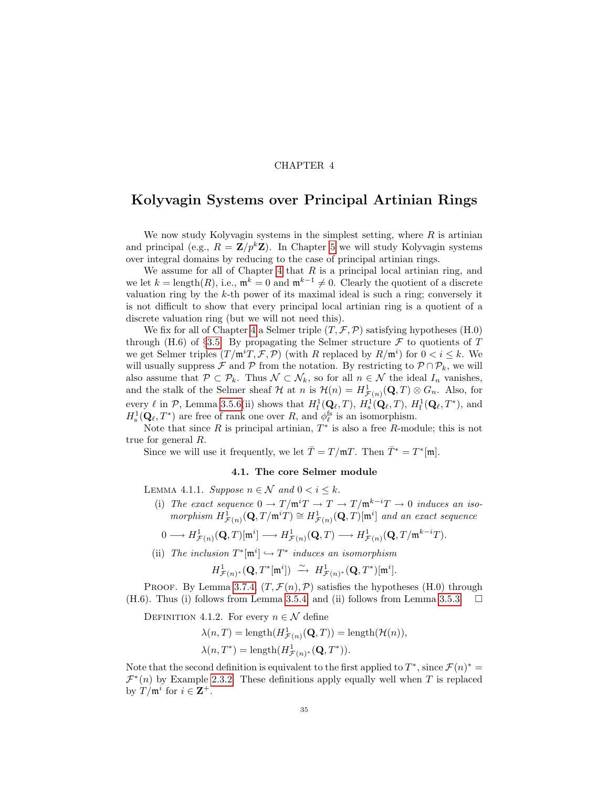# CHAPTER 4

# <span id="page-40-0"></span>Kolyvagin Systems over Principal Artinian Rings

We now study Kolyvagin systems in the simplest setting, where  $R$  is artinian and principal (e.g.,  $R = \mathbf{Z}/p^k \mathbf{Z}$ ). In Chapter [5](#page-60-0) we will study Kolyvagin systems over integral domains by reducing to the case of principal artinian rings.

We assume for all of Chapter [4](#page-40-0) that  $R$  is a principal local artinian ring, and we let  $k = \text{length}(R)$ , i.e.,  $\mathfrak{m}^k = 0$  and  $\mathfrak{m}^{k-1} \neq 0$ . Clearly the quotient of a discrete valuation ring by the  $k$ -th power of its maximal ideal is such a ring; conversely it is not difficult to show that every principal local artinian ring is a quotient of a discrete valuation ring (but we will not need this).

We fix for all of Chapter [4](#page-40-0) a Selmer triple  $(T, \mathcal{F}, \mathcal{P})$  satisfying hypotheses (H.0) through (H.6) of §[3.5.](#page-32-0) By propagating the Selmer structure  $\mathcal F$  to quotients of T we get Selmer triples  $(T/\mathfrak{m}^i T, \mathcal{F}, \mathcal{P})$  (with R replaced by  $R/\mathfrak{m}^i$ ) for  $0 < i \leq k$ . We will usually suppress  $\mathcal F$  and  $\mathcal P$  from the notation. By restricting to  $\mathcal P \cap \mathcal P_k$ , we will also assume that  $\mathcal{P} \subset \mathcal{P}_k$ . Thus  $\mathcal{N} \subset \mathcal{N}_k$ , so for all  $n \in \mathcal{N}$  the ideal  $I_n$  vanishes, and the stalk of the Selmer sheaf  $\mathcal H$  at n is  $\mathcal H(n) = H^1_{\mathcal F(n)}(\mathbf Q, T) \otimes G_n$ . Also, for every  $\ell$  in  $\mathcal{P}$ , Lemma [3.5.6\(](#page-34-0)ii) shows that  $H^1_f(\mathbf{Q}_\ell, T)$ ,  $H^1_s(\mathbf{Q}_\ell, T)$ ,  $H^1_f(\mathbf{Q}_\ell, T^*)$ , and  $H^1_\mathbf{s}(\mathbf{Q}_\ell,T^*)$  are free of rank one over R, and  $\phi_\ell^{\text{fs}}$  is an isomorphism.

Note that since R is principal artinian,  $T^*$  is also a free R-module; this is not true for general R.

Since we will use it frequently, we let  $\overline{T} = T/\mathfrak{m}T$ . Then  $\overline{T}^* = T^*[\mathfrak{m}]$ .

## 4.1. The core Selmer module

<span id="page-40-1"></span>LEMMA 4.1.1. Suppose  $n \in \mathcal{N}$  and  $0 < i \leq k$ .

(i) The exact sequence  $0 \to T/\mathfrak{m}^i T \to T \to T/\mathfrak{m}^{k-i} T \to 0$  induces an isomorphism  $H^1_{\mathcal{F}(n)}(\mathbf{Q}, T/\mathfrak{m}^i T) \cong H^1_{\mathcal{F}(n)}(\mathbf{Q}, T)[\mathfrak{m}^i]$  and an exact sequence

$$
0\longrightarrow H^1_{\mathcal{F}(n)}(\mathbf{Q},T)[\mathfrak{m}^i]\longrightarrow H^1_{\mathcal{F}(n)}(\mathbf{Q},T)\longrightarrow H^1_{\mathcal{F}(n)}(\mathbf{Q},T/\mathfrak{m}^{k-i}T).
$$

(ii) The inclusion  $T^*[\mathfrak{m}^i] \hookrightarrow T^*$  induces an isomorphism

$$
H^1_{\mathcal{F}(n)^*}(\mathbf{Q},T^*[\mathfrak{m}^i]) \; \xrightarrow{\sim} \; H^1_{\mathcal{F}(n)^*}(\mathbf{Q},T^*)[\mathfrak{m}^i].
$$

PROOF. By Lemma [3.7.4,](#page-39-0)  $(T, \mathcal{F}(n), \mathcal{P})$  satisfies the hypotheses (H.0) through (H.6). Thus (i) follows from Lemma [3.5.4,](#page-34-1) and (ii) follows from Lemma [3.5.3.](#page-33-0)

DEFINITION 4.1.2. For every  $n \in \mathcal{N}$  define

$$
\lambda(n,T) = \text{length}(H^1_{\mathcal{F}(n)}(\mathbf{Q},T)) = \text{length}(\mathcal{H}(n)),
$$
  

$$
\lambda(n,T^*) = \text{length}(H^1_{\mathcal{F}(n)^*}(\mathbf{Q},T^*)).
$$

Note that the second definition is equivalent to the first applied to  $T^*$ , since  $\mathcal{F}(n)^* =$  $\mathcal{F}^*(n)$  by Example [2.3.2.](#page-22-0) These definitions apply equally well when T is replaced by  $T/\mathfrak{m}^i$  for  $i \in \mathbf{Z}^+$ .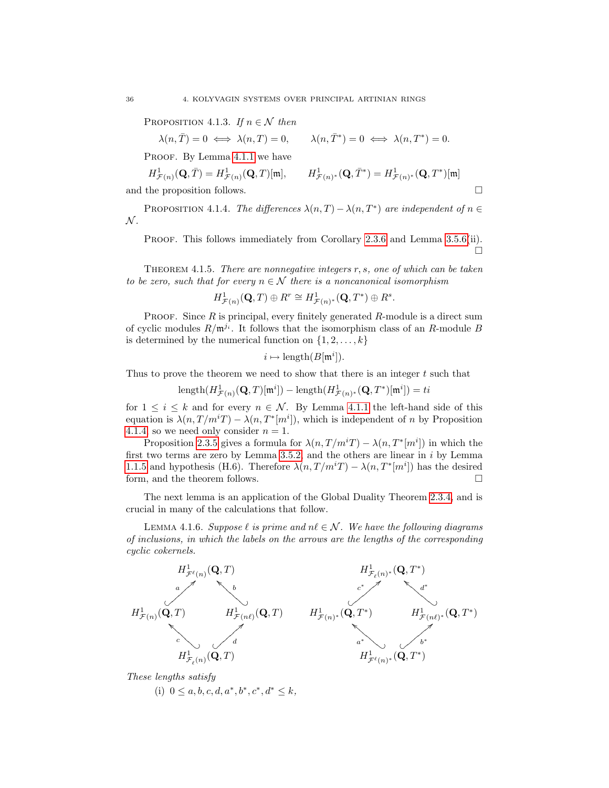<span id="page-41-2"></span>PROPOSITION 4.1.3. If  $n \in \mathcal{N}$  then

 $\lambda(n,\overline{T}) = 0 \iff \lambda(n,T) = 0, \qquad \lambda(n,\overline{T}^*) = 0 \iff \lambda(n,T^*) = 0.$ 

PROOF. By Lemma [4.1.1](#page-40-1) we have

$$
H^1_{\mathcal{F}(n)}(\mathbf{Q}, \bar{T}) = H^1_{\mathcal{F}(n)}(\mathbf{Q}, T)[\mathfrak{m}], \qquad H^1_{\mathcal{F}(n)^*}(\mathbf{Q}, \bar{T}^*) = H^1_{\mathcal{F}(n)^*}(\mathbf{Q}, T^*)[\mathfrak{m}]
$$
  
and the proposition follows.

<span id="page-41-0"></span>PROPOSITION 4.1.4. The differences  $\lambda(n,T) - \lambda(n,T^*)$  are independent of  $n \in$  $\mathcal{N}.$ 

PROOF. This follows immediately from Corollary [2.3.6](#page-22-1) and Lemma [3.5.6\(](#page-34-0)ii).  $\Box$ 

<span id="page-41-3"></span>Theorem 4.1.5. There are nonnegative integers r, s, one of which can be taken to be zero, such that for every  $n \in \mathcal{N}$  there is a noncanonical isomorphism

$$
H^1_{\mathcal{F}(n)}(\mathbf{Q},T) \oplus R^r \cong H^1_{\mathcal{F}(n)^*}(\mathbf{Q},T^*) \oplus R^s.
$$

PROOF. Since  $R$  is principal, every finitely generated  $R$ -module is a direct sum of cyclic modules  $R/\mathfrak{m}^{j_i}$ . It follows that the isomorphism class of an R-module B is determined by the numerical function on  $\{1, 2, \ldots, k\}$ 

$$
i \mapsto \text{length}(B[\mathfrak{m}^i]).
$$

Thus to prove the theorem we need to show that there is an integer  $t$  such that

$$
\text{length}(H^1_{\mathcal{F}(n)}(\mathbf{Q},T)[\mathfrak{m}^i]) - \text{length}(H^1_{\mathcal{F}(n)^*}(\mathbf{Q},T^*)[\mathfrak{m}^i]) = ti
$$

for  $1 \leq i \leq k$  and for every  $n \in \mathcal{N}$ . By Lemma [4.1.1](#page-40-1) the left-hand side of this equation is  $\lambda(n, T/m^i T) - \lambda(n, T^*[m^i])$ , which is independent of n by Proposition [4.1.4,](#page-41-0) so we need only consider  $n = 1$ .

Proposition [2.3.5](#page-22-2) gives a formula for  $\lambda(n, T/m^{i}T) - \lambda(n, T^{*}[m^{i}])$  in which the first two terms are zero by Lemma [3.5.2,](#page-33-1) and the others are linear in  $i$  by Lemma [1.1.5](#page-13-0) and hypothesis (H.6). Therefore  $\lambda(n, T/m^{i}T) - \lambda(n, T^{*}[m^{i}])$  has the desired form, and the theorem follows.  $\Box$ 

The next lemma is an application of the Global Duality Theorem [2.3.4,](#page-22-3) and is crucial in many of the calculations that follow.

<span id="page-41-1"></span>LEMMA 4.1.6. Suppose  $\ell$  is prime and  $n\ell \in \mathcal{N}$ . We have the following diagrams of inclusions, in which the labels on the arrows are the lengths of the corresponding cyclic cokernels.



These lengths satisfy

(i)  $0 \leq a, b, c, d, a^*, b^*, c^*, d^* \leq k$ ,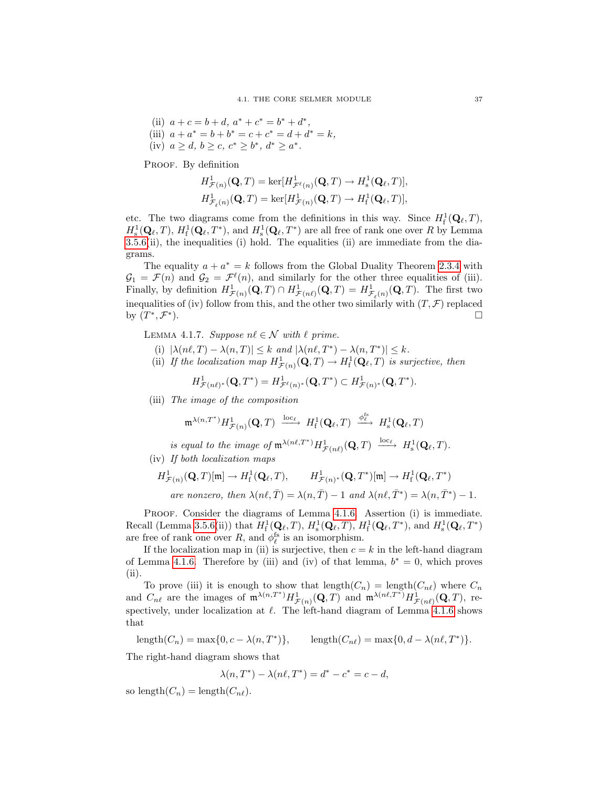(ii) 
$$
a + c = b + d
$$
,  $a^* + c^* = b^* + d^*$ ,  
\n(iii)  $a + a^* = b + b^* = c + c^* = d + d^* = k$ ,  
\n(iv)  $a \ge d$ ,  $b \ge c$ ,  $c^* \ge b^*$ ,  $d^* \ge a^*$ .

PROOF. By definition

$$
\begin{aligned} &H^1_{\mathcal{F}(n)}(\mathbf{Q},T)=\ker[H^1_{\mathcal{F}^{\ell}(n)}(\mathbf{Q},T)\rightarrow H^1_{\mathrm{s}}(\mathbf{Q}_{\ell},T)],\\ &H^1_{\mathcal{F}_{\ell}(n)}(\mathbf{Q},T)=\ker[H^1_{\mathcal{F}(n)}(\mathbf{Q},T)\rightarrow H^1_{\mathrm{f}}(\mathbf{Q}_{\ell},T)], \end{aligned}
$$

etc. The two diagrams come from the definitions in this way. Since  $H^1_f(Q_\ell, T)$ ,  $H^1_\text{s}(\mathbf{Q}_\ell,T)$ ,  $H^1_\text{f}(\mathbf{Q}_\ell,T^*)$ , and  $H^1_\text{s}(\mathbf{Q}_\ell,T^*)$  are all free of rank one over R by Lemma  $3.5.6(i)$  $3.5.6(i)$ , the inequalities (i) hold. The equalities (ii) are immediate from the diagrams.

The equality  $a + a^* = k$  follows from the Global Duality Theorem [2.3.4](#page-22-3) with  $\mathcal{G}_1 = \mathcal{F}(n)$  and  $\mathcal{G}_2 = \mathcal{F}^{\ell}(n)$ , and similarly for the other three equalities of (iii). Finally, by definition  $H^1_{\mathcal{F}(n)}(\mathbf{Q},T) \cap H^1_{\mathcal{F}(n\ell)}(\mathbf{Q},T) = H^1_{\mathcal{F}_{\ell}(n)}(\mathbf{Q},T)$ . The first two inequalities of (iv) follow from this, and the other two similarly with  $(T, \mathcal{F})$  replaced by  $(T^*, \mathcal{F}^*$ ).

<span id="page-42-0"></span>LEMMA 4.1.7. Suppose  $n\ell \in \mathcal{N}$  with  $\ell$  prime.

- (i)  $|\lambda(n\ell, T) \lambda(n, T)| \leq k$  and  $|\lambda(n\ell, T^*) \lambda(n, T^*)| \leq k$ .
- (ii) If the localization map  $H^1_{\mathcal{F}(n)}(\mathbf{Q},T) \to H^1_{\text{f}}(\mathbf{Q}_\ell,T)$  is surjective, then

$$
H^1_{\mathcal{F}(n\ell)^*}(\mathbf{Q},T^*) = H^1_{\mathcal{F}^{\ell}(n)^*}(\mathbf{Q},T^*) \subset H^1_{\mathcal{F}(n)^*}(\mathbf{Q},T^*).
$$

(iii) The image of the composition

$$
\mathfrak{m}^{\lambda(n,T^*)}H^1_{\mathcal{F}(n)}(\mathbf{Q},T)\ \xrightarrow{\text{loc}_{\ell}}\ H^1_{\text{f}}(\mathbf{Q}_{\ell},T)\ \xrightarrow{\phi_{\ell}^{\text{fs}}} \ H^1_{\text{s}}(\mathbf{Q}_{\ell},T)
$$

is equal to the image of  $\mathfrak{m}^{\lambda(n\ell,T^*)} H^1_{\mathcal{F}(n\ell)}(\mathbf{Q},T) \xrightarrow{\mathrm{loc}_{\ell}} H^1_{\mathrm{s}}(\mathbf{Q}_{\ell},T)$ . (iv) If both localization maps

$$
H^1_{\mathcal{F}(n)}(\mathbf{Q},T)[\mathfrak{m}] \to H^1_{\mathrm{f}}(\mathbf{Q}_{\ell},T), \qquad H^1_{\mathcal{F}(n)^*}(\mathbf{Q},T^*)[\mathfrak{m}] \to H^1_{\mathrm{f}}(\mathbf{Q}_{\ell},T^*)
$$
  
are nonzero, then  $\lambda(n\ell,\bar{T}) = \lambda(n,\bar{T}) - 1$  and  $\lambda(n\ell,\bar{T}^*) = \lambda(n,\bar{T}^*) - 1$ .

PROOF. Consider the diagrams of Lemma [4.1.6.](#page-41-1) Assertion (i) is immediate. Recall (Lemma [3.5.6\(](#page-34-0)ii)) that  $H^1_f(\mathbf{Q}_\ell, T)$ ,  $H^1_s(\mathbf{Q}_\ell, T)$ ,  $H^1_f(\mathbf{Q}_\ell, T^*)$ , and  $H^1_s(\mathbf{Q}_\ell, T^*)$ are free of rank one over  $R$ , and  $\phi_{\ell}^{\text{fs}}$  is an isomorphism.

If the localization map in (ii) is surjective, then  $c = k$  in the left-hand diagram of Lemma [4.1.6.](#page-41-1) Therefore by (iii) and (iv) of that lemma,  $b^* = 0$ , which proves (ii).

To prove (iii) it is enough to show that  $\text{length}(C_n) = \text{length}(C_{n\ell})$  where  $C_n$ and  $C_{n\ell}$  are the images of  $\mathfrak{m}^{\lambda(n,T^*)}H^1_{\mathcal{F}(n)}(\mathbf{Q},T)$  and  $\mathfrak{m}^{\lambda(n\ell,T^*)}H^1_{\mathcal{F}(n\ell)}(\mathbf{Q},T)$ , respectively, under localization at  $\ell$ . The left-hand diagram of Lemma [4.1.6](#page-41-1) shows that

 $\text{length}(C_n) = \max\{0, c - \lambda(n, T^*)\},\$  $\}$ , length $(C_{n\ell}) = \max\{0, d - \lambda(n\ell, T^*)\}.$ 

The right-hand diagram shows that

$$
\lambda(n, T^*) - \lambda(n\ell, T^*) = d^* - c^* = c - d,
$$

so length $(C_n) = \text{length}(C_{n\ell}).$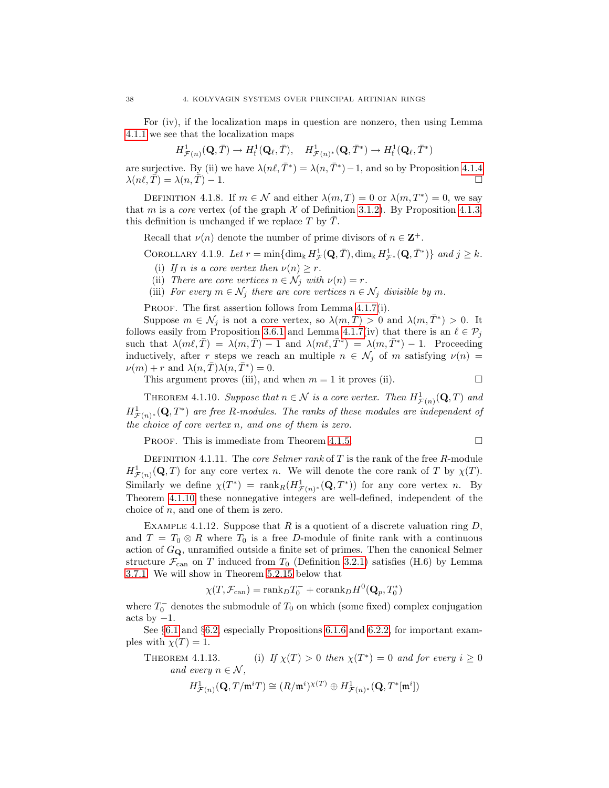For (iv), if the localization maps in question are nonzero, then using Lemma [4.1.1](#page-40-1) we see that the localization maps

$$
H^{1}_{\mathcal{F}(n)}(\mathbf{Q},\bar{T})\rightarrow H^{1}_{\mathrm{f}}(\mathbf{Q}_{\ell},\bar{T}),\quad H^{1}_{\mathcal{F}(n)^{*}}(\mathbf{Q},\bar{T}^{*})\rightarrow H^{1}_{\mathrm{f}}(\mathbf{Q}_{\ell},\bar{T}^{*})
$$

are surjective. By (ii) we have  $\lambda(n\ell, \bar{T}^*) = \lambda(n, \bar{T}^*) - 1$ , and so by Proposition [4.1.4](#page-41-0)  $\lambda(n\ell, \overline{T}) = \lambda(n, \overline{T}) - 1.$ 

DEFINITION 4.1.8. If  $m \in \mathcal{N}$  and either  $\lambda(m, T) = 0$  or  $\lambda(m, T^*) = 0$ , we say that m is a core vertex (of the graph  $\mathcal X$  of Definition [3.1.2\)](#page-24-0). By Proposition [4.1.3,](#page-41-2) this definition is unchanged if we replace T by  $\overline{T}$ .

Recall that  $\nu(n)$  denote the number of prime divisors of  $n \in \mathbb{Z}^+$ .

<span id="page-43-2"></span>COROLLARY 4.1.9. Let  $r = \min\{\dim_{\Bbbk} H^1_{\mathcal{F}}(\mathbf{Q}, \bar{T}), \dim_{\Bbbk} H^1_{\mathcal{F}^*}(\mathbf{Q}, \bar{T}^*)\}\$  and  $j \geq k$ .

- (i) If n is a core vertex then  $\nu(n) \geq r$ .
- (ii) There are core vertices  $n \in \mathcal{N}_i$  with  $\nu(n) = r$ .
- (iii) For every  $m \in \mathcal{N}_i$  there are core vertices  $n \in \mathcal{N}_i$  divisible by m.

PROOF. The first assertion follows from Lemma [4.1.7\(](#page-42-0)i).

Suppose  $m \in \mathcal{N}_j$  is not a core vertex, so  $\lambda(m, \overline{T}) > 0$  and  $\lambda(m, \overline{T}^*) > 0$ . It follows easily from Proposition [3.6.1](#page-35-0) and Lemma [4.1.7\(](#page-42-0)iv) that there is an  $\ell \in \mathcal{P}_j$ such that  $\lambda(m\ell, \bar{T}) = \lambda(m, \bar{T}) - 1$  and  $\lambda(m\ell, \bar{T}^*) = \lambda(m, \bar{T}^*) - 1$ . Proceeding inductively, after r steps we reach an multiple  $n \in \mathcal{N}_j$  of m satisfying  $\nu(n)$  =  $\nu(m) + r$  and  $\lambda(n, \overline{T})\lambda(n, \overline{T}^*) = 0.$ 

This argument proves (iii), and when  $m = 1$  it proves (ii).

<span id="page-43-0"></span>THEOREM 4.1.10. Suppose that  $n \in \mathcal{N}$  is a core vertex. Then  $H^1_{\mathcal{F}(n)}(\mathbf{Q},T)$  and  $H^1_{\mathcal{F}(n)^*}(\mathbf{Q},T^*)$  are free R-modules. The ranks of these modules are independent of the choice of core vertex n, and one of them is zero.

**PROOF.** This is immediate from Theorem [4.1.5.](#page-41-3)

DEFINITION 4.1.11. The *core Selmer rank* of  $T$  is the rank of the free  $R$ -module  $H^1_{\mathcal{F}(n)}(\mathbf{Q},T)$  for any core vertex n. We will denote the core rank of T by  $\chi(T)$ . Similarly we define  $\chi(T^*)$  = rank  $_R(H^1_{\mathcal{F}(n)^*}(\mathbf{Q},T^*))$  for any core vertex n. By Theorem [4.1.10](#page-43-0) these nonnegative integers are well-defined, independent of the choice of  $n$ , and one of them is zero.

EXAMPLE 4.1.12. Suppose that R is a quotient of a discrete valuation ring  $D$ , and  $T = T_0 \otimes R$  where  $T_0$  is a free D-module of finite rank with a continuous action of  $G_{\mathbf{Q}}$ , unramified outside a finite set of primes. Then the canonical Selmer structure  $\mathcal{F}_{\text{can}}$  on T induced from  $T_0$  (Definition [3.2.1\)](#page-28-0) satisfies (H.6) by Lemma [3.7.1.](#page-38-1) We will show in Theorem [5.2.15](#page-64-0) below that

$$
\chi(T,\mathcal{F}_{\mathrm{can}})=\mathrm{rank}_D T_0^-+\mathrm{corank}_D H^0(\mathbf{Q}_p,T_0^*)
$$

where  $T_0^-$  denotes the submodule of  $T_0$  on which (some fixed) complex conjugation acts by  $-1$ .

See §[6.1](#page-74-0) and §[6.2,](#page-78-0) especially Propositions [6.1.6](#page-77-0) and [6.2.2,](#page-79-0) for important examples with  $\chi(T) = 1$ .

<span id="page-43-1"></span>THEOREM 4.1.13. (i) If  $\chi(T) > 0$  then  $\chi(T^*) = 0$  and for every  $i \geq 0$ and every  $n \in \mathcal{N}$  ,

$$
H^1_{\mathcal{F}(n)}(\mathbf{Q}, T/\mathfrak{m}^i T) \cong (R/\mathfrak{m}^i)^{\chi(T)} \oplus H^1_{\mathcal{F}(n)^*}(\mathbf{Q}, T^*[\mathfrak{m}^i])
$$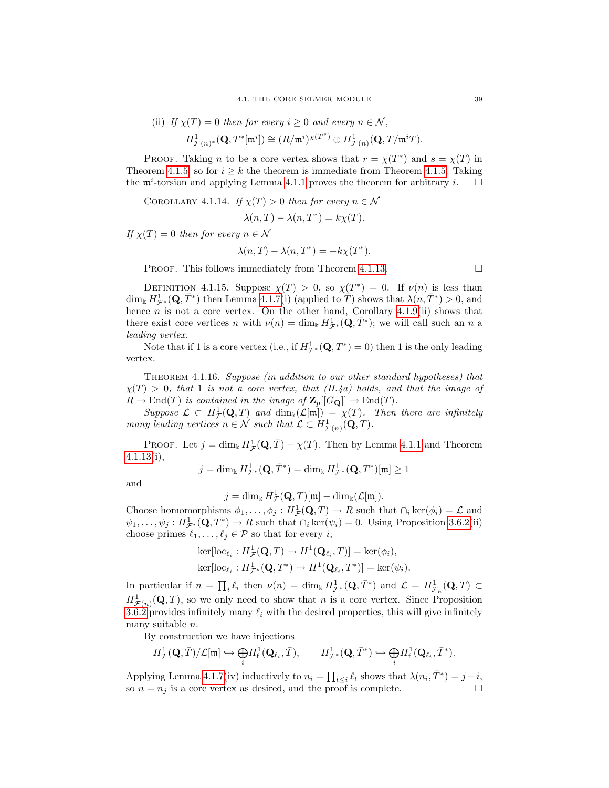(ii) If 
$$
\chi(T) = 0
$$
 then for every  $i \ge 0$  and every  $n \in \mathcal{N}$ ,

$$
H^1_{\mathcal{F}(n)^*}(\mathbf{Q},T^*[\mathfrak{m}^i]) \cong (R/\mathfrak{m}^i)^{\chi(T^*)} \oplus H^1_{\mathcal{F}(n)}(\mathbf{Q},T/\mathfrak{m}^i T).
$$

PROOF. Taking *n* to be a core vertex shows that  $r = \chi(T^*)$  and  $s = \chi(T)$  in Theorem [4.1.5,](#page-41-3) so for  $i > k$  the theorem is immediate from Theorem [4.1.5.](#page-41-3) Taking the  $\mathfrak{m}^i$ -torsion and applying Lemma [4.1.1](#page-40-1) proves the theorem for arbitrary *i*.  $\Box$ 

<span id="page-44-1"></span>COROLLARY 4.1.14. If  $\chi(T) > 0$  then for every  $n \in \mathcal{N}$ 

$$
\lambda(n, T) - \lambda(n, T^*) = k\chi(T).
$$

If  $\chi(T) = 0$  then for every  $n \in \mathcal{N}$ 

$$
\lambda(n,T) - \lambda(n,T^*) = -k\chi(T^*).
$$

**PROOF.** This follows immediately from Theorem [4.1.13.](#page-43-1)

<span id="page-44-2"></span>DEFINITION 4.1.15. Suppose  $\chi(T) > 0$ , so  $\chi(T^*) = 0$ . If  $\nu(n)$  is less than  $\dim_{\mathbb{k}} H^1_{\mathcal{F}^*}(\mathbf{Q}, \bar{T}^*)$  then Lemma [4.1.7\(](#page-42-0)i) (applied to  $\hat{T}$ ) shows that  $\lambda(n, \bar{T}^*) > 0$ , and hence  $n$  is not a core vertex. On the other hand, Corollary [4.1.9\(](#page-43-2)ii) shows that there exist core vertices n with  $\nu(n) = \dim_{\mathbb{k}} H^1_{\mathcal{F}^*}(\mathbf{Q}, \overline{T}^*)$ ; we will call such an n a leading vertex.

Note that if 1 is a core vertex (i.e., if  $H^1_{\mathcal{F}^*}(\mathbf{Q}, T^*) = 0$ ) then 1 is the only leading vertex.

<span id="page-44-0"></span>THEOREM 4.1.16. Suppose (in addition to our other standard hypotheses) that  $\chi(T) > 0$ , that 1 is not a core vertex, that (H.4a) holds, and that the image of  $R \to \text{End}(T)$  is contained in the image of  $\mathbf{Z}_p[[G_{\mathbf{Q}}]] \to \text{End}(T)$ .

Suppose  $\mathcal{L} \subset H^1_{\mathcal{F}}(\mathbf{Q},T)$  and  $\dim_k(\mathcal{L}[\mathfrak{m}]) = \chi(T)$ . Then there are infinitely many leading vertices  $n \in \mathcal{N}$  such that  $\mathcal{L} \subset H^1_{\mathcal{F}(n)}(\mathbf{Q},T)$ .

PROOF. Let  $j = \dim_{\mathbb{k}} H^1_{\mathcal{F}}(\mathbf{Q}, \overline{T}) - \chi(T)$ . Then by Lemma [4.1.1](#page-40-1) and Theorem [4.1.13\(](#page-43-1)i),

$$
j=\dim_{\Bbbk}H^{1}_{\mathcal{F}^*}(\mathbf{Q},\bar{T}^*)=\dim_{\Bbbk}H^{1}_{\mathcal{F}^*}(\mathbf{Q},T^*)[\mathfrak{m}]\geq 1
$$

and

$$
j=\dim_{\Bbbk}H_{\mathcal{F}}^1(\mathbf{Q},T)[\mathfrak{m}]-\dim_{\Bbbk}(\mathcal{L}[\mathfrak{m}]).
$$

Choose homomorphisms  $\phi_1, \ldots, \phi_j : H^1_{\mathcal{F}}(\mathbf{Q}, T) \to R$  such that  $\cap_i \ker(\phi_i) = \mathcal{L}$  and  $\psi_1,\ldots,\psi_j: H^1_{\mathcal{F}^*}(\mathbf{Q},T^*)\to R$  such that  $\cap_i \ker(\psi_i)=0$ . Using Proposition [3.6.2\(](#page-35-1)ii) choose primes  $\ell_1, \ldots, \ell_j \in \mathcal{P}$  so that for every *i*,

$$
\ker[\text{loc}_{\ell_i}: H^1_{\mathcal{F}}(\mathbf{Q}, T) \to H^1(\mathbf{Q}_{\ell_i}, T)] = \ker(\phi_i),
$$
  

$$
\ker[\text{loc}_{\ell_i}: H^1_{\mathcal{F}^*}(\mathbf{Q}, T^*) \to H^1(\mathbf{Q}_{\ell_i}, T^*)] = \ker(\psi_i).
$$

In particular if  $n = \prod_i \ell_i$  then  $\nu(n) = \dim_k H^1_{\mathcal{F}^*}(\mathbf{Q}, \bar{T}^*)$  and  $\mathcal{L} = H^1_{\mathcal{F}_n}(\mathbf{Q}, T) \subset$  $H^1_{\mathcal{F}(n)}(\mathbf{Q},T)$ , so we only need to show that n is a core vertex. Since Proposition [3.6.2](#page-35-1) provides infinitely many  $\ell_i$  with the desired properties, this will give infinitely many suitable n.

By construction we have injections

$$
H^1_{\mathcal{F}}(\mathbf{Q},\bar{T})/\mathcal{L}[\mathfrak{m}]\hookrightarrow \underset{i}{\bigoplus}H^1_{\mathrm{f}}(\mathbf{Q}_{\ell_i},\bar{T}),\qquad H^1_{\mathcal{F}^*}(\mathbf{Q},\bar{T}^*)\hookrightarrow \underset{i}{\bigoplus}H^1_{\mathrm{f}}(\mathbf{Q}_{\ell_i},\bar{T}^*).
$$

Applying Lemma [4.1.7\(](#page-42-0)iv) inductively to  $n_i = \prod_{t \leq i} \ell_t$  shows that  $\lambda(n_i, \bar{T}^*) = j - i$ , so  $n = n_j$  is a core vertex as desired, and the proof is complete.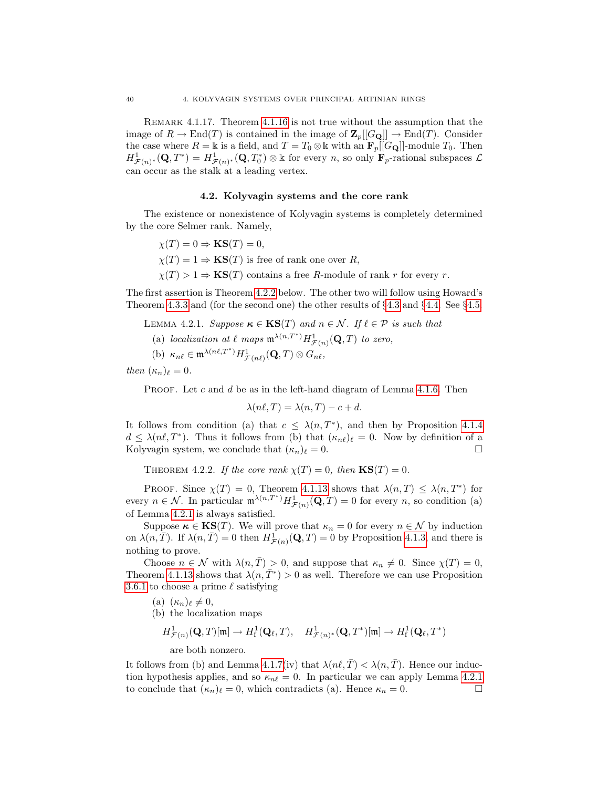Remark 4.1.17. Theorem [4.1.16](#page-44-0) is not true without the assumption that the image of  $R \to \text{End}(T)$  is contained in the image of  $\mathbb{Z}_p[[G_{\mathbf{Q}}]] \to \text{End}(T)$ . Consider the case where  $R = \mathbb{k}$  is a field, and  $T = T_0 \otimes \mathbb{k}$  with an  $\mathbf{F}_p[[G_{\mathbf{Q}}]]$ -module  $T_0$ . Then  $H^1_{\mathcal{F}(n)^*}(\mathbf{Q},T^*)=H^1_{\mathcal{F}(n)^*}(\mathbf{Q},T_0^*)\otimes\mathbb{k}$  for every n, so only  $\mathbf{F}_p$ -rational subspaces  $\mathcal{L}$ can occur as the stalk at a leading vertex.

# 4.2. Kolyvagin systems and the core rank

The existence or nonexistence of Kolyvagin systems is completely determined by the core Selmer rank. Namely,

$$
\chi(T) = 0 \Rightarrow \mathbf{KS}(T) = 0,
$$
  
\n
$$
\chi(T) = 1 \Rightarrow \mathbf{KS}(T)
$$
 is free of rank one over *R*,  
\n
$$
\chi(T) > 1 \Rightarrow \mathbf{KS}(T)
$$
 contains a free *R*-module of rank *r* for every *r*.

The first assertion is Theorem [4.2.2](#page-45-0) below. The other two will follow using Howard's Theorem [4.3.3](#page-46-0) and (for the second one) the other results of §[4.3](#page-46-1) and §[4.4.](#page-50-0) See §[4.5.](#page-53-0)

- <span id="page-45-1"></span>LEMMA 4.2.1. Suppose  $\kappa \in \text{KS}(T)$  and  $n \in \mathcal{N}$ . If  $\ell \in \mathcal{P}$  is such that
	- (a) localization at  $\ell$  maps  $\mathfrak{m}^{\lambda(n,T^*)} H^1_{\mathcal{F}(n)}(\mathbf{Q},T)$  to zero,
	- (b)  $\kappa_{n\ell} \in \mathfrak{m}^{\lambda(n\ell,T^*)} H^1_{\mathcal{F}(n\ell)}(\mathbf{Q},T) \otimes G_{n\ell},$

then  $(\kappa_n)_\ell = 0$ .

PROOF. Let  $c$  and  $d$  be as in the left-hand diagram of Lemma [4.1.6.](#page-41-1) Then

$$
\lambda(n\ell, T) = \lambda(n, T) - c + d.
$$

It follows from condition (a) that  $c \leq \lambda(n, T^*)$ , and then by Proposition [4.1.4](#page-41-0)  $d \leq \lambda(n\ell, T^*)$ . Thus it follows from (b) that  $(\kappa_{n\ell})_\ell = 0$ . Now by definition of a Kolyvagin system, we conclude that  $(\kappa_n)_\ell = 0$ .

<span id="page-45-0"></span>THEOREM 4.2.2. If the core rank  $\chi(T) = 0$ , then  $\text{KS}(T) = 0$ .

PROOF. Since  $\chi(T) = 0$ , Theorem [4.1.13](#page-43-1) shows that  $\lambda(n,T) \leq \lambda(n,T^*)$  for every  $n \in \mathcal{N}$ . In particular  $\mathfrak{m}^{\lambda(n,T^*)} H^1_{\mathcal{F}(n)}(\mathbf{Q},T) = 0$  for every n, so condition (a) of Lemma [4.2.1](#page-45-1) is always satisfied.

Suppose  $\kappa \in \mathbf{KS}(T)$ . We will prove that  $\kappa_n = 0$  for every  $n \in \mathcal{N}$  by induction on  $\lambda(n,\overline{T})$ . If  $\lambda(n,\overline{T})=0$  then  $H^1_{\mathcal{F}(n)}(\mathbf{Q},T)=0$  by Proposition [4.1.3,](#page-41-2) and there is nothing to prove.

Choose  $n \in \mathcal{N}$  with  $\lambda(n, \overline{T}) > 0$ , and suppose that  $\kappa_n \neq 0$ . Since  $\chi(T) = 0$ , Theorem [4.1.13](#page-43-1) shows that  $\lambda(n, \overline{T}^*) > 0$  as well. Therefore we can use Proposition [3.6.1](#page-35-0) to choose a prime  $\ell$  satisfying

- (a)  $(\kappa_n)_\ell \neq 0,$
- (b) the localization maps

$$
H^1_{\mathcal{F}(n)}(\mathbf{Q},T)[\mathfrak{m}]\to H^1_{\mathrm{f}}(\mathbf{Q}_\ell,T),\quad H^1_{\mathcal{F}(n)^*}(\mathbf{Q},T^*)[\mathfrak{m}]\to H^1_{\mathrm{f}}(\mathbf{Q}_\ell,T^*)
$$

are both nonzero.

It follows from (b) and Lemma [4.1.7\(](#page-42-0)iv) that  $\lambda(n\ell, \overline{T}) < \lambda(n, \overline{T})$ . Hence our induction hypothesis applies, and so  $\kappa_{n\ell} = 0$ . In particular we can apply Lemma [4.2.1](#page-45-1) to conclude that  $(\kappa_n)_\ell = 0$ , which contradicts (a). Hence  $\kappa_n = 0$ .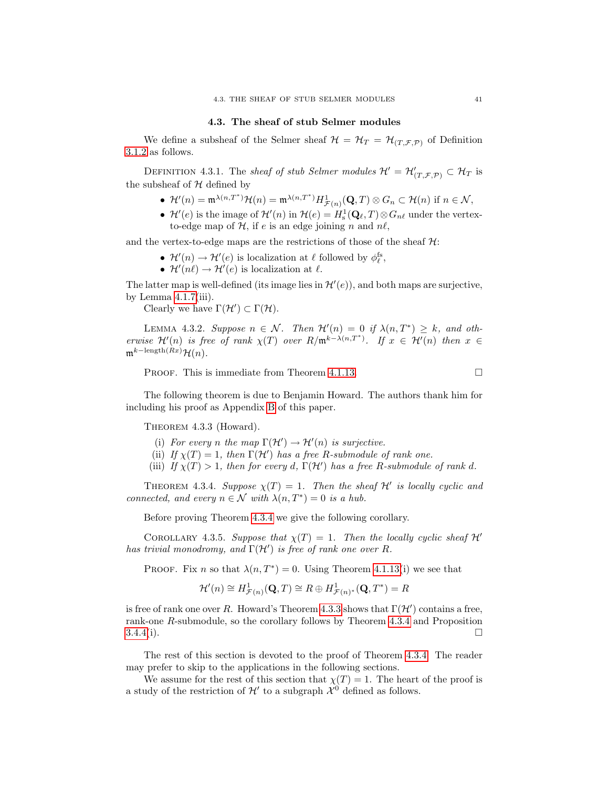### 4.3. The sheaf of stub Selmer modules

<span id="page-46-1"></span>We define a subsheaf of the Selmer sheaf  $\mathcal{H} = \mathcal{H}_T = \mathcal{H}_{(T,\mathcal{F},\mathcal{P})}$  of Definition [3.1.2](#page-24-0) as follows.

DEFINITION 4.3.1. The sheaf of stub Selmer modules  $\mathcal{H}' = \mathcal{H}'_{(T,\mathcal{F},\mathcal{P})} \subset \mathcal{H}_T$  is the subsheaf of  $H$  defined by

- $\mathcal{H}'(n) = \mathfrak{m}^{\lambda(n,T^*)} \mathcal{H}(n) = \mathfrak{m}^{\lambda(n,T^*)} H^1_{\mathcal{F}(n)}(\mathbf{Q},T) \otimes G_n \subset \mathcal{H}(n)$  if  $n \in \mathcal{N}$ ,
- $\mathcal{H}'(e)$  is the image of  $\mathcal{H}'(n)$  in  $\mathcal{H}(e) = H_s^1(\mathbf{Q}_\ell, T) \otimes G_{n\ell}$  under the vertexto-edge map of  $H$ , if e is an edge joining n and  $n\ell$ ,

and the vertex-to-edge maps are the restrictions of those of the sheaf  $\mathcal{H}$ :

- $\mathcal{H}'(n) \to \mathcal{H}'(e)$  is localization at  $\ell$  followed by  $\phi_{\ell}^{\text{fs}}$ ,
- $\mathcal{H}'(n\ell) \to \mathcal{H}'(e)$  is localization at  $\ell$ .

The latter map is well-defined (its image lies in  $\mathcal{H}'(e)$ ), and both maps are surjective, by Lemma  $4.1.7(iii)$ .

Clearly we have  $\Gamma(\mathcal{H}') \subset \Gamma(\mathcal{H})$ .

<span id="page-46-3"></span>LEMMA 4.3.2. Suppose  $n \in \mathcal{N}$ . Then  $\mathcal{H}'(n) = 0$  if  $\lambda(n, T^*) \geq k$ , and otherwise  $\mathcal{H}'(n)$  is free of rank  $\chi(T)$  over  $R/\mathfrak{m}^{k-\lambda(n,T^*)}$ . If  $x \in \mathcal{H}'(n)$  then  $x \in$  $\mathfrak{m}^{k-\operatorname{length}(Rx)}\mathcal{H}(n).$ 

PROOF. This is immediate from Theorem [4.1.13.](#page-43-1)  $\Box$ 

The following theorem is due to Benjamin Howard. The authors thank him for including his proof as Appendix [B](#page-94-0) of this paper.

<span id="page-46-0"></span>THEOREM 4.3.3 (Howard).

- (i) For every n the map  $\Gamma(\mathcal{H}') \to \mathcal{H}'(n)$  is surjective.
- (ii) If  $\chi(T) = 1$ , then  $\Gamma(\mathcal{H}')$  has a free R-submodule of rank one.
- (iii) If  $\chi(T) > 1$ , then for every d,  $\Gamma(\mathcal{H}')$  has a free R-submodule of rank d.

<span id="page-46-2"></span>THEOREM 4.3.4. Suppose  $\chi(T) = 1$ . Then the sheaf H' is locally cyclic and connected, and every  $n \in \mathcal{N}$  with  $\lambda(n, T^*) = 0$  is a hub.

Before proving Theorem [4.3.4](#page-46-2) we give the following corollary.

<span id="page-46-5"></span>COROLLARY 4.3.5. Suppose that  $\chi(T) = 1$ . Then the locally cyclic sheaf  $\mathcal{H}'$ has trivial monodromy, and  $\Gamma(\mathcal{H}')$  is free of rank one over R.

PROOF. Fix n so that  $\lambda(n, T^*) = 0$ . Using Theorem [4.1.13\(](#page-43-1)i) we see that

$$
\mathcal{H}'(n) \cong H^1_{\mathcal{F}(n)}(\mathbf{Q},T) \cong R \oplus H^1_{\mathcal{F}(n)^*}(\mathbf{Q},T^*) = R
$$

is free of rank one over R. Howard's Theorem [4.3.3](#page-46-0) shows that  $\Gamma(\mathcal{H}')$  contains a free, rank-one R-submodule, so the corollary follows by Theorem [4.3.4](#page-46-2) and Proposition  $3.4.4(i).$  $3.4.4(i).$ 

The rest of this section is devoted to the proof of Theorem [4.3.4.](#page-46-2) The reader may prefer to skip to the applications in the following sections.

<span id="page-46-4"></span>We assume for the rest of this section that  $\chi(T) = 1$ . The heart of the proof is a study of the restriction of  $\mathcal{H}'$  to a subgraph  $\mathcal{X}^0$  defined as follows.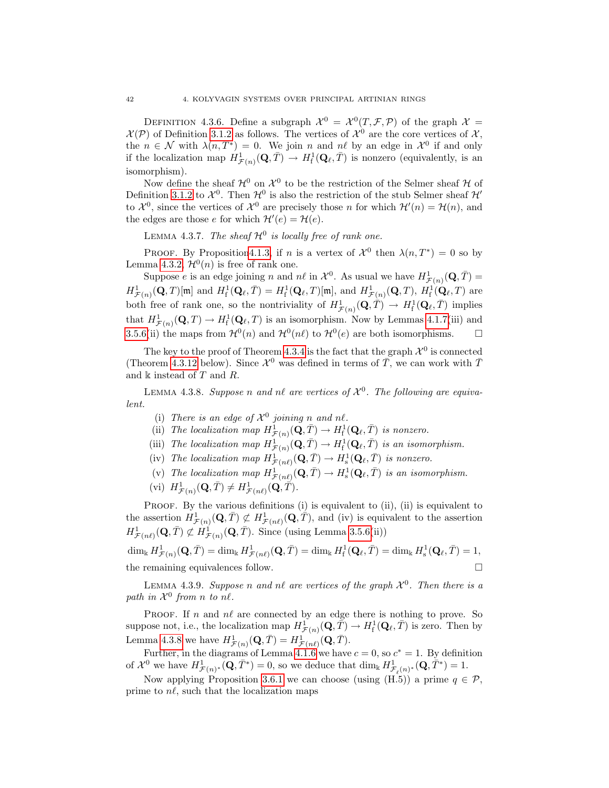DEFINITION 4.3.6. Define a subgraph  $\mathcal{X}^0 = \mathcal{X}^0(T, \mathcal{F}, \mathcal{P})$  of the graph  $\mathcal{X} =$  $\mathcal{X}(\mathcal{P})$  of Definition [3.1.2](#page-24-0) as follows. The vertices of  $\mathcal{X}^0$  are the core vertices of  $\mathcal{X},$ the  $n \in \mathcal{N}$  with  $\lambda(n, \overline{T}^*) = 0$ . We join n and  $n\ell$  by an edge in  $\mathcal{X}^0$  if and only if the localization map  $H^1_{\mathcal{F}(n)}(\mathbf{Q},\bar{T}) \to H^1_{\text{f}}(\mathbf{Q}_\ell,\bar{T})$  is nonzero (equivalently, is an isomorphism).

Now define the sheaf  $\mathcal{H}^0$  on  $\mathcal{X}^0$  to be the restriction of the Selmer sheaf  $\mathcal H$  of Definition [3.1.2](#page-24-0) to  $\mathcal{X}^0$ . Then  $\mathcal{H}^0$  is also the restriction of the stub Selmer sheaf  $\mathcal{H}'$ to  $\mathcal{X}^0$ , since the vertices of  $\mathcal{X}^0$  are precisely those *n* for which  $\mathcal{H}'(n) = \mathcal{H}(n)$ , and the edges are those e for which  $\mathcal{H}'(e) = \mathcal{H}(e)$ .

<span id="page-47-2"></span>LEMMA 4.3.7. The sheaf  $\mathcal{H}^0$  is locally free of rank one.

PROOF. By Proposition 4.1.3, if n is a vertex of  $\mathcal{X}^0$  then  $\lambda(n, T^*) = 0$  so by Lemma [4.3.2,](#page-46-3)  $\mathcal{H}^0(n)$  is free of rank one.

Suppose e is an edge joining n and  $n\ell$  in  $\mathcal{X}^0$ . As usual we have  $H^1_{\mathcal{F}(n)}(\mathbf{Q}, \bar{T}) =$  $H^1_{\mathcal{F}(n)}(\mathbf{Q},T)[\mathfrak{m}]$  and  $H^1_{\mathrm{f}}(\mathbf{Q}_\ell, \bar{T}) = H^1_{\mathrm{f}}(\mathbf{Q}_\ell, T)[\mathfrak{m}]$ , and  $H^1_{\mathcal{F}(n)}(\mathbf{Q},T)$ ,  $H^1_{\mathrm{f}}(\mathbf{Q}_\ell, T)$  are both free of rank one, so the nontriviality of  $H^1_{\mathcal{F}(n)}(\mathbf{Q}, \overline{T}) \to H^1_{\text{f}}(\mathbf{Q}_\ell, \overline{T})$  implies that  $H^1_{\mathcal{F}(n)}(\mathbf{Q},T) \to H^1_{\text{f}}(\mathbf{Q}_\ell,T)$  is an isomorphism. Now by Lemmas [4.1.7\(](#page-42-0)iii) and [3.5.6\(](#page-34-0)ii) the maps from  $\mathcal{H}^0(n)$  and  $\mathcal{H}^0(n\ell)$  to  $\mathcal{H}^0(e)$  are both isomorphisms.  $\Box$ 

The key to the proof of Theorem [4.3.4](#page-46-2) is the fact that the graph  $\mathcal{X}^0$  is connected (Theorem [4.3.12](#page-49-0) below). Since  $\mathcal{X}^0$  was defined in terms of  $\overline{T}$ , we can work with  $\overline{T}$ and  $\Bbbk$  instead of T and R.

<span id="page-47-0"></span>LEMMA 4.3.8. Suppose n and nl are vertices of  $\mathcal{X}^0$ . The following are equivalent.

- (i) There is an edge of  $\mathcal{X}^0$  joining n and nl.
- (ii) The localization map  $H^1_{\mathcal{F}(n)}(\tilde{\mathbf{Q}}, \bar{T}) \to H^1_{\mathrm{f}}(\mathbf{Q}_{\ell}, \bar{T})$  is nonzero.
- (iii) The localization map  $H^1_{\mathcal{F}(n)}(\mathbf{Q}, \bar{T}) \to H^1_{\text{f}}(\mathbf{Q}_\ell, \bar{T})$  is an isomorphism.
- (iv) The localization map  $H^1_{\mathcal{F}(n\ell)}(\mathbf{Q}, \bar{T}) \to H^1_{\rm s}(\mathbf{Q}_\ell, \bar{T})$  is nonzero.
- (v) The localization map  $H^1_{\mathcal{F}(n\ell)}(\mathbf{Q}, \bar{T}) \to H^1_{\rm s}(\mathbf{Q}_\ell, \bar{T})$  is an isomorphism.
- (vi)  $H^1_{\mathcal{F}(n)}(\mathbf{Q}, \overline{T}) \neq H^1_{\mathcal{F}(n\ell)}(\mathbf{Q}, \overline{T}).$

PROOF. By the various definitions (i) is equivalent to (ii), (ii) is equivalent to the assertion  $H^1_{\mathcal{F}(n)}(\mathbf{Q}, \bar{T}) \not\subset H^1_{\mathcal{F}(n\ell)}(\mathbf{Q}, \bar{T})$ , and (iv) is equivalent to the assertion  $H^1_{\mathcal{F}(n\ell)}(\mathbf{Q},\bar{T})\not\subset \dot{H}^1_{\mathcal{F}(n)}(\mathbf{Q},\bar{T}).$  Since (using Lemma [3.5.6\(](#page-34-0)ii))

 $\dim_\Bbbk H^1_{\mathcal{F}(n)}(\mathbf{Q},\bar{T}) = \dim_\Bbbk H^1_{\mathcal{F}(n\ell)}(\mathbf{Q},\bar{T}) = \dim_\Bbbk H^1_{\mathrm{f}}(\mathbf{Q}_{\ell},\bar{T}) = \dim_\Bbbk H^1_{\mathrm{s}}(\mathbf{Q}_{\ell},\bar{T}) = 1,$ the remaining equivalences follow.

<span id="page-47-1"></span>LEMMA 4.3.9. Suppose n and nl are vertices of the graph  $\mathcal{X}^0$ . Then there is a path in  $\mathcal{X}^0$  from n to nl.

PROOF. If n and  $n\ell$  are connected by an edge there is nothing to prove. So suppose not, i.e., the localization map  $H^1_{\mathcal{F}(n)}(\mathbf{Q}, \overline{\tilde{T}}) \to H^1_{\text{f}}(\mathbf{Q}_\ell, \overline{T})$  is zero. Then by Lemma [4.3.8](#page-47-0) we have  $H^1_{\mathcal{F}(n)}(\mathbf{Q}, \bar{T}) = H^1_{\mathcal{F}(n\ell)}(\mathbf{Q}, \bar{T}).$ 

Further, in the diagrams of Lemma [4.1.6](#page-41-1) we have  $c = 0$ , so  $c^* = 1$ . By definition of  $\mathcal{X}^0$  we have  $H^1_{\mathcal{F}(n)^*}(\mathbf{Q}, \bar{T}^*) = 0$ , so we deduce that  $\dim_k H^1_{\mathcal{F}_{\ell}(n)^*}(\mathbf{Q}, \bar{T}^*) = 1$ .

Now applying Proposition [3.6.1](#page-35-0) we can choose (using  $(H.5)$ ) a prime  $q \in \mathcal{P}$ , prime to  $n\ell$ , such that the localization maps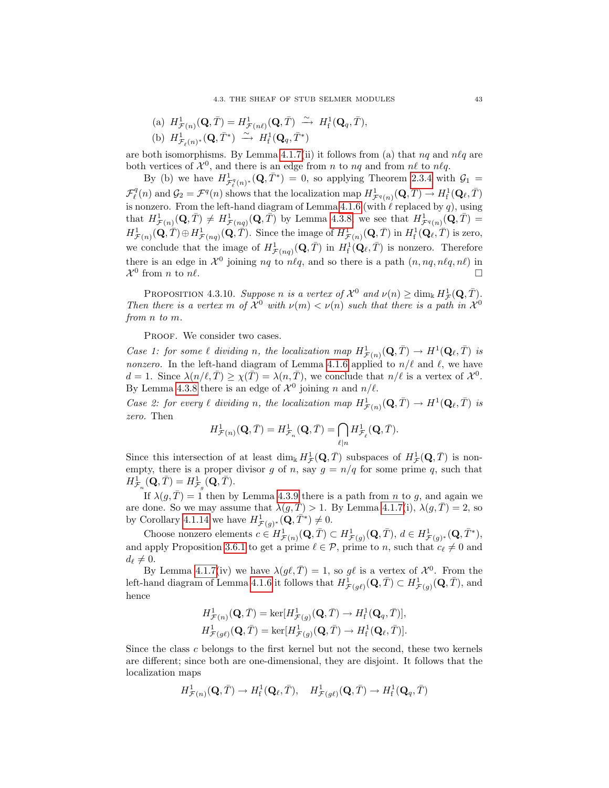(a) 
$$
H^1_{\mathcal{F}(n)}(\mathbf{Q}, \bar{T}) = H^1_{\mathcal{F}(n\ell)}(\mathbf{Q}, \bar{T}) \xrightarrow{\sim} H^1_{\text{f}}(\mathbf{Q}_q, \bar{T}),
$$
  
\n(b)  $H^1_{\mathcal{F}_\ell(n)^*}(\mathbf{Q}, \bar{T}^*) \xrightarrow{\sim} H^1_{\text{f}}(\mathbf{Q}_q, \bar{T}^*)$ 

are both isomorphisms. By Lemma [4.1.7\(](#page-42-0)ii) it follows from (a) that  $nq$  and  $n\ell q$  are both vertices of  $\mathcal{X}^0$ , and there is an edge from n to nq and from n $\ell$  to n $\ell q$ .

By (b) we have  $H^1_{\mathcal{F}_\ell^q(n)^*}(\mathbf{Q}, \bar{T}^*) = 0$ , so applying Theorem [2.3.4](#page-22-3) with  $\mathcal{G}_1 =$  $\mathcal{F}_{\ell}^q(n)$  and  $\mathcal{G}_2 = \mathcal{F}^q(n)$  shows that the localization map  $H^1_{\mathcal{F}^q(n)}(\mathbf{Q}, \bar{T}) \to H^1_{\mathrm{f}}(\mathbf{Q}_{\ell}, \bar{T})$ is nonzero. From the left-hand diagram of Lemma [4.1.6](#page-41-1) (with  $\ell$  replaced by  $q$ ), using that  $H^1_{\mathcal{F}(n)}(\mathbf{Q},\bar{T}) \neq H^1_{\mathcal{F}(nq)}(\mathbf{Q},\bar{T})$  by Lemma [4.3.8,](#page-47-0) we see that  $H^1_{\mathcal{F}^q(n)}(\mathbf{Q},\bar{T}) =$  $H^1_{\mathcal{F}(n)}(\mathbf{Q}, \overline{T}) \oplus H^1_{\mathcal{F}(nq)}(\mathbf{Q}, \overline{T})$ . Since the image of  $H^1_{\mathcal{F}(n)}(\mathbf{Q}, \overline{T})$  in  $H^1_{\mathrm{f}}(\mathbf{Q}_{\ell}, \overline{T})$  is zero, we conclude that the image of  $H^1_{\mathcal{F}(nq)}(\mathbf{Q},\bar{T})$  in  $H^1_{\mathrm{f}}(\mathbf{Q}_\ell,\bar{T})$  is nonzero. Therefore there is an edge in  $\mathcal{X}^0$  joining nq to n $\ell q$ , and so there is a path  $(n, nq, n\ell q, n\ell)$  in  $\mathcal{X}^0$  from *n* to *nl*.

<span id="page-48-0"></span>PROPOSITION 4.3.10. Suppose n is a vertex of  $\mathcal{X}^0$  and  $\nu(n) \ge \dim_k H^1_{\mathcal{F}}(\mathbf{Q}, \bar{T}).$ Then there is a vertex m of  $\mathcal{X}^0$  with  $\nu(m) < \nu(n)$  such that there is a path in  $\mathcal{X}^0$ from n to m.

PROOF. We consider two cases.

Case 1: for some  $\ell$  dividing n, the localization map  $H^1_{\mathcal{F}(n)}(\mathbf{Q}, \bar{T}) \to H^1(\mathbf{Q}_\ell, \bar{T})$  is nonzero. In the left-hand diagram of Lemma [4.1.6](#page-41-1) applied to  $n/\ell$  and  $\ell$ , we have  $d = 1$ . Since  $\lambda(n/\ell, \overline{T}) \geq \chi(\overline{T}) = \lambda(n, \overline{T})$ , we conclude that  $n/\ell$  is a vertex of  $\mathcal{X}^0$ . By Lemma [4.3.8](#page-47-0) there is an edge of  $\mathcal{X}^0$  joining n and  $n/\ell$ .

Case 2: for every  $\ell$  dividing n, the localization map  $H^1_{\mathcal{F}(n)}(\mathbf{Q}, \bar{T}) \to H^1(\mathbf{Q}_\ell, \bar{T})$  is zero. Then

$$
H^1_{\mathcal{F}(n)}(\mathbf{Q}, \bar{T}) = H^1_{\mathcal{F}_n}(\mathbf{Q}, \bar{T}) = \bigcap_{\ell|n} H^1_{\mathcal{F}_\ell}(\mathbf{Q}, \bar{T}).
$$

Since this intersection of at least  $\dim_k H^1_{\mathcal{F}}(\mathbf{Q}, \bar{T})$  subspaces of  $H^1_{\mathcal{F}}(\mathbf{Q}, \bar{T})$  is nonempty, there is a proper divisor g of n, say  $g = n/q$  for some prime q, such that  $H^1_{\mathcal{F}_n}(\mathbf{Q}, \bar{T}) = H^1_{\mathcal{F}_g}(\mathbf{Q}, \bar{T}).$ 

If  $\lambda(g,\overline{T}) = 1$  then by Lemma [4.3.9](#page-47-1) there is a path from n to g, and again we are done. So we may assume that  $\lambda(g,\overline{T}) > 1$ . By Lemma [4.1.7\(](#page-42-0)i),  $\lambda(g,\overline{T}) = 2$ , so by Corollary [4.1.14](#page-44-1) we have  $H^1_{\mathcal{F}(g)^*}(\mathbf{Q}, \overline{T}^*) \neq 0$ .

Choose nonzero elements  $c \in H^1_{\mathcal{F}(n)}(\mathbf{Q}, \overline{T}) \subset H^1_{\mathcal{F}(g)}(\mathbf{Q}, \overline{T}), d \in H^1_{\mathcal{F}(g)^*}(\mathbf{Q}, \overline{T}^*),$ and apply Proposition [3.6.1](#page-35-0) to get a prime  $\ell \in \mathcal{P}$ , prime to n, such that  $c_{\ell} \neq 0$  and  $d_{\ell} \neq 0.$ 

By Lemma [4.1.7\(](#page-42-0)iv) we have  $\lambda(g\ell, \bar{T}) = 1$ , so g $\ell$  is a vertex of  $\mathcal{X}^0$ . From the left-hand diagram of Lemma [4.1.6](#page-41-1) it follows that  $H^{\tilde{1}}_{\mathcal{F}(g\ell)}(\mathbf{Q}, \bar{T}) \subset H^1_{\mathcal{F}(g)}(\mathbf{Q}, \bar{T})$ , and hence

$$
\begin{split} &H^1_{\mathcal{F}(n)}(\mathbf{Q},\bar{T})=\ker[H^1_{\mathcal{F}(g)}(\mathbf{Q},\bar{T})\rightarrow H^1_{\mathrm{f}}(\mathbf{Q}_q,\bar{T})],\\ &H^1_{\mathcal{F}(g\ell)}(\mathbf{Q},\bar{T})=\ker[H^1_{\mathcal{F}(g)}(\mathbf{Q},\bar{T})\rightarrow H^1_{\mathrm{f}}(\mathbf{Q}_\ell,\bar{T})]. \end{split}
$$

Since the class c belongs to the first kernel but not the second, these two kernels are different; since both are one-dimensional, they are disjoint. It follows that the localization maps

$$
H^1_{\mathcal{F}(n)}(\mathbf{Q},\bar{T})\to H^1_{\mathrm{f}}(\mathbf{Q}_{\ell},\bar{T}),\quad H^1_{\mathcal{F}(g\ell)}(\mathbf{Q},\bar{T})\to H^1_{\mathrm{f}}(\mathbf{Q}_q,\bar{T})
$$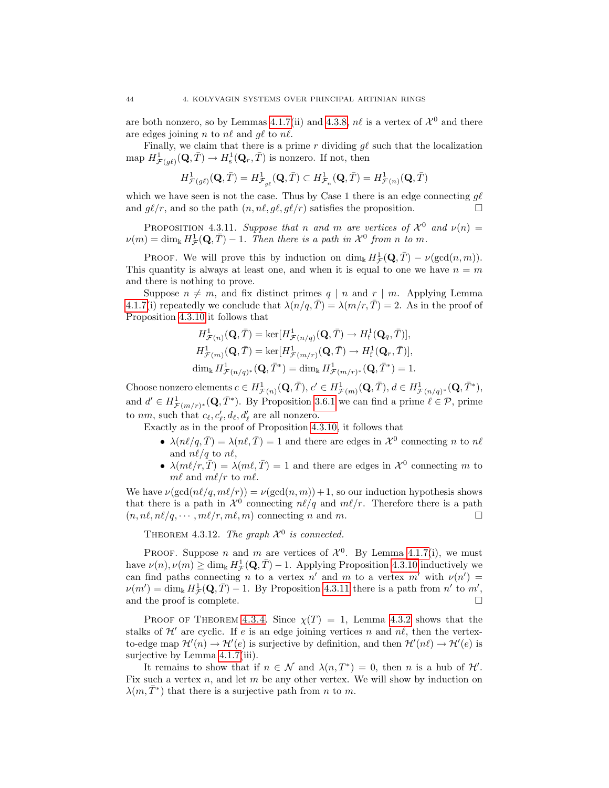are both nonzero, so by Lemmas [4.1.7\(](#page-42-0)ii) and [4.3.8,](#page-47-0)  $n\ell$  is a vertex of  $\mathcal{X}^0$  and there are edges joining n to  $n\ell$  and  $q\ell$  to  $n\ell$ .

Finally, we claim that there is a prime r dividing  $g\ell$  such that the localization map  $H^1_{\mathcal{F}(g\ell)}(\mathbf{Q}, \bar{T}) \to H^1_{\rm s}(\mathbf{Q}_r, \bar{T})$  is nonzero. If not, then

$$
H^{1}_{\mathcal{F}(g\ell)}(\mathbf{Q},\bar{T})=H^{1}_{\mathcal{F}_{g\ell}}(\mathbf{Q},\bar{T})\subset H^{1}_{\mathcal{F}_{n}}(\mathbf{Q},\bar{T})=H^{1}_{\mathcal{F}(n)}(\mathbf{Q},\bar{T})
$$

which we have seen is not the case. Thus by Case 1 there is an edge connecting  $g\ell$ and  $g\ell/r$ , and so the path  $(n, n\ell, g\ell, g\ell/r)$  satisfies the proposition.

<span id="page-49-1"></span>PROPOSITION 4.3.11. Suppose that n and m are vertices of  $\mathcal{X}^0$  and  $\nu(n) =$  $\nu(m) = \dim_{\mathbb{k}} H^1_{\mathcal{F}}(\mathbf{Q}, \bar{T}) - 1$ . Then there is a path in  $\mathcal{X}^0$  from n to m.

PROOF. We will prove this by induction on  $\dim_{\Bbbk} H^1_{\mathcal{F}}(\mathbf{Q}, \overline{T}) - \nu(\gcd(n, m)).$ This quantity is always at least one, and when it is equal to one we have  $n = m$ and there is nothing to prove.

Suppose  $n \neq m$ , and fix distinct primes  $q | n$  and  $r | m$ . Applying Lemma [4.1.7\(](#page-42-0)i) repeatedly we conclude that  $\lambda(n/q, \overline{T}) = \lambda(m/r, \overline{T}) = 2$ . As in the proof of Proposition [4.3.10](#page-48-0) it follows that

$$
H^1_{\mathcal{F}(n)}(\mathbf{Q}, \bar{T}) = \ker[H^1_{\mathcal{F}(n/q)}(\mathbf{Q}, \bar{T}) \to H^1_{\mathrm{f}}(\mathbf{Q}_q, \bar{T})],
$$
  
\n
$$
H^1_{\mathcal{F}(m)}(\mathbf{Q}, \bar{T}) = \ker[H^1_{\mathcal{F}(m/r)}(\mathbf{Q}, \bar{T}) \to H^1_{\mathrm{f}}(\mathbf{Q}_r, \bar{T})],
$$
  
\n
$$
\dim_{\Bbbk} H^1_{\mathcal{F}(n/q)^*}(\mathbf{Q}, \bar{T}^*) = \dim_{\Bbbk} H^1_{\mathcal{F}(m/r)^*}(\mathbf{Q}, \bar{T}^*) = 1.
$$

Choose nonzero elements  $c \in H^1_{\mathcal{F}(n)}(\mathbf{Q}, \bar{T}), c' \in H^1_{\mathcal{F}(m)}(\mathbf{Q}, \bar{T}), d \in H^1_{\mathcal{F}(n/q)^*}(\mathbf{Q}, \bar{T}^*),$ and  $d' \in H^1_{\mathcal{F}(m/r)^*}(\mathbf{Q}, \bar{T}^*)$ . By Proposition [3.6.1](#page-35-0) we can find a prime  $\ell \in \mathcal{P}$ , prime to nm, such that  $c_{\ell}, c'_{\ell}, d_{\ell}, d'_{\ell}$  are all nonzero.

Exactly as in the proof of Proposition [4.3.10,](#page-48-0) it follows that

- $\lambda(n\ell/q, \overline{T}) = \lambda(n\ell, \overline{T}) = 1$  and there are edges in  $\mathcal{X}^0$  connecting n to n $\ell$ and  $n\ell/q$  to  $n\ell$ ,
- $\lambda(m\ell/r, \overline{T}) = \lambda(m\ell, \overline{T}) = 1$  and there are edges in  $\mathcal{X}^0$  connecting m to  $m\ell$  and  $m\ell/r$  to  $m\ell$ .

We have  $\nu(\gcd(n\ell/q, m\ell/r)) = \nu(\gcd(n, m)) + 1$ , so our induction hypothesis shows that there is a path in  $\mathcal{X}^0$  connecting  $n\ell/q$  and  $m\ell/r$ . Therefore there is a path  $(n, n\ell, n\ell/q, \cdots, m\ell/r, m\ell, m)$  connecting n and m.

<span id="page-49-0"></span>THEOREM 4.3.12. The graph  $\mathcal{X}^0$  is connected.

PROOF. Suppose *n* and *m* are vertices of  $\mathcal{X}^0$ . By Lemma [4.1.7\(](#page-42-0)i), we must have  $\nu(n), \nu(m) \ge \dim_k H^1_{\mathcal{F}}(\mathbf{Q}, \bar{T}) - 1$ . Applying Proposition [4.3.10](#page-48-0) inductively we can find paths connecting n to a vertex n' and m to a vertex m' with  $\nu(n') =$  $\nu(m') = \dim_{\mathbb{k}} H^1_{\mathcal{F}}(\mathbf{Q}, \bar{T}) - 1$ . By Proposition [4.3.11](#page-49-1) there is a path from n' to m', and the proof is complete.  $\Box$ 

PROOF OF THEOREM [4.3.4.](#page-46-2) Since  $\chi(T) = 1$ , Lemma [4.3.2](#page-46-3) shows that the stalks of  $\mathcal{H}'$  are cyclic. If e is an edge joining vertices n and n $\ell$ , then the vertexto-edge map  $\mathcal{H}'(n) \to \mathcal{H}'(e)$  is surjective by definition, and then  $\mathcal{H}'(n\ell) \to \mathcal{H}'(e)$  is surjective by Lemma  $4.1.7(iii)$ .

It remains to show that if  $n \in \mathcal{N}$  and  $\lambda(n, T^*) = 0$ , then n is a hub of  $\mathcal{H}'$ . Fix such a vertex  $n$ , and let  $m$  be any other vertex. We will show by induction on  $\lambda(m, \bar{T}^*)$  that there is a surjective path from *n* to *m*.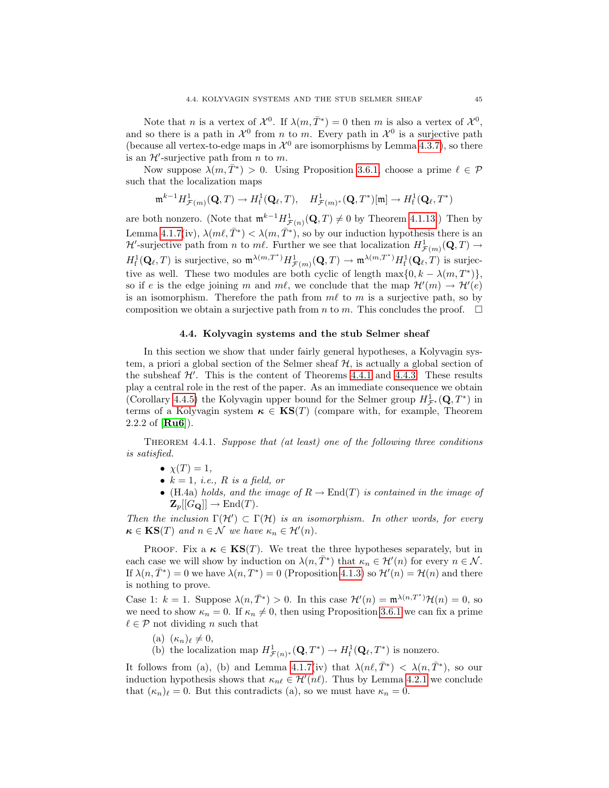Note that *n* is a vertex of  $\mathcal{X}^0$ . If  $\lambda(m, \overline{T}^*) = 0$  then *m* is also a vertex of  $\mathcal{X}^0$ , and so there is a path in  $\mathcal{X}^0$  from n to m. Every path in  $\mathcal{X}^0$  is a surjective path (because all vertex-to-edge maps in  $\mathcal{X}^0$  are isomorphisms by Lemma [4.3.7\)](#page-47-2), so there is an  $\mathcal{H}'$ -surjective path from *n* to *m*.

Now suppose  $\lambda(m, \bar{T}^*) > 0$ . Using Proposition [3.6.1,](#page-35-0) choose a prime  $\ell \in \mathcal{P}$ such that the localization maps

$$
\mathfrak{m}^{k-1}H^1_{\mathcal{F}(m)}(\mathbf{Q},T)\rightarrow H^1_{\mathrm{f}}(\mathbf{Q}_{\ell},T),\quad H^1_{\mathcal{F}(m)^*}(\mathbf{Q},T^*)[\mathfrak{m}]\rightarrow H^1_{\mathrm{f}}(\mathbf{Q}_{\ell},T^*)
$$

are both nonzero. (Note that  $\mathfrak{m}^{k-1}H^1_{\mathcal{F}(n)}(\mathbf{Q},T) \neq 0$  by Theorem [4.1.13.](#page-43-1)) Then by Lemma [4.1.7\(](#page-42-0)iv),  $\lambda(m\ell, \bar{T}^*) < \lambda(m, \bar{T}^*)$ , so by our induction hypothesis there is an  $\mathcal{H}'$ -surjective path from *n* to *ml*. Further we see that localization  $H^1_{\mathcal{F}(m)}(\mathbf{Q}, T) \to$  $H^1_f(\mathbf{Q}_\ell,T)$  is surjective, so  $\mathfrak{m}^{\lambda(m,T^*)}H^1_{\mathcal{F}(m)}(\mathbf{Q},T) \to \mathfrak{m}^{\lambda(m,T^*)}H^1_f(\mathbf{Q}_\ell,T)$  is surjective as well. These two modules are both cyclic of length  $\max\{0, k - \lambda(m, T^*)\},$ so if e is the edge joining m and ml, we conclude that the map  $\mathcal{H}'(m) \to \mathcal{H}'(e)$ is an isomorphism. Therefore the path from  $m\ell$  to m is a surjective path, so by composition we obtain a surjective path from n to m. This concludes the proof.  $\square$ 

# 4.4. Kolyvagin systems and the stub Selmer sheaf

<span id="page-50-0"></span>In this section we show that under fairly general hypotheses, a Kolyvagin system, a priori a global section of the Selmer sheaf  $H$ , is actually a global section of the subsheaf  $\mathcal{H}'$ . This is the content of Theorems [4.4.1](#page-50-1) and [4.4.3.](#page-51-0) These results play a central role in the rest of the paper. As an immediate consequence we obtain (Corollary [4.4.5\)](#page-52-0) the Kolyvagin upper bound for the Selmer group  $H^1_{\mathcal{F}^*}(\mathbf{Q}, T^*)$  in terms of a Kolyvagin system  $\kappa \in \mathbf{KS}(T)$  (compare with, for example, Theorem 2.2.2 of [[Ru6](#page-100-1)]).

<span id="page-50-1"></span>THEOREM 4.4.1. Suppose that (at least) one of the following three conditions is satisfied.

- $\bullet \ \chi(T) = 1,$
- $k = 1$ , *i.e.*, R *is a field, or*
- (H.4a) holds, and the image of  $R \to \text{End}(T)$  is contained in the image of  $\mathbf{Z}_p[[G_{\mathbf{Q}}]] \to \mathrm{End}(T).$

Then the inclusion  $\Gamma(\mathcal{H}') \subset \Gamma(\mathcal{H})$  is an isomorphism. In other words, for every  $\kappa \in \text{KS}(T)$  and  $n \in \mathcal{N}$  we have  $\kappa_n \in \mathcal{H}'(n)$ .

PROOF. Fix a  $\kappa \in \text{KS}(T)$ . We treat the three hypotheses separately, but in each case we will show by induction on  $\lambda(n, \overline{T}^*)$  that  $\kappa_n \in \mathcal{H}'(n)$  for every  $n \in \mathcal{N}$ . If  $\lambda(n,\bar{T}^*)=0$  we have  $\lambda(n,T^*)=0$  (Proposition [4.1.3\)](#page-41-2) so  $\mathcal{H}'(n)=\mathcal{H}(n)$  and there is nothing to prove.

Case 1:  $k = 1$ . Suppose  $\lambda(n, \overline{T}^*) > 0$ . In this case  $\mathcal{H}'(n) = \mathfrak{m}^{\lambda(n, \overline{T}^*)} \mathcal{H}(n) = 0$ , so we need to show  $\kappa_n = 0$ . If  $\kappa_n \neq 0$ , then using Proposition [3.6.1](#page-35-0) we can fix a prime  $\ell \in \mathcal{P}$  not dividing n such that

- (a)  $(\kappa_n)_\ell \neq 0,$
- (b) the localization map  $H^1_{\mathcal{F}(n)^*}(\mathbf{Q},T^*) \to H^1_{\mathrm{f}}(\mathbf{Q}_\ell,T^*)$  is nonzero.

It follows from (a), (b) and Lemma [4.1.7\(](#page-42-0)iv) that  $\lambda(n\ell, \bar{T}^*) < \lambda(n, \bar{T}^*)$ , so our induction hypothesis shows that  $\kappa_{n\ell} \in \mathcal{H}'(n\ell)$ . Thus by Lemma [4.2.1](#page-45-1) we conclude that  $(\kappa_n)_\ell = 0$ . But this contradicts (a), so we must have  $\kappa_n = 0$ .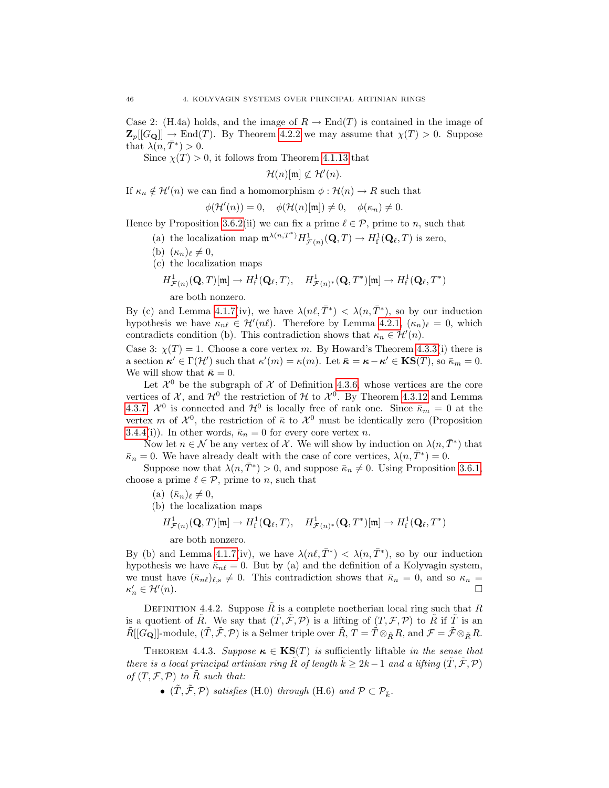Case 2: (H.4a) holds, and the image of  $R \to \text{End}(T)$  is contained in the image of  $\mathbf{Z}_p[[G_{\mathbf{Q}}]] \to \text{End}(T)$ . By Theorem [4.2.2](#page-45-0) we may assume that  $\chi(T) > 0$ . Suppose that  $\lambda(n, \bar{T}^*) > 0$ .

Since  $\chi(T) > 0$ , it follows from Theorem [4.1.13](#page-43-1) that

 $\mathcal{H}(n)[\mathfrak{m}] \not\subset \mathcal{H}'(n).$ 

If  $\kappa_n \notin \mathcal{H}'(n)$  we can find a homomorphism  $\phi : \mathcal{H}(n) \to R$  such that

$$
\phi(\mathcal{H}'(n)) = 0, \quad \phi(\mathcal{H}(n)[\mathfrak{m}]) \neq 0, \quad \phi(\kappa_n) \neq 0.
$$

Hence by Proposition [3.6.2\(](#page-35-1)ii) we can fix a prime  $\ell \in \mathcal{P}$ , prime to n, such that

- (a) the localization map  $\mathfrak{m}^{\lambda(n,T^*)} H^1_{\mathcal{F}(n)}(\mathbf{Q},T) \to H^1_{\mathrm{f}}(\mathbf{Q}_\ell,T)$  is zero,
- (b)  $(\kappa_n)_\ell \neq 0,$
- (c) the localization maps

$$
H^1_{\mathcal{F}(n)}(\mathbf{Q},T)[\mathfrak{m}] \to H^1_{\mathrm{f}}(\mathbf{Q}_{\ell},T), \quad H^1_{\mathcal{F}(n)^*}(\mathbf{Q},T^*)[\mathfrak{m}] \to H^1_{\mathrm{f}}(\mathbf{Q}_{\ell},T^*)
$$

are both nonzero.

By (c) and Lemma [4.1.7\(](#page-42-0)iv), we have  $\lambda(n\ell, \bar{T}^*) < \lambda(n, \bar{T}^*)$ , so by our induction hypothesis we have  $\kappa_{n\ell} \in \mathcal{H}'(n\ell)$ . Therefore by Lemma [4.2.1,](#page-45-1)  $(\kappa_n)_{\ell} = 0$ , which contradicts condition (b). This contradiction shows that  $\kappa_n \in \mathcal{H}'(n)$ .

Case 3:  $\chi(T) = 1$ . Choose a core vertex m. By Howard's Theorem [4.3.3\(](#page-46-0)i) there is a section  $\kappa' \in \Gamma(\mathcal{H}')$  such that  $\kappa'(m) = \kappa(m)$ . Let  $\bar{\kappa} = \kappa - \kappa' \in \mathbf{KS}(T)$ , so  $\bar{\kappa}_m = 0$ . We will show that  $\bar{\kappa} = 0$ .

Let  $\mathcal{X}^0$  be the subgraph of X of Definition [4.3.6,](#page-46-4) whose vertices are the core vertices of  $\mathcal{X}$ , and  $\mathcal{H}^0$  the restriction of  $\mathcal{H}$  to  $\mathcal{X}^0$ . By Theorem [4.3.12](#page-49-0) and Lemma [4.3.7,](#page-47-2)  $\mathcal{X}^0$  is connected and  $\mathcal{H}^0$  is locally free of rank one. Since  $\bar{\kappa}_m = 0$  at the vertex m of  $\mathcal{X}^0$ , the restriction of  $\bar{\kappa}$  to  $\mathcal{X}^0$  must be identically zero (Proposition [3.4.4\(](#page-32-1)i)). In other words,  $\bar{\kappa}_n = 0$  for every core vertex *n*.

Now let  $n \in \mathcal{N}$  be any vertex of  $\mathcal{X}$ . We will show by induction on  $\lambda(n, \overline{T}^*)$  that  $\bar{\kappa}_n = 0$ . We have already dealt with the case of core vertices,  $\lambda(n, \bar{T}^*) = 0$ .

Suppose now that  $\lambda(n, \bar{T}^*) > 0$ , and suppose  $\bar{\kappa}_n \neq 0$ . Using Proposition [3.6.1,](#page-35-0) choose a prime  $\ell \in \mathcal{P}$ , prime to n, such that

- (a)  $(\bar{\kappa}_n)_{\ell} \neq 0$ ,
- (b) the localization maps
	- $H^1_{\mathcal{F}(n)}(\mathbf{Q},T)[\mathfrak{m}]\to H^1_{\mathrm{f}}(\mathbf{Q}_\ell,T),\quad H^1_{\mathcal{F}(n)^*}(\mathbf{Q},T^*)[\mathfrak{m}]\to H^1_{\mathrm{f}}(\mathbf{Q}_\ell,T^*)$

are both nonzero.

By (b) and Lemma [4.1.7\(](#page-42-0)iv), we have  $\lambda(n\ell, \bar{T}^*) < \lambda(n, \bar{T}^*)$ , so by our induction hypothesis we have  $\bar{\kappa}_{n\ell} = 0$ . But by (a) and the definition of a Kolyvagin system, we must have  $(\bar{\kappa}_{n\ell})_{\ell,s} \neq 0$ . This contradiction shows that  $\bar{\kappa}_n = 0$ , and so  $\kappa_n =$  $\kappa'_n \in \mathcal{H}'$  $(n).$ 

DEFINITION 4.4.2. Suppose  $\tilde{R}$  is a complete noetherian local ring such that R is a quotient of  $\tilde{R}$ . We say that  $(\tilde{T}, \tilde{\mathcal{F}}, \mathcal{P})$  is a lifting of  $(T, \mathcal{F}, \mathcal{P})$  to  $\tilde{R}$  if  $\tilde{T}$  is an  $\tilde{R}[[G_{\bf Q}]]\text{-module}, (\tilde{T}, \tilde{\mathcal{F}}, \mathcal{P})$  is a Selmer triple over  $\tilde{R}$ ,  $T = \tilde{T} \otimes_{\tilde{R}} R$ , and  $\mathcal{F} = \tilde{\mathcal{F}} \otimes_{\tilde{R}} R$ .

<span id="page-51-0"></span>THEOREM 4.4.3. Suppose  $\kappa \in \text{KS}(T)$  is sufficiently liftable in the sense that there is a local principal artinian ring  $\tilde{R}$  of length  $k \geq 2k - 1$  and a lifting  $(\tilde{T}, \tilde{\mathcal{F}}, \mathcal{P})$ of  $(T, \mathcal{F}, \mathcal{P})$  to  $\tilde{R}$  such that:

•  $(\tilde{T}, \tilde{\mathcal{F}}, \mathcal{P})$  satisfies (H.0) through (H.6) and  $\mathcal{P} \subset \mathcal{P}_{\tilde{k}}$ .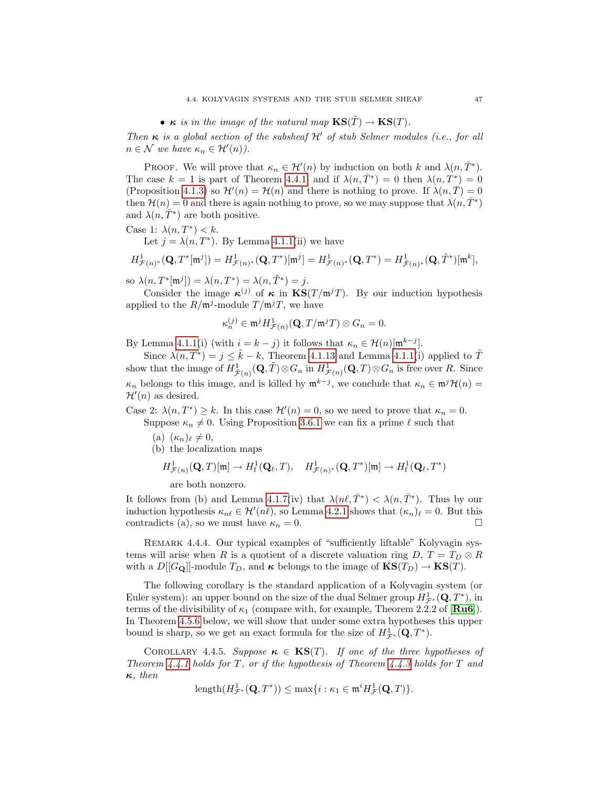# •  $\kappa$  is in the image of the natural map  $\mathbf{KS}(\tilde{T}) \to \mathbf{KS}(T)$ .

Then  $\kappa$  is a global section of the subsheaf  $\mathcal{H}'$  of stub Selmer modules (i.e., for all  $n \in \mathcal{N}$  we have  $\kappa_n \in \mathcal{H}'(n)$ .

PROOF. We will prove that  $\kappa_n \in \mathcal{H}'(n)$  by induction on both k and  $\lambda(n, \bar{T}^*)$ . The case  $k = 1$  is part of Theorem [4.4.1,](#page-50-1) and if  $\lambda(n, \overline{T}^*) = 0$  then  $\lambda(n, \overline{T}^*) = 0$ (Proposition [4.1.3\)](#page-41-2) so  $\mathcal{H}'(n) = \mathcal{H}(n)$  and there is nothing to prove. If  $\lambda(n, \overline{T}) = 0$ then  $\mathcal{H}(n) = 0$  and there is again nothing to prove, so we may suppose that  $\lambda(n, \overline{T}^*)$ and  $\lambda(n, \overline{T}^*)$  are both positive.

Case 1:  $\lambda(n, T^*) < k$ .

Let  $j = \lambda(n, T^*)$ . By Lemma [4.1.1\(](#page-40-1)ii) we have

$$
H^1_{\mathcal{F}(n)^*}(\mathbf{Q},T^*[\mathfrak{m}^j])=H^1_{\mathcal{F}(n)^*}(\mathbf{Q},T^*)[\mathfrak{m}^j]=H^1_{\mathcal{F}(n)^*}(\mathbf{Q},T^*)=H^1_{\tilde{\mathcal{F}}(n)^*}(\mathbf{Q},\tilde{T}^*)[\mathfrak{m}^k],
$$

so  $\lambda(n, T^*[\mathfrak{m}^j]) = \lambda(n, T^*) = \lambda(n, \tilde{T}^*) = j.$ 

Consider the image  $\kappa^{(j)}$  of  $\kappa$  in  $\text{KS}(T/\mathfrak{m}^jT)$ . By our induction hypothesis applied to the  $R/\mathfrak{m}^j$ -module  $T/\mathfrak{m}^j$ , we have

$$
\kappa_n^{(j)} \in \mathfrak{m}^j H^1_{\mathcal{F}(n)}(\mathbf{Q}, T/\mathfrak{m}^j T) \otimes G_n = 0.
$$

By Lemma [4.1.1\(](#page-40-1)i) (with  $i = k - j$ ) it follows that  $\kappa_n \in \mathcal{H}(n)[\mathfrak{m}^{k-j}]$ .

Since  $\lambda(n, \tilde{T}^*) = j \leq \tilde{k} - k$ , Theorem [4.1.13](#page-43-1) and Lemma [4.1.1\(](#page-40-1)i) applied to  $\tilde{T}$ show that the image of  $H^1_{\tilde{\mathcal{F}}(n)}(\mathbf{Q}, T) \otimes G_n$  in  $H^1_{\mathcal{F}(n)}(\mathbf{Q}, T) \otimes G_n$  is free over R. Since  $\kappa_n$  belongs to this image, and is killed by  $\mathfrak{m}^{k-j}$ , we conclude that  $\kappa_n \in \mathfrak{m}^j \mathcal{H}(n)$  $\mathcal{H}'(n)$  as desired.

Case 2:  $\lambda(n, T^*) \geq k$ . In this case  $\mathcal{H}'(n) = 0$ , so we need to prove that  $\kappa_n = 0$ . Suppose  $\kappa_n \neq 0$ . Using Proposition [3.6.1](#page-35-0) we can fix a prime  $\ell$  such that

- (a)  $(\kappa_n)_\ell \neq 0,$
- (b) the localization maps

$$
H^1_{\mathcal{F}(n)}(\mathbf{Q},T)[\mathfrak{m}]\to H^1_{\mathrm{f}}(\mathbf{Q}_{\ell},T),\quad H^1_{\mathcal{F}(n)^*}(\mathbf{Q},T^*)[\mathfrak{m}]\to H^1_{\mathrm{f}}(\mathbf{Q}_{\ell},T^*)
$$

are both nonzero.

It follows from (b) and Lemma [4.1.7\(](#page-42-0)iv) that  $\lambda(n\ell, \bar{T}^*) < \lambda(n, \bar{T}^*)$ . Thus by our induction hypothesis  $\kappa_{n\ell} \in \mathcal{H}'(n\ell)$ , so Lemma [4.2.1](#page-45-1) shows that  $(\kappa_n)_\ell = 0$ . But this contradicts (a), so we must have  $\kappa_n = 0$ .

REMARK 4.4.4. Our typical examples of "sufficiently liftable" Kolyvagin systems will arise when R is a quotient of a discrete valuation ring  $D, T = T_D \otimes R$ with a  $D[[G_{\mathbf{Q}}]]$ -module  $T_D$ , and  $\kappa$  belongs to the image of  $\mathbf{KS}(T_D) \to \mathbf{KS}(T)$ .

The following corollary is the standard application of a Kolyvagin system (or Euler system): an upper bound on the size of the dual Selmer group  $H^1_{\mathcal{F}^*}(\mathbf{Q}, T^*)$ , in terms of the divisibility of  $\kappa_1$  (compare with, for example, Theorem 2.2.2 of  $\text{[Ru6]}$  $\text{[Ru6]}$  $\text{[Ru6]}$ ). In Theorem [4.5.6](#page-54-0) below, we will show that under some extra hypotheses this upper bound is sharp, so we get an exact formula for the size of  $H^1_{\mathcal{F}^*}(\mathbf{Q}, T^*)$ .

<span id="page-52-0"></span>COROLLARY 4.4.5. Suppose  $\kappa \in KS(T)$ . If one of the three hypotheses of Theorem [4.4.1](#page-50-1) holds for T, or if the hypothesis of Theorem [4.4.3](#page-51-0) holds for T and  $\kappa$ , then

$$
\text{length}(H^1_{\mathcal{F}^*}(\mathbf{Q},T^*)) \leq \max\{i : \kappa_1 \in \mathfrak{m}^i H^1_{\mathcal{F}}(\mathbf{Q},T)\}.
$$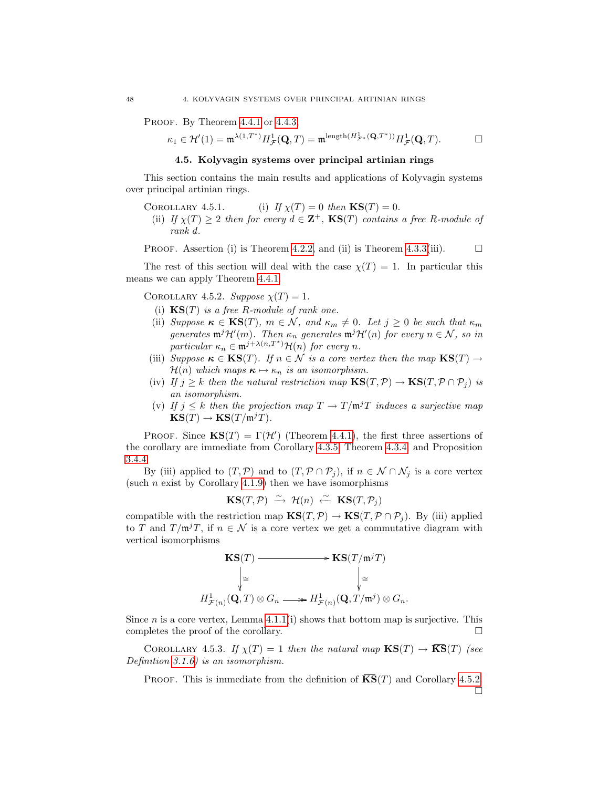PROOF. By Theorem [4.4.1](#page-50-1) or [4.4.3,](#page-51-0)

$$
\kappa_1\in\mathcal{H}'(1)=\mathfrak{m}^{\lambda(1,T^*)}H^1_{\mathcal{F}}(\mathbf{Q},T)=\mathfrak{m}^{\mathrm{length}(H^1_{\mathcal{F}^*}(\mathbf{Q},T^*))}H^1_{\mathcal{F}}(\mathbf{Q},T). \qquad \qquad \Box
$$

# 4.5. Kolyvagin systems over principal artinian rings

<span id="page-53-0"></span>This section contains the main results and applications of Kolyvagin systems over principal artinian rings.

- COROLLARY 4.5.1. (i) If  $\chi(T) = 0$  then  $\text{KS}(T) = 0$ .
	- (ii) If  $\chi(T) \geq 2$  then for every  $d \in \mathbf{Z}^+$ ,  $\mathbf{KS}(T)$  contains a free R-module of rank d.

PROOF. Assertion (i) is Theorem [4.2.2,](#page-45-0) and (ii) is Theorem [4.3.3\(](#page-46-0)iii).  $\Box$ 

The rest of this section will deal with the case  $\chi(T) = 1$ . In particular this means we can apply Theorem [4.4.1.](#page-50-1)

<span id="page-53-1"></span>COROLLARY 4.5.2. Suppose  $\chi(T) = 1$ .

- (i)  $KS(T)$  is a free R-module of rank one.
- (ii) Suppose  $\kappa \in \text{KS}(T)$ ,  $m \in \mathcal{N}$ , and  $\kappa_m \neq 0$ . Let  $j \geq 0$  be such that  $\kappa_m$ generates  $\mathfrak{m}^j\mathcal{H}'(m)$ . Then  $\kappa_n$  generates  $\mathfrak{m}^j\mathcal{H}'(n)$  for every  $n \in \mathcal{N}$ , so in particular  $\kappa_n \in \mathfrak{m}^{j+\lambda(n,T^*)} \mathcal{H}(n)$  for every n.
- (iii) Suppose  $\kappa \in \text{KS}(T)$ . If  $n \in \mathcal{N}$  is a core vertex then the map  $\text{KS}(T) \rightarrow$  $\mathcal{H}(n)$  which maps  $\kappa \mapsto \kappa_n$  is an isomorphism.
- (iv) If  $j \geq k$  then the natural restriction map  $\text{KS}(T, \mathcal{P}) \to \text{KS}(T, \mathcal{P} \cap \mathcal{P}_i)$  is an isomorphism.
- (v) If  $j \leq k$  then the projection map  $T \to T/\mathfrak{m}^j T$  induces a surjective map  $\text{KS}(T) \to \text{KS}(T/\mathfrak{m}^jT).$

PROOF. Since  $\mathbf{KS}(T) = \Gamma(\mathcal{H}')$  (Theorem [4.4.1\)](#page-50-1), the first three assertions of the corollary are immediate from Corollary [4.3.5,](#page-46-5) Theorem [4.3.4,](#page-46-2) and Proposition [3.4.4.](#page-32-1)

By (iii) applied to  $(T, \mathcal{P})$  and to  $(T, \mathcal{P} \cap \mathcal{P}_j)$ , if  $n \in \mathcal{N} \cap \mathcal{N}_j$  is a core vertex (such *n* exist by Corollary [4.1.9\)](#page-43-2) then we have isomorphisms

$$
\mathbf{KS}(T,\mathcal{P}) \stackrel{\sim}{\longrightarrow} \mathcal{H}(n) \stackrel{\sim}{\longleftarrow} \mathbf{KS}(T,\mathcal{P}_j)
$$

compatible with the restriction map  $\mathbf{KS}(T,\mathcal{P}) \to \mathbf{KS}(T,\mathcal{P} \cap \mathcal{P}_i)$ . By (iii) applied to T and  $T/\mathfrak{m}^j$ , if  $n \in \mathcal{N}$  is a core vertex we get a commutative diagram with vertical isomorphisms

$$
\begin{array}{ccc}\n\mathbf{KS}(T) & \xrightarrow{\qquad} & \mathbf{KS}(T/\mathfrak{m}^j T) \\
\downarrow^{\cong} & & \downarrow^{\cong} \\
H^1_{\mathcal{F}(n)}(\mathbf{Q}, T) \otimes G_n & \xrightarrow{\qquad} & H^1_{\mathcal{F}(n)}(\mathbf{Q}, T/\mathfrak{m}^j) \otimes G_n.\n\end{array}
$$

Since  $n$  is a core vertex, Lemma [4.1.1\(](#page-40-1)i) shows that bottom map is surjective. This completes the proof of the corollary.

COROLLARY 4.5.3. If  $\chi(T) = 1$  then the natural map  $\mathbf{KS}(T) \to \overline{\mathbf{KS}}(T)$  (see Definition [3.1.6\)](#page-26-0) is an isomorphism.

PROOF. This is immediate from the definition of  $\overline{KS}(T)$  and Corollary [4.5.2.](#page-53-1)  $\Box$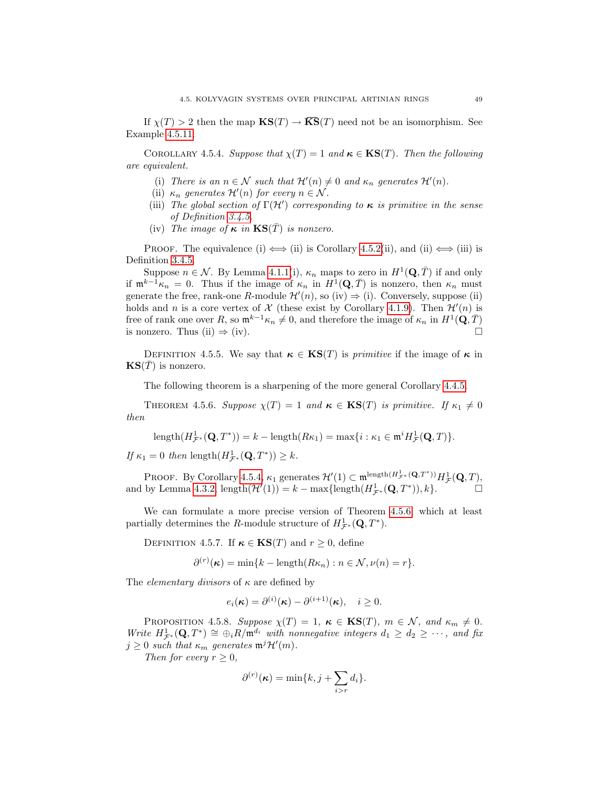If  $\chi(T) > 2$  then the map  $\mathbf{KS}(T) \to \overline{\mathbf{KS}}(T)$  need not be an isomorphism. See Example [4.5.11.](#page-56-0)

<span id="page-54-1"></span>COROLLARY 4.5.4. Suppose that  $\chi(T) = 1$  and  $\kappa \in KS(T)$ . Then the following are equivalent.

- (i) There is an  $n \in \mathcal{N}$  such that  $\mathcal{H}'(n) \neq 0$  and  $\kappa_n$  generates  $\mathcal{H}'(n)$ .
- (ii)  $\kappa_n$  generates  $\mathcal{H}'(n)$  for every  $n \in \mathcal{N}$ .
- (iii) The global section of  $\Gamma(\mathcal{H}')$  corresponding to  $\kappa$  is primitive in the sense of Definition [3.4.5.](#page-32-2)
- (iv) The image of  $\kappa$  in  $\text{KS}(\bar{T})$  is nonzero.

PROOF. The equivalence (i)  $\iff$  (ii) is Corollary [4.5.2\(](#page-53-1)ii), and (ii)  $\iff$  (iii) is Definition [3.4.5.](#page-32-2)

Suppose  $n \in \mathcal{N}$ . By Lemma [4.1.1\(](#page-40-1)i),  $\kappa_n$  maps to zero in  $H^1(\mathbf{Q}, \overline{T})$  if and only if  $\mathfrak{m}^{k-1}\kappa_n = 0$ . Thus if the image of  $\kappa_n$  in  $H^1(\mathbf{Q}, \bar{T})$  is nonzero, then  $\kappa_n$  must generate the free, rank-one R-module  $\mathcal{H}'(n)$ , so (iv)  $\Rightarrow$  (i). Conversely, suppose (ii) holds and n is a core vertex of  $\mathcal X$  (these exist by Corollary [4.1.9\)](#page-43-2). Then  $\mathcal H'(n)$  is free of rank one over R, so  $\mathfrak{m}^{k-1}\kappa_n \neq 0$ , and therefore the image of  $\kappa_n$  in  $H^1(\mathbf{Q}, \overline{T})$ is nonzero. Thus (ii)  $\Rightarrow$  (iv).

<span id="page-54-4"></span>DEFINITION 4.5.5. We say that  $\kappa \in \text{KS}(T)$  is *primitive* if the image of  $\kappa$  in  $\textbf{KS}(\overline{T})$  is nonzero.

The following theorem is a sharpening of the more general Corollary [4.4.5.](#page-52-0)

<span id="page-54-0"></span>THEOREM 4.5.6. Suppose  $\chi(T) = 1$  and  $\kappa \in \text{KS}(T)$  is primitive. If  $\kappa_1 \neq 0$ then

length
$$
(H^1_{\mathcal{F}^*}(\mathbf{Q}, T^*)) = k - \text{length}(R\kappa_1) = \max\{i : \kappa_1 \in \mathfrak{m}^i H^1_{\mathcal{F}}(\mathbf{Q}, T)\}.
$$

If  $\kappa_1 = 0$  then length $(H^1_{\mathcal{F}^*}(\mathbf{Q}, T^*)) \geq k$ .

PROOF. By Corollary [4.5.4,](#page-54-1)  $\kappa_1$  generates  $\mathcal{H}'(1) \subset \mathfrak{m}^{\text{length}(H^1_{\mathcal{F}^*}(\mathbf{Q},T^*))} H^1_{\mathcal{F}}(\mathbf{Q},T)$ , and by Lemma [4.3.2,](#page-46-3)  $\text{length}(\mathcal{H}'(1)) = k - \max\{\text{length}(H^1_{\mathcal{F}^*}(\mathbf{Q}, T^*)), k\}.$ 

We can formulate a more precise version of Theorem [4.5.6,](#page-54-0) which at least partially determines the R-module structure of  $H^1_{\mathcal{F}^*}(\mathbf{Q}, T^*)$ .

<span id="page-54-3"></span>DEFINITION 4.5.7. If  $\kappa \in \text{KS}(T)$  and  $r > 0$ , define

 $\partial^{(r)}(\kappa) = \min\{k - \text{length}(R\kappa_n) : n \in \mathcal{N}, \nu(n) = r\}.$ 

The *elementary divisors* of  $\kappa$  are defined by

$$
e_i(\boldsymbol{\kappa}) = \partial^{(i)}(\boldsymbol{\kappa}) - \partial^{(i+1)}(\boldsymbol{\kappa}), \quad i \ge 0.
$$

<span id="page-54-2"></span>PROPOSITION 4.5.8. Suppose  $\chi(T) = 1$ ,  $\kappa \in \text{KS}(T)$ ,  $m \in \mathcal{N}$ , and  $\kappa_m \neq 0$ . Write  $H^1_{\mathcal{F}^*}(\mathbf{Q},T^*) \cong \bigoplus_i R/\mathfrak{m}^{d_i}$  with nonnegative integers  $d_1 \geq d_2 \geq \cdots$ , and fix  $j \geq 0$  such that  $\kappa_m$  generates  $\mathfrak{m}^j \mathcal{H}'(m)$ .

Then for every  $r \geq 0$ ,

$$
\partial^{(r)}(\kappa) = \min\{k, j + \sum_{i>r} d_i\}.
$$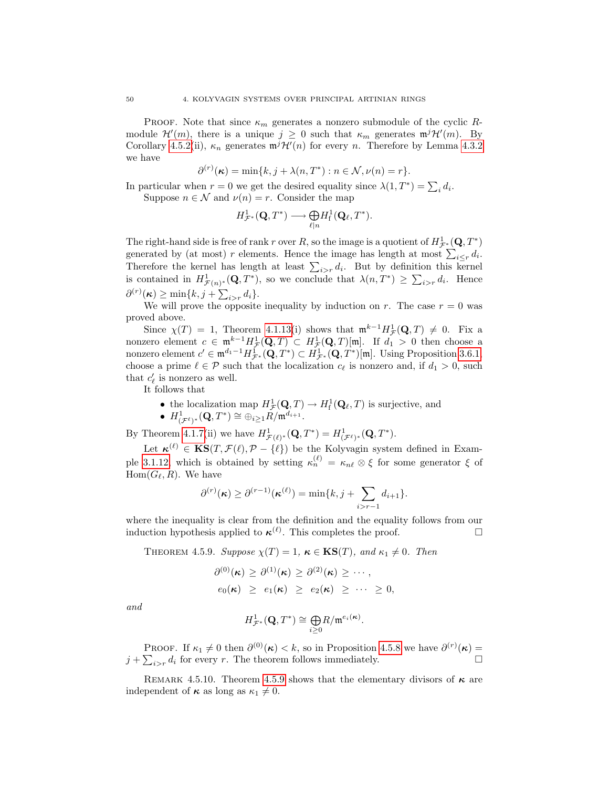PROOF. Note that since  $\kappa_m$  generates a nonzero submodule of the cyclic Rmodule  $\mathcal{H}'(m)$ , there is a unique  $j \geq 0$  such that  $\kappa_m$  generates  $\mathfrak{m}^j\mathcal{H}'(m)$ . By Corollary [4.5.2\(](#page-53-1)ii),  $\kappa_n$  generates  $m^j \mathcal{H}'(n)$  for every n. Therefore by Lemma [4.3.2](#page-46-3) we have

$$
\partial^{(r)}(\kappa) = \min\{k, j + \lambda(n, T^*): n \in \mathcal{N}, \nu(n) = r\}.
$$

In particular when  $r = 0$  we get the desired equality since  $\lambda(1, T^*) = \sum_i d_i$ . Suppose  $n \in \mathcal{N}$  and  $\nu(n) = r$ . Consider the map

$$
H^{1}_{\mathcal{F}^*}(\mathbf{Q},T^*) \longrightarrow \underset{\ell|n}{\bigoplus}H^{1}_{\mathrm{f}}(\mathbf{Q}_{\ell},T^*).
$$

The right-hand side is free of rank r over R, so the image is a quotient of  $H^1_{\mathcal{F}^*}(\mathbf{Q},T^*)$ generated by (at most) r elements. Hence the image has length at most  $\sum_{i \leq r} d_i$ . Therefore the kernel has length at least  $\sum_{i>r} d_i$ . But by definition this kernel is contained in  $H^1_{\mathcal{F}(n)^*}(\mathbf{Q},T^*)$ , so we conclude that  $\lambda(n,T^*) \geq \sum_{i>r} d_i$ . Hence  $\partial^{(r)}(\kappa) \geq \min\{k, j+\sum_{i>r}d_i\}.$ 

We will prove the opposite inequality by induction on r. The case  $r = 0$  was proved above.

Since  $\chi(T) = 1$ , Theorem [4.1.13\(](#page-43-1)i) shows that  $\mathfrak{m}^{k-1} H^1_{\mathcal{F}}(\mathbf{Q}, T) \neq 0$ . Fix a nonzero element  $c \in \mathfrak{m}^{k-1}H^1_{\mathcal{F}}(\mathbf{Q},T) \subset H^1_{\mathcal{F}}(\mathbf{Q},T)[\mathfrak{m}]$ . If  $d_1 > 0$  then choose a nonzero element  $c' \in \mathfrak{m}^{d_1-1} H^1_{\mathcal{F}^*}(\mathbf{Q}, T^*) \subset H^1_{\mathcal{F}^*}(\mathbf{Q}, T^*)[\mathfrak{m}]$ . Using Proposition [3.6.1,](#page-35-0) choose a prime  $\ell \in \mathcal{P}$  such that the localization  $c_{\ell}$  is nonzero and, if  $d_1 > 0$ , such that  $c'_{\ell}$  is nonzero as well.

It follows that

- the localization map  $H^1_{\mathcal{F}}(\mathbf{Q}, T) \to H^1_{\mathbf{f}}(\mathbf{Q}_\ell, T)$  is surjective, and
- $\bullet \ \ H^1_{(\mathcal{F}^{\ell})^*}(\mathbf{Q},T^*)\cong \oplus_{i\geq 1}\check{R}/\mathfrak{m}^{d_{i+1}}.$

By Theorem [4.1.7\(](#page-42-0)ii) we have  $H^1_{\mathcal{F}(\ell)^*}(\mathbf{Q}, T^*) = H^1_{(\mathcal{F}^{\ell})^*}(\mathbf{Q}, T^*)$ .

Let  $\kappa^{(\ell)} \in \text{KS}(T, \mathcal{F}(\ell), \mathcal{P} - \{\ell\})$  be the Kolyvagin system defined in Exam-ple [3.1.12,](#page-27-0) which is obtained by setting  $\kappa_n^{(\ell)} = \kappa_{n\ell} \otimes \xi$  for some generator  $\xi$  of  $Hom(G_{\ell}, R)$ . We have

$$
\partial^{(r)}(\kappa) \geq \partial^{(r-1)}(\kappa^{(\ell)}) = \min\{k, j + \sum_{i>r-1} d_{i+1}\}.
$$

where the inequality is clear from the definition and the equality follows from our induction hypothesis applied to  $\kappa^{(\ell)}$ . This completes the proof.

<span id="page-55-0"></span>THEOREM 4.5.9. Suppose  $\chi(T) = 1$ ,  $\kappa \in \text{KS}(T)$ , and  $\kappa_1 \neq 0$ . Then

$$
\partial^{(0)}(\kappa) \geq \partial^{(1)}(\kappa) \geq \partial^{(2)}(\kappa) \geq \cdots,
$$
  

$$
e_0(\kappa) \geq e_1(\kappa) \geq e_2(\kappa) \geq \cdots \geq 0,
$$

and

$$
H^1_{\mathcal{F}^*}(\mathbf{Q},T^*)\cong \underset{i\geq 0}{\bigoplus} R/\mathfrak{m}^{e_i(\kappa)}.
$$

PROOF. If  $\kappa_1 \neq 0$  then  $\partial^{(0)}(\kappa) < k$ , so in Proposition [4.5.8](#page-54-2) we have  $\partial^{(r)}(\kappa) =$  $j + \sum_{i>r} d_i$  for every r. The theorem follows immediately.

REMARK 4.5.10. Theorem [4.5.9](#page-55-0) shows that the elementary divisors of  $\kappa$  are independent of  $\kappa$  as long as  $\kappa_1 \neq 0$ .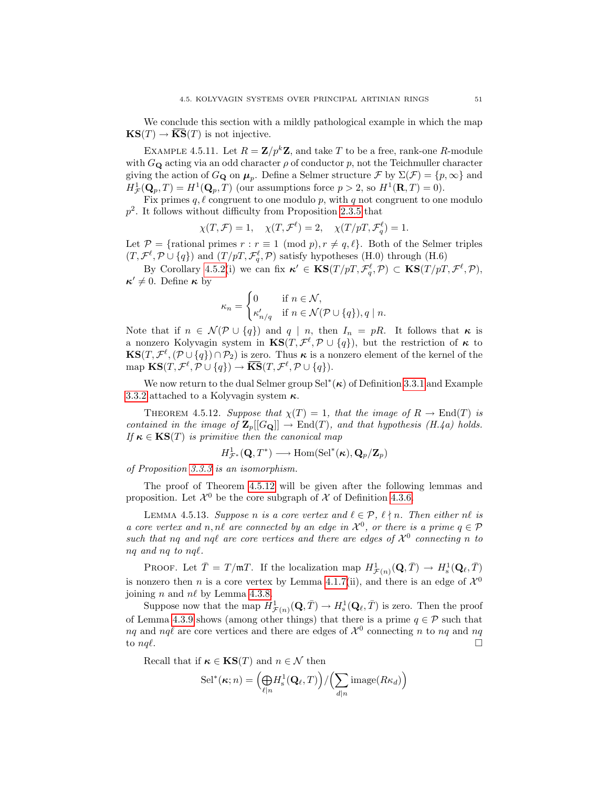We conclude this section with a mildly pathological example in which the map  $\text{KS}(T) \to \overline{\text{KS}}(T)$  is not injective.

<span id="page-56-0"></span>EXAMPLE 4.5.11. Let  $R = \mathbb{Z}/p^k \mathbb{Z}$ , and take T to be a free, rank-one R-module with  $G_{\mathbf{Q}}$  acting via an odd character  $\rho$  of conductor p, not the Teichmuller character giving the action of  $G_{\mathbf{Q}}$  on  $\mu_p$ . Define a Selmer structure  $\mathcal{F}$  by  $\Sigma(\mathcal{F}) = \{p, \infty\}$  and  $H^1_{\mathcal{F}}(\mathbf{Q}_p, T) = H^1(\mathbf{Q}_p, T)$  (our assumptions force  $p > 2$ , so  $H^1(\mathbf{R}, T) = 0$ ).

Fix primes  $q, \ell$  congruent to one modulo p, with q not congruent to one modulo  $p<sup>2</sup>$ . It follows without difficulty from Proposition [2.3.5](#page-22-2) that

$$
\chi(T,\mathcal{F}) = 1, \quad \chi(T,\mathcal{F}^{\ell}) = 2, \quad \chi(T/pT,\mathcal{F}^{\ell}_{q}) = 1.
$$

Let  $\mathcal{P} = \{\text{rational primes } r : r \equiv 1 \pmod{p}, r \neq q, \ell\}.$  Both of the Selmer triples  $(T, \mathcal{F}^{\ell}, \mathcal{P} \cup \{q\})$  and  $(T/pT, \mathcal{F}^{\ell}_{q}, \mathcal{P})$  satisfy hypotheses (H.0) through (H.6)

By Corollary [4.5.2\(](#page-53-1)i) we can fix  $\kappa' \in \mathbf{KS}(T/pT, \mathcal{F}_q^{\ell}, \mathcal{P}) \subset \mathbf{KS}(T/pT, \mathcal{F}^{\ell}, \mathcal{P}),$  $\kappa' \neq 0$ . Define  $\kappa$  by

$$
\kappa_n = \begin{cases} 0 & \text{if } n \in \mathcal{N}, \\ \kappa'_{n/q} & \text{if } n \in \mathcal{N}(\mathcal{P} \cup \{q\}), q \mid n. \end{cases}
$$

Note that if  $n \in \mathcal{N}(\mathcal{P} \cup \{q\})$  and  $q \mid n$ , then  $I_n = pR$ . It follows that  $\kappa$  is a nonzero Kolyvagin system in  $\text{KS}(T, \mathcal{F}^{\ell}, \mathcal{P} \cup \{q\})$ , but the restriction of  $\kappa$  to  $\mathbf{KS}(T,\mathcal{F}^{\ell},(\mathcal{P}\cup\{q\})\cap\mathcal{P}_2)$  is zero. Thus  $\kappa$  is a nonzero element of the kernel of the map  $\text{KS}(T, \mathcal{F}^{\ell}, \mathcal{P} \cup \{q\}) \to \overline{\text{KS}}(T, \mathcal{F}^{\ell}, \mathcal{P} \cup \{q\}).$ 

We now return to the dual Selmer group  $\text{Sel}^*(\kappa)$  of Definition [3.3.1](#page-30-0) and Example [3.3.2](#page-30-1) attached to a Kolyvagin system  $\kappa$ .

<span id="page-56-1"></span>THEOREM 4.5.12. Suppose that  $\chi(T) = 1$ , that the image of  $R \to \text{End}(T)$  is contained in the image of  $\mathbf{Z}_p[[G_{\mathbf{Q}}]] \to \text{End}(T)$ , and that hypothesis (H.4a) holds. If  $\kappa \in \text{KS}(T)$  is primitive then the canonical map

$$
H^1_{\mathcal{F}^*}(\mathbf{Q},T^*) \longrightarrow \mathrm{Hom}(\mathrm{Sel}^*(\kappa), \mathbf{Q}_p/\mathbf{Z}_p)
$$

of Proposition [3.3.3](#page-30-2) is an isomorphism.

The proof of Theorem [4.5.12](#page-56-1) will be given after the following lemmas and proposition. Let  $\mathcal{X}^0$  be the core subgraph of  $\mathcal X$  of Definition [4.3.6.](#page-46-4)

<span id="page-56-2"></span>LEMMA 4.5.13. Suppose n is a core vertex and  $\ell \in \mathcal{P}$ ,  $\ell \nmid n$ . Then either n $\ell$  is a core vertex and n, nl are connected by an edge in  $\mathcal{X}^0$ , or there is a prime  $q \in \mathcal{P}$ such that nq and nql are core vertices and there are edges of  $\mathcal{X}^0$  connecting n to  $nq$  and  $nq$  to  $nq\ell$ .

PROOF. Let  $\bar{T} = T/\mathfrak{m}T$ . If the localization map  $H^1_{\mathcal{F}(n)}(\mathbf{Q}, \bar{T}) \to H^1_{\rm s}(\mathbf{Q}_\ell, \bar{T})$ is nonzero then *n* is a core vertex by Lemma [4.1.7\(](#page-42-0)ii), and there is an edge of  $\mathcal{X}^0$ joining *n* and  $n\ell$  by Lemma [4.3.8.](#page-47-0)

Suppose now that the map  $H^1_{\mathcal{F}(n)}(\mathbf{Q}, \bar{T}) \to H^1_{\rm s}(\mathbf{Q}_\ell, \bar{T})$  is zero. Then the proof of Lemma [4.3.9](#page-47-1) shows (among other things) that there is a prime  $q \in \mathcal{P}$  such that nq and nq $\ell$  are core vertices and there are edges of  $\mathcal{X}^0$  connecting n to nq and nq to  $nq\ell$ .

Recall that if  $\kappa \in \mathbf{KS}(T)$  and  $n \in \mathcal{N}$  then

$$
\mathrm{Sel}^*(\kappa; n) = \left(\underset{\ell|n}{\bigoplus} H^1_{\mathrm{s}}(\mathbf{Q}_{\ell}, T)\right) / \left(\sum_{d|n} \mathrm{image}(R\kappa_d)\right)
$$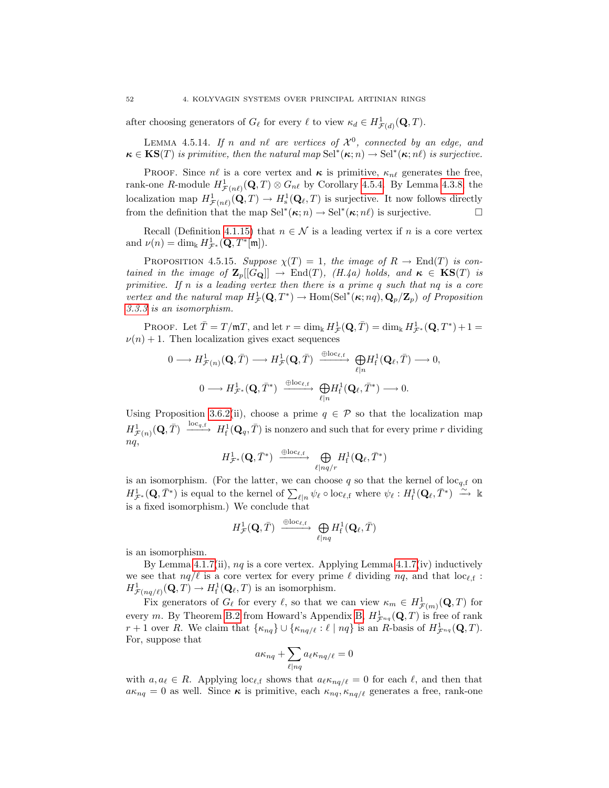after choosing generators of  $G_{\ell}$  for every  $\ell$  to view  $\kappa_d \in H^1_{\mathcal{F}(d)}(\mathbf{Q}, T)$ .

<span id="page-57-1"></span>LEMMA 4.5.14. If n and nl are vertices of  $\mathcal{X}^0$ , connected by an edge, and  $\kappa \in \text{KS}(T)$  is primitive, then the natural map  $\text{Sel}^*(\kappa; n) \to \text{Sel}^*(\kappa; n\ell)$  is surjective.

PROOF. Since  $n\ell$  is a core vertex and  $\kappa$  is primitive,  $\kappa_{n\ell}$  generates the free, rank-one R-module  $H^1_{\mathcal{F}(n\ell)}(\mathbf{Q}, T) \otimes G_{n\ell}$  by Corollary [4.5.4.](#page-54-1) By Lemma [4.3.8,](#page-47-0) the localization map  $H^1_{\mathcal{F}(n\ell)}(\mathbf{Q}, T) \to H^1_{\rm s}(\mathbf{Q}_\ell, T)$  is surjective. It now follows directly from the definition that the map  $\text{Sel}^*(\kappa; n) \to \text{Sel}^*(\kappa; n\ell)$  is surjective.

Recall (Definition [4.1.15\)](#page-44-2) that  $n \in \mathcal{N}$  is a leading vertex if n is a core vertex and  $\nu(n) = \dim_{\mathbb{k}} H^1_{\mathcal{F}^*}(\mathbf{Q}, T^*[\mathfrak{m}]).$ 

<span id="page-57-0"></span>PROPOSITION 4.5.15. Suppose  $\chi(T) = 1$ , the image of  $R \to \text{End}(T)$  is contained in the image of  $\mathbf{Z}_p[[G_{\mathbf{Q}}]] \to \text{End}(T)$ ,  $(H.4a)$  holds, and  $\kappa \in \mathbf{KS}(T)$  is primitive. If n is a leading vertex then there is a prime q such that nq is a core vertex and the natural map  $H^1_{\mathcal{F}}(\mathbf{Q},T^*) \to \text{Hom}(\text{Sel}^*(\kappa;nq), \mathbf{Q}_p/\mathbf{Z}_p)$  of Proposition [3.3.3](#page-30-2) is an isomorphism.

PROOF. Let  $\bar{T} = T/\mathfrak{m}T$ , and let  $r = \dim_{\mathbb{k}} H^1_{\mathcal{F}}(\mathbf{Q}, \bar{T}) = \dim_{\mathbb{k}} H^1_{\mathcal{F}^*}(\mathbf{Q}, T^*) + 1 =$  $\nu(n) + 1$ . Then localization gives exact sequences

$$
\begin{aligned}\n0 &\longrightarrow H^1_{\mathcal{F}(n)}(\mathbf{Q}, \bar{T}) \longrightarrow H^1_{\mathcal{F}}(\mathbf{Q}, \bar{T}) \xrightarrow{\oplus \text{loc}_{\ell, f}} \bigoplus_{\ell|n} H^1_{\text{f}}(\mathbf{Q}_{\ell}, \bar{T}) \longrightarrow 0, \\
0 &\longrightarrow H^1_{\mathcal{F}^*}(\mathbf{Q}, \bar{T}^*) \xrightarrow{\oplus \text{loc}_{\ell, f}} \bigoplus_{\ell|n} H^1_{\text{f}}(\mathbf{Q}_{\ell}, \bar{T}^*) \longrightarrow 0.\n\end{aligned}
$$

Using Proposition [3.6.2\(](#page-35-1)ii), choose a prime  $q \in \mathcal{P}$  so that the localization map  $H^1_{\mathcal{F}(n)}(\mathbf{Q}, \bar{T}) \xrightarrow{\text{loc}_{q,\mathrm{f}}} H^1_{\mathrm{f}}(\mathbf{Q}_q, \bar{T})$  is nonzero and such that for every prime r dividing  $nq$ ,

$$
H^{1}_{\mathcal{F}^*}(\mathbf{Q}, \bar{T}^*) \xrightarrow{\oplus \mathrm{loc}_{\ell, \mathrm{f}}}\bigoplus_{\ell \mid nq/r} H^{1}_{\mathrm{f}}(\mathbf{Q}_{\ell}, \bar{T}^*)
$$

is an isomorphism. (For the latter, we can choose q so that the kernel of  $\mathrm{loc}_{q,f}$  on  $H^1_{\mathcal{F}^*}(\mathbf{Q}, \bar{T}^*)$  is equal to the kernel of  $\sum_{\ell|n} \psi_{\ell} \circ \text{loc}_{\ell, \mathbf{f}}$  where  $\psi_{\ell} : H^1_{\mathbf{f}}(\mathbf{Q}_{\ell}, \bar{T}^*) \stackrel{\sim}{\longrightarrow} \mathbb{k}$ is a fixed isomorphism.) We conclude that

$$
H^1_{\mathcal{F}}(\mathbf{Q},\bar{T})\ \xrightarrow{\ \oplus \mathrm{loc}_{\ell,\mathrm{f}}\ } \ \bigoplus_{\ell \mid nq} H^1_{\mathrm{f}}(\mathbf{Q}_{\ell},\bar{T})
$$

is an isomorphism.

By Lemma [4.1.7\(](#page-42-0)ii),  $nq$  is a core vertex. Applying Lemma 4.1.7(iv) inductively we see that  $nq/\ell$  is a core vertex for every prime  $\ell$  dividing  $nq$ , and that  $\mathrm{loc}_{\ell,f}$ :  $H^1_{\mathcal{F}(nq/\ell)}(\mathbf{Q}, T) \to H^1_{\mathrm{f}}(\mathbf{Q}_{\ell}, T)$  is an isomorphism.

Fix generators of  $G_{\ell}$  for every  $\ell$ , so that we can view  $\kappa_m \in H^1_{\mathcal{F}(m)}(\mathbf{Q}, T)$  for every m. By Theorem [B.2](#page-95-0) from Howard's Appendix [B,](#page-94-0)  $H^1_{\mathcal{F}^{nq}}(\mathbf{Q},T)$  is free of rank r + 1 over R. We claim that  $\{\kappa_{nq}\}\cup \{\kappa_{nq/\ell} : \ell \mid nq\}$  is an R-basis of  $H^1_{\mathcal{F}^{nq}}(\mathbf{Q}, T)$ . For, suppose that

$$
a\kappa_{nq} + \sum_{\ell|nq} a_{\ell}\kappa_{nq/\ell} = 0
$$

with  $a, a_\ell \in R$ . Applying loc<sub> $\ell, f$ </sub> shows that  $a_\ell \kappa_{nq/\ell} = 0$  for each  $\ell$ , and then that  $a\kappa_{nq} = 0$  as well. Since  $\kappa$  is primitive, each  $\kappa_{nq}, \kappa_{nq/\ell}$  generates a free, rank-one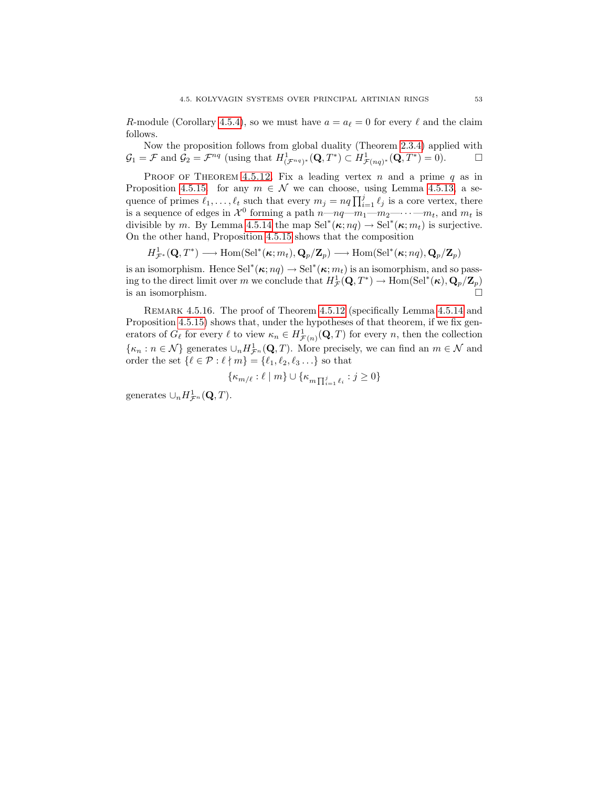R-module (Corollary [4.5.4\)](#page-54-1), so we must have  $a = a_\ell = 0$  for every  $\ell$  and the claim follows.

Now the proposition follows from global duality (Theorem [2.3.4\)](#page-22-3) applied with  $\mathcal{G}_1 = \mathcal{F}$  and  $\mathcal{G}_2 = \mathcal{F}^{nq}$  (using that  $H^1_{(\mathcal{F}^{nq})^*}(\mathbf{Q}, T^*) \subset H^1_{\mathcal{F}(nq)^*}(\mathbf{Q}, T^*) = 0$ ).

PROOF OF THEOREM [4.5.12.](#page-56-1) Fix a leading vertex n and a prime q as in Proposition [4.5.15.](#page-57-0) for any  $m \in \mathcal{N}$  we can choose, using Lemma [4.5.13,](#page-56-2) a sequence of primes  $\ell_1, \ldots, \ell_t$  such that every  $m_j = nq \prod_{i=1}^j \ell_j$  is a core vertex, there is a sequence of edges in  $\mathcal{X}^0$  forming a path  $n-m_1-m_2-\cdots-m_t$ , and  $m_t$  is divisible by m. By Lemma [4.5.14](#page-57-1) the map  $\text{Sel}^*(\kappa; nq) \to \text{Sel}^*(\kappa; m_t)$  is surjective. On the other hand, Proposition [4.5.15](#page-57-0) shows that the composition

$$
H^1_{\mathcal{F}^*}(\mathbf{Q},T^*) \longrightarrow \mathrm{Hom}(\mathrm{Sel}^*(\kappa;m_t),\mathbf{Q}_p/\mathbf{Z}_p) \longrightarrow \mathrm{Hom}(\mathrm{Sel}^*(\kappa;nq),\mathbf{Q}_p/\mathbf{Z}_p)
$$

is an isomorphism. Hence  $\text{Sel}^*(\kappa; nq) \to \text{Sel}^*(\kappa; m_t)$  is an isomorphism, and so passing to the direct limit over m we conclude that  $H^1_{\mathcal{F}}(\mathbf{Q},T^*) \to \text{Hom}(\text{Sel}^*(\kappa), \mathbf{Q}_p/\mathbf{Z}_p)$ is an isomorphism.  $\Box$ 

Remark 4.5.16. The proof of Theorem [4.5.12](#page-56-1) (specifically Lemma [4.5.14](#page-57-1) and Proposition [4.5.15\)](#page-57-0) shows that, under the hypotheses of that theorem, if we fix generators of  $G_{\ell}$  for every  $\ell$  to view  $\kappa_n \in H^1_{\mathcal{F}(n)}(\mathbf{Q}, T)$  for every n, then the collection  $\{\kappa_n : n \in \mathcal{N}\}$  generates  $\cup_n H^1_{\mathcal{F}^n}(\mathbf{Q}, T)$ . More precisely, we can find an  $m \in \mathcal{N}$  and order the set  $\{\ell \in \mathcal{P} : \ell \nmid m\} = {\ell_1, \ell_2, \ell_3 \ldots}$  so that

$$
\{\kappa_{m/\ell} : \ell \mid m\} \cup \{\kappa_{m \prod_{i=1}^{j} \ell_i} : j \geq 0\}
$$

generates  $\cup_n H^1_{\mathcal{F}^n}(\mathbf{Q},T)$ .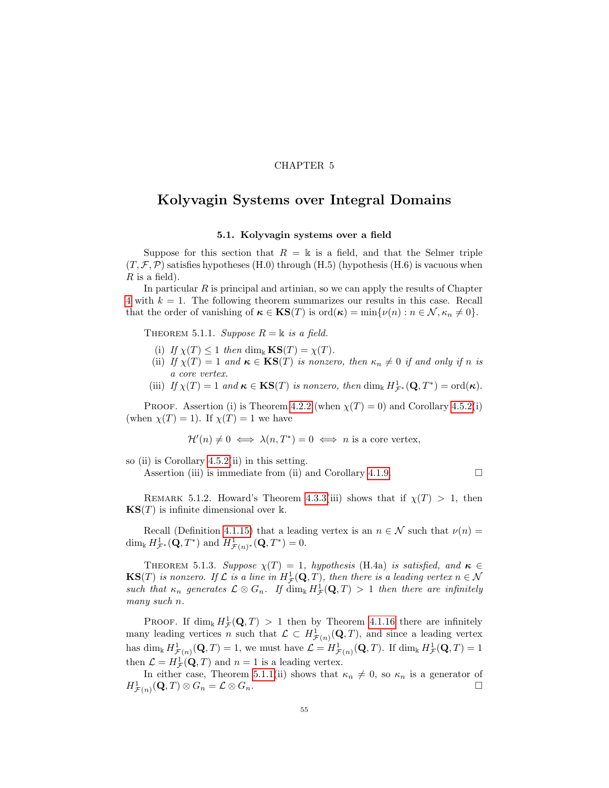# CHAPTER 5

# <span id="page-60-0"></span>Kolyvagin Systems over Integral Domains

# 5.1. Kolyvagin systems over a field

Suppose for this section that  $R = \mathbb{k}$  is a field, and that the Selmer triple  $(T, \mathcal{F}, \mathcal{P})$  satisfies hypotheses (H.0) through (H.5) (hypothesis (H.6) is vacuous when  $R$  is a field).

In particular  $R$  is principal and artinian, so we can apply the results of Chapter [4](#page-40-0) with  $k = 1$ . The following theorem summarizes our results in this case. Recall that the order of vanishing of  $\kappa \in \mathbf{KS}(T)$  is  $\text{ord}(\kappa) = \min\{\nu(n) : n \in \mathcal{N}, \kappa_n \neq 0\}.$ 

<span id="page-60-1"></span>THEOREM 5.1.1. Suppose  $R = \mathbb{k}$  is a field.

- (i) If  $\chi(T) \leq 1$  then dim<sub>k</sub>  $\mathbf{KS}(T) = \chi(T)$ .
- (ii) If  $\chi(T) = 1$  and  $\kappa \in \text{KS}(T)$  is nonzero, then  $\kappa_n \neq 0$  if and only if n is a core vertex.
- (iii) If  $\chi(T) = 1$  and  $\kappa \in \mathbf{KS}(T)$  is nonzero, then  $\dim_{\Bbbk} H^1_{\mathcal{F}^*}(\mathbf{Q}, T^*) = \text{ord}(\kappa)$ .

PROOF. Assertion (i) is Theorem [4.2.2](#page-45-0) (when  $\chi(T) = 0$ ) and Corollary [4.5.2\(](#page-53-1)i) (when  $\chi(T) = 1$ ). If  $\chi(T) = 1$  we have

$$
\mathcal{H}'(n) \neq 0 \iff \lambda(n, T^*) = 0 \iff n \text{ is a core vertex},
$$

so (ii) is Corollary  $4.5.2$ (ii) in this setting.

Assertion (iii) is immediate from (ii) and Corollary [4.1.9.](#page-43-2)

$$
\qquad \qquad \Box
$$

REMARK 5.1.2. Howard's Theorem [4.3.3\(](#page-46-0)iii) shows that if  $\chi(T) > 1$ , then  $\mathbf{KS}(T)$  is infinite dimensional over k.

Recall (Definition [4.1.15\)](#page-44-2) that a leading vertex is an  $n \in \mathcal{N}$  such that  $\nu(n) =$ dim<sub>k</sub>  $H^1_{\mathcal{F}^*}(\mathbf{Q}, T^*)$  and  $H^1_{\mathcal{F}(n)^*}(\mathbf{Q}, T^*) = 0$ .

THEOREM 5.1.3. Suppose  $\chi(T) = 1$ , hypothesis (H.4a) is satisfied, and  $\kappa \in$  $\mathbf{KS}(T)$  is nonzero. If  $\mathcal L$  is a line in  $H^1_{\mathcal F}(\mathbf Q,T)$ , then there is a leading vertex  $n \in \mathcal N$ such that  $\kappa_n$  generates  $\mathcal{L} \otimes G_n$ . If  $\dim_k H^1_{\mathcal{F}}(\mathbf{Q},T) > 1$  then there are infinitely many such n.

**PROOF.** If  $\dim_k H^1_{\mathcal{F}}(\mathbf{Q}, T) > 1$  then by Theorem [4.1.16](#page-44-0) there are infinitely many leading vertices n such that  $\mathcal{L} \subset H^1_{\mathcal{F}(n)}(\mathbf{Q},T)$ , and since a leading vertex has  $\dim_{\mathbb{k}} H^1_{\mathcal{F}(n)}(\mathbf{Q}, T) = 1$ , we must have  $\mathcal{L} = H^1_{\mathcal{F}(n)}(\mathbf{Q}, T)$ . If  $\dim_{\mathbb{k}} H^1_{\mathcal{F}}(\mathbf{Q}, T) = 1$ then  $\mathcal{L} = H^1_{\mathcal{F}}(\mathbf{\mathbf{Q}}, T)$  and  $n = 1$  is a leading vertex.

In either case, Theorem [5.1.1\(](#page-60-1)ii) shows that  $\kappa_n \neq 0$ , so  $\kappa_n$  is a generator of  $H^1_{\mathcal{F}(n)}(\mathbf{Q},T)\otimes G_n=\mathcal{L}\otimes G_n.$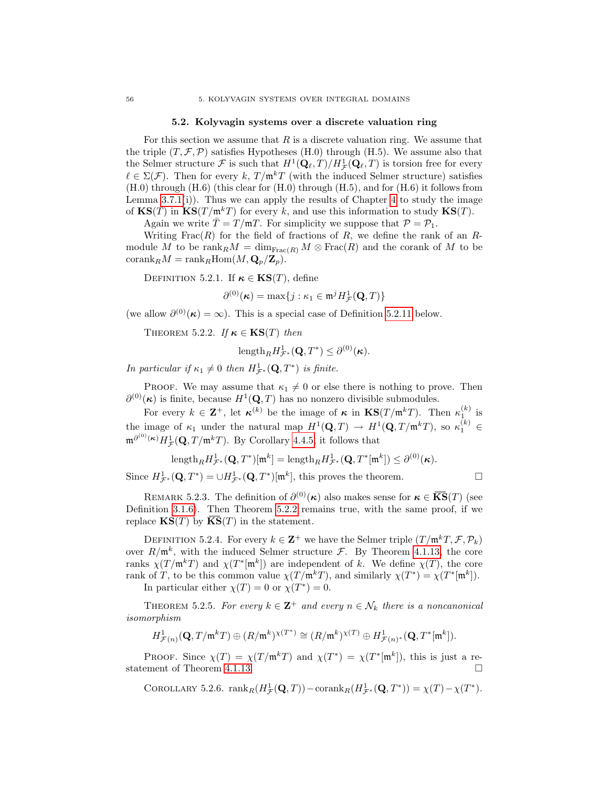### 5.2. Kolyvagin systems over a discrete valuation ring

<span id="page-61-4"></span>For this section we assume that  $R$  is a discrete valuation ring. We assume that the triple  $(T, \mathcal{F}, \mathcal{P})$  satisfies Hypotheses (H.0) through (H.5). We assume also that the Selmer structure F is such that  $H^1(\mathbf{Q}_\ell, T)/H^1_{\mathcal{F}}(\mathbf{Q}_\ell, T)$  is torsion free for every  $\ell \in \Sigma(\mathcal{F})$ . Then for every k,  $T / \mathfrak{m}^k T$  (with the induced Selmer structure) satisfies  $(H.0)$  through  $(H.6)$  (this clear for  $(H.0)$  through  $(H.5)$ , and for  $(H.6)$  it follows from Lemma [3.7.1\(](#page-38-1)i)). Thus we can apply the results of Chapter [4](#page-40-0) to study the image of  $\mathbf{KS}(T)$  in  $\mathbf{KS}(T/\mathfrak{m}^k)$  for every k, and use this information to study  $\mathbf{KS}(T)$ .

Again we write  $\overline{T} = T/\mathfrak{m}T$ . For simplicity we suppose that  $\mathcal{P} = \mathcal{P}_1$ .

Writing  $Frac(R)$  for the field of fractions of R, we define the rank of an Rmodule M to be  $\text{rank}_RM = \dim_{\text{Frac}(R)}M \otimes \text{Frac}(R)$  and the corank of M to be  $\mathrm{corank}_{R}M = \mathrm{rank}_{R}\mathrm{Hom}(M, \mathbf{Q}_{p}/\mathbf{Z}_{p}).$ 

<span id="page-61-2"></span>DEFINITION 5.2.1. If  $\kappa \in KS(T)$ , define

$$
\partial^{(0)}(\kappa) = \max\{j : \kappa_1 \in \mathfrak{m}^j H^1_{\mathcal{F}}(\mathbf{Q}, T)\}
$$

<span id="page-61-0"></span>(we allow  $\partial^{(0)}(\kappa) = \infty$ ). This is a special case of Definition [5.2.11](#page-62-0) below.

THEOREM 5.2.2. If  $\kappa \in KS(T)$  then

length<sub>R</sub> $H^1_{\mathcal{F}^*}(\mathbf{Q},T^*) \leq \partial^{(0)}(\kappa).$ 

In particular if  $\kappa_1 \neq 0$  then  $H^1_{\mathcal{F}^*}(\mathbf{Q}, T^*)$  is finite.

PROOF. We may assume that  $\kappa_1 \neq 0$  or else there is nothing to prove. Then  $\partial^{(0)}(\kappa)$  is finite, because  $H^1(\mathbf{Q}, T)$  has no nonzero divisible submodules.

For every  $k \in \mathbf{Z}^+$ , let  $\kappa^{(k)}$  be the image of  $\kappa$  in  $\text{KS}(T/\mathfrak{m}^k T)$ . Then  $\kappa_1^{(k)}$  is the image of  $\kappa_1$  under the natural map  $H^1(\mathbf{Q}, T) \to H^1(\mathbf{Q}, T/\mathfrak{m}^k T)$ , so  $\kappa_1^{(k)} \in$  $\mathfrak{m}^{\partial^{(0)}(\kappa)} H^1_{\mathcal{F}}(\mathbf{Q}, T/\mathfrak{m}^k T)$ . By Corollary [4.4.5,](#page-52-0) it follows that

$$
\textup{length}_R H^1_{\mathcal{F}^*}(\mathbf{Q},T^*)[\mathfrak{m}^k] = \textup{length}_R H^1_{\mathcal{F}^*}(\mathbf{Q},T^*[\mathfrak{m}^k]) \leq \partial^{(0)}(\kappa).
$$

Since  $H^1_{\mathcal{F}^*}(\mathbf{Q}, T^*) = \cup H^1_{\mathcal{F}^*}(\mathbf{Q}, T^*)[\mathfrak{m}^k]$ , this proves the theorem.

REMARK 5.2.3. The definition of  $\partial^{(0)}(\kappa)$  also makes sense for  $\kappa \in \overline{KS}(T)$  (see Definition [3.1.6\)](#page-26-0). Then Theorem [5.2.2](#page-61-0) remains true, with the same proof, if we replace  $\mathbf{KS}(T)$  by  $\overline{\mathbf{KS}}(T)$  in the statement.

DEFINITION 5.2.4. For every  $k \in \mathbb{Z}^+$  we have the Selmer triple  $(T/\mathfrak{m}^k T, \mathcal{F}, \mathcal{P}_k)$ over  $R/\mathfrak{m}^k$ , with the induced Selmer structure  $\mathcal{F}$ . By Theorem [4.1.13,](#page-43-1) the core ranks  $\chi(T/\mathfrak{m}^k T)$  and  $\chi(T^*[\mathfrak{m}^k])$  are independent of k. We define  $\chi(T)$ , the core rank of T, to be this common value  $\chi(T/\mathfrak{m}^k T)$ , and similarly  $\chi(T^*) = \chi(T^* [\mathfrak{m}^k])$ .

In particular either  $\chi(T) = 0$  or  $\chi(T^*) = 0$ .

<span id="page-61-1"></span>THEOREM 5.2.5. For every  $k \in \mathbf{Z}^+$  and every  $n \in \mathcal{N}_k$  there is a noncanonical isomorphism

$$
H^{1}_{\mathcal{F}(n)}(\mathbf{Q}, T/\mathfrak{m}^k T) \oplus (R/\mathfrak{m}^k)^{\chi(T^*)} \cong (R/\mathfrak{m}^k)^{\chi(T)} \oplus H^{1}_{\mathcal{F}(n)^*}(\mathbf{Q}, T^* [\mathfrak{m}^k]).
$$

PROOF. Since  $\chi(T) = \chi(T/\mathfrak{m}^k T)$  and  $\chi(T^*) = \chi(T^*[\mathfrak{m}^k])$ , this is just a re-statement of Theorem [4.1.13.](#page-43-1)

<span id="page-61-3"></span>COROLLARY 5.2.6.  $\text{rank}_R(H^1_{\mathcal{F}}(\mathbf{Q}, T)) - \text{corank}_R(H^1_{\mathcal{F}^*}(\mathbf{Q}, T^*)) = \chi(T) - \chi(T^*)$ .

$$
\exists
$$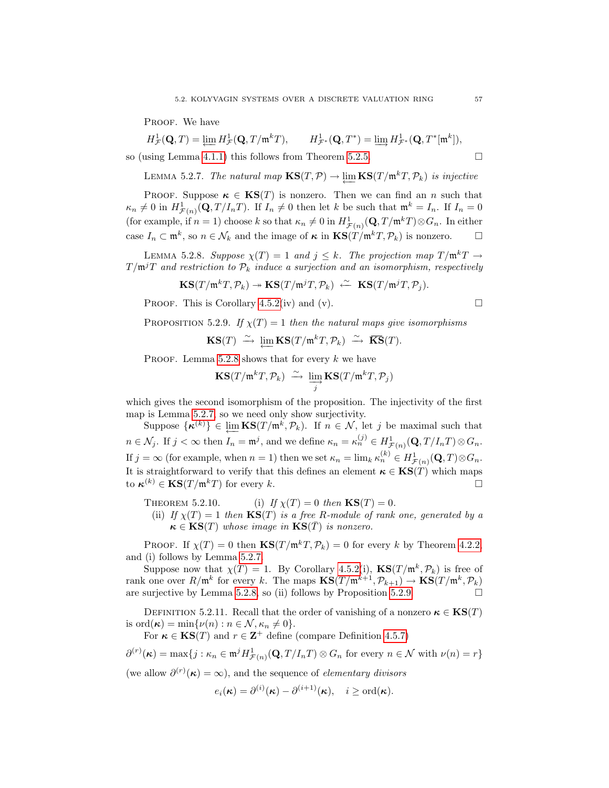PROOF. We have

 $H^1_{\mathcal{F}}(\mathbf{Q},T) = \varprojlim H^1_{\mathcal{F}}(\mathbf{Q},T/\mathfrak{m}^k T), \qquad H^1_{\mathcal{F}}$  $L^1_{\mathcal{F}^*}(\mathbf{Q},T^*) = \varinjlim H^1_{\mathcal{F}^*}(\mathbf{Q},T^*[\mathfrak{m}^k]),$ 

so (using Lemma [4.1.1\)](#page-40-1) this follows from Theorem [5.2.5.](#page-61-1)  $\Box$ 

<span id="page-62-2"></span>LEMMA 5.2.7. The natural map  $\mathbf{KS}(T,\mathcal{P}) \to \varprojlim \mathbf{KS}(T/\mathfrak{m}^kT,\mathcal{P}_k)$  is injective

PROOF. Suppose  $\kappa \in \text{KS}(T)$  is nonzero. Then we can find an n such that  $\kappa_n \neq 0$  in  $H^1_{\mathcal{F}(n)}(\mathbf{Q}, T/I_nT)$ . If  $I_n \neq 0$  then let k be such that  $\mathfrak{m}^k = I_n$ . If  $I_n = 0$ (for example, if  $n = 1$ ) choose k so that  $\kappa_n \neq 0$  in  $H^1_{\mathcal{F}(n)}(\mathbf{Q}, T/\mathfrak{m}^k T) \otimes G_n$ . In either case  $I_n \subset \mathfrak{m}^k$ , so  $n \in \mathcal{N}_k$  and the image of  $\kappa$  in  $\text{KS}(T/\mathfrak{m}^k T, \mathcal{P}_k)$  is nonzero.  $\Box$ 

<span id="page-62-1"></span>LEMMA 5.2.8. Suppose  $\chi(T) = 1$  and  $j \leq k$ . The projection map  $T/\mathfrak{m}^k T \to$  $T/\mathfrak{m}^jT$  and restriction to  $\mathcal{P}_k$  induce a surjection and an isomorphism, respectively

$$
\mathbf{KS}(T/\mathfrak{m}^kT,\mathcal{P}_k)\twoheadrightarrow\mathbf{KS}(T/\mathfrak{m}^jT,\mathcal{P}_k)\stackrel{\sim}{\leftarrow}\mathbf{KS}(T/\mathfrak{m}^jT,\mathcal{P}_j).
$$

PROOF. This is Corollary [4.5.2\(](#page-53-1)iv) and (v).  $\square$ 

<span id="page-62-3"></span>PROPOSITION 5.2.9. If  $\chi(T) = 1$  then the natural maps give isomorphisms

$$
\textup{\textbf{KS}}(T)\ \xrightarrow{\sim}\ \varprojlim\textup{\textbf{KS}}(T/\mathfrak{m}^kT,\mathcal{P}_k)\ \xrightarrow{\sim}\ \overline{\textup{\textbf{KS}}}(T).
$$

PROOF. Lemma [5.2.8](#page-62-1) shows that for every  $k$  we have

$$
\mathbf{KS}(T/\mathfrak{m}^kT,\mathcal{P}_k)\ \xrightarrow{\sim}\ \varinjlim_j\mathbf{KS}(T/\mathfrak{m}^kT,\mathcal{P}_j)
$$

which gives the second isomorphism of the proposition. The injectivity of the first map is Lemma [5.2.7,](#page-62-2) so we need only show surjectivity.

Suppose  $\{\kappa^{(k)}\}\in \varprojlim_{k} \mathbf{KS}(T/\mathfrak{m}^k, \mathcal{P}_k)$ . If  $n \in \mathcal{N}$ , let j be maximal such that  $n \in \mathcal{N}_j$ . If  $j < \infty$  then  $I_n = \mathfrak{m}^j$ , and we define  $\kappa_n = \kappa_n^{(j)} \in H^1_{\mathcal{F}(n)}(\mathbf{Q}, T/I_nT) \otimes G_n$ . If  $j = \infty$  (for example, when  $n = 1$ ) then we set  $\kappa_n = \lim_k \kappa_n^{(k)} \in H^1_{\mathcal{F}(n)}(\mathbf{Q}, T) \otimes G_n$ . It is straightforward to verify that this defines an element  $\kappa \in KS(T)$  which maps to  $\kappa^{(k)} \in \mathbf{KS}(T/\mathfrak{m}^k T)$  for every k.

<span id="page-62-4"></span>THEOREM 5.2.10. (i) If  $\chi(T) = 0$  then  $\text{KS}(T) = 0$ .

(ii) If  $\chi(T) = 1$  then  $\text{KS}(T)$  is a free R-module of rank one, generated by a  $\kappa \in \text{KS}(T)$  whose image in  $\text{KS}(\bar{T})$  is nonzero.

PROOF. If  $\chi(T) = 0$  then  $\text{KS}(T/\mathfrak{m}^k T, \mathcal{P}_k) = 0$  for every k by Theorem [4.2.2,](#page-45-0) and (i) follows by Lemma [5.2.7.](#page-62-2)

Suppose now that  $\chi(T) = 1$ . By Corollary [4.5.2\(](#page-53-1)i),  $\text{KS}(T/\mathfrak{m}^k, \mathcal{P}_k)$  is free of rank one over  $R/\mathfrak{m}^k$  for every k. The maps  $\mathbf{KS}(T/\mathfrak{m}^{k+1}, \mathcal{P}_{k+1}) \to \mathbf{KS}(T/\mathfrak{m}^k, \mathcal{P}_k)$ are surjective by Lemma [5.2.8,](#page-62-1) so (ii) follows by Proposition [5.2.9.](#page-62-3)  $\Box$ 

<span id="page-62-0"></span>DEFINITION 5.2.11. Recall that the order of vanishing of a nonzero  $\kappa \in \text{KS}(T)$ is ord $(\kappa) = \min\{\nu(n) : n \in \mathcal{N}, \kappa_n \neq 0\}.$ 

For  $\kappa \in \mathbf{KS}(T)$  and  $r \in \mathbf{Z}^+$  define (compare Definition [4.5.7\)](#page-54-3)

$$
\partial^{(r)}(\kappa) = \max\{j : \kappa_n \in \mathfrak{m}^j H^1_{\mathcal{F}(n)}(\mathbf{Q}, T/I_nT) \otimes G_n \text{ for every } n \in \mathcal{N} \text{ with } \nu(n) = r\}
$$

(we allow  $\partial^{(r)}(\kappa) = \infty$ ), and the sequence of *elementary divisors* 

$$
e_i(\boldsymbol{\kappa}) = \partial^{(i)}(\boldsymbol{\kappa}) - \partial^{(i+1)}(\boldsymbol{\kappa}), \quad i \geq \text{ord}(\boldsymbol{\kappa}).
$$

$$
\mathcal{L}_{\mathcal{A}}(x)
$$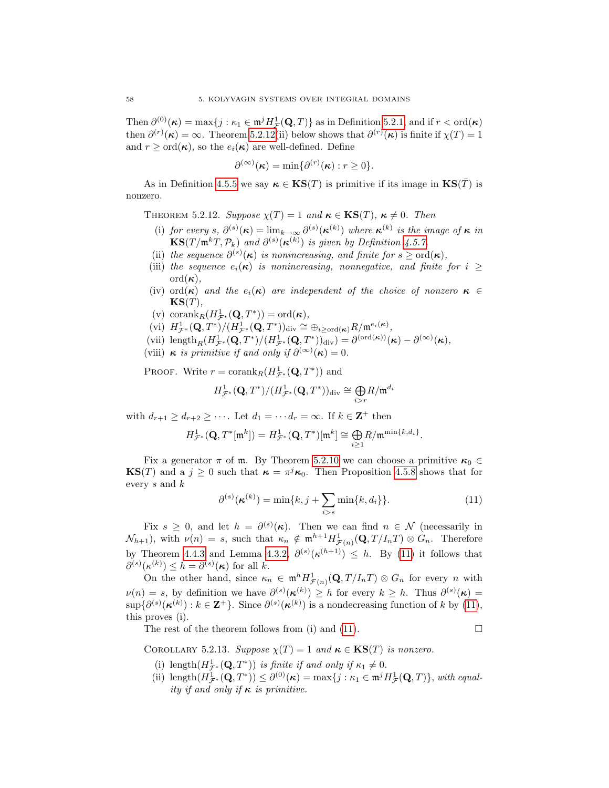Then  $\partial^{(0)}(\kappa) = \max\{j : \kappa_1 \in \mathfrak{m}^j H^1_{\mathcal{F}}(\mathbf{Q}, T)\}\$ as in Definition [5.2.1,](#page-61-2) and if  $r < \text{ord}(\kappa)$ then  $\partial^{(r)}(\kappa) = \infty$ . Theorem [5.2.12\(](#page-63-0)ii) below shows that  $\partial^{(r)}(\kappa)$  is finite if  $\chi(T) = 1$ and  $r \geq \text{ord}(\kappa)$ , so the  $e_i(\kappa)$  are well-defined. Define

$$
\partial^{(\infty)}(\kappa) = \min \{ \partial^{(r)}(\kappa) : r \ge 0 \}.
$$

As in Definition [4.5.5](#page-54-4) we say  $\kappa \in \mathbf{KS}(T)$  is primitive if its image in  $\mathbf{KS}(T)$  is nonzero.

<span id="page-63-0"></span>THEOREM 5.2.12. Suppose  $\chi(T) = 1$  and  $\kappa \in \text{KS}(T)$ ,  $\kappa \neq 0$ . Then

- (i) for every s,  $\partial^{(s)}(\kappa) = \lim_{k \to \infty} \partial^{(s)}(\kappa^{(k)})$  where  $\kappa^{(k)}$  is the image of  $\kappa$  in  $\mathbf{KS}(T/\mathfrak{m}^kT,\mathcal{P}_k)$  and  $\partial^{(s)}(\kappa^{(k)})$  is given by Definition [4.5.7,](#page-54-3)
- (ii) the sequence  $\partial^{(s)}(\kappa)$  is nonincreasing, and finite for  $s \geq \text{ord}(\kappa)$ ,
- (iii) the sequence  $e_i(\kappa)$  is nonincreasing, nonnegative, and finite for  $i \geq$  $\operatorname{ord}(\kappa),$
- (iv) ord( $\kappa$ ) and the  $e_i(\kappa)$  are independent of the choice of nonzero  $\kappa \in$  $KS(T)$ .
- (v)  $\mathrm{corank}_{R}(H^{1}_{\mathcal{F}^*}(\mathbf{Q},T^*)) = \mathrm{ord}(\kappa),$
- $\text{(vi)}\ \ H^1_{\mathcal{F}^*}(\mathbf{Q},T^*)/(H^1_{\mathcal{F}^*}(\mathbf{Q},T^*))_\text{div}\cong \oplus_{i\geq \text{ord}(\kappa)} R/\mathfrak{m}^{e_i(\kappa)},$
- (vii) length<sub>R</sub> $(H^1_{\mathcal{F}^*}(\mathbf{Q}, T^*)/(H^1_{\mathcal{F}^*}(\mathbf{Q}, T^*))_{div}) = \partial^{(\text{ord}(\kappa))}(\kappa) \partial^{(\infty)}(\kappa),$
- (viii)  $\kappa$  is primitive if and only if  $\partial^{(\infty)}(\kappa) = 0$ .

PROOF. Write  $r = \text{corank}_{R}(H^{1}_{\mathcal{F}^*}(\mathbf{Q}, T^*))$  and

$$
H^{1}_{\mathcal{F}^*}(\mathbf{Q},T^*)/(H^{1}_{\mathcal{F}^*}(\mathbf{Q},T^*))_{\mathrm{div}} \cong \underset{i>r}{\bigoplus} R/\mathfrak{m}^{d_i}
$$

with  $d_{r+1} \geq d_{r+2} \geq \cdots$ . Let  $d_1 = \cdots d_r = \infty$ . If  $k \in \mathbb{Z}^+$  then

$$
H^1_{\mathcal{F}^*}(\mathbf{Q},T^*[\mathfrak{m}^k])=H^1_{\mathcal{F}^*}(\mathbf{Q},T^*)[\mathfrak{m}^k]\cong \underset{i\geq 1}{\bigoplus} R/\mathfrak{m}^{\min\{k,d_i\}}.
$$

Fix a generator  $\pi$  of m. By Theorem [5.2.10](#page-62-4) we can choose a primitive  $\kappa_0 \in$ **KS**(*T*) and a  $j \geq 0$  such that  $\kappa = \pi^{j} \kappa_0$ . Then Proposition [4.5.8](#page-54-2) shows that for every s and k

<span id="page-63-1"></span>
$$
\partial^{(s)}(\boldsymbol{\kappa}^{(k)}) = \min\{k, j + \sum_{i>s} \min\{k, d_i\}\}.
$$
 (11)

Fix  $s \geq 0$ , and let  $h = \partial^{(s)}(\kappa)$ . Then we can find  $n \in \mathcal{N}$  (necessarily in  $\mathcal{N}_{h+1}$ , with  $\nu(n) = s$ , such that  $\kappa_n \notin \mathfrak{m}^{h+1} H^1_{\mathcal{F}(n)}(\mathbf{Q}, T/I_nT) \otimes G_n$ . Therefore by Theorem [4.4.3](#page-51-0) and Lemma [4.3.2,](#page-46-3)  $\partial^{(s)}(\kappa^{(h+1)}) \leq h$ . By [\(11\)](#page-63-1) it follows that  $\partial^{(s)}(\kappa^{(k)}) \leq h = \partial^{(s)}(\kappa)$  for all k.

On the other hand, since  $\kappa_n \in \mathfrak{m}^h H^1_{\mathcal{F}(n)}(\mathbf{Q}, T/I_nT) \otimes G_n$  for every n with  $\nu(n) = s$ , by definition we have  $\partial^{(s)}(\kappa^{(k)}) \geq h$  for every  $k \geq h$ . Thus  $\partial^{(s)}(\kappa) =$  $\sup\{\partial^{(s)}(\kappa^{(k)}) : k \in \mathbb{Z}^+\}$ . Since  $\partial^{(s)}(\kappa^{(k)})$  is a nondecreasing function of k by [\(11\)](#page-63-1), this proves (i).

The rest of the theorem follows from (i) and [\(11\)](#page-63-1).

$$
\qquad \qquad \Box
$$

<span id="page-63-2"></span>COROLLARY 5.2.13. Suppose  $\chi(T) = 1$  and  $\kappa \in \text{KS}(T)$  is nonzero.

- (i) length $(H^1_{\mathcal{F}^*}(\mathbf{Q}, T^*))$  is finite if and only if  $\kappa_1 \neq 0$ .
- (ii) length $(H^1_{\mathcal{F}^*}(\mathbf{Q}, T^*)) \leq \partial^{(0)}(\kappa) = \max\{j : \kappa_1 \in \mathfrak{m}^j H^1_{\mathcal{F}}(\mathbf{Q}, T)\}\$ , with equality if and only if  $\kappa$  is primitive.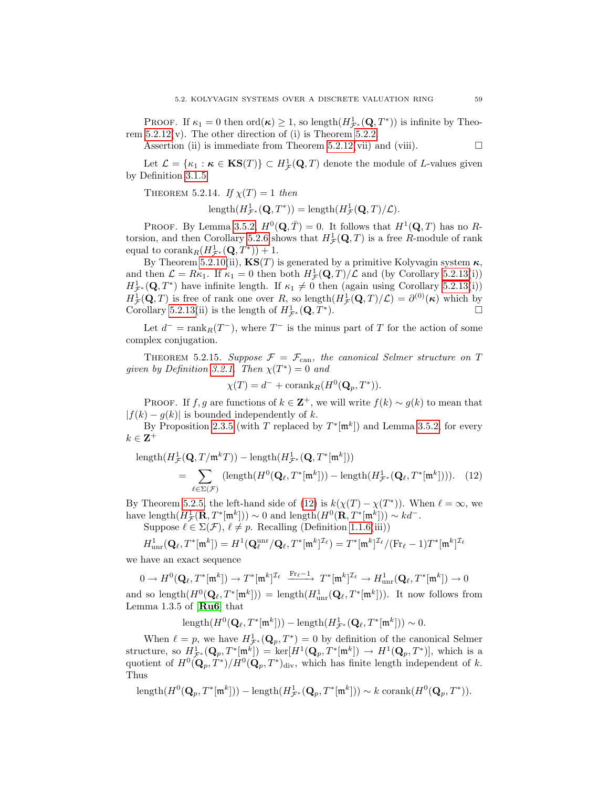PROOF. If  $\kappa_1 = 0$  then  $\text{ord}(\kappa) \geq 1$ , so length $(H^1_{\mathcal{F}^*}(\mathbf{Q}, T^*))$  is infinite by Theorem  $5.2.12(v)$ . The other direction of (i) is Theorem  $5.2.2$ .

Assertion (ii) is immediate from Theorem [5.2.12\(](#page-63-0)vii) and (viii).  $\Box$ 

Let  $\mathcal{L} = \{\kappa_1 : \kappa \in \mathbf{KS}(T)\} \subset H^1_{\mathcal{F}}(\mathbf{Q}, T)$  denote the module of L-values given by Definition [3.1.5.](#page-25-0)

THEOREM 5.2.14. If  $\chi(T) = 1$  then

$$
length(H^1_{\mathcal{F}^*}(\mathbf{Q},T^*)) = length(H^1_{\mathcal{F}}(\mathbf{Q},T)/\mathcal{L}).
$$

PROOF. By Lemma [3.5.2,](#page-33-1)  $H^0(\mathbf{Q}, \overline{T}) = 0$ . It follows that  $H^1(\mathbf{Q}, T)$  has no R-torsion, and then Corollary [5.2.6](#page-61-3) shows that  $H^1_{\mathcal{F}}(\mathbf{Q}, T)$  is a free R-module of rank equal to  $\mathrm{corank}_{R}(H^{1}_{\mathcal{F}^*}(\mathbf{Q},T^*))+1.$ 

By Theorem [5.2.10\(](#page-62-4)ii),  $\text{KS}(T)$  is generated by a primitive Kolyvagin system  $\kappa$ , and then  $\mathcal{L} = R\kappa_1$ . If  $\kappa_1 = 0$  then both  $H^1_{\mathcal{F}}(\mathbf{Q}, T)/\mathcal{L}$  and (by Corollary [5.2.13\(](#page-63-2)i))  $H^1_{\mathcal{F}^*}(\mathbf{Q},T^*)$  have infinite length. If  $\kappa_1 \neq 0$  then (again using Corollary [5.2.13\(](#page-63-2)i))  $H^1_{\mathcal{F}}(\mathbf{Q},T)$  is free of rank one over R, so length $(H^1_{\mathcal{F}}(\mathbf{Q},T)/\mathcal{L}) = \partial^{(0)}(\kappa)$  which by Corollary [5.2.13\(](#page-63-2)ii) is the length of  $H^1_{\mathcal{F}^*}(\mathbf{Q},T^*)$ ).

Let  $d^-$  = rank $_R(T^-)$ , where  $T^-$  is the minus part of T for the action of some complex conjugation.

<span id="page-64-0"></span>THEOREM 5.2.15. Suppose  $\mathcal{F} = \mathcal{F}_{\text{can}}$ , the canonical Selmer structure on T given by Definition [3.2.1.](#page-28-0) Then  $\chi(T^*)=0$  and

<span id="page-64-1"></span>
$$
\chi(T) = d^- + \operatorname{corank}_R(H^0(\mathbf{Q}_p, T^*)).
$$

PROOF. If f, g are functions of  $k \in \mathbb{Z}^+$ , we will write  $f(k) \sim g(k)$  to mean that  $|f(k) - g(k)|$  is bounded independently of k.

By Proposition [2.3.5](#page-22-2) (with T replaced by  $T^*[\mathfrak{m}^k]$ ) and Lemma [3.5.2,](#page-33-1) for every  $k \in \mathbf{Z}^+$ 

 $\text{length}(H^1_{\mathcal{F}}(\mathbf{Q}, T/\mathfrak{m}^k T)) - \text{length}(H^1_{\mathcal{F}^*}(\mathbf{Q}, T^* [\mathfrak{m}^k]))$  $=$   $\Sigma$  $(\text{length}(H^0(\mathbf{Q}_\ell, T^*[\mathfrak{m}^k])) - \text{length}(H^1_{\mathcal{F}^*}(\mathbf{Q}_\ell, T^*[\mathfrak{m}^k])))$ . (12)

By Theorem [5.2.5,](#page-61-1) the left-hand side of [\(12\)](#page-64-1) is  $k(\chi(T) - \chi(T^*))$ . When  $\ell = \infty$ , we have length $(H^1_{\mathcal{F}}(\mathbf{R},T^*[\mathfrak{m}^k])) \sim 0$  and length $(H^0(\mathbf{R},T^*[\mathfrak{m}^k])) \sim kd^-$ .

Suppose  $\ell \in \Sigma(\mathcal{F}), \ell \neq p$ . Recalling (Definition [1.1.6\(](#page-13-1)iii))

$$
H^1_{\textup{unr}}(\mathbf{Q}_{\ell},T^*[\mathfrak{m}^k])=H^1(\mathbf{Q}_{\ell}^{\textup{unr}}/\mathbf{Q}_{\ell},T^*[\mathfrak{m}^k]^{\mathcal{I}_{\ell}})=T^*[\mathfrak{m}^k]^{\mathcal{I}_{\ell}}/(\textup{Fr}_{\ell}-1)T^*[\mathfrak{m}^k]^{\mathcal{I}_{\ell}}
$$

we have an exact sequence

 $\ell{\in}\Sigma(\mathcal{F})$ 

 $0 \to H^0({\bf Q}_\ell,T^*[{\frak m}^k]) \to T^* [{\frak m}^k]^{{\cal I}_\ell} \quad {\stackrel {\rm Fr}_\ell=1} \longrightarrow \ T^* [{\frak m}^k]^{{\cal I}_\ell} \to H^1_{\rm unr}({\bf Q}_\ell,T^*[{\frak m}^k]) \to 0$ and so length $(H^0(\mathbf{Q}_\ell, T^*[\mathfrak{m}^k])) = \text{length}(H^1_{\text{unr}}(\mathbf{Q}_\ell, T^*[\mathfrak{m}^k]))$ . It now follows from Lemma 1.3.5 of  $[Ru6]$  $[Ru6]$  $[Ru6]$  that

 $\text{length}(H^0(\mathbf{Q}_\ell,T^*[\mathfrak{m}^k])) - \text{length}(H^1_{\mathcal{F}^*}(\mathbf{Q}_\ell,T^*[\mathfrak{m}^k])) \sim 0.$ 

When  $\ell = p$ , we have  $H^1_{\mathcal{F}^*}(\mathbf{Q}_p, T^*) = 0$  by definition of the canonical Selmer structure, so  $H^1_{\mathcal{F}^*}(\mathbf{Q}_p, T^*[\mathfrak{m}^k]) = \text{ker}[H^1(\mathbf{Q}_p, T^*[\mathfrak{m}^k]) \to H^1(\mathbf{Q}_p, T^*)]$ , which is a quotient of  $H^0(\mathbf{Q}_p, T^*)/H^0(\mathbf{Q}_p, T^*)$ <sub>div</sub>, which has finite length independent of k. Thus

 $\text{length}(H^0(\mathbf{Q}_p, T^*[\mathfrak{m}^k])) - \text{length}(H^1_{\mathcal{F}^*}(\mathbf{Q}_p, T^*[\mathfrak{m}^k])) \sim k \text{ corank}(H^0(\mathbf{Q}_p, T^*)).$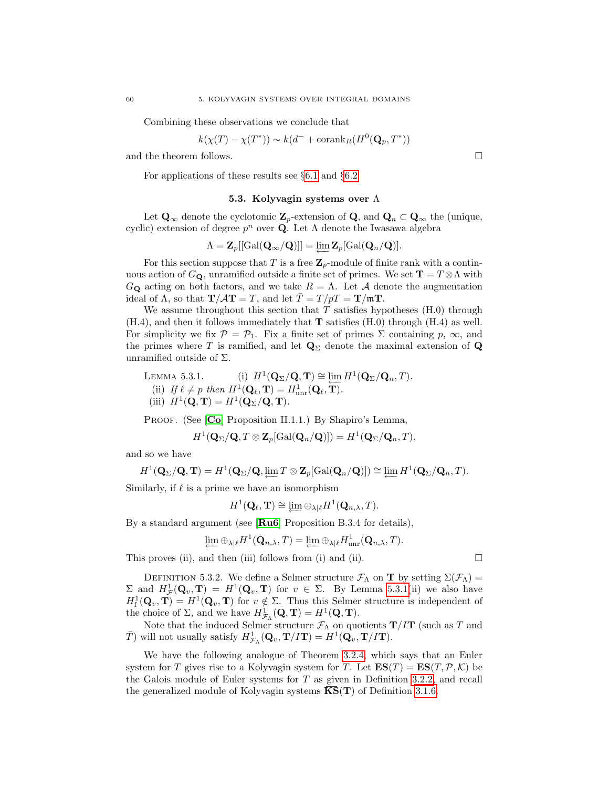Combining these observations we conclude that

$$
k(\chi(T) - \chi(T^*)) \sim k(d^- + \operatorname{corank}_R(H^0(\mathbf{Q}_p, T^*))
$$

and the theorem follows.  $\Box$ 

For applications of these results see §[6.1](#page-74-0) and §[6.2.](#page-78-0)

## 5.3. Kolyvagin systems over Λ

Let  $\mathbf{Q}_{\infty}$  denote the cyclotomic  $\mathbf{Z}_p$ -extension of  $\mathbf{Q}$ , and  $\mathbf{Q}_n \subset \mathbf{Q}_{\infty}$  the (unique, cyclic) extension of degree  $p^n$  over **Q**. Let  $\Lambda$  denote the Iwasawa algebra

$$
\Lambda = \mathbf{Z}_p[[\mathrm{Gal}(\mathbf{Q}_{\infty}/\mathbf{Q})]] = \varprojlim \mathbf{Z}_p[\mathrm{Gal}(\mathbf{Q}_n/\mathbf{Q})].
$$

For this section suppose that T is a free  $\mathbb{Z}_p$ -module of finite rank with a continuous action of  $G_{\mathbf{Q}}$ , unramified outside a finite set of primes. We set  $\mathbf{T} = T \otimes \Lambda$  with  $G_{\mathbf{Q}}$  acting on both factors, and we take  $R = \Lambda$ . Let A denote the augmentation ideal of  $\Lambda$ , so that  $\mathbf{T}/\mathbf{A}\mathbf{T} = T$ , and let  $\overline{T} = T/pT = \mathbf{T}/m\mathbf{T}$ .

We assume throughout this section that  $T$  satisfies hypotheses  $(H.0)$  through  $(H.4)$ , and then it follows immediately that **T** satisfies  $(H.0)$  through  $(H.4)$  as well. For simplicity we fix  $\mathcal{P} = \mathcal{P}_1$ . Fix a finite set of primes  $\Sigma$  containing  $p, \infty$ , and the primes where T is ramified, and let  $\mathbf{Q}_{\Sigma}$  denote the maximal extension of  $\mathbf{Q}$ unramified outside of  $\Sigma$ .

<span id="page-65-0"></span>LEMMA 5.3.1. (i) 
$$
H^1(\mathbf{Q}_{\Sigma}/\mathbf{Q}, \mathbf{T}) \cong \varprojlim H^1(\mathbf{Q}_{\Sigma}/\mathbf{Q}_n, T)
$$
.  
\n(ii) If  $\ell \neq p$  then  $H^1(\mathbf{Q}_{\ell}, \mathbf{T}) = H^1_{\text{unr}}(\mathbf{Q}_{\ell}, \mathbf{T})$ .  
\n(iii)  $H^1(\mathbf{Q}, \mathbf{T}) = H^1(\mathbf{Q}_{\Sigma}/\mathbf{Q}, \mathbf{T})$ .

PROOF. (See [[Co](#page-100-2)] Proposition II.1.1.) By Shapiro's Lemma,

$$
H^1(\mathbf{Q}_{\Sigma}/\mathbf{Q}, T \otimes \mathbf{Z}_p[\mathrm{Gal}(\mathbf{Q}_n/\mathbf{Q})]) = H^1(\mathbf{Q}_{\Sigma}/\mathbf{Q}_n, T),
$$

and so we have

$$
H^1(\mathbf{Q}_{\Sigma}/\mathbf{Q}, \mathbf{T}) = H^1(\mathbf{Q}_{\Sigma}/\mathbf{Q}, \varprojlim T \otimes \mathbf{Z}_p[\mathrm{Gal}(\mathbf{Q}_n/\mathbf{Q})]) \cong \varprojlim H^1(\mathbf{Q}_{\Sigma}/\mathbf{Q}_n, T).
$$

Similarly, if  $\ell$  is a prime we have an isomorphism

$$
H^1(\mathbf{Q}_{\ell}, \mathbf{T}) \cong \varprojlim \oplus_{\lambda|\ell} H^1(\mathbf{Q}_{n,\lambda}, T).
$$

By a standard argument (see [[Ru6](#page-100-1)] Proposition B.3.4 for details),

$$
\varprojlim \oplus_{\lambda|\ell} H^1(\mathbf{Q}_{n,\lambda},T) = \varprojlim \oplus_{\lambda|\ell} H^1_{\text{unr}}(\mathbf{Q}_{n,\lambda},T).
$$

This proves (ii), and then (iii) follows from (i) and (ii).  $\Box$ 

DEFINITION 5.3.2. We define a Selmer structure  $\mathcal{F}_{\Lambda}$  on **T** by setting  $\Sigma(\mathcal{F}_{\Lambda})$  = Σ and  $H^1_{\mathcal{F}}(\mathbf{Q}_v, \mathbf{T}) = H^1(\mathbf{Q}_v, \mathbf{T})$  for  $v \in \Sigma$ . By Lemma [5.3.1\(](#page-65-0)ii) we also have  $H^1_f(\mathbf{Q}_v, \mathbf{T}) = H^1(\mathbf{Q}_v, \mathbf{T})$  for  $v \notin \Sigma$ . Thus this Selmer structure is independent of the choice of  $\Sigma$ , and we have  $H^1_{\mathcal{F}_\Lambda}(\mathbf{Q}, \mathbf{T}) = H^1(\mathbf{Q}, \mathbf{T}).$ 

Note that the induced Selmer structure  $\mathcal{F}_{\Lambda}$  on quotients  $\mathbf{T}/I\mathbf{T}$  (such as T and  $\bar{T}$ ) will not usually satisfy  $H^1_{\mathcal{F}_\Lambda}(\mathbf{Q}_v, \mathbf{T}/I\mathbf{T}) = H^1(\mathbf{Q}_v, \mathbf{T}/I\mathbf{T}).$ 

<span id="page-65-1"></span>We have the following analogue of Theorem [3.2.4,](#page-28-1) which says that an Euler system for T gives rise to a Kolyvagin system for T. Let  $ES(T) = ES(T, \mathcal{P}, \mathcal{K})$  be the Galois module of Euler systems for T as given in Definition [3.2.2,](#page-28-2) and recall the generalized module of Kolyvagin systems  $\overline{\text{KS}}(\textbf{T})$  of Definition [3.1.6.](#page-26-0)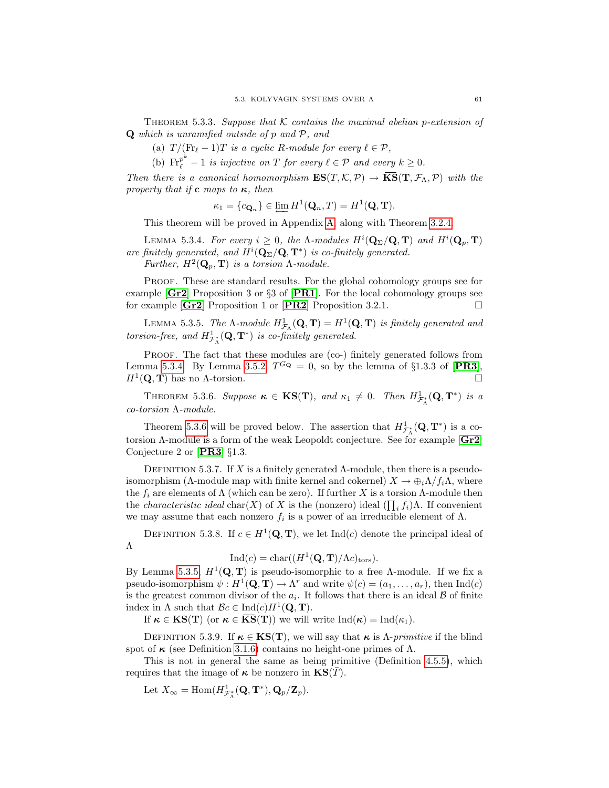THEOREM 5.3.3. Suppose that K contains the maximal abelian p-extension of Q which is unramified outside of p and P, and

(a)  $T / (Fr_{\ell} - 1)T$  is a cyclic R-module for every  $\ell \in \mathcal{P}$ ,

(b)  $\text{Fr}_{\ell}^{p^k} - 1$  is injective on T for every  $\ell \in \mathcal{P}$  and every  $k \geq 0$ .

Then there is a canonical homomorphism  $ES(T, \mathcal{K}, \mathcal{P}) \to \overline{KS}(\mathbf{T}, \mathcal{F}_{\Lambda}, \mathcal{P})$  with the property that if **c** maps to  $\kappa$ , then

$$
\kappa_1 = \{c_{\mathbf{Q}_n}\} \in \varprojlim H^1(\mathbf{Q}_n, T) = H^1(\mathbf{Q}, \mathbf{T}).
$$

This theorem will be proved in Appendix [A,](#page-84-0) along with Theorem [3.2.4.](#page-28-1)

<span id="page-66-0"></span>LEMMA 5.3.4. For every  $i \geq 0$ , the  $\Lambda$ -modules  $H^i(\mathbf{Q}_\Sigma/\mathbf{Q}, \mathbf{T})$  and  $H^i(\mathbf{Q}_p, \mathbf{T})$ are finitely generated, and  $H^i(\mathbf{Q}_\Sigma/\mathbf{Q}, \mathbf{T}^*)$  is co-finitely generated. Further,  $H^2(\mathbf{Q}_p, \mathbf{T})$  is a torsion  $\Lambda$ -module.

Proof. These are standard results. For the global cohomology groups see for example [[Gr2](#page-100-3)] Proposition 3 or §3 of [[PR1](#page-100-4)]. For the local cohomology groups see for example  $\begin{bmatrix} \text{Gr2} \end{bmatrix}$  $\begin{bmatrix} \text{Gr2} \end{bmatrix}$  $\begin{bmatrix} \text{Gr2} \end{bmatrix}$  Proposition 1 or  $\begin{bmatrix} \text{PR2} \end{bmatrix}$  $\begin{bmatrix} \text{PR2} \end{bmatrix}$  $\begin{bmatrix} \text{PR2} \end{bmatrix}$  Proposition 3.2.1.

<span id="page-66-2"></span>LEMMA 5.3.5. The  $\Lambda$ -module  $H^1_{\mathcal{F}_\Lambda}(\mathbf{Q}, \mathbf{T}) = H^1(\mathbf{Q}, \mathbf{T})$  is finitely generated and torsion-free, and  $H^1_{\mathcal{F}^*_\Lambda}(\mathbf{Q}, \mathbf{T}^*)$  is co-finitely generated.

PROOF. The fact that these modules are (co-) finitely generated follows from Lemma [5.3.4.](#page-66-0) By Lemma [3.5.2,](#page-33-1)  $T^{G_{\mathbf{Q}}} = 0$ , so by the lemma of §1.3.3 of [[PR3](#page-100-6)],  $H^1(\mathbf{Q}, \mathbf{T})$  has no A-torsion.

<span id="page-66-1"></span>THEOREM 5.3.6. Suppose  $\kappa \in KS(T)$ , and  $\kappa_1 \neq 0$ . Then  $H^1_{\mathcal{F}^*_{\Lambda}}(\mathbf{Q}, \mathbf{T}^*)$  is a co-torsion Λ-module.

Theorem [5.3.6](#page-66-1) will be proved below. The assertion that  $H^1_{\mathcal{F}^*_\Lambda}(\mathbf{Q}, \mathbf{T}^*)$  is a cotorsion Λ-module is a form of the weak Leopoldt conjecture. See for example [[Gr2](#page-100-3)] Conjecture 2 or [[PR3](#page-100-6)] §1.3.

DEFINITION 5.3.7. If X is a finitely generated  $\Lambda$ -module, then there is a pseudoisomorphism ( $\Lambda$ -module map with finite kernel and cokernel)  $X \to \bigoplus_i \Lambda / f_i \Lambda$ , where the  $f_i$  are elements of  $\Lambda$  (which can be zero). If further X is a torsion  $\Lambda$ -module then the *characteristic ideal* char(X) of X is the (nonzero) ideal  $(\prod_i f_i)$  $\Lambda$ . If convenient we may assume that each nonzero  $f_i$  is a power of an irreducible element of  $\Lambda$ .

DEFINITION 5.3.8. If  $c \in H^1(\mathbf{Q}, \mathbf{T})$ , we let Ind(*c*) denote the principal ideal of Λ

$$
Ind(c) = char((H^1(\mathbf{Q}, \mathbf{T})/\Lambda c)_{tors}).
$$

By Lemma [5.3.5,](#page-66-2)  $H^1(\mathbf{Q}, \mathbf{T})$  is pseudo-isomorphic to a free  $\Lambda$ -module. If we fix a pseudo-isomorphism  $\psi : H^1(\mathbf{Q}, \mathbf{T}) \to \Lambda^r$  and write  $\psi(c) = (a_1, \ldots, a_r)$ , then  $\text{Ind}(c)$ is the greatest common divisor of the  $a_i$ . It follows that there is an ideal  $\beta$  of finite index in  $\Lambda$  such that  $\mathcal{B}c \in \text{Ind}(c)H^1(\mathbf{Q}, \mathbf{T}).$ 

If  $\kappa \in \text{KS}(\mathbf{T})$  (or  $\kappa \in \overline{\text{KS}}(\mathbf{T})$ ) we will write  $\text{Ind}(\kappa) = \text{Ind}(\kappa_1)$ .

DEFINITION 5.3.9. If  $\kappa \in \text{KS}(\mathbf{T})$ , we will say that  $\kappa$  is  $\Lambda$ -primitive if the blind spot of  $\kappa$  (see Definition [3.1.6\)](#page-26-0) contains no height-one primes of  $\Lambda$ .

This is not in general the same as being primitive (Definition [4.5.5\)](#page-54-4), which requires that the image of  $\kappa$  be nonzero in  $\text{KS}(\overline{T})$ .

<span id="page-66-3"></span>Let  $X_{\infty} = \text{Hom}(H^1_{\mathcal{F}^*_\Lambda}(\mathbf{Q}, \mathbf{T}^*), \mathbf{Q}_p/\mathbf{Z}_p).$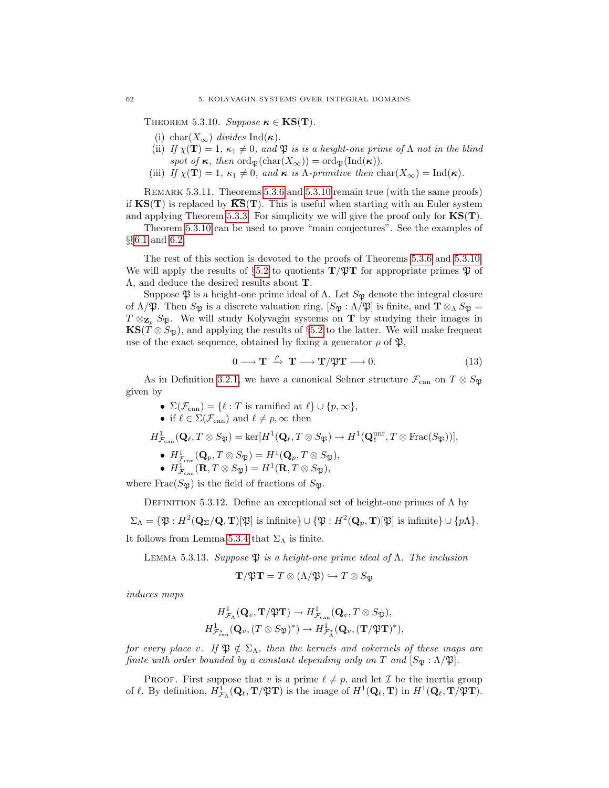THEOREM 5.3.10. Suppose  $\kappa \in KS(T)$ .

- (i) char( $X_{\infty}$ ) divides Ind( $\kappa$ ).
- (ii) If  $\chi(\mathbf{T}) = 1$ ,  $\kappa_1 \neq 0$ , and  $\mathfrak{P}$  is is a height-one prime of  $\Lambda$  not in the blind spot of  $\kappa$ , then  $\text{ord}_{\mathfrak{P}}(\text{char}(X_{\infty})) = \text{ord}_{\mathfrak{P}}(\text{Ind}(\kappa)).$
- (iii) If  $\chi(\mathbf{T}) = 1$ ,  $\kappa_1 \neq 0$ , and  $\kappa$  is  $\Lambda$ -primitive then char $(X_\infty) = \text{Ind}(\kappa)$ .

REMARK 5.3.11. Theorems [5.3.6](#page-66-1) and [5.3.10](#page-66-3) remain true (with the same proofs) if  $\text{KS}(T)$  is replaced by  $\overline{\text{KS}}(T)$ . This is useful when starting with an Euler system and applying Theorem [5.3.3.](#page-65-1) For simplicity we will give the proof only for  $\mathbf{KS}(\mathbf{T})$ .

Theorem [5.3.10](#page-66-3) can be used to prove "main conjectures". See the examples of §§[6.1](#page-74-0) and [6.2.](#page-78-0)

The rest of this section is devoted to the proofs of Theorems [5.3.6](#page-66-1) and [5.3.10.](#page-66-3) We will apply the results of §[5.2](#page-61-4) to quotients  $\mathbf{T}/\mathfrak{P}\mathbf{T}$  for appropriate primes  $\mathfrak{P}$  of Λ, and deduce the desired results about T.

Suppose  $\mathfrak P$  is a height-one prime ideal of  $\Lambda$ . Let  $S_{\mathfrak P}$  denote the integral closure of  $\Lambda/\mathfrak{P}$ . Then  $S_{\mathfrak{P}}$  is a discrete valuation ring,  $[S_{\mathfrak{P}}:\Lambda/\mathfrak{P}]$  is finite, and  $\mathbf{T}\otimes_{\Lambda} S_{\mathfrak{P}} =$  $T \otimes_{\mathbf{Z}_p} S_{\mathfrak{P}}$ . We will study Kolyvagin systems on **T** by studying their images in  $\mathbf{KS}(T \otimes S_{\mathfrak{B}})$ , and applying the results of §[5.2](#page-61-4) to the latter. We will make frequent use of the exact sequence, obtained by fixing a generator  $\rho$  of  $\mathfrak{P}$ ,

<span id="page-67-0"></span>
$$
0 \longrightarrow T \stackrel{\rho}{\rightarrow} T \longrightarrow T/\mathfrak{P}T \longrightarrow 0. \tag{13}
$$

As in Definition [3.2.1,](#page-28-0) we have a canonical Selmer structure  $\mathcal{F}_{\text{can}}$  on  $T \otimes S_{\mathfrak{P}}$ given by

- $\Sigma(\mathcal{F}_{\text{can}}) = \{\ell : T \text{ is ramified at } \ell\} \cup \{p,\infty\},\$
- if  $\ell \in \Sigma(\mathcal{F}_{\operatorname{can}})$  and  $\ell \neq p, \infty$  then

$$
H^1_{\mathcal{F}_{\text{can}}}(\mathbf{Q}_\ell,T\otimes S_{\mathfrak{P}})=\text{ker}[H^1(\mathbf{Q}_\ell,T\otimes S_{\mathfrak{P}})\rightarrow H^1(\mathbf{Q}_\ell^{\text{unr}},T\otimes\text{Frac}(S_{\mathfrak{P}}))],
$$

- $H^1_{\mathcal{F}_{\text{can}}}(\mathbf{Q}_p, T \otimes S_{\mathfrak{P}}) = H^1(\mathbf{Q}_p, T \otimes S_{\mathfrak{P}}),$
- $H^1_{\mathcal{F}_{\text{can}}}(\mathbf{R}, T \otimes S_{\mathfrak{P}}) = H^1(\mathbf{R}, T \otimes S_{\mathfrak{P}}),$

where  $Frac(S_{\mathfrak{P}})$  is the field of fractions of  $S_{\mathfrak{P}}$ .

DEFINITION 5.3.12. Define an exceptional set of height-one primes of  $\Lambda$  by

 $\Sigma_{\Lambda} = \{ \mathfrak{P} : H^2(\mathbf{Q}_\Sigma/\mathbf{Q}, \mathbf{T})[\mathfrak{P}] \text{ is infinite} \} \cup \{ \mathfrak{P} : H^2(\mathbf{Q}_p, \mathbf{T})[\mathfrak{P}] \text{ is infinite} \} \cup \{ p\Lambda \}.$ It follows from Lemma [5.3.4](#page-66-0) that  $\Sigma_{\Lambda}$  is finite.

<span id="page-67-1"></span>LEMMA 5.3.13. Suppose  $\mathfrak P$  is a height-one prime ideal of  $\Lambda$ . The inclusion

$$
\mathbf{T}/\mathfrak{P}\mathbf{T} = T \otimes (\Lambda/\mathfrak{P}) \hookrightarrow T \otimes S_{\mathfrak{P}}
$$

induces maps

$$
H^1_{\mathcal{F}_\Lambda}(\mathbf{Q}_v, \mathbf{T}/\mathfrak{P}\mathbf{T}) \to H^1_{\mathcal{F}_{\text{can}}}(\mathbf{Q}_v, T \otimes S_{\mathfrak{P}}),
$$
  

$$
H^1_{\mathcal{F}_{\text{can}}^*}(\mathbf{Q}_v, (T \otimes S_{\mathfrak{P}})^*) \to H^1_{\mathcal{F}_\Lambda^*}(\mathbf{Q}_v, (\mathbf{T}/\mathfrak{P}\mathbf{T})^*),
$$

for every place v. If  $\mathfrak{P} \notin \Sigma_{\Lambda}$ , then the kernels and cokernels of these maps are finite with order bounded by a constant depending only on T and  $[S_{\mathfrak{B}} : \Lambda/\mathfrak{P}]$ .

**PROOF.** First suppose that v is a prime  $\ell \neq p$ , and let  $\mathcal{I}$  be the inertia group of  $\ell$ . By definition,  $H^1_{\mathcal{F}_\Lambda}(\mathbf{Q}_\ell, \mathbf{T}/\mathfrak{P}\mathbf{T})$  is the image of  $H^1(\mathbf{Q}_\ell, \mathbf{T})$  in  $H^1(\mathbf{Q}_\ell, \mathbf{T}/\mathfrak{P}\mathbf{T})$ .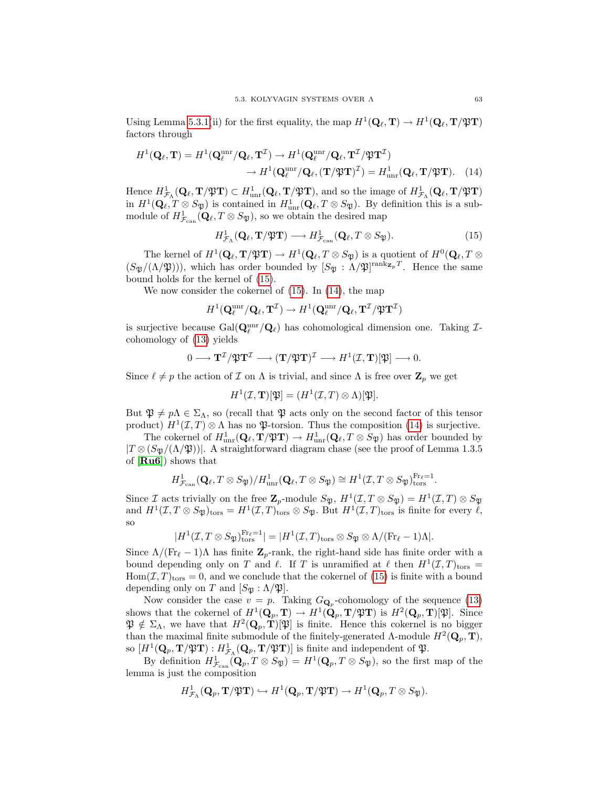Using Lemma [5.3.1\(](#page-65-0)ii) for the first equality, the map  $H^1(\mathbf{Q}_\ell, \mathbf{T}) \to H^1(\mathbf{Q}_\ell, \mathbf{T}/\mathfrak{P}\mathbf{T})$ factors through

$$
H^1(\mathbf{Q}_{\ell}, \mathbf{T}) = H^1(\mathbf{Q}_{\ell}^{\text{unr}} / \mathbf{Q}_{\ell}, \mathbf{T}^{\mathcal{I}}) \to H^1(\mathbf{Q}_{\ell}^{\text{unr}} / \mathbf{Q}_{\ell}, \mathbf{T}^{\mathcal{I}} / \mathfrak{P} \mathbf{T}^{\mathcal{I}})
$$

$$
\to H^1(\mathbf{Q}_{\ell}^{\text{unr}} / \mathbf{Q}_{\ell}, (\mathbf{T} / \mathfrak{P} \mathbf{T})^{\mathcal{I}}) = H^1_{\text{unr}}(\mathbf{Q}_{\ell}, \mathbf{T} / \mathfrak{P} \mathbf{T}). \quad (14)
$$

Hence  $H^1_{\mathcal{F}_\Lambda}(\mathbf{Q}_\ell, \mathbf{T}/\mathfrak{P}\mathbf{T}) \subset H^1_{\text{unr}}(\mathbf{Q}_\ell, \mathbf{T}/\mathfrak{P}\mathbf{T})$ , and so the image of  $H^1_{\mathcal{F}_\Lambda}(\mathbf{Q}_\ell, \mathbf{T}/\mathfrak{P}\mathbf{T})$ in  $H^1(\mathbf{Q}_\ell, T \otimes S_{\mathfrak{P}})$  is contained in  $H^1_{\text{unr}}(\mathbf{Q}_\ell, T \otimes S_{\mathfrak{P}})$ . By definition this is a submodule of  $H^1_{\mathcal{F}_{\text{can}}}(\mathbf{Q}_\ell, T \otimes S_{\mathfrak{P}})$ , so we obtain the desired map

<span id="page-68-1"></span><span id="page-68-0"></span>
$$
H^1_{\mathcal{F}_\Lambda}(\mathbf{Q}_\ell, \mathbf{T}/\mathfrak{P}\mathbf{T}) \longrightarrow H^1_{\mathcal{F}_{\text{can}}}(\mathbf{Q}_\ell, T \otimes S_{\mathfrak{P}}). \tag{15}
$$

The kernel of  $H^1(\mathbf{Q}_\ell, \mathbf{T}/\mathfrak{P}\mathbf{T}) \to H^1(\mathbf{Q}_\ell, T \otimes S_{\mathfrak{P}})$  is a quotient of  $H^0(\mathbf{Q}_\ell, T \otimes S_{\mathfrak{P}})$  $(S_{\mathfrak{P}}/(\Lambda/\mathfrak{P})))$ , which has order bounded by  $[S_{\mathfrak{P}}:\Lambda/\mathfrak{P}]^{\text{rank}_{\mathbf{Z}_p}T}$ . Hence the same bound holds for the kernel of [\(15\)](#page-68-0).

We now consider the cokernel of [\(15\)](#page-68-0). In [\(14\)](#page-68-1), the map

$$
H^1 ( \mathbf{Q}_\ell^{\mathrm{unr}} / \mathbf{Q}_\ell, \mathbf{T}^\mathcal{I} ) \rightarrow H^1 ( \mathbf{Q}_\ell^{\mathrm{unr}} / \mathbf{Q}_\ell, \mathbf{T}^\mathcal{I} / \mathfrak{P} \mathbf{T}^\mathcal{I} )
$$

is surjective because  $\text{Gal}(\mathbf{Q}_\ell^{\text{unr}}/\mathbf{Q}_\ell)$  has cohomological dimension one. Taking  $\mathcal{I}$ cohomology of [\(13\)](#page-67-0) yields

$$
0 \longrightarrow \mathbf{T}^\mathcal{I} / \mathfrak{P} \mathbf{T}^\mathcal{I} \longrightarrow (\mathbf{T}/ \mathfrak{P} \mathbf{T})^\mathcal{I} \longrightarrow H^1(\mathcal{I},\mathbf{T})[\mathfrak{P}] \longrightarrow 0.
$$

Since  $\ell \neq p$  the action of  $\mathcal I$  on  $\Lambda$  is trivial, and since  $\Lambda$  is free over  $\mathbf Z_p$  we get

$$
H^1(\mathcal{I}, \mathbf{T})[\mathfrak{P}] = (H^1(\mathcal{I}, T) \otimes \Lambda)[\mathfrak{P}].
$$

But  $\mathfrak{P} \neq p\Lambda \in \Sigma_{\Lambda}$ , so (recall that  $\mathfrak{P}$  acts only on the second factor of this tensor product)  $H^1(\mathcal{I}, T) \otimes \Lambda$  has no  $\mathfrak{P}$ -torsion. Thus the composition [\(14\)](#page-68-1) is surjective.

The cokernel of  $H^1_{\text{unr}}(\mathbf{Q}_\ell, \mathbf{T}/\mathfrak{P}\mathbf{T}) \to H^1_{\text{unr}}(\mathbf{Q}_\ell, T \otimes S_{\mathfrak{P}})$  has order bounded by  $|T \otimes (S_{\mathfrak{B}}/(\Lambda/\mathfrak{P}))|$ . A straightforward diagram chase (see the proof of Lemma 1.3.5) of [[Ru6](#page-100-1)]) shows that

$$
H^1_{\mathcal{F}_{\text{can}}}(\mathbf{Q}_{\ell}, T \otimes S_{\mathfrak{P}})/H^1_{\text{unr}}(\mathbf{Q}_{\ell}, T \otimes S_{\mathfrak{P}}) \cong H^1(\mathcal{I}, T \otimes S_{\mathfrak{P}})_{\text{tors}}^{\text{Fr}_{\ell}=1}.
$$

Since *I* acts trivially on the free  $\mathbb{Z}_p$ -module  $S_{\mathfrak{P}}$ ,  $H^1(\mathcal{I}, T \otimes S_{\mathfrak{P}}) = H^1(\mathcal{I}, T) \otimes S_{\mathfrak{P}}$ and  $H^1(\mathcal{I}, T \otimes S_{\mathfrak{P}})_{\text{tors}} = H^1(\mathcal{I}, T)_{\text{tors}} \otimes S_{\mathfrak{P}}$ . But  $H^1(\mathcal{I}, T)_{\text{tors}}$  is finite for every  $\ell$ , so

$$
|H^1(\mathcal{I}, T \otimes S_{\mathfrak{P}})_{\text{tors}}^{\text{Fr}_{\ell}=1}| = |H^1(\mathcal{I}, T)_{\text{tors}} \otimes S_{\mathfrak{P}} \otimes \Lambda/(\text{Fr}_{\ell}-1)\Lambda|.
$$

Since  $\Lambda/(\text{Fr}_{\ell} - 1)\Lambda$  has finite  $\mathbb{Z}_p$ -rank, the right-hand side has finite order with a bound depending only on T and  $\ell$ . If T is unramified at  $\ell$  then  $H^1(\mathcal{I}, T)_{\text{tors}} =$  $Hom(\mathcal{I}, T)_{tors} = 0$ , and we conclude that the cokernel of [\(15\)](#page-68-0) is finite with a bound depending only on T and  $[S_{\mathfrak{P}} : \Lambda/\mathfrak{P}].$ 

Now consider the case  $v = p$ . Taking  $G_{\mathbf{Q}_p}$ -cohomology of the sequence [\(13\)](#page-67-0) shows that the cokernel of  $H^1(\mathbf{Q}_p, \mathbf{T}) \to H^1(\mathbf{Q}_p, \mathbf{T}/\mathfrak{P}\mathbf{T})$  is  $H^2(\mathbf{Q}_p, \mathbf{T})[\mathfrak{P}]$ . Since  $\mathfrak{P} \notin \Sigma_{\Lambda}$ , we have that  $H^2(\mathbf{Q}_p, \mathbf{T})[\mathfrak{P}]$  is finite. Hence this cokernel is no bigger than the maximal finite submodule of the finitely-generated  $\Lambda$ -module  $H^2(\mathbf{Q}_p, \mathbf{T})$ , so  $[H^1(\mathbf{Q}_p, \mathbf{T}/\mathfrak{P}\mathbf{T}) : H^1_{\mathcal{F}_\Lambda}(\mathbf{Q}_p, \mathbf{T}/\mathfrak{P}\mathbf{T})]$  is finite and independent of  $\mathfrak{P}$ .

By definition  $H^1_{\mathcal{F}_{can}}(\mathbf{Q}_p, T \otimes S_{\mathfrak{P}}) = H^1(\mathbf{Q}_p, T \otimes S_{\mathfrak{P}})$ , so the first map of the lemma is just the composition

$$
H^1_{\mathcal{F}_\Lambda}(\mathbf{Q}_p,\mathbf{T}/\mathfrak{P}\mathbf{T})\hookrightarrow H^1(\mathbf{Q}_p,\mathbf{T}/\mathfrak{P}\mathbf{T})\to H^1(\mathbf{Q}_p,T\otimes S_{\mathfrak{P}}).
$$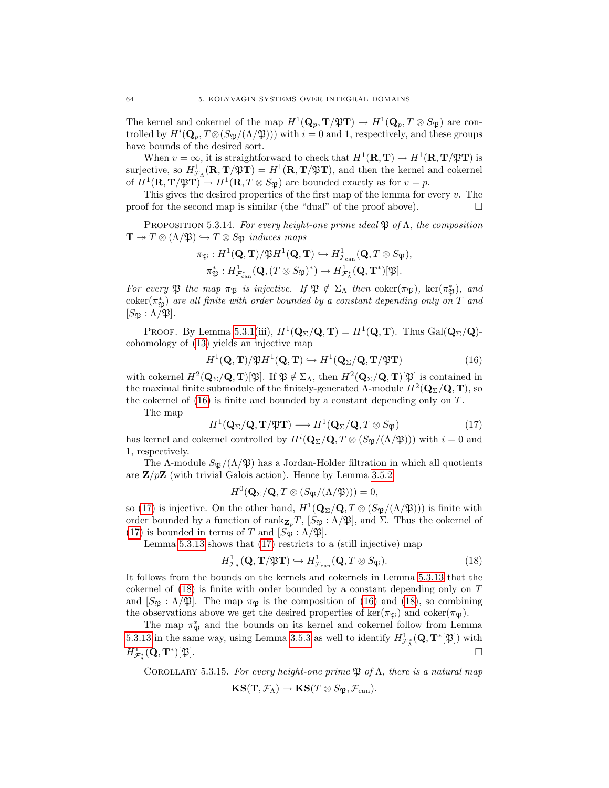The kernel and cokernel of the map  $H^1(\mathbf{Q}_p, \mathbf{T}/\mathfrak{P}\mathbf{T}) \to H^1(\mathbf{Q}_p, T \otimes S_{\mathfrak{P}})$  are controlled by  $H^i(\mathbf{Q}_p, T \otimes (S_{\mathfrak{P}}/(\Lambda/\mathfrak{P})))$  with  $i = 0$  and 1, respectively, and these groups have bounds of the desired sort.

When  $v = \infty$ , it is straightforward to check that  $H^1(\mathbf{R}, \mathbf{T}) \to H^1(\mathbf{R}, \mathbf{T}/\mathfrak{P}\mathbf{T})$  is surjective, so  $H^1_{\mathcal{F}_\Lambda}(\mathbf{R}, \mathbf{T}/\mathfrak{P}\mathbf{T}) = H^1(\mathbf{R}, \mathbf{T}/\mathfrak{P}\mathbf{T})$ , and then the kernel and cokernel of  $H^1(\mathbf{R}, \mathbf{T}/\mathfrak{P}\mathbf{T}) \to H^1(\mathbf{R}, T \otimes S_{\mathfrak{P}})$  are bounded exactly as for  $v = p$ .

This gives the desired properties of the first map of the lemma for every  $v$ . The proof for the second map is similar (the "dual" of the proof above).  $\Box$ 

<span id="page-69-4"></span>PROPOSITION 5.3.14. For every height-one prime ideal  $\mathfrak P$  of  $\Lambda$ , the composition  $\mathbf{T} \twoheadrightarrow T \otimes (\Lambda/\mathfrak{P}) \hookrightarrow T \otimes S_{\mathfrak{P}}$  induces maps

$$
\pi_{\mathfrak{P}}: H^1(\mathbf{Q}, \mathbf{T})/\mathfrak{P}H^1(\mathbf{Q}, \mathbf{T}) \hookrightarrow H^1_{\mathcal{F}_{\text{can}}}(\mathbf{Q}, T \otimes S_{\mathfrak{P}}),
$$
  

$$
\pi_{\mathfrak{P}}^*: H^1_{\mathcal{F}_{\text{can}}^*}(\mathbf{Q}, (T \otimes S_{\mathfrak{P}})^*) \to H^1_{\mathcal{F}_{\Lambda}^*}(\mathbf{Q}, \mathbf{T}^*)[\mathfrak{P}].
$$

For every  $\mathfrak P$  the map  $\pi_{\mathfrak P}$  is injective. If  $\mathfrak P \notin \Sigma_{\Lambda}$  then  $\mathrm{coker}(\pi_{\mathfrak P}), \ker(\pi_{\mathfrak P}^*),$  and  $coker(\pi^*_\mathfrak{P})$  are all finite with order bounded by a constant depending only on T and  $[S_{\mathfrak{P}} : \Lambda / \mathfrak{P}].$ 

PROOF. By Lemma [5.3.1\(](#page-65-0)iii),  $H^1(\mathbf{Q}_\Sigma/\mathbf{Q}, \mathbf{T}) = H^1(\mathbf{Q}, \mathbf{T})$ . Thus  $Gal(\mathbf{Q}_\Sigma/\mathbf{Q})$ cohomology of [\(13\)](#page-67-0) yields an injective map

<span id="page-69-0"></span>
$$
H^1(\mathbf{Q}, \mathbf{T})/\mathfrak{P}H^1(\mathbf{Q}, \mathbf{T}) \hookrightarrow H^1(\mathbf{Q}_{\Sigma}/\mathbf{Q}, \mathbf{T}/\mathfrak{P}\mathbf{T})
$$
\n(16)

with cokernel  $H^2(\mathbf{Q}_\Sigma/\mathbf{Q}, \mathbf{T})[\mathfrak{P}]$ . If  $\mathfrak{P} \notin \Sigma_\Lambda$ , then  $H^2(\mathbf{Q}_\Sigma/\mathbf{Q}, \mathbf{T})[\mathfrak{P}]$  is contained in the maximal finite submodule of the finitely-generated Λ-module  $H^2(\mathbf{Q}_\Sigma/\mathbf{Q}, \mathbf{T})$ , so the cokernel of [\(16\)](#page-69-0) is finite and bounded by a constant depending only on T.

The map

<span id="page-69-1"></span>
$$
H^1(\mathbf{Q}_\Sigma/\mathbf{Q}, \mathbf{T}/\mathfrak{P}\mathbf{T}) \longrightarrow H^1(\mathbf{Q}_\Sigma/\mathbf{Q}, T \otimes S_{\mathfrak{P}})
$$
(17)

has kernel and cokernel controlled by  $H^i(\mathbf{Q}_\Sigma/\mathbf{Q}, T \otimes (S_{\mathfrak{P}}/(\Lambda/\mathfrak{P})))$  with  $i = 0$  and 1, respectively.

The A-module  $S_{\mathfrak{P}}/(\Lambda/\mathfrak{P})$  has a Jordan-Holder filtration in which all quotients are  $\mathbb{Z}/p\mathbb{Z}$  (with trivial Galois action). Hence by Lemma [3.5.2,](#page-33-1)

<span id="page-69-2"></span>
$$
H^0({\mathbf Q}_\Sigma/{\mathbf Q}, T\otimes (S_{\mathfrak{P}}/(\Lambda/{\mathfrak{P}})))=0,
$$

so [\(17\)](#page-69-1) is injective. On the other hand,  $H^1(\mathbf{Q}_\Sigma/\mathbf{Q}, T \otimes (S_\mathfrak{P}/(\Lambda/\mathfrak{P})))$  is finite with order bounded by a function of rank $\mathbf{z}_p T$ ,  $[S_{\mathfrak{P}} : \Lambda/\mathfrak{P}]$ , and  $\Sigma$ . Thus the cokernel of [\(17\)](#page-69-1) is bounded in terms of T and  $[S_{\mathfrak{B}} : \Lambda/\mathfrak{P}].$ 

Lemma [5.3.13](#page-67-1) shows that [\(17\)](#page-69-1) restricts to a (still injective) map

$$
H^1_{\mathcal{F}_\Lambda}(\mathbf{Q}, \mathbf{T}/\mathfrak{P}\mathbf{T}) \hookrightarrow H^1_{\mathcal{F}_{\text{can}}}(\mathbf{Q}, T \otimes S_{\mathfrak{P}}).
$$
 (18)

It follows from the bounds on the kernels and cokernels in Lemma [5.3.13](#page-67-1) that the cokernel of [\(18\)](#page-69-2) is finite with order bounded by a constant depending only on T and  $[S_{\mathfrak{P}} : \Lambda/\mathfrak{P}]$ . The map  $\pi_{\mathfrak{P}}$  is the composition of [\(16\)](#page-69-0) and [\(18\)](#page-69-2), so combining the observations above we get the desired properties of ker( $\pi_{\mathfrak{B}}$ ) and coker( $\pi_{\mathfrak{B}}$ ).

The map  $\pi_{\mathfrak{P}}^*$  and the bounds on its kernel and cokernel follow from Lemma [5.3.13](#page-67-1) in the same way, using Lemma [3.5.3](#page-33-0) as well to identify  $H^1_{\mathcal{F}^*_\Lambda}(\mathbf{Q}, \mathbf{T}^*[\mathfrak{P}])$  with  $H^1_{\mathcal{F}^*_\Lambda}(\mathbf{Q}, \mathbf{T}^*$  $\mathbb{P}[\mathfrak{P}].$ 

<span id="page-69-3"></span>COROLLARY 5.3.15. For every height-one prime  $\mathfrak P$  of  $\Lambda$ , there is a natural map

$$
\textup{\textbf{KS}}(\mathbf{T},\mathcal{F}_\Lambda)\to\textup{\textbf{KS}}(T\otimes S_{\mathfrak{P}},\mathcal{F}_{\operatorname{can}}).
$$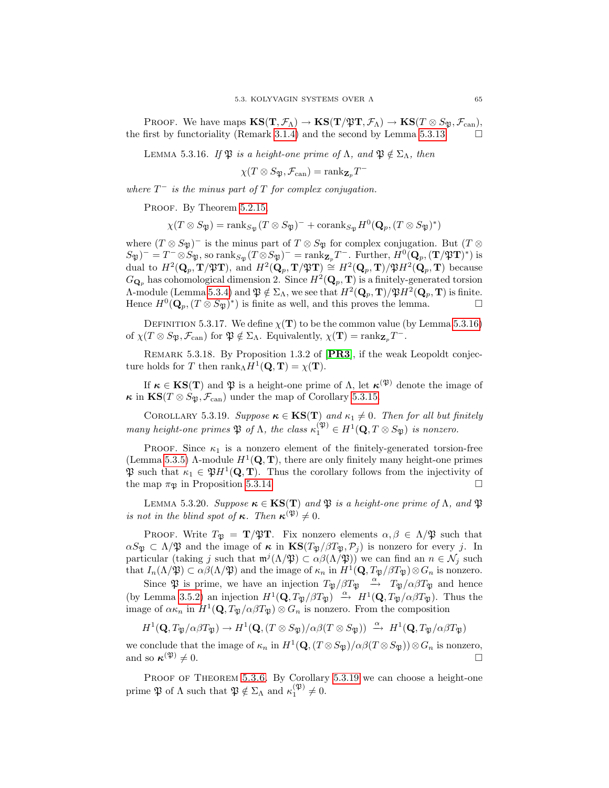PROOF. We have maps  $\mathbf{KS}(\mathbf{T}, \mathcal{F}_\Lambda) \to \mathbf{KS}(\mathbf{T}/\mathfrak{PT}, \mathcal{F}_\Lambda) \to \mathbf{KS}(T \otimes S_{\mathfrak{B}}, \mathcal{F}_{\operatorname{can}})$ , the first by functoriality (Remark [3.1.4\)](#page-25-1) and the second by Lemma [5.3.13.](#page-67-1)

<span id="page-70-0"></span>LEMMA 5.3.16. If  $\mathfrak{P}$  is a height-one prime of  $\Lambda$ , and  $\mathfrak{P} \notin \Sigma_{\Lambda}$ , then

 $\chi(T \otimes S_{\mathfrak{P}}, \mathcal{F}_{\operatorname{can}}) = \operatorname{rank}_{\mathbf{Z}_p} T^{-1}$ 

where  $T^-$  is the minus part of T for complex conjugation.

PROOF. By Theorem [5.2.15,](#page-64-0)

 $\chi(T \otimes S_{\mathfrak{P}}) = \text{rank}_{S_{\mathfrak{P}}} (T \otimes S_{\mathfrak{P}})^{-} + \text{corank}_{S_{\mathfrak{P}}} H^{0}(\mathbf{Q}_{p}, (T \otimes S_{\mathfrak{P}})^{*})$ 

where  $(T \otimes S_{\mathfrak{P}})$ <sup>-</sup> is the minus part of  $T \otimes S_{\mathfrak{P}}$  for complex conjugation. But  $(T \otimes S_{\mathfrak{P}})$  $S_{\mathfrak{P}}$ )<sup>-</sup> = T<sup>-</sup>  $\otimes S_{\mathfrak{P}}$ , so rank<sub>S<sub>p</sub></sub>(T  $\otimes S_{\mathfrak{P}}$ )<sup>-</sup> = rank<sub>Z<sub>p</sub></sub>T<sup>-</sup>. Further,  $H^0(\mathbf{Q}_p, (\mathbf{T}/\mathfrak{P}\mathbf{T})^*)$  is dual to  $H^2(\mathbf{Q}_p, \mathbf{T}/\mathfrak{P}\mathbf{T})$ , and  $H^2(\mathbf{Q}_p, \mathbf{T}/\mathfrak{P}\mathbf{T}) \cong H^2(\mathbf{Q}_p, \mathbf{T})/\mathfrak{P}H^2(\mathbf{Q}_p, \mathbf{T})$  because  $G_{\mathbf{Q}_p}$  has cohomological dimension 2. Since  $H^2(\mathbf{Q}_p, \mathbf{T})$  is a finitely-generated torsion  $\Lambda$ -module (Lemma [5.3.4\)](#page-66-0) and  $\mathfrak{P} \notin \Sigma_{\Lambda}$ , we see that  $H^2(\mathbf{Q}_p, \mathbf{T})/\mathfrak{P}H^2(\mathbf{Q}_p, \mathbf{T})$  is finite. Hence  $H^0(\mathbf{Q}_p, (T \otimes S_{\mathfrak{P}})^*)$  is finite as well, and this proves the lemma.

DEFINITION 5.3.17. We define  $\chi(\mathbf{T})$  to be the common value (by Lemma [5.3.16\)](#page-70-0) of  $\chi(T \otimes S_{\mathfrak{P}}, \mathcal{F}_{\mathrm{can}})$  for  $\mathfrak{P} \notin \Sigma_{\Lambda}$ . Equivalently,  $\chi(\mathbf{T}) = \mathrm{rank}_{\mathbf{Z}_p} T^{-}$ .

REMARK 5.3.18. By Proposition 1.3.2 of [[PR3](#page-100-6)], if the weak Leopoldt conjecture holds for T then  $\text{rank}_{\Lambda} H^1(\mathbf{Q}, \mathbf{T}) = \chi(\mathbf{T}).$ 

If  $\kappa \in KS(T)$  and  $\mathfrak P$  is a height-one prime of  $\Lambda$ , let  $\kappa^{(\mathfrak P)}$  denote the image of  $\kappa$  in  $KS(T \otimes S_{\mathfrak{B}}, \mathcal{F}_{\mathrm{can}})$  under the map of Corollary [5.3.15.](#page-69-3)

<span id="page-70-1"></span>COROLLARY 5.3.19. Suppose  $\kappa \in KS(T)$  and  $\kappa_1 \neq 0$ . Then for all but finitely many height-one primes  $\mathfrak P$  of  $\Lambda$ , the class  $\kappa_1^{(\mathfrak{P})} \in H^1(\mathbf{Q}, T \otimes S_{\mathfrak{P}})$  is nonzero.

PROOF. Since  $\kappa_1$  is a nonzero element of the finitely-generated torsion-free (Lemma [5.3.5\)](#page-66-2) Λ-module  $H^1(\mathbf{Q}, \mathbf{T})$ , there are only finitely many height-one primes  $\mathfrak{P}$  such that  $\kappa_1 \in \mathfrak{P}H^1(\mathbf{Q}, \mathbf{T})$ . Thus the corollary follows from the injectivity of the map  $\pi_{\mathfrak{P}}$  in Proposition [5.3.14.](#page-69-4)

LEMMA 5.3.20. Suppose  $\kappa \in \text{KS}(T)$  and  $\mathfrak{P}$  is a height-one prime of  $\Lambda$ , and  $\mathfrak{P}$ is not in the blind spot of  $\kappa$ . Then  $\kappa^{(\mathfrak{P})} \neq 0$ .

PROOF. Write  $T_{\mathfrak{P}} = \mathbf{T}/\mathfrak{P}\mathbf{T}$ . Fix nonzero elements  $\alpha, \beta \in \Lambda/\mathfrak{P}$  such that  $\alpha S_{\mathfrak{P}} \subset \Lambda/\mathfrak{P}$  and the image of  $\kappa$  in  $\text{KS}(T_{\mathfrak{P}}/\beta T_{\mathfrak{P}},\mathcal{P}_j)$  is nonzero for every j. In particular (taking j such that  $m^j(\Lambda/\mathfrak{P}) \subset \alpha\beta(\Lambda/\mathfrak{P})$ ) we can find an  $n \in \mathcal{N}_j$  such that  $I_n(\Lambda/\mathfrak{P}) \subset \alpha\beta(\Lambda/\mathfrak{P})$  and the image of  $\kappa_n$  in  $H^1(\mathbf{Q}, T_{\mathfrak{P}}/\beta T_{\mathfrak{P}}) \otimes G_n$  is nonzero.

Since  $\mathfrak P$  is prime, we have an injection  $T_{\mathfrak P}/\beta T_{\mathfrak P} \xrightarrow{\alpha} T_{\mathfrak P}/\alpha \beta T_{\mathfrak P}$  and hence (by Lemma [3.5.2\)](#page-33-1) an injection  $H^1(\mathbf{Q}, T_{\mathfrak{P}}/\beta T_{\mathfrak{P}}) \stackrel{\alpha}{\rightarrow} H^1(\mathbf{Q}, T_{\mathfrak{P}}/\alpha \beta T_{\mathfrak{P}})$ . Thus the image of  $\alpha \kappa_n$  in  $H^1(\mathbf{Q}, T_{\mathfrak{P}}/\alpha \beta T_{\mathfrak{P}}) \otimes G_n$  is nonzero. From the composition

$$
H^1(\mathbf{Q},T_{\mathfrak{P}}/\alpha\beta T_{\mathfrak{P}}) \to H^1(\mathbf{Q},(T\otimes S_{\mathfrak{P}})/\alpha\beta(T\otimes S_{\mathfrak{P}})) \xrightarrow{\alpha} H^1(\mathbf{Q},T_{\mathfrak{P}}/\alpha\beta T_{\mathfrak{P}})
$$

we conclude that the image of  $\kappa_n$  in  $H^1(\mathbf{Q}, (T \otimes S_{\mathfrak{P}})/\alpha \beta (T \otimes S_{\mathfrak{P}})) \otimes G_n$  is nonzero, and so  $\kappa^{(\mathfrak{P})} \neq 0$ .  $(\mathfrak{P}) \neq 0.$ 

PROOF OF THEOREM [5.3.6.](#page-66-1) By Corollary [5.3.19](#page-70-1) we can choose a height-one prime  $\mathfrak{P}$  of  $\Lambda$  such that  $\mathfrak{P} \notin \Sigma_{\Lambda}$  and  $\kappa_1^{(\mathfrak{P})} \neq 0$ .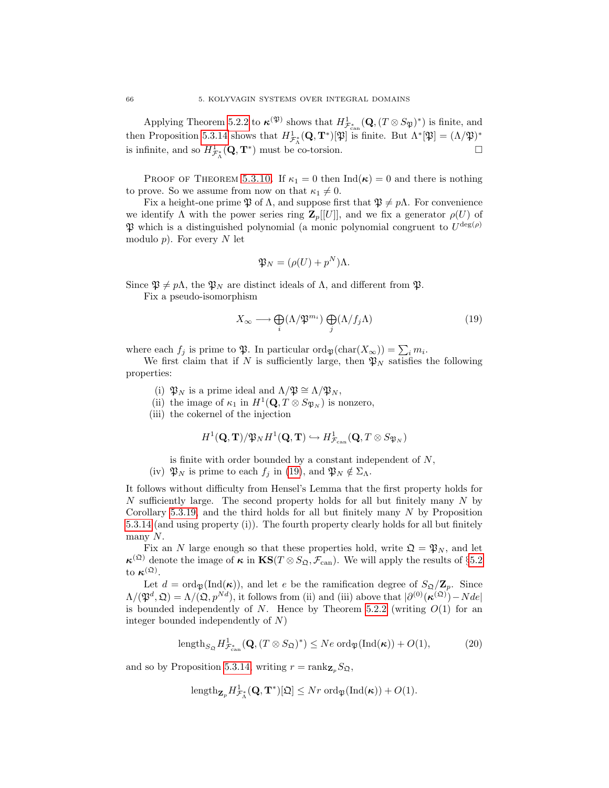Applying Theorem [5.2.2](#page-61-0) to  $\kappa^{(\mathfrak{P})}$  shows that  $H^1_{\mathcal{F}^*_{\text{can}}}(\mathbf{Q},(T\otimes S_{\mathfrak{P}})^*)$  is finite, and then Proposition [5.3.14](#page-69-4) shows that  $H^1_{\mathcal{F}^*_{\Lambda}}(\mathbf{Q}, \mathbf{T}^*)[\mathfrak{P}]$  is finite. But  $\Lambda^*[\mathfrak{P}] = (\Lambda/\mathfrak{P})^*$ is infinite, and so  $H^1_{\mathcal{F}^*_\Lambda}(\mathbf{Q}, \mathbf{T}^*)$  must be co-torsion.

PROOF OF THEOREM [5.3.10.](#page-66-3) If  $\kappa_1 = 0$  then  $\text{Ind}(\kappa) = 0$  and there is nothing to prove. So we assume from now on that  $\kappa_1 \neq 0$ .

Fix a height-one prime  $\mathfrak P$  of  $\Lambda$ , and suppose first that  $\mathfrak P\neq p\Lambda$ . For convenience we identify  $\Lambda$  with the power series ring  $\mathbf{Z}_p[[U]]$ , and we fix a generator  $\rho(U)$  of  $\mathfrak P$  which is a distinguished polynomial (a monic polynomial congruent to  $U^{\deg(\rho)}$ modulo  $p$ ). For every N let

<span id="page-71-0"></span>
$$
\mathfrak{P}_N = (\rho(U) + p^N)\Lambda.
$$

Since  $\mathfrak{P} \neq p\Lambda$ , the  $\mathfrak{P}_N$  are distinct ideals of  $\Lambda$ , and different from  $\mathfrak{P}$ .

Fix a pseudo-isomorphism

$$
X_{\infty} \longrightarrow \bigoplus_{i} (\Lambda/\mathfrak{P}^{m_i}) \bigoplus_{j} (\Lambda/f_j \Lambda)
$$
 (19)

where each  $f_j$  is prime to  $\mathfrak{P}$ . In particular  $\text{ord}_{\mathfrak{P}}(\text{char}(X_{\infty})) = \sum_i m_i$ .

We first claim that if N is sufficiently large, then  $\mathfrak{P}_N$  satisfies the following properties:

- (i)  $\mathfrak{P}_N$  is a prime ideal and  $\Lambda/\mathfrak{P} \cong \Lambda/\mathfrak{P}_N$ ,
- (ii) the image of  $\kappa_1$  in  $H^1(\mathbf{Q}, T \otimes S_{\mathfrak{P}_N})$  is nonzero,
- (iii) the cokernel of the injection

$$
H^1(\mathbf{Q},\mathbf{T})/\mathfrak{P}_NH^1(\mathbf{Q},\mathbf{T})\hookrightarrow H^1_{\mathcal{F}_{\textup{can}}}(\mathbf{Q},T\otimes S_{\mathfrak{P}_N})
$$

- is finite with order bounded by a constant independent of  $N$ ,
- (iv)  $\mathfrak{P}_N$  is prime to each  $f_j$  in [\(19\)](#page-71-0), and  $\mathfrak{P}_N \notin \Sigma_{\Lambda}$ .

It follows without difficulty from Hensel's Lemma that the first property holds for  $N$  sufficiently large. The second property holds for all but finitely many  $N$  by Corollary [5.3.19,](#page-70-1) and the third holds for all but finitely many  $N$  by Proposition [5.3.14](#page-69-4) (and using property (i)). The fourth property clearly holds for all but finitely many  $N$ .

Fix an N large enough so that these properties hold, write  $\mathfrak{Q} = \mathfrak{P}_N$ , and let  $\kappa^{(\mathfrak{Q})}$  denote the image of  $\kappa$  in  $\mathbf{KS}(T \otimes S_{\mathfrak{Q}}, \mathcal{F}_{\mathrm{can}})$ . We will apply the results of §[5.2](#page-61-4) to  $\kappa^{(\mathfrak{Q})}$ .

Let  $d = \text{ord}_{\mathfrak{P}}(\text{Ind}(\kappa))$ , and let e be the ramification degree of  $S_{\mathfrak{Q}}/\mathbb{Z}_p$ . Since  $\Lambda/(\mathfrak{P}^d, \mathfrak{Q}) = \Lambda/(\mathfrak{Q}, p^{Nd})$ , it follows from (ii) and (iii) above that  $|\partial^{(0)}(\kappa^{(\mathfrak{Q})}) - Nde|$ is bounded independently of N. Hence by Theorem [5.2.2](#page-61-0) (writing  $O(1)$  for an integer bounded independently of N)

$$
\text{length}_{S_{\mathfrak{Q}}} H^1_{\mathcal{F}_{\text{can}}^*}(\mathbf{Q}, (T \otimes S_{\mathfrak{Q}})^*) \le N e \text{ ord}_{\mathfrak{P}}(\text{Ind}(\kappa)) + O(1),\tag{20}
$$

and so by Proposition [5.3.14,](#page-69-4) writing  $r = \text{rank}_{\mathbf{Z}_p} S_{\mathfrak{Q}},$ 

$$
\text{length}_{\mathbf{Z}_p} H^1_{\mathcal{F}_\Lambda^*}(\mathbf{Q}, \mathbf{T}^*)[\mathfrak{Q}] \leq Nr \text{ord}_{\mathfrak{P}}(\text{Ind}(\kappa)) + O(1).
$$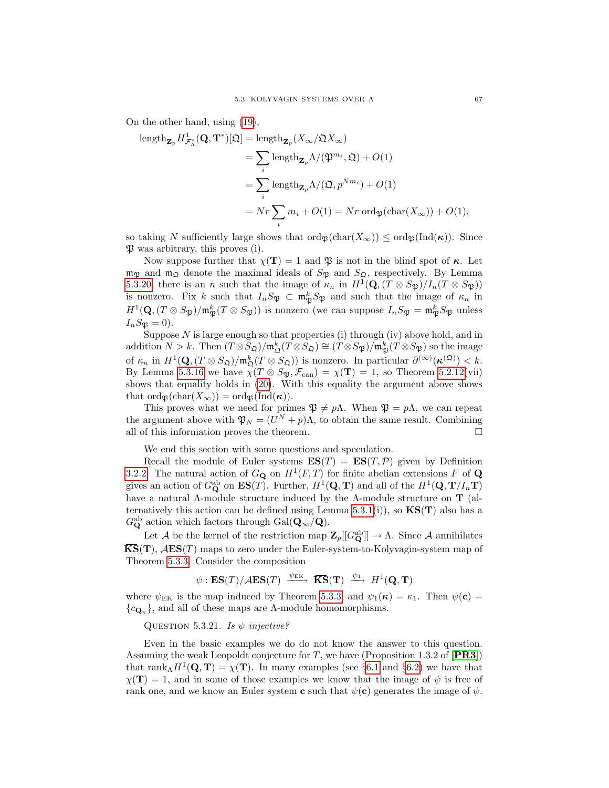On the other hand, using [\(19\)](#page-71-0),

length<sub>**Z**<sub>p</sub></sub> 
$$
H_{\mathcal{F}_{\Lambda}^{*}}^{1}(\mathbf{Q}, \mathbf{T}^{*})[\mathfrak{Q}] = \text{length}_{\mathbf{Z}_{p}}(X_{\infty}/\mathfrak{Q}X_{\infty})
$$
  
\n
$$
= \sum_{i} \text{length}_{\mathbf{Z}_{p}} \Lambda/(\mathfrak{P}^{m_{i}}, \mathfrak{Q}) + O(1)
$$
\n
$$
= \sum_{i} \text{length}_{\mathbf{Z}_{p}} \Lambda/(\mathfrak{Q}, p^{Nm_{i}}) + O(1)
$$
\n
$$
= Nr \sum_{i} m_{i} + O(1) = Nr \text{ord}_{\mathfrak{P}}(\text{char}(X_{\infty})) + O(1),
$$

so taking N sufficiently large shows that  $\text{ord}_{\mathfrak{B}}(\text{char}(X_{\infty})) \leq \text{ord}_{\mathfrak{B}}(\text{Ind}(\kappa)).$  Since  $\mathfrak P$  was arbitrary, this proves (i).

Now suppose further that  $\chi(\mathbf{T}) = 1$  and  $\mathfrak{P}$  is not in the blind spot of  $\kappa$ . Let  $m_{\mathfrak{P}}$  and  $m_{\mathfrak{Q}}$  denote the maximal ideals of  $S_{\mathfrak{P}}$  and  $S_{\mathfrak{Q}}$ , respectively. By Lemma [5.3.20,](#page-70-0) there is an n such that the image of  $\kappa_n$  in  $H^1(\mathbf{Q}, (T \otimes S_{\mathfrak{P}})/I_n(T \otimes S_{\mathfrak{P}}))$ is nonzero. Fix k such that  $I_n S_{\mathfrak{P}} \subset \mathfrak{m}_{\mathfrak{P}}^k S_{\mathfrak{P}}$  and such that the image of  $\kappa_n$  in  $H^1(\mathbf{Q},(T\otimes S_{\mathfrak{P}})/\mathfrak{m}_{\mathfrak{P}}^k(T\otimes S_{\mathfrak{P}}))$  is nonzero (we can suppose  $I_nS_{\mathfrak{P}}=\mathfrak{m}_{\mathfrak{P}}^kS_{\mathfrak{P}}$  unless  $I_nS_{\mathfrak{P}} = 0$ .

Suppose  $N$  is large enough so that properties (i) through (iv) above hold, and in addition  $N > k$ . Then  $(T \otimes S_{\mathfrak{Q}})/\mathfrak{m}_{\mathfrak{Q}}^k(T \otimes S_{\mathfrak{Q}}) \cong (T \otimes S_{\mathfrak{P}})/\mathfrak{m}_{\mathfrak{P}}^k(T \otimes S_{\mathfrak{P}})$  so the image of  $\kappa_n$  in  $H^1(\mathbf{Q}, (T \otimes S_{\mathfrak{Q}})/\mathfrak{m}_{\mathfrak{Q}}^k(T \otimes S_{\mathfrak{Q}}))$  is nonzero. In particular  $\partial^{(\infty)}(\kappa^{(\mathfrak{Q})}) < k$ . By Lemma [5.3.16](#page-70-1) we have  $\tilde{\chi}(T \otimes S_{\mathfrak{P}}, \mathcal{F}_{\text{can}}) = \chi(T) = 1$ , so Theorem [5.2.12\(](#page-63-0)vii) shows that equality holds in [\(20\)](#page-71-1). With this equality the argument above shows that  $\text{ord}_{\mathfrak{B}}(\text{char}(X_{\infty})) = \text{ord}_{\mathfrak{B}}(\text{Ind}(\kappa)).$ 

This proves what we need for primes  $\mathfrak{P} \neq p\Lambda$ . When  $\mathfrak{P} = p\Lambda$ , we can repeat the argument above with  $\mathfrak{P}_N = (U^N + p)\Lambda$ , to obtain the same result. Combining all of this information proves the theorem.  $\Box$ 

We end this section with some questions and speculation.

Recall the module of Euler systems  $ES(T) = ES(T, P)$  given by Definition [3.2.2.](#page-28-0) The natural action of  $G_{\mathbf{Q}}$  on  $H^1(F,T)$  for finite abelian extensions F of  $\mathbf{Q}$ gives an action of  $G_{\mathbf{Q}}^{\text{ab}}$  on  $\mathbf{ES}(T)$ . Further,  $H^1(\mathbf{Q}, \mathbf{T})$  and all of the  $H^1(\mathbf{Q}, \mathbf{T}/I_n\mathbf{T})$ have a natural  $\Lambda$ -module structure induced by the  $\Lambda$ -module structure on **T** (al-ternatively this action can be defined using Lemma [5.3.1\(](#page-65-0)i)), so  $\mathbf{KS}(\mathbf{T})$  also has a  $G_{\mathbf{Q}}^{\text{ab}}$  action which factors through  $\text{Gal}(\mathbf{Q}_{\infty}/\mathbf{Q})$ .

Let A be the kernel of the restriction map  $\mathbf{Z}_p[[G_{\mathbf{Q}}^{ab}]] \to \Lambda$ . Since A annihilates  $\overline{\textbf{KS}}(\textbf{T}), \mathcal{A}\textbf{ES}(T)$  maps to zero under the Euler-system-to-Kolyvagin-system map of Theorem [5.3.3.](#page-65-1) Consider the composition

$$
\psi: \textbf{ES}(T)/\mathcal{A}\textbf{ES}(T) \xrightarrow{\psi_{\text{EK}}} \overline{\textbf{KS}}(\textbf{T}) \xrightarrow{\psi_1} H^1(\textbf{Q}, \textbf{T})
$$

where  $\psi_{EK}$  is the map induced by Theorem [5.3.3,](#page-65-1) and  $\psi_1(\kappa) = \kappa_1$ . Then  $\psi(\mathbf{c}) =$  ${c_{\mathbf{Q}_n}}$ , and all of these maps are Λ-module homomorphisms.

<span id="page-72-0"></span>QUESTION 5.3.21. Is  $\psi$  injective?

Even in the basic examples we do do not know the answer to this question. Assuming the weak Leopoldt conjecture for  $T$ , we have (Proposition 1.3.2 of [[PR3](#page-100-0)]) that rank<sub>Λ</sub> $H^1(\mathbf{Q}, \mathbf{T}) = \chi(\mathbf{T})$ . In many examples (see §[6.1](#page-74-0) and §[6.2\)](#page-78-0) we have that  $\chi(\mathbf{T}) = 1$ , and in some of those examples we know that the image of  $\psi$  is free of rank one, and we know an Euler system **c** such that  $\psi(\mathbf{c})$  generates the image of  $\psi$ .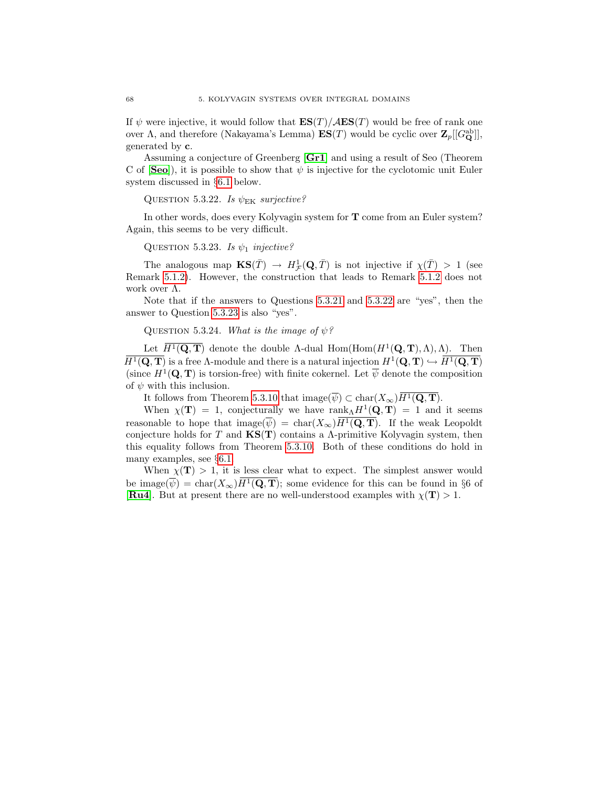If  $\psi$  were injective, it would follow that  $\mathbf{ES}(T)/\mathcal{A}\mathbf{ES}(T)$  would be free of rank one over  $\Lambda$ , and therefore (Nakayama's Lemma)  $ES(T)$  would be cyclic over  $\mathbf{Z}_p[[G_{\mathbf{Q}}^{\text{ab}}]],$ generated by c.

Assuming a conjecture of Greenberg [[Gr1](#page-100-1)] and using a result of Seo (Theorem C of  $[\mathbf{Seo}]$  $[\mathbf{Seo}]$  $[\mathbf{Seo}]$ , it is possible to show that  $\psi$  is injective for the cyclotomic unit Euler system discussed in §[6.1](#page-74-0) below.

<span id="page-73-0"></span>QUESTION 5.3.22. Is  $\psi_{EK}$  surjective?

In other words, does every Kolyvagin system for T come from an Euler system? Again, this seems to be very difficult.

<span id="page-73-1"></span>QUESTION 5.3.23. Is  $\psi_1$  injective?

The analogous map  $\mathbf{KS}(\bar{T}) \to H^1_{\mathcal{F}}(\mathbf{Q}, \bar{T})$  is not injective if  $\chi(\bar{T}) > 1$  (see Remark [5.1.2\)](#page-60-0). However, the construction that leads to Remark [5.1.2](#page-60-0) does not work over Λ.

Note that if the answers to Questions [5.3.21](#page-72-0) and [5.3.22](#page-73-0) are "yes", then the answer to Question [5.3.23](#page-73-1) is also "yes".

QUESTION 5.3.24. What is the image of  $\psi$ ?

Let  $\overline{H^1(\mathbf{Q}, \mathbf{T})}$  denote the double  $\Lambda$ -dual Hom(Hom( $H^1(\mathbf{Q}, \mathbf{T}), \Lambda$ ),  $\Lambda$ ). Then  $\overline{H^1(\mathbf{Q}, \mathbf{T})}$  is a free A-module and there is a natural injection  $H^1(\mathbf{Q}, \mathbf{T}) \hookrightarrow \overline{H^1(\mathbf{Q}, \mathbf{T})}$ (since  $H^1(\mathbf{Q}, \mathbf{T})$  is torsion-free) with finite cokernel. Let  $\overline{\psi}$  denote the composition of  $\psi$  with this inclusion.

It follows from Theorem [5.3.10](#page-66-0) that  $\text{image}(\overline{\psi}) \subset \text{char}(X_{\infty})\overline{H^1(\mathbf{Q}, \mathbf{T})}.$ 

When  $\chi(\mathbf{T}) = 1$ , conjecturally we have rank $\chi H^1(\mathbf{Q}, \mathbf{T}) = 1$  and it seems reasonable to hope that  $\text{image}(\overline{\psi}) = \text{char}(X_{\infty})\overline{H^1(\mathbf{Q}, \mathbf{T})}$ . If the weak Leopoldt conjecture holds for T and  $\mathbf{KS}(T)$  contains a  $\Lambda$ -primitive Kolyvagin system, then this equality follows from Theorem [5.3.10.](#page-66-0) Both of these conditions do hold in many examples, see §[6.1.](#page-74-0)

When  $\chi(\mathbf{T}) > 1$ , it is less clear what to expect. The simplest answer would be image( $\overline{\psi}$ ) = char( $X_{\infty}$ ) $H^1(\mathbf{Q}, \mathbf{T})$ ; some evidence for this can be found in §6 of [[Ru4](#page-100-2)]. But at present there are no well-understood examples with  $\chi(T) > 1$ .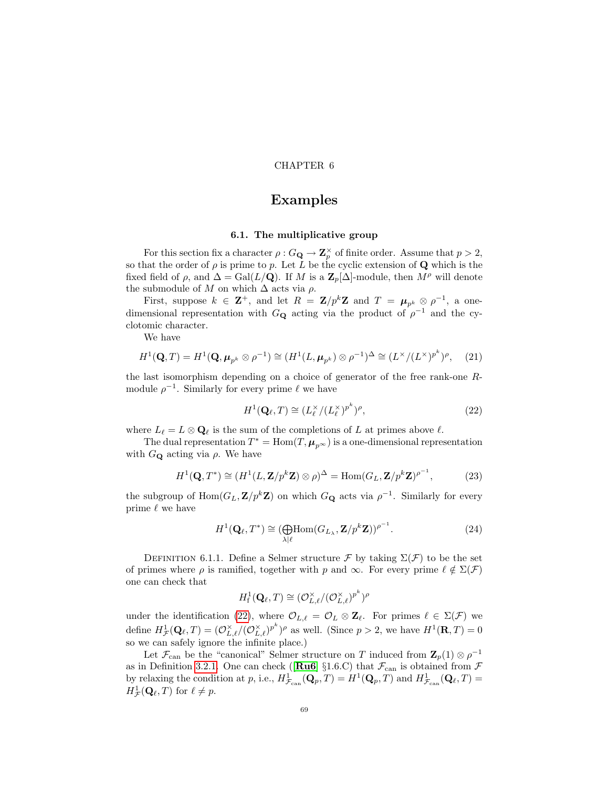### CHAPTER 6

# Examples

### 6.1. The multiplicative group

<span id="page-74-0"></span>For this section fix a character  $\rho: G_{\mathbf{Q}} \to \mathbf{Z}_p^{\times}$  of finite order. Assume that  $p > 2$ , so that the order of  $\rho$  is prime to p. Let L be the cyclic extension of Q which is the fixed field of  $\rho$ , and  $\Delta = \text{Gal}(L/\mathbf{Q})$ . If M is a  $\mathbf{Z}_p[\Delta]$ -module, then  $M^{\rho}$  will denote the submodule of M on which  $\Delta$  acts via  $\rho$ .

First, suppose  $k \in \mathbb{Z}^+$ , and let  $R = \mathbb{Z}/p^k \mathbb{Z}$  and  $T = \mu_{p^k} \otimes \rho^{-1}$ , a onedimensional representation with  $G_{\mathbf{Q}}$  acting via the product of  $\rho^{-1}$  and the cyclotomic character.

<span id="page-74-3"></span>We have

$$
H^{1}(\mathbf{Q}, T) = H^{1}(\mathbf{Q}, \mu_{p^{k}} \otimes \rho^{-1}) \cong (H^{1}(L, \mu_{p^{k}}) \otimes \rho^{-1})^{\Delta} \cong (L^{\times}/(L^{\times})^{p^{k}})^{\rho}, \quad (21)
$$

the last isomorphism depending on a choice of generator of the free rank-one Rmodule  $\rho^{-1}$ . Similarly for every prime  $\ell$  we have

<span id="page-74-4"></span><span id="page-74-1"></span>
$$
H^{1}(\mathbf{Q}_{\ell}, T) \cong (L_{\ell}^{\times}/(L_{\ell}^{\times})^{p^{k}})^{\rho}, \qquad (22)
$$

where  $L_{\ell} = L \otimes \mathbf{Q}_{\ell}$  is the sum of the completions of L at primes above  $\ell$ .

The dual representation  $T^* = \text{Hom}(T, \mu_{p^{\infty}})$  is a one-dimensional representation with  $G_{\mathbf{Q}}$  acting via  $\rho$ . We have

$$
H^{1}(\mathbf{Q}, T^{*}) \cong (H^{1}(L, \mathbf{Z}/p^{k}\mathbf{Z}) \otimes \rho)^{\Delta} = \text{Hom}(G_{L}, \mathbf{Z}/p^{k}\mathbf{Z})^{\rho^{-1}},
$$
\n(23)

the subgroup of  $\text{Hom}(G_L, \mathbf{Z}/p^k \mathbf{Z})$  on which  $G_{\mathbf{Q}}$  acts via  $\rho^{-1}$ . Similarly for every prime  $\ell$  we have

<span id="page-74-2"></span>
$$
H^{1}(\mathbf{Q}_{\ell}, T^{*}) \cong (\bigoplus_{\lambda|\ell} \text{Hom}(G_{L_{\lambda}}, \mathbf{Z}/p^{k}\mathbf{Z}))^{\rho^{-1}}.
$$
 (24)

<span id="page-74-5"></span>DEFINITION 6.1.1. Define a Selmer structure  $\mathcal F$  by taking  $\Sigma(\mathcal F)$  to be the set of primes where  $\rho$  is ramified, together with p and  $\infty$ . For every prime  $\ell \notin \Sigma(\mathcal{F})$ one can check that

$$
H^1_{\textup{f}}(\mathbf{Q}_{\ell},T) \cong (\mathcal{O}_{L,\ell}^{\times}/(\mathcal{O}_{L,\ell}^{\times})^{p^k})^{\rho}
$$

under the identification [\(22\)](#page-74-1), where  $\mathcal{O}_{L,\ell} = \mathcal{O}_L \otimes \mathbf{Z}_{\ell}$ . For primes  $\ell \in \Sigma(\mathcal{F})$  we define  $H^1_{\mathcal{F}}(\mathbf{Q}_\ell, T) = (\mathcal{O}_{L,\ell}^\times/(\mathcal{O}_{L,\ell}^\times)^{p^k})^\rho$  as well. (Since  $p > 2$ , we have  $H^1(\mathbf{R}, T) = 0$ so we can safely ignore the infinite place.)

Let  $\mathcal{F}_{\text{can}}$  be the "canonical" Selmer structure on T induced from  $\mathbf{Z}_{p}(1) \otimes \rho^{-1}$ as in Definition [3.2.1.](#page-28-1) One can check ([ $\text{Ru6}$  $\text{Ru6}$  $\text{Ru6}$ ] §1.6.C) that  $\mathcal{F}_{\text{can}}$  is obtained from  $\mathcal F$ by relaxing the condition at p, i.e.,  $H^1_{\mathcal{F}_{can}}(\mathbf{Q}_p, T) = H^1(\mathbf{Q}_p, T)$  and  $H^1_{\mathcal{F}_{can}}(\mathbf{Q}_\ell, T) =$  $H^1_{\mathcal{F}}(\mathbf{Q}_\ell,T)$  for  $\ell \neq p$ .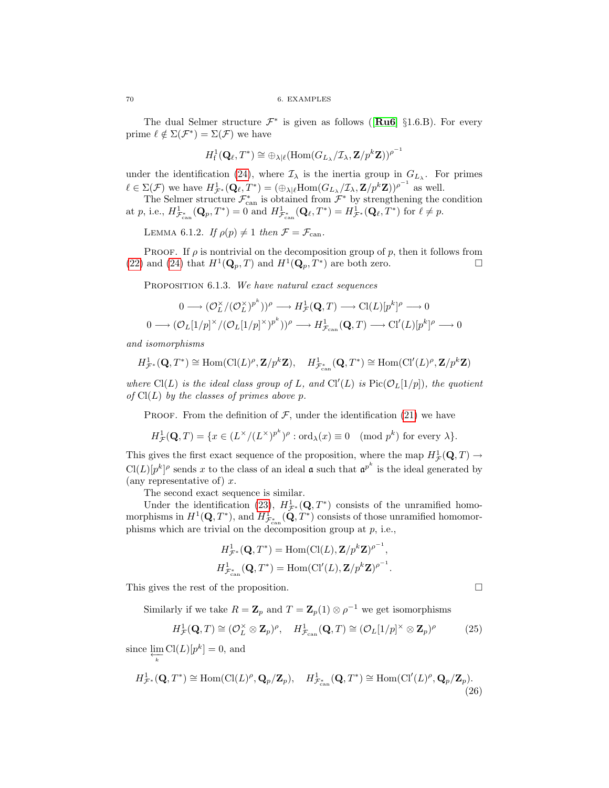The dual Selmer structure  $\mathcal{F}^*$  is given as follows ([ $\text{Ru6}$  $\text{Ru6}$  $\text{Ru6}$ ] §1.6.B). For every prime  $\ell \notin \Sigma(\mathcal{F}^*) = \Sigma(\mathcal{F})$  we have

$$
H^1_{\mathrm{f}}(\mathbf{Q}_{\ell},T^*)\cong \oplus_{\lambda|\ell}(\mathrm{Hom}(G_{L_{\lambda}}/\mathcal{I}_{\lambda},\mathbf{Z}/p^k\mathbf{Z}))^{\rho^{-1}}
$$

under the identification [\(24\)](#page-74-2), where  $\mathcal{I}_{\lambda}$  is the inertia group in  $G_{L_{\lambda}}$ . For primes  $\ell \in \Sigma(\mathcal{F})$  we have  $H^1_{\mathcal{F}^*}(\mathbf{Q}_{\ell}, T^*) = (\bigoplus_{\lambda|\ell} \text{Hom}(G_{L_{\lambda}}/\mathcal{I}_{\lambda}, \mathbf{Z}/p^k \mathbf{Z}))^{\rho^{-1}}$  as well.

The Selmer structure  $\mathcal{F}_{\text{can}}^*$  is obtained from  $\mathcal{F}^*$  by strengthening the condition at p, i.e.,  $H^1_{\mathcal{F}_{\text{can}}^*}(\mathbf{Q}_p, T^*) = 0$  and  $H^1_{\mathcal{F}_{\text{can}}^*}(\mathbf{Q}_\ell, T^*) = H^1_{\mathcal{F}^*}(\mathbf{Q}_\ell, T^*)$  for  $\ell \neq p$ .

<span id="page-75-3"></span>LEMMA 6.1.2. If  $\rho(p) \neq 1$  then  $\mathcal{F} = \mathcal{F}_{\text{can}}$ .

PROOF. If  $\rho$  is nontrivial on the decomposition group of p, then it follows from [\(22\)](#page-74-1) and [\(24\)](#page-74-2) that  $H^1(\mathbf{Q}_p, T)$  and  $H^1(\mathbf{Q}_p, T^*)$  are both zero.

<span id="page-75-0"></span>PROPOSITION 6.1.3. We have natural exact sequences

$$
0 \longrightarrow (\mathcal{O}_L^{\times}/(\mathcal{O}_L^{\times})^{p^k}))^{\rho} \longrightarrow H^1_{\mathcal{F}}(\mathbf{Q}, T) \longrightarrow \mathrm{Cl}(L)[p^k]^{\rho} \longrightarrow 0
$$
  

$$
0 \longrightarrow (\mathcal{O}_L[1/p]^{\times}/(\mathcal{O}_L[1/p]^{\times})^{p^k}))^{\rho} \longrightarrow H^1_{\mathcal{F}_{\text{can}}}(\mathbf{Q}, T) \longrightarrow \mathrm{Cl}'(L)[p^k]^{\rho} \longrightarrow 0
$$

and isomorphisms

$$
H^1_{\mathcal{F}^*}(\mathbf{Q},T^*)\cong \text{Hom}(\text{Cl}(L)^\rho,\mathbf{Z}/p^k\mathbf{Z}),\quad H^1_{\mathcal{F}^*_{\text{can}}}(\mathbf{Q},T^*)\cong \text{Hom}(\text{Cl}'(L)^\rho,\mathbf{Z}/p^k\mathbf{Z})
$$

where Cl(L) is the ideal class group of L, and Cl'(L) is  $Pic(\mathcal{O}_L[1/p])$ , the quotient of  $Cl(L)$  by the classes of primes above p.

PROOF. From the definition of  $\mathcal{F}$ , under the identification [\(21\)](#page-74-3) we have

$$
H^1_{\mathcal{F}}(\mathbf{Q},T) = \{ x \in (L^{\times}/(L^{\times})^{p^k})^{\rho} : \text{ord}_{\lambda}(x) \equiv 0 \pmod{p^k} \text{ for every } \lambda \}.
$$

This gives the first exact sequence of the proposition, where the map  $H^1_{\mathcal{F}}(\mathbf{Q}, T) \to$  $Cl(L)[p^k]^{\rho}$  sends x to the class of an ideal **a** such that  $\mathfrak{a}^{p^k}$  is the ideal generated by (any representative of)  $x$ .

The second exact sequence is similar.

Under the identification [\(23\)](#page-74-4),  $H^1_{\mathcal{F}^*}(\mathbf{Q}, T^*)$  consists of the unramified homomorphisms in  $H^1(\mathbf{Q}, T^*)$ , and  $H^1_{\mathcal{F}^*_{\text{can}}}(\mathbf{Q}, T^*)$  consists of those unramified homomorphisms which are trivial on the decomposition group at  $p$ , i.e.,

$$
H^1_{\mathcal{F}^*}(\mathbf{Q}, T^*) = \text{Hom}(\text{Cl}(L), \mathbf{Z}/p^k \mathbf{Z})^{\rho^{-1}},
$$
  

$$
H^1_{\mathcal{F}^*_{\text{can}}}(\mathbf{Q}, T^*) = \text{Hom}(\text{Cl}'(L), \mathbf{Z}/p^k \mathbf{Z})^{\rho^{-1}}.
$$

This gives the rest of the proposition.

Similarly if we take  $R = \mathbb{Z}_p$  and  $T = \mathbb{Z}_p(1) \otimes \rho^{-1}$  we get isomorphisms

<span id="page-75-2"></span>
$$
H^1_{\mathcal{F}}(\mathbf{Q}, T) \cong (\mathcal{O}_L^{\times} \otimes \mathbf{Z}_p)^{\rho}, \quad H^1_{\mathcal{F}_{\text{can}}}(\mathbf{Q}, T) \cong (\mathcal{O}_L[1/p]^{\times} \otimes \mathbf{Z}_p)^{\rho} \tag{25}
$$

since  $\mathop{\lim}\limits_{\substack{\longleftarrow \\ k}} \text{Cl}(L)[p^k] = 0$ , and

<span id="page-75-4"></span>
$$
H^1_{\mathcal{F}^*}(\mathbf{Q}, T^*) \cong \text{Hom}(\text{Cl}(L)^\rho, \mathbf{Q}_p/\mathbf{Z}_p), \quad H^1_{\mathcal{F}^*_{\text{can}}}(\mathbf{Q}, T^*) \cong \text{Hom}(\text{Cl}'(L)^\rho, \mathbf{Q}_p/\mathbf{Z}_p). \tag{26}
$$

<span id="page-75-1"></span>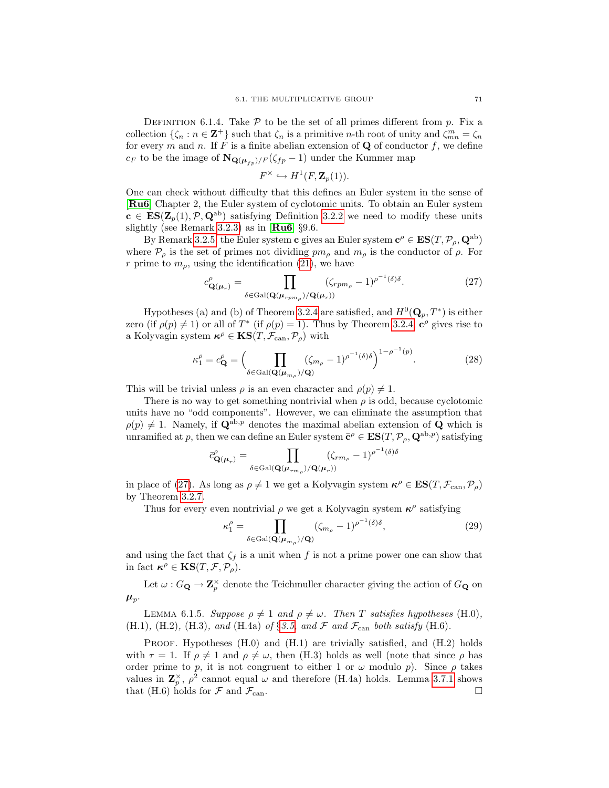DEFINITION 6.1.4. Take  $P$  to be the set of all primes different from p. Fix a collection  $\{\zeta_n : n \in \mathbb{Z}^+\}$  such that  $\zeta_n$  is a primitive *n*-th root of unity and  $\zeta_{mn}^m = \zeta_n$ for every m and n. If F is a finite abelian extension of  $Q$  of conductor f, we define  $c_F$  to be the image of  $\mathbf{N}_{\mathbf{Q}(\boldsymbol{\mu}_{fn})/F}(\zeta_{fp} - 1)$  under the Kummer map

<span id="page-76-0"></span>
$$
F^{\times} \hookrightarrow H^1(F, \mathbf{Z}_p(1)).
$$

One can check without difficulty that this defines an Euler system in the sense of [[Ru6](#page-100-3)] Chapter 2, the Euler system of cyclotomic units. To obtain an Euler system  $c \in ES(\mathbf{Z}_p(1), \mathcal{P}, \mathbf{Q}^{ab})$  satisfying Definition [3.2.2](#page-28-0) we need to modify these units slightly (see Remark [3.2.3\)](#page-28-2) as in  $\textbf{Ru6}$  $\textbf{Ru6}$  $\textbf{Ru6}$  §9.6.

By Remark [3.2.5,](#page-29-0) the Euler system **c** gives an Euler system  $c^{\rho} \in ES(T, \mathcal{P}_{\rho}, \mathbf{Q}^{\text{ab}})$ where  $P_{\rho}$  is the set of primes not dividing  $pm_{\rho}$  and  $m_{\rho}$  is the conductor of  $\rho$ . For r prime to  $m_{\rho}$ , using the identification [\(21\)](#page-74-3), we have

<span id="page-76-2"></span>
$$
c^{\rho}_{\mathbf{Q}(\boldsymbol{\mu}_r)} = \prod_{\delta \in \text{Gal}(\mathbf{Q}(\boldsymbol{\mu}_{rpm_{\rho}})/\mathbf{Q}(\boldsymbol{\mu}_r))} (\zeta_{rpm_{\rho}} - 1)^{\rho^{-1}(\delta)\delta}.
$$
 (27)

Hypotheses (a) and (b) of Theorem [3.2.4](#page-28-3) are satisfied, and  $H^0(\mathbf{Q}_p, T^*)$  is either zero (if  $\rho(p) \neq 1$ ) or all of  $T^*$  (if  $\rho(p) = 1$ ). Thus by Theorem [3.2.4,](#page-28-3)  $c^{\rho}$  gives rise to a Kolyvagin system  $\kappa^{\rho} \in \text{KS}(T, \mathcal{F}_{\text{can}}, \mathcal{P}_{\rho})$  with

$$
\kappa_1^{\rho} = c_{\mathbf{Q}}^{\rho} = \left(\prod_{\delta \in \text{Gal}(\mathbf{Q}(\boldsymbol{\mu}_{m_{\rho}})/\mathbf{Q})} (\zeta_{m_{\rho}} - 1)^{\rho^{-1}(\delta)\delta}\right)^{1-\rho^{-1}(p)}.\tag{28}
$$

This will be trivial unless  $\rho$  is an even character and  $\rho(p) \neq 1$ .

There is no way to get something nontrivial when  $\rho$  is odd, because cyclotomic units have no "odd components". However, we can eliminate the assumption that  $\rho(p) \neq 1$ . Namely, if  $\mathbf{Q}^{ab,p}$  denotes the maximal abelian extension of Q which is unramified at p, then we can define an Euler system  $\bar{\mathbf{c}}^{\rho} \in \mathbf{ES}(T, \mathcal{P}_{\rho}, \mathbf{Q}^{\text{ab},p})$  satisfying

$$
\bar{c}^{\rho}_{\mathbf{Q}(\boldsymbol{\mu}_r)} = \prod_{\delta \in \text{Gal}(\mathbf{Q}(\boldsymbol{\mu}_{rm_{\rho}})/\mathbf{Q}(\boldsymbol{\mu}_r))} (\zeta_{rm_{\rho}} - 1)^{\rho^{-1}(\delta)\delta}
$$

in place of [\(27\)](#page-76-0). As long as  $\rho \neq 1$  we get a Kolyvagin system  $\kappa^{\rho} \in ES(T, \mathcal{F}_{\text{can}}, \mathcal{P}_{\rho})$ by Theorem [3.2.7.](#page-29-1)

Thus for every even nontrivial  $\rho$  we get a Kolyvagin system  $\kappa^{\rho}$  satisfying

<span id="page-76-1"></span>
$$
\kappa_1^{\rho} = \prod_{\delta \in \text{Gal}(\mathbf{Q}(\boldsymbol{\mu}_{m_{\rho}})/\mathbf{Q})} (\zeta_{m_{\rho}} - 1)^{\rho^{-1}(\delta)\delta},\tag{29}
$$

and using the fact that  $\zeta_f$  is a unit when f is not a prime power one can show that in fact  $\kappa^{\rho} \in \mathbf{KS}(T, \mathcal{F}, \mathcal{P}_{\rho}).$ 

Let  $\omega$  :  $G_{\mathbf{Q}} \to \mathbf{Z}_p^{\times}$  denote the Teichmuller character giving the action of  $G_{\mathbf{Q}}$  on  $\mu_p$ .

<span id="page-76-3"></span>LEMMA 6.1.5. Suppose  $\rho \neq 1$  and  $\rho \neq \omega$ . Then T satisfies hypotheses (H.0), (H.1), (H.2), (H.3), and (H.4a) of §[3.5,](#page-32-0) and  $\mathcal F$  and  $\mathcal F_{\text{can}}$  both satisfy (H.6).

**PROOF.** Hypotheses  $(H.0)$  and  $(H.1)$  are trivially satisfied, and  $(H.2)$  holds with  $\tau = 1$ . If  $\rho \neq 1$  and  $\rho \neq \omega$ , then (H.3) holds as well (note that since  $\rho$  has order prime to p, it is not congruent to either 1 or  $\omega$  modulo p). Since  $\rho$  takes values in  $\mathbb{Z}_p^{\times}$ ,  $\rho^2$  cannot equal  $\omega$  and therefore (H.4a) holds. Lemma [3.7.1](#page-38-0) shows that (H.6) holds for  $\mathcal F$  and  $\mathcal F_{\text{can}}$ .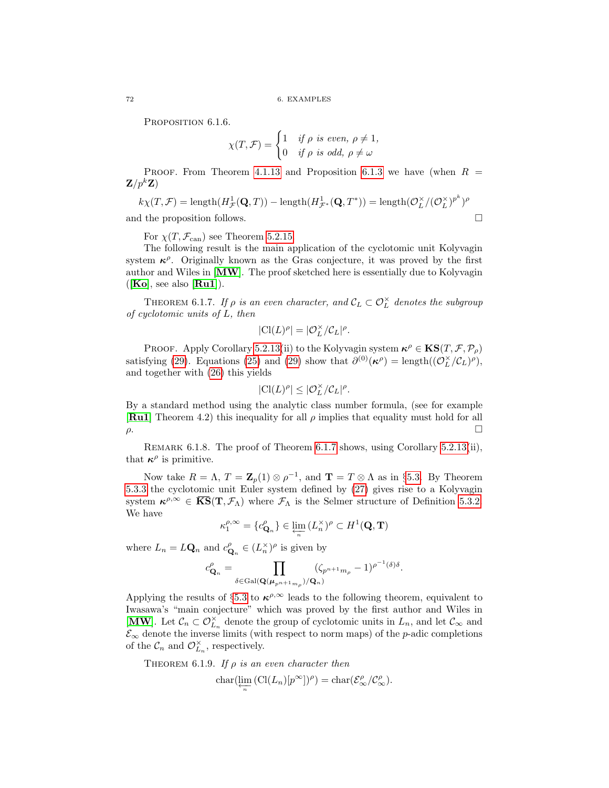<span id="page-77-2"></span>PROPOSITION 6.1.6.

$$
\chi(T,\mathcal{F}) = \begin{cases} 1 & \text{if } \rho \text{ is even, } \rho \neq 1, \\ 0 & \text{if } \rho \text{ is odd, } \rho \neq \omega \end{cases}
$$

PROOF. From Theorem [4.1.13](#page-43-0) and Proposition [6.1.3](#page-75-0) we have (when  $R =$  $\mathbf{Z}/p^k\mathbf{Z}$ 

$$
k\chi(T,\mathcal{F}) = \text{length}(H^1_{\mathcal{F}}(\mathbf{Q},T)) - \text{length}(H^1_{\mathcal{F}^*}(\mathbf{Q},T^*)) = \text{length}(\mathcal{O}_L^{\times}/(\mathcal{O}_L^{\times})^{p^k})^{\rho}
$$
  
and the proposition follows.

For  $\chi(T, \mathcal{F}_{\text{can}})$  see Theorem [5.2.15.](#page-64-0)

The following result is the main application of the cyclotomic unit Kolyvagin system  $\kappa^{\rho}$ . Originally known as the Gras conjecture, it was proved by the first author and Wiles in [[MW](#page-100-4)]. The proof sketched here is essentially due to Kolyvagin  $([Ko], \text{ see also } [\textbf{Ru1}]).$  $([Ko], \text{ see also } [\textbf{Ru1}]).$  $([Ko], \text{ see also } [\textbf{Ru1}]).$  $([Ko], \text{ see also } [\textbf{Ru1}]).$  $([Ko], \text{ see also } [\textbf{Ru1}]).$ 

<span id="page-77-0"></span>THEOREM 6.1.7. If  $\rho$  is an even character, and  $\mathcal{C}_L \subset \mathcal{O}_L^{\times}$  denotes the subgroup of cyclotomic units of L, then

$$
|\mathrm{Cl}(L)^\rho| = |\mathcal{O}_L^\times/\mathcal{C}_L|^\rho.
$$

PROOF. Apply Corollary [5.2.13\(](#page-63-1)ii) to the Kolyvagin system  $\kappa^{\rho} \in KS(T, \mathcal{F}, \mathcal{P}_{\rho})$ satisfying [\(29\)](#page-76-1). Equations [\(25\)](#page-75-1) and (29) show that  $\partial^{(0)}(\kappa^{\rho}) = \text{length}((\mathcal{O}_{L}^{\times}/\mathcal{C}_{L})^{\rho}),$ and together with [\(26\)](#page-75-2) this yields

$$
|\mathrm{Cl}(L)^{\rho}| \leq |\mathcal{O}_L^\times/\mathcal{C}_L|^{\rho}.
$$

By a standard method using the analytic class number formula, (see for example **[[Ru1](#page-100-6)]** Theorem 4.2) this inequality for all  $\rho$  implies that equality must hold for all ρ.

<span id="page-77-1"></span>Remark 6.1.8. The proof of Theorem [6.1.7](#page-77-0) shows, using Corollary [5.2.13\(](#page-63-1)ii), that  $\kappa^{\rho}$  is primitive.

Now take  $R = \Lambda$ ,  $T = \mathbb{Z}_p(1) \otimes \rho^{-1}$ , and  $\mathbb{T} = T \otimes \Lambda$  as in §[5.3.](#page-65-2) By Theorem [5.3.3](#page-65-1) the cyclotomic unit Euler system defined by [\(27\)](#page-76-0) gives rise to a Kolyvagin system  $\kappa^{\rho,\infty} \in \overline{KS}(T,\mathcal{F}_\Lambda)$  where  $\mathcal{F}_\Lambda$  is the Selmer structure of Definition [5.3.2.](#page-65-3) We have

$$
\kappa_1^{\rho,\infty}=\{c_{{\bf Q}_n}^{\rho}\}\in \varprojlim_n{(L_n^{\times})^{\rho}}\subset H^1({\bf Q},{\bf T})
$$

where  $L_n = L\mathbf{Q}_n$  and  $c_{\mathbf{Q}_n}^{\rho} \in (L_n^{\times})^{\rho}$  is given by

$$
c^{\rho}_{\mathbf{Q}_n} = \prod_{\delta \in \mathrm{Gal}(\mathbf{Q}(\boldsymbol{\mu}_{p^{n+1}m_{\rho}})/\mathbf{Q}_n)} (\zeta_{p^{n+1}m_{\rho}} - 1)^{\rho^{-1}(\delta) \delta}.
$$

Applying the results of §[5.3](#page-65-2) to  $\kappa^{\rho,\infty}$  leads to the following theorem, equivalent to Iwasawa's "main conjecture" which was proved by the first author and Wiles in [[MW](#page-100-4)]. Let  $\mathcal{C}_n \subset \mathcal{O}_{L_n}^{\times}$  denote the group of cyclotomic units in  $L_n$ , and let  $\mathcal{C}_{\infty}$  and  $\mathcal{E}_{\infty}$  denote the inverse limits (with respect to norm maps) of the *p*-adic completions of the  $\mathcal{C}_n$  and  $\mathcal{O}_{L_n}^{\times}$ , respectively.

THEOREM 6.1.9. If  $\rho$  is an even character then

$$
char(\varprojlim_{n} (Cl(L_{n})[p^{\infty}])^{\rho}) = char(\mathcal{E}_{\infty}^{\rho}/\mathcal{C}_{\infty}^{\rho}).
$$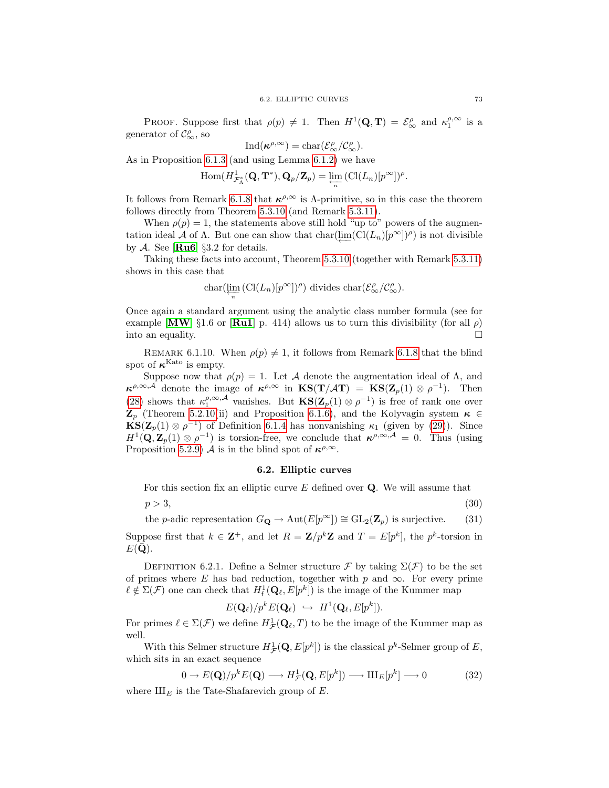PROOF. Suppose first that  $\rho(p) \neq 1$ . Then  $H^1(\mathbf{Q}, \mathbf{T}) = \mathcal{E}_{\infty}^{\rho}$  and  $\kappa_1^{\rho, \infty}$  is a generator of  $\mathcal{C}^{\rho}_{\infty}$ , so

$$
\operatorname{Ind}(\kappa^{\rho,\infty})=\operatorname{char}(\mathcal{E}^{\rho}_{\infty}/\mathcal{C}^{\rho}_{\infty}).
$$

As in Proposition [6.1.3](#page-75-0) (and using Lemma [6.1.2\)](#page-75-3) we have

$$
\operatorname{Hom}(H^1_{\mathcal{F}^*_\Lambda}(\mathbf{Q}, \mathbf{T}^*), \mathbf{Q}_p/\mathbf{Z}_p) = \varprojlim_n (\operatorname{Cl}(L_n)[p^\infty])^p.
$$

It follows from Remark [6.1.8](#page-77-1) that  $\kappa^{\rho,\infty}$  is  $\Lambda$ -primitive, so in this case the theorem follows directly from Theorem [5.3.10](#page-66-0) (and Remark [5.3.11\)](#page-67-0).

When  $\rho(p) = 1$ , the statements above still hold "up to" powers of the augmentation ideal A of  $\Lambda$ . But one can show that char $(\underleftarrow{\text{im}}(\text{Cl}(L_n)[p^{\infty}])^{\rho})$  is not divisible by A. See [ $\text{Ru6}$  $\text{Ru6}$  $\text{Ru6}$ ] §3.2 for details.

Taking these facts into account, Theorem [5.3.10](#page-66-0) (together with Remark [5.3.11\)](#page-67-0) shows in this case that

$$
\text{char}(\varprojlim_n \left(\text{Cl}(L_n)[p^\infty])^\rho\right) \text{ divides } \text{char}(\mathcal{E}_\infty^\rho/\mathcal{C}_\infty^\rho).
$$

Once again a standard argument using the analytic class number formula (see for example [[MW](#page-100-4)] §1.6 or [[Ru1](#page-100-6)] p. 414) allows us to turn this divisibility (for all  $\rho$ ) into an equality.

REMARK 6.1.10. When  $\rho(p) \neq 1$ , it follows from Remark [6.1.8](#page-77-1) that the blind spot of  $\kappa^{\text{Kato}}$  is empty.

Suppose now that  $\rho(p) = 1$ . Let A denote the augmentation ideal of  $\Lambda$ , and  $\kappa^{\rho,\infty,A}$  denote the image of  $\kappa^{\rho,\infty}$  in  $\text{KS}(\textbf{T}/\mathcal{A}\textbf{T}) = \text{KS}(\textbf{Z}_p(1) \otimes \rho^{-1}).$  Then [\(28\)](#page-76-2) shows that  $\kappa_1^{\rho,\infty,\mathcal{A}}$  vanishes. But  $\mathbf{KS}(\mathbf{Z}_p(1) \otimes \rho^{-1})$  is free of rank one over  $\mathbf{Z}_p$  (Theorem [5.2.10\(](#page-62-0)ii) and Proposition [6.1.6\)](#page-77-2), and the Kolyvagin system  $\kappa \in$  $\mathbf{KS}(\mathbf{Z}_{p}(1) \otimes \rho^{-1})$  of Definition [6.1.4](#page-75-4) has nonvanishing  $\kappa_1$  (given by [\(29\)](#page-76-1)). Since  $H^1(\mathbf{Q}, \mathbf{Z}_p(1) \otimes \rho^{-1})$  is torsion-free, we conclude that  $\kappa^{\rho, \infty, \mathcal{A}} = 0$ . Thus (using Proposition [5.2.9\)](#page-62-1) A is in the blind spot of  $\kappa^{\rho,\infty}$ .

#### <span id="page-78-2"></span><span id="page-78-1"></span>6.2. Elliptic curves

<span id="page-78-0"></span>For this section fix an elliptic curve  $E$  defined over  $Q$ . We will assume that

 $p > 3,$  (30)

the p-adic representation  $G_{\mathbf{Q}} \to \text{Aut}(E[p^{\infty}]) \cong \text{GL}_2(\mathbf{Z}_p)$  is surjective. (31)

Suppose first that  $k \in \mathbb{Z}^+$ , and let  $R = \mathbb{Z}/p^k \mathbb{Z}$  and  $T = E[p^k]$ , the  $p^k$ -torsion in  $E(\mathbf{Q}).$ 

DEFINITION 6.2.1. Define a Selmer structure F by taking  $\Sigma(\mathcal{F})$  to be the set of primes where E has bad reduction, together with p and  $\infty$ . For every prime  $\ell \notin \Sigma(\mathcal{F})$  one can check that  $H^1_f(\mathbf{Q}_\ell, E[p^k])$  is the image of the Kummer map

<span id="page-78-3"></span>
$$
E(\mathbf{Q}_{\ell})/p^k E(\mathbf{Q}_{\ell}) \hookrightarrow H^1(\mathbf{Q}_{\ell}, E[p^k]).
$$

For primes  $\ell \in \Sigma(\mathcal{F})$  we define  $H^1_{\mathcal{F}}(\mathbf{Q}_{\ell},T)$  to be the image of the Kummer map as well.

With this Selmer structure  $H^1_{\mathcal{F}}(\mathbf{Q}, E[p^k])$  is the classical  $p^k$ -Selmer group of E, which sits in an exact sequence

$$
0 \to E(\mathbf{Q})/p^k E(\mathbf{Q}) \longrightarrow H^1_{\mathcal{F}}(\mathbf{Q}, E[p^k]) \longrightarrow \mathrm{III}_E[p^k] \longrightarrow 0 \tag{32}
$$

where  $\mathop{\amalg}\nolimits_E$  is the Tate-Shafarevich group of E.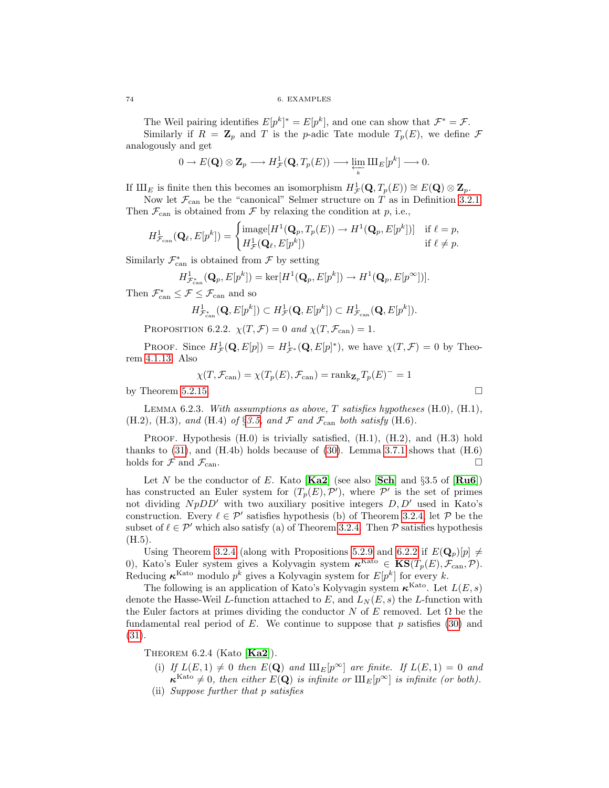The Weil pairing identifies  $E[p^k]^* = E[p^k]$ , and one can show that  $\mathcal{F}^* = \mathcal{F}$ . Similarly if  $R = \mathbb{Z}_p$  and T is the p-adic Tate module  $T_p(E)$ , we define F analogously and get

$$
0 \to E(\mathbf{Q}) \otimes \mathbf{Z}_p \longrightarrow H^1_{\mathcal{F}}(\mathbf{Q}, T_p(E)) \longrightarrow \varprojlim_{k} \amalg_{E}[p^{k}] \longrightarrow 0.
$$

If  $\amalg$  is finite then this becomes an isomorphism  $H^1_{\mathcal{F}}(\mathbf{Q}, T_p(E)) \cong E(\mathbf{Q}) \otimes \mathbf{Z}_p$ .

Now let  $\mathcal{F}_{\text{can}}$  be the "canonical" Selmer structure on T as in Definition [3.2.1.](#page-28-1) Then  $\mathcal{F}_{\text{can}}$  is obtained from  $\mathcal F$  by relaxing the condition at p, i.e.,

$$
H^1_{\mathcal{F}_{\text{can}}}(\mathbf{Q}_{\ell}, E[p^k]) = \begin{cases} \text{image}[H^1(\mathbf{Q}_p, T_p(E)) \to H^1(\mathbf{Q}_p, E[p^k])] & \text{if } \ell = p, \\ H^1_{\mathcal{F}}(\mathbf{Q}_{\ell}, E[p^k]) & \text{if } \ell \neq p. \end{cases}
$$

Similarly  $\mathcal{F}^*_{\text{can}}$  is obtained from  $\mathcal F$  by setting

$$
H^1_{\mathcal{F}^*_{\text{can}}}(\mathbf{Q}_p,E[p^k])=\text{ker}[H^1(\mathbf{Q}_p,E[p^k])\rightarrow H^1(\mathbf{Q}_p,E[p^\infty])].
$$

Then  $\mathcal{F}_{\text{can}}^* \leq \mathcal{F} \leq \mathcal{F}_{\text{can}}$  and so

$$
H^1_{\mathcal{F}^*_{\text{can}}}(\mathbf{Q}, E[p^k]) \subset H^1_{\mathcal{F}}(\mathbf{Q}, E[p^k]) \subset H^1_{\mathcal{F}_{\text{can}}}(\mathbf{Q}, E[p^k]).
$$

<span id="page-79-0"></span>PROPOSITION 6.2.2.  $\chi(T, \mathcal{F}) = 0$  and  $\chi(T, \mathcal{F}_{\text{can}}) = 1$ .

PROOF. Since  $H^1_{\mathcal{F}}(\mathbf{Q}, E[p]) = H^1_{\mathcal{F}^*}(\mathbf{Q}, E[p]^*)$ , we have  $\chi(T, \mathcal{F}) = 0$  by Theorem [4.1.13.](#page-43-0) Also

$$
\chi(T, \mathcal{F}_{\text{can}}) = \chi(T_p(E), \mathcal{F}_{\text{can}}) = \text{rank}_{\mathbf{Z}_p} T_p(E)^{-1} = 1
$$

by Theorem [5.2.15.](#page-64-0)  $\Box$ 

Lemma 6.2.3. With assumptions as above, T satisfies hypotheses (H.0), (H.1), (H.2), (H.3), and (H.4) of §[3.5,](#page-32-0) and  $\mathcal F$  and  $\mathcal F_{\text{can}}$  both satisfy (H.6).

PROOF. Hypothesis (H.0) is trivially satisfied, (H.1), (H.2), and (H.3) hold thanks to  $(31)$ , and  $(H.4b)$  holds because of  $(30)$ . Lemma [3.7.1](#page-38-0) shows that  $(H.6)$ holds for  $\mathcal F$  and  $\mathcal F_{\text{can}}$ .

Let N be the conductor of E. Kato [[Ka2](#page-100-7)] (see also [[Sch](#page-101-1)] and  $\S 3.5$  of [[Ru6](#page-100-3)]) has constructed an Euler system for  $(T_p(E), \mathcal{P}')$ , where  $\mathcal{P}'$  is the set of primes not dividing  $N p D D'$  with two auxiliary positive integers  $D, D'$  used in Kato's construction. Every  $\ell \in \mathcal{P}'$  satisfies hypothesis (b) of Theorem [3.2.4,](#page-28-3) let  $\mathcal{P}$  be the subset of  $\ell \in \mathcal{P}'$  which also satisfy (a) of Theorem [3.2.4.](#page-28-3) Then P satisfies hypothesis  $(H.5).$ 

Using Theorem [3.2.4](#page-28-3) (along with Propositions [5.2.9](#page-62-1) and [6.2.2](#page-79-0) if  $E(\mathbf{Q}_p)[p] \neq$ 0), Kato's Euler system gives a Kolyvagin system  $\kappa^{\text{Kato}} \in \text{KS}(T_p(E), \mathcal{F}_{\text{can}}, \mathcal{P})$ . Reducing  $\kappa^{Kato}$  modulo  $p^k$  gives a Kolyvagin system for  $E[p^k]$  for every k.

The following is an application of Kato's Kolyvagin system  $\kappa^{\text{Kato}}$ . Let  $L(E, s)$ denote the Hasse-Weil L-function attached to E, and  $L_N(E, s)$  the L-function with the Euler factors at primes dividing the conductor N of E removed. Let  $\Omega$  be the fundamental real period of E. We continue to suppose that  $p$  satisfies [\(30\)](#page-78-2) and [\(31\)](#page-78-1).

<span id="page-79-1"></span>THEOREM 6.2.4 (Kato  $[Ka2]$  $[Ka2]$  $[Ka2]$ ).

- (i) If  $L(E, 1) \neq 0$  then  $E(\mathbf{Q})$  and  $\text{III}_E[p^\infty]$  are finite. If  $L(E, 1) = 0$  and  $\kappa^{\text{Kato}} \neq 0$ , then either  $E(\mathbf{Q})$  is infinite or  $\text{III}_E[p^{\infty}]$  is infinite (or both).
- (ii) Suppose further that p satisfies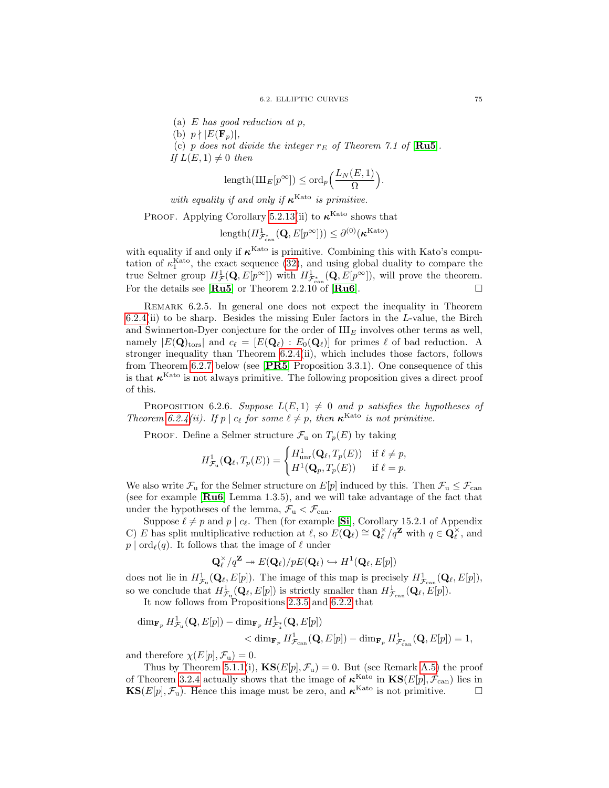(a)  $E$  has good reduction at  $p$ ,

(b)  $p \nmid |E(\mathbf{F}_p)|$ ,

(c) p does not divide the integer  $r_E$  of Theorem 7.1 of [[Ru5](#page-100-8)]. If  $L(E, 1) \neq 0$  then

$$
\text{length}(\text{III}_E[p^\infty]) \le \text{ord}_p\left(\frac{L_N(E,1)}{\Omega}\right).
$$

with equality if and only if  $\kappa^{\text{Kato}}$  is primitive.

PROOF. Applying Corollary [5.2.13\(](#page-63-1)ii) to  $\kappa^{\text{Kato}}$  shows that

$$
\text{length}(H^1_{\mathcal{F}^*_{\text{can}}}(\mathbf{Q}, E[p^\infty])) \leq \partial^{(0)}(\boldsymbol{\kappa}^{\text{Kato}})
$$

with equality if and only if  $\kappa^{\text{Kato}}$  is primitive. Combining this with Kato's computation of  $\kappa_1^{\text{Kato}}$ , the exact sequence [\(32\)](#page-78-3), and using global duality to compare the true Selmer group  $H^1_{\mathcal{F}}(\mathbf{Q}, E[p^\infty])$  with  $H^1_{\mathcal{F}_{\text{can}}^*}(\mathbf{Q}, E[p^\infty])$ , will prove the theorem. For the details see  $[\mathbf{R} \mathbf{u} \mathbf{5}]$  or Theorem 2.2.10 of  $[\mathbf{R} \mathbf{u} \mathbf{6}]$ .

REMARK 6.2.5. In general one does not expect the inequality in Theorem  $6.2.4(i)$  $6.2.4(i)$  to be sharp. Besides the missing Euler factors in the L-value, the Birch and Swinnerton-Dyer conjecture for the order of  $\mathop{\rm III}\nolimits_E$  involves other terms as well, namely  $|E(\mathbf{Q})_{\text{tors}}|$  and  $c_{\ell} = [E(\mathbf{Q}_{\ell}) : E_0(\mathbf{Q}_{\ell})]$  for primes  $\ell$  of bad reduction. A stronger inequality than Theorem [6.2.4\(](#page-79-1)ii), which includes those factors, follows from Theorem [6.2.7](#page-81-0) below (see [[PR5](#page-100-9)] Proposition 3.3.1). One consequence of this is that  $\kappa^{\text{Kato}}$  is not always primitive. The following proposition gives a direct proof of this.

<span id="page-80-0"></span>PROPOSITION 6.2.6. Suppose  $L(E, 1) \neq 0$  and p satisfies the hypotheses of Theorem [6.2.4\(](#page-79-1)ii). If  $p \mid c_{\ell}$  for some  $\ell \neq p$ , then  $\kappa^{\text{Kato}}$  is not primitive.

PROOF. Define a Selmer structure  $\mathcal{F}_u$  on  $T_p(E)$  by taking

$$
H^1_{\mathcal{F}_\mathrm{u}}(\mathbf{Q}_\ell, T_p(E)) = \begin{cases} H^1_{\mathrm{unr}}(\mathbf{Q}_\ell, T_p(E)) & \text{if } \ell \neq p, \\ H^1(\mathbf{Q}_p, T_p(E)) & \text{if } \ell = p. \end{cases}
$$

We also write  $\mathcal{F}_u$  for the Selmer structure on  $E[p]$  induced by this. Then  $\mathcal{F}_u \leq \mathcal{F}_{can}$ (see for example [[Ru6](#page-100-3)] Lemma 1.3.5), and we will take advantage of the fact that under the hypotheses of the lemma,  $\mathcal{F}_{u} < \mathcal{F}_{can}$ .

Suppose  $\ell \neq p$  and  $p \mid c_{\ell}$ . Then (for example [[Si](#page-101-2)], Corollary 15.2.1 of Appendix C) E has split multiplicative reduction at  $\ell$ , so  $E(\mathbf{Q}_{\ell}) \cong \mathbf{Q}_{\ell}^{\times}/q^{\mathbf{Z}}$  with  $q \in \mathbf{Q}_{\ell}^{\times}$ , and  $p | ord_{\ell}(q)$ . It follows that the image of  $\ell$  under

$$
\mathbf{Q}_{\ell}^{\times}/q^{\mathbf{Z}} \twoheadrightarrow E(\mathbf{Q}_{\ell})/pE(\mathbf{Q}_{\ell}) \hookrightarrow H^{1}(\mathbf{Q}_{\ell}, E[p])
$$

does not lie in  $H^1_{\mathcal{F}_u}(\mathbf{Q}_\ell, E[p])$ . The image of this map is precisely  $H^1_{\mathcal{F}_{can}}(\mathbf{Q}_\ell, E[p])$ , so we conclude that  $H^1_{\mathcal{F}_u}(\mathbf{Q}_\ell, E[p])$  is strictly smaller than  $H^1_{\mathcal{F}_{can}}(\mathbf{Q}_\ell, E[p])$ .

It now follows from Propositions [2.3.5](#page-22-0) and [6.2.2](#page-79-0) that

$$
\dim_{\mathbf{F}_p} H^1_{\mathcal{F}_u}(\mathbf{Q}, E[p]) - \dim_{\mathbf{F}_p} H^1_{\mathcal{F}_u^*}(\mathbf{Q}, E[p])
$$
  

$$
< \dim_{\mathbf{F}_p} H^1_{\mathcal{F}_{can}}(\mathbf{Q}, E[p]) - \dim_{\mathbf{F}_p} H^1_{\mathcal{F}_{can}^*}(\mathbf{Q}, E[p]) = 1,
$$

and therefore  $\chi(E[p], \mathcal{F}_u) = 0$ .

Thus by Theorem [5.1.1\(](#page-60-1)i),  $\text{KS}(E[p], \mathcal{F}_u) = 0$ . But (see Remark [A.5\)](#page-86-0) the proof of Theorem [3.2.4](#page-28-3) actually shows that the image of  $\kappa^{\text{Kato}}$  in  $\text{KS}(E[p], \mathcal{F}_{\text{can}})$  lies in  $\mathbf{KS}(E[p], \mathcal{F}_u)$ . Hence this image must be zero, and  $\boldsymbol{\kappa}^{\mathrm{Kato}}$  is not primitive.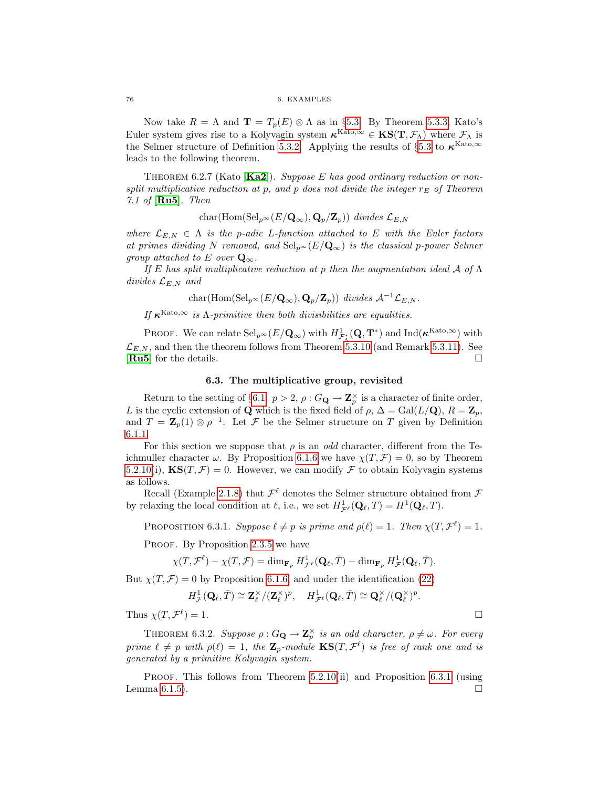Now take  $R = \Lambda$  and  $\mathbf{T} = T_p(E) \otimes \Lambda$  as in §[5.3.](#page-65-2) By Theorem [5.3.3,](#page-65-1) Kato's Euler system gives rise to a Kolyvagin system  $\kappa^{Kato,\infty} \in \overline{KS}(\mathbf{T},\mathcal{F}_\Lambda)$  where  $\mathcal{F}_\Lambda$  is the Selmer structure of Definition [5.3.2.](#page-65-3) Applying the results of  $\S 5.3$  $\S 5.3$  to  $\kappa^{\text{Kato},\infty}$ leads to the following theorem.

<span id="page-81-0"></span>THEOREM 6.2.7 (Kato  $[Ka2]$  $[Ka2]$  $[Ka2]$ ). Suppose E has good ordinary reduction or nonsplit multiplicative reduction at p, and p does not divide the integer  $r_E$  of Theorem 7.1 of  $[Ru5]$  $[Ru5]$  $[Ru5]$ . Then

$$
char(\text{Hom}(\text{Sel}_{p^{\infty}}(E/\mathbf{Q}_{\infty}), \mathbf{Q}_p/\mathbf{Z}_p)) \ \text{divides} \ \mathcal{L}_{E,N}
$$

where  $\mathcal{L}_{E,N} \in \Lambda$  is the p-adic L-function attached to E with the Euler factors at primes dividing N removed, and  $\text{Sel}_{p^{\infty}}(E/\mathbf{Q}_{\infty})$  is the classical p-power Selmer group attached to E over  $\mathbf{Q}_{\infty}$ .

If E has split multiplicative reduction at p then the augmentation ideal A of  $\Lambda$ divides  $\mathcal{L}_{E,N}$  and

$$
char(\text{Hom}(\text{Sel}_{p^{\infty}}(E/\mathbf{Q}_{\infty}), \mathbf{Q}_p/\mathbf{Z}_p)) \ \text{divides} \ \mathcal{A}^{-1} \mathcal{L}_{E,N}.
$$

If  $\kappa^{\text{Kato},\infty}$  is  $\Lambda$ -primitive then both divisibilities are equalities.

PROOF. We can relate  $\mathrm{Sel}_{p^{\infty}}(E/\mathbf{Q}_{\infty})$  with  $H^1_{\mathcal{F}^*_{\Lambda}}(\mathbf{Q}, \mathbf{T}^*)$  and  $\mathrm{Ind}(\boldsymbol{\kappa}^{\mathrm{Kato}, \infty})$  with  $\mathcal{L}_{E,N}$ , and then the theorem follows from Theorem [5.3.10](#page-66-0) (and Remark [5.3.11\)](#page-67-0). See [[Ru5](#page-100-8)] for the details.

#### 6.3. The multiplicative group, revisited

Return to the setting of §[6.1:](#page-74-0)  $p > 2$ ,  $\rho : G_{\mathbf{Q}} \to \mathbf{Z}_p^{\times}$  is a character of finite order, L is the cyclic extension of Q which is the fixed field of  $\rho$ ,  $\Delta = \text{Gal}(L/\mathbf{Q})$ ,  $R = \mathbf{Z}_p$ , and  $T = \mathbb{Z}_p(1) \otimes \rho^{-1}$ . Let  $\mathcal F$  be the Selmer structure on T given by Definition [6.1.1.](#page-74-5)

For this section we suppose that  $\rho$  is an *odd* character, different from the Teichmuller character  $\omega$ . By Proposition [6.1.6](#page-77-2) we have  $\chi(T, \mathcal{F}) = 0$ , so by Theorem [5.2.10\(](#page-62-0)i),  $\mathbf{KS}(T, \mathcal{F}) = 0$ . However, we can modify  $\mathcal F$  to obtain Kolyvagin systems as follows.

Recall (Example [2.1.8\)](#page-20-0) that  $\mathcal{F}^{\ell}$  denotes the Selmer structure obtained from  $\mathcal F$ by relaxing the local condition at  $\ell$ , i.e., we set  $H^1_{\mathcal{F}^\ell}(\mathbf{Q}_\ell, T) = H^1(\mathbf{Q}_\ell, T)$ .

<span id="page-81-1"></span>PROPOSITION 6.3.1. Suppose  $\ell \neq p$  is prime and  $\rho(\ell) = 1$ . Then  $\chi(T, \mathcal{F}^{\ell}) = 1$ .

PROOF. By Proposition [2.3.5](#page-22-0) we have

$$
\chi(T,\mathcal{F}^{\ell})-\chi(T,\mathcal{F})=\dim_{\mathbf{F}_p}H^1_{\mathcal{F}^{\ell}}(\mathbf{Q}_{\ell},\bar{T})-\dim_{\mathbf{F}_p}H^1_{\mathcal{F}}(\mathbf{Q}_{\ell},\bar{T}).
$$

But  $\chi(T, \mathcal{F}) = 0$  by Proposition [6.1.6,](#page-77-2) and under the identification [\(22\)](#page-74-1)

$$
H^1_{\mathcal{F}}(\mathbf{Q}_{\ell},\bar{T})\cong \mathbf{Z}_{\ell}^{\times}/(\mathbf{Z}_{\ell}^{\times})^p, \quad H^1_{\mathcal{F}^{\ell}}(\mathbf{Q}_{\ell},\bar{T})\cong \mathbf{Q}_{\ell}^{\times}/(\mathbf{Q}_{\ell}^{\times})^p.
$$

Thus  $\chi(T, \mathcal{F}^{\ell})$  $) = 1.$ 

<span id="page-81-2"></span>THEOREM 6.3.2. Suppose  $\rho: G_{\mathbf{Q}} \to \mathbf{Z}_p^{\times}$  is an odd character,  $\rho \neq \omega$ . For every prime  $\ell \neq p$  with  $\rho(\ell) = 1$ , the  $\mathbf{Z}_p$ -module  $\mathbf{KS}(T, \mathcal{F}^{\ell})$  is free of rank one and is generated by a primitive Kolyvagin system.

PROOF. This follows from Theorem  $5.2.10(i)$  and Proposition  $6.3.1$  (using Lemma [6.1.5\)](#page-76-3).  $\square$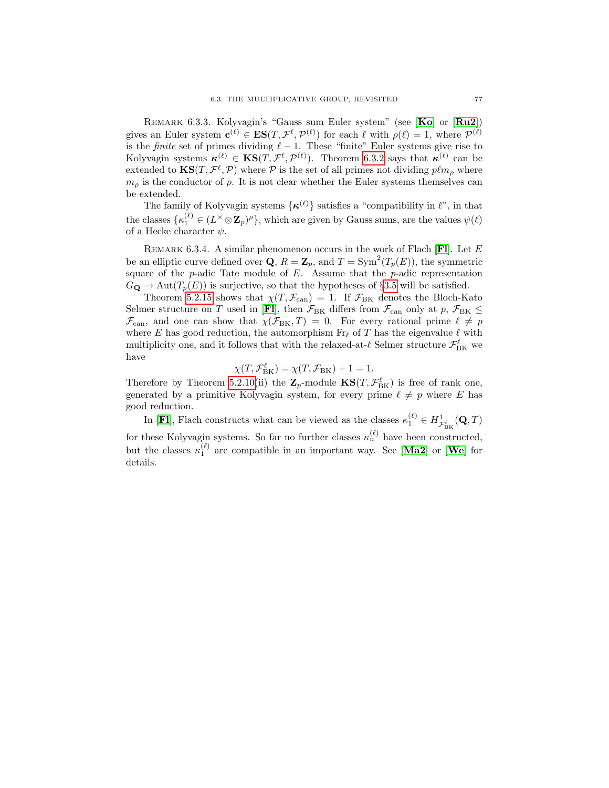Remark 6.3.3. Kolyvagin's "Gauss sum Euler system" (see [[Ko](#page-100-5)] or [[Ru2](#page-100-10)]) gives an Euler system  $\mathbf{c}^{(\ell)} \in \mathbf{ES}(T, \mathcal{F}^{\ell}, \mathcal{P}^{(\ell)})$  for each  $\ell$  with  $\rho(\ell) = 1$ , where  $\mathcal{P}^{(\ell)}$ is the *finite* set of primes dividing  $\ell - 1$ . These "finite" Euler systems give rise to Kolyvagin systems  $\kappa^{(\ell)} \in \text{KS}(T, \mathcal{F}^{\ell}, \mathcal{P}^{(\ell)})$ . Theorem [6.3.2](#page-81-2) says that  $\kappa^{(\ell)}$  can be extended to  $\text{KS}(T, \mathcal{F}^{\ell}, \mathcal{P})$  where  $\mathcal P$  is the set of all primes not dividing  $p\ell m_{\rho}$  where  $m_{\rho}$  is the conductor of  $\rho$ . It is not clear whether the Euler systems themselves can be extended.

The family of Kolyvagin systems  $\{\kappa^{(\ell)}\}$  satisfies a "compatibility in  $\ell$ ", in that the classes  $\{\kappa_1^{(\ell)} \in (L^{\times} \otimes \mathbb{Z}_p)^{\rho}\}\$ , which are given by Gauss sums, are the values  $\psi(\ell)$ of a Hecke character  $\psi$ .

REMARK 6.3.4. A similar phenomenon occurs in the work of [Fl](#page-100-11)ach  $[Fl]$ . Let  $E$ be an elliptic curve defined over **Q**,  $R = \mathbf{Z}_p$ , and  $T = \text{Sym}^2(T_p(E))$ , the symmetric square of the  $p$ -adic Tate module of  $E$ . Assume that the  $p$ -adic representation  $G_{\mathbf{Q}} \to \text{Aut}(T_p(E))$  is surjective, so that the hypotheses of §[3.5](#page-32-0) will be satisfied.

Theorem [5.2.15](#page-64-0) shows that  $\chi(T, \mathcal{F}_{\text{can}}) = 1$ . If  $\mathcal{F}_{\text{BK}}$  denotes the Bloch-Kato Selmer structure on  $T$  used in [[Fl](#page-100-11)], then  $\mathcal{F}_{\rm BK}$  differs from  $\mathcal{F}_{\rm can}$  only at  $p,$   $\mathcal{F}_{\rm BK}$   $\leq$  $\mathcal{F}_{\text{can}}$ , and one can show that  $\chi(\mathcal{F}_{\text{BK}}, T) = 0$ . For every rational prime  $\ell \neq p$ where E has good reduction, the automorphism  $\text{Fr}_\ell$  of T has the eigenvalue  $\ell$  with multiplicity one, and it follows that with the relaxed-at- $\ell$  Selmer structure  $\mathcal{F}^{\ell}_{\rm BK}$  we have

$$
\chi(T, \mathcal{F}_{\text{BK}}^{\ell}) = \chi(T, \mathcal{F}_{\text{BK}}) + 1 = 1.
$$

Therefore by Theorem [5.2.10\(](#page-62-0)ii) the  $\mathbf{Z}_p$ -module  $\mathbf{KS}(T, \mathcal{F}_{\text{BK}}^{\ell})$  is free of rank one, generated by a primitive Kolyvagin system, for every prime  $\ell \neq p$  where E has good reduction.

In [FI], [Fl](#page-100-11)ach constructs what can be viewed as the classes  $\kappa_1^{(\ell)} \in H^1_{\mathcal{F}^{\ell}_{\text{BK}}}(\mathbf{Q}, T)$ for these Kolyvagin systems. So far no further classes  $\kappa_n^{(\ell)}$  have been constructed, but the classes  $\kappa_1^{(\ell)}$  are compatible in an important way. See [[Ma2](#page-100-12)] or [[We](#page-101-3)] for details.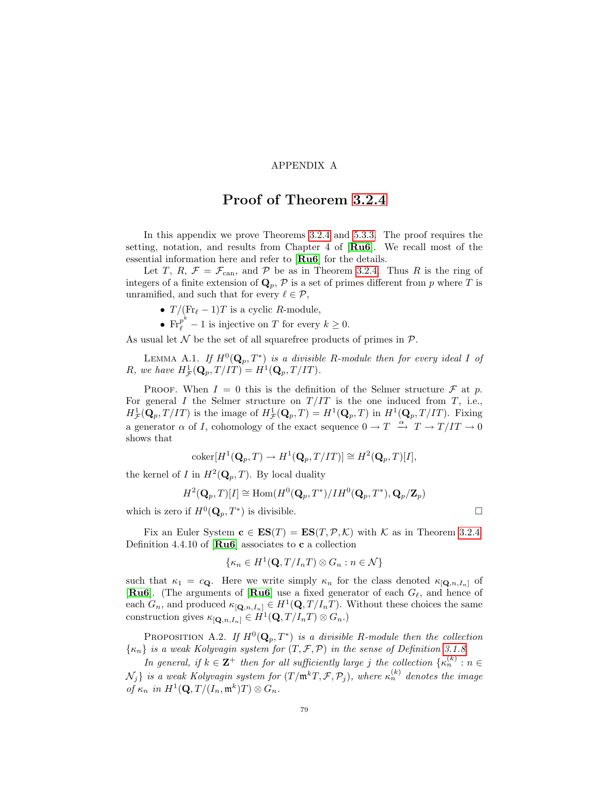## APPENDIX A

## Proof of Theorem [3.2.4](#page-28-3)

In this appendix we prove Theorems [3.2.4](#page-28-3) and [5.3.3.](#page-65-1) The proof requires the setting, notation, and results from Chapter 4 of [[Ru6](#page-100-3)]. We recall most of the essential information here and refer to [[Ru6](#page-100-3)] for the details.

Let T, R,  $\mathcal{F} = \mathcal{F}_{\text{can}}$ , and P be as in Theorem [3.2.4.](#page-28-3) Thus R is the ring of integers of a finite extension of  $\mathbf{Q}_p$ ,  $\mathcal{P}$  is a set of primes different from p where T is unramified, and such that for every  $\ell \in \mathcal{P}$ ,

•  $T/(\text{Fr}_{\ell} - 1)T$  is a cyclic R-module,

•  $\text{Fr}_{\ell}^{p^k} - 1$  is injective on T for every  $k \geq 0$ .

As usual let  $\mathcal N$  be the set of all squarefree products of primes in  $\mathcal P$ .

<span id="page-84-0"></span>LEMMA A.1. If  $H^0(\mathbf{Q}_p, T^*)$  is a divisible R-module then for every ideal I of R, we have  $H^1_{\mathcal{F}}(\mathbf{Q}_p, T/IT) = H^1(\mathbf{Q}_p, T/IT)$ .

PROOF. When  $I = 0$  this is the definition of the Selmer structure  $\mathcal F$  at p. For general I the Selmer structure on  $T/IT$  is the one induced from T, i.e.,  $H^1_{\mathcal{F}}(\mathbf{Q}_p, T/T)$  is the image of  $H^1_{\mathcal{F}}(\mathbf{Q}_p, T) = H^1(\mathbf{Q}_p, T)$  in  $H^1(\mathbf{Q}_p, T/T)$ . Fixing a generator  $\alpha$  of I, cohomology of the exact sequence  $0 \to T \xrightarrow{\alpha} T \to T/IT \to 0$ shows that

$$
\mathrm{coker}[H^1(\mathbf{Q}_p, T) \to H^1(\mathbf{Q}_p, T/IT)] \cong H^2(\mathbf{Q}_p, T)[I],
$$

the kernel of I in  $H^2(\mathbf{Q}_p, T)$ . By local duality

$$
H^2(\mathbf{Q}_p, T)[I] \cong \text{Hom}(H^0(\mathbf{Q}_p, T^*)/IH^0(\mathbf{Q}_p, T^*), \mathbf{Q}_p/\mathbf{Z}_p)
$$

which is zero if  $H^0(\mathbf{Q}_p, T^*)$  is divisible.

Fix an Euler System  $\mathbf{c} \in \mathbf{ES}(T) = \mathbf{ES}(T, \mathcal{P}, \mathcal{K})$  with K as in Theorem [3.2.4.](#page-28-3) Definition 4.4.10 of  $\left[\mathbf{R}\mathbf{u6}\right]$  associates to **c** a collection

$$
\{\kappa_n \in H^1(\mathbf{Q}, T/I_nT) \otimes G_n : n \in \mathcal{N}\}\
$$

such that  $\kappa_1 = c_{\mathbf{Q}}$ . Here we write simply  $\kappa_n$  for the class denoted  $\kappa_{[\mathbf{Q},n,I_n]}$  of [ $\textbf{Ru6}$  $\textbf{Ru6}$  $\textbf{Ru6}$ ]. (The arguments of  $[\textbf{Ru6}]$  use a fixed generator of each  $G_\ell$ , and hence of each  $G_n$ , and produced  $\kappa_{[{\bf Q},n,I_n]} \in H^1({\bf Q},T/I_nT)$ . Without these choices the same construction gives  $\kappa_{\left[\mathbf{Q},n,I_{n}\right]}\in H^{1}(\mathbf{Q},T/I_{n}T)\otimes G_{n}$ .)

<span id="page-84-1"></span>PROPOSITION A.2. If  $H^0(\mathbf{Q}_p, T^*)$  is a divisible R-module then the collection  $\{\kappa_n\}$  is a weak Kolyvagin system for  $(T, \mathcal{F}, \mathcal{P})$  in the sense of Definition [3.1.8.](#page-26-0)

In general, if  $k \in \mathbb{Z}^+$  then for all sufficiently large j the collection  $\{\kappa_n^{(k)} : n \in \mathbb{Z}\}$  $\{N_j\}$  is a weak Kolyvagin system for  $(T/\mathfrak{m}^kT, \mathcal{F}, \mathcal{P}_j)$ , where  $\kappa_n^{(k)}$  denotes the image of  $\kappa_n$  in  $H^1(\mathbf{Q}, T/(I_n, \mathfrak{m}^k)T) \otimes G_n$ .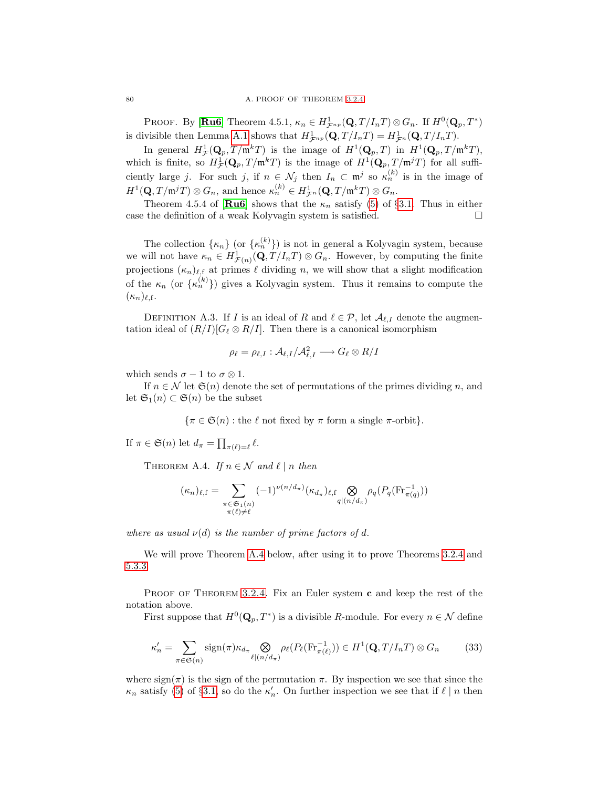PROOF. By [[Ru6](#page-100-3)] Theorem 4.5.1,  $\kappa_n \in H_{\mathcal{F}^{np}}^1(\mathbf{Q}, T/I_nT) \otimes G_n$ . If  $H^0(\mathbf{Q}_p, T^*)$ is divisible then Lemma [A.1](#page-84-0) shows that  $H^1_{\mathcal{F}^{np}}(\mathbf{Q}, T/I_nT) = H^1_{\mathcal{F}^n}(\mathbf{Q}, T/I_nT)$ .

In general  $H^1_{\mathcal{F}}(\mathbf{Q}_p, T/\mathfrak{m}^k T)$  is the image of  $H^1(\mathbf{Q}_p, T)$  in  $H^1(\mathbf{Q}_p, T/\mathfrak{m}^k T)$ , which is finite, so  $H^1_{\mathcal{F}}(\mathbf{Q}_p, T/\mathfrak{m}^k T)$  is the image of  $H^1(\mathbf{Q}_p, T/\mathfrak{m}^j T)$  for all sufficiently large j. For such j, if  $n \in \mathcal{N}_j$  then  $I_n \subset \mathfrak{m}^j$  so  $\kappa_n^{(k)}$  is in the image of  $H^1(\mathbf{Q}, T/\mathfrak{m}^j T) \otimes G_n$ , and hence  $\kappa_n^{(k)} \in H^1_{\mathcal{F}^n}(\mathbf{Q}, T/\mathfrak{m}^k T) \otimes G_n$ .

Theorem 4.5.4 of [[Ru6](#page-100-3)] shows that the  $\kappa_n$  satisfy [\(5\)](#page-25-0) of §[3.1.](#page-24-0) Thus in either case the definition of a weak Kolyvagin system is satisfied.  $\square$ 

The collection  $\{\kappa_n\}$  (or  $\{\kappa_n^{(k)}\}$ ) is not in general a Kolyvagin system, because we will not have  $\kappa_n \in H^1_{\mathcal{F}(n)}(\mathbf{Q}, T/I_nT) \otimes G_n$ . However, by computing the finite projections  $(\kappa_n)_{\ell,\text{f}}$  at primes  $\ell$  dividing n, we will show that a slight modification of the  $\kappa_n$  (or  $\{\kappa_n^{(k)}\}\)$  gives a Kolyvagin system. Thus it remains to compute the  $(\kappa_n)_{\ell,\text{f}}$ .

<span id="page-85-2"></span>DEFINITION A.3. If I is an ideal of R and  $\ell \in \mathcal{P}$ , let  $\mathcal{A}_{\ell,I}$  denote the augmentation ideal of  $(R/I)[G_\ell \otimes R/I]$ . Then there is a canonical isomorphism

$$
\rho_\ell = \rho_{\ell,I} : \mathcal{A}_{\ell,I}/\mathcal{A}_{\ell,I}^2 \longrightarrow G_\ell \otimes R/I
$$

which sends  $\sigma - 1$  to  $\sigma \otimes 1$ .

If  $n \in \mathcal{N}$  let  $\mathfrak{S}(n)$  denote the set of permutations of the primes dividing n, and let  $\mathfrak{S}_1(n) \subset \mathfrak{S}(n)$  be the subset

 $\{\pi \in \mathfrak{S}(n) : \text{the } \ell \text{ not fixed by } \pi \text{ form a single } \pi\text{-orbit}\}.$ 

If  $\pi \in \mathfrak{S}(n)$  let  $d_{\pi} = \prod_{\pi(\ell) = \ell} \ell$ .

<span id="page-85-0"></span>THEOREM A.4. If  $n \in \mathcal{N}$  and  $\ell \mid n$  then

$$
(\kappa_n)_{\ell,\mathbf{f}} = \sum_{\substack{\pi \in \mathfrak{S}_1(n) \\ \pi(\ell) \neq \ell}} (-1)^{\nu(n/d_\pi)} (\kappa_{d_\pi})_{\ell,\mathbf{f}} \underset{q|(n/d_\pi)}{\bigotimes} \rho_q(P_q(\mathrm{Fr}_{\pi(q)}^{-1}))
$$

where as usual  $\nu(d)$  is the number of prime factors of d.

We will prove Theorem [A.4](#page-85-0) below, after using it to prove Theorems [3.2.4](#page-28-3) and [5.3.3.](#page-65-1)

PROOF OF THEOREM [3.2.4.](#page-28-3) Fix an Euler system  $c$  and keep the rest of the notation above.

<span id="page-85-1"></span>First suppose that  $H^0(\mathbf{Q}_p, T^*)$  is a divisible R-module. For every  $n \in \mathcal{N}$  define

$$
\kappa_n' = \sum_{\pi \in \mathfrak{S}(n)} \text{sign}(\pi) \kappa_{d_\pi} \bigotimes_{\ell \mid (n/d_\pi)} \rho_\ell(P_\ell(\text{Fr}_{\pi(\ell)}^{-1})) \in H^1(\mathbf{Q}, T/I_nT) \otimes G_n \tag{33}
$$

where  $sign(\pi)$  is the sign of the permutation  $\pi$ . By inspection we see that since the  $\kappa_n$  satisfy [\(5\)](#page-25-0) of §[3.1,](#page-24-0) so do the  $\kappa'_n$ . On further inspection we see that if  $\ell \mid n$  then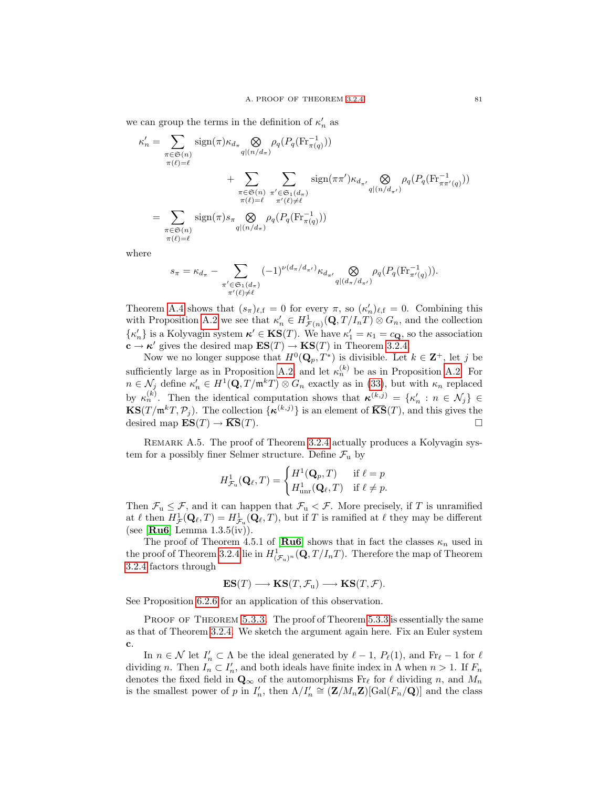we can group the terms in the definition of  $\kappa'_n$  as

$$
\kappa'_{n} = \sum_{\substack{\pi \in \mathfrak{S}(n) \\ \pi(\ell) = \ell}} \operatorname{sign}(\pi) \kappa_{d_{\pi}} \bigotimes_{q | (n/d_{\pi})} \rho_{q} (P_{q}(\mathrm{Fr}_{\pi(q)}^{-1}))
$$
  
+ 
$$
\sum_{\substack{\pi \in \mathfrak{S}(n) \\ \pi(\ell) = \ell}} \sum_{\substack{\pi' \in \mathfrak{S}_1(d_{\pi}) \\ \pi'(\ell) \neq \ell}} \operatorname{sign}(\pi \pi') \kappa_{d_{\pi'}} \bigotimes_{q | (n/d_{\pi'})} \rho_{q} (P_{q}(\mathrm{Fr}_{\pi \pi'(q)}^{-1}))
$$
  
= 
$$
\sum_{\substack{\pi \in \mathfrak{S}(n) \\ \pi(\ell) = \ell}} \operatorname{sign}(\pi) s_{\pi} \bigotimes_{q | (n/d_{\pi})} \rho_{q} (P_{q}(\mathrm{Fr}_{\pi(q)}^{-1}))
$$

where

$$
s_{\pi} = \kappa_{d_{\pi}} - \sum_{\substack{\pi' \in \mathfrak{S}_1(d_{\pi}) \\ \pi'(\ell) \neq \ell}} (-1)^{\nu(d_{\pi}/d_{\pi'})} \kappa_{d_{\pi'}} \bigotimes_{q | (d_{\pi}/d_{\pi'})} \rho_q(P_q(\mathrm{Fr}_{\pi'(q)}^{-1})).
$$

Theorem [A.4](#page-85-0) shows that  $(s_{\pi})_{\ell, \text{f}} = 0$  for every  $\pi$ , so  $(\kappa_n')_{\ell, \text{f}} = 0$ . Combining this with Proposition [A.2](#page-84-1) we see that  $\kappa'_n \in H^1_{\mathcal{F}(n)}(\mathbf{Q}, T/I_nT) \otimes G_n$ , and the collection  $\{\kappa'_n\}$  is a Kolyvagin system  $\kappa' \in \mathbf{KS}(T)$ . We have  $\kappa'_1 = \kappa_1 = c_{\mathbf{Q}}$ , so the association  $\mathbf{c} \to \kappa'$  gives the desired map  $\mathbf{ES}(T) \to \mathbf{KS}(T)$  in Theorem [3.2.4.](#page-28-3)

Now we no longer suppose that  $H^0(\mathbf{Q}_p, T^*)$  is divisible. Let  $k \in \mathbf{Z}^+$ , let j be sufficiently large as in Proposition [A.2,](#page-84-1) and let  $\kappa_n^{(k)}$  be as in Proposition [A.2.](#page-84-1) For  $n \in \mathcal{N}_j$  define  $\kappa'_n \in H^1(\mathbf{Q}, T/\mathfrak{m}^k T) \otimes G_n$  exactly as in [\(33\)](#page-85-1), but with  $\kappa_n$  replaced by  $\kappa_n^{(k)}$ . Then the identical computation shows that  $\kappa^{(k,j)} = {\kappa'_n : n \in \mathcal{N}_j} \in$  $\mathbf{KS}(T/\mathfrak{m}^kT,\mathcal{P}_j)$ . The collection  $\{\kappa^{(k,j)}\}$  is an element of  $\overline{\mathbf{KS}}(T)$ , and this gives the desired map  $ES(T) \rightarrow \overline{KS}(T)$ .

<span id="page-86-0"></span>REMARK A.5. The proof of Theorem [3.2.4](#page-28-3) actually produces a Kolyvagin system for a possibly finer Selmer structure. Define  $\mathcal{F}_u$  by

$$
H^1_{\mathcal{F}_\mathbf{u}}(\mathbf{Q}_\ell, T) = \begin{cases} H^1(\mathbf{Q}_p, T) & \text{if } \ell = p \\ H^1_{\text{unr}}(\mathbf{Q}_\ell, T) & \text{if } \ell \neq p. \end{cases}
$$

Then  $\mathcal{F}_u \leq \mathcal{F}$ , and it can happen that  $\mathcal{F}_u < \mathcal{F}$ . More precisely, if T is unramified at  $\ell$  then  $H^1_{\mathcal{F}}(\mathbf{Q}_\ell, T) = H^1_{\mathcal{F}_u}(\mathbf{Q}_\ell, T)$ , but if T is ramified at  $\ell$  they may be different (see [ $\text{Ru6}$  $\text{Ru6}$  $\text{Ru6}$ ] Lemma 1.3.5(iv).

The proof of Theorem 4.5.1 of  $\left[\mathbf{Ru6}\right]$  $\left[\mathbf{Ru6}\right]$  $\left[\mathbf{Ru6}\right]$  shows that in fact the classes  $\kappa_n$  used in the proof of Theorem [3.2.4](#page-28-3) lie in  $H^1_{(\mathcal{F}_u)^n}(\mathbf{Q}, T/I_nT)$ . Therefore the map of Theorem [3.2.4](#page-28-3) factors through

$$
\mathbf{ES}(T) \longrightarrow \mathbf{KS}(T, \mathcal{F}_u) \longrightarrow \mathbf{KS}(T, \mathcal{F}).
$$

See Proposition [6.2.6](#page-80-0) for an application of this observation.

PROOF OF THEOREM [5.3.3.](#page-65-1) The proof of Theorem [5.3.3](#page-65-1) is essentially the same as that of Theorem [3.2.4.](#page-28-3) We sketch the argument again here. Fix an Euler system c.

In  $n \in \mathcal{N}$  let  $I'_n \subset \Lambda$  be the ideal generated by  $\ell - 1$ ,  $P_{\ell}(1)$ , and  $Fr_{\ell} - 1$  for  $\ell$ dividing n. Then  $I_n \subset I'_n$ , and both ideals have finite index in  $\Lambda$  when  $n > 1$ . If  $F_n$ denotes the fixed field in  $\mathbf{Q}_{\infty}$  of the automorphisms  $\text{Fr}_{\ell}$  for  $\ell$  dividing n, and  $M_n$ is the smallest power of p in  $I'_n$ , then  $\Lambda/I'_n \cong (\mathbf{Z}/M_n\mathbf{Z})[\text{Gal}(F_n/\mathbf{Q})]$  and the class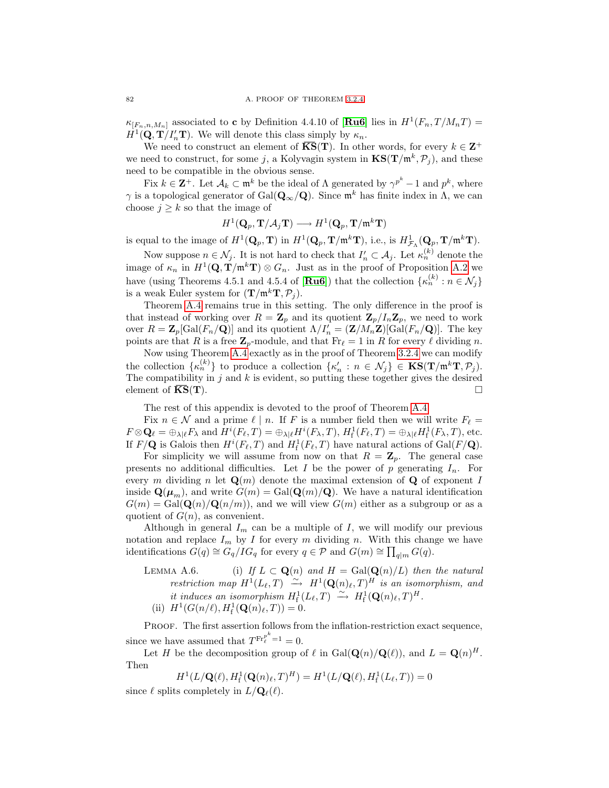$\kappa_{[F_n,n,M_n]}$  associated to **c** by Definition 4.4.10 of [**[Ru6](#page-100-3)**] lies in  $H^1(F_n,T/M_nT)$  =  $H^1(\mathbf{Q}, \mathbf{T}/I'_n \mathbf{T})$ . We will denote this class simply by  $\kappa_n$ .

We need to construct an element of  $\overline{\text{KS}}(\textbf{T})$ . In other words, for every  $k \in \mathbb{Z}^+$ we need to construct, for some j, a Kolyvagin system in  $\mathbf{KS}(\mathbf{T}/\mathfrak{m}^k, \mathcal{P}_j)$ , and these need to be compatible in the obvious sense.

Fix  $k \in \mathbb{Z}^+$ . Let  $\mathcal{A}_k \subset \mathfrak{m}^k$  be the ideal of  $\Lambda$  generated by  $\gamma^{p^k}-1$  and  $p^k$ , where  $\gamma$  is a topological generator of Gal( $\mathbf{Q}_{\infty}/\mathbf{Q}$ ). Since  $\mathfrak{m}^k$  has finite index in  $\Lambda$ , we can choose  $j \geq k$  so that the image of

$$
H^1(\mathbf{Q}_p, \mathbf{T}/\mathcal{A}_j\mathbf{T}) \longrightarrow H^1(\mathbf{Q}_p, \mathbf{T}/\mathfrak{m}^k\mathbf{T})
$$

is equal to the image of  $H^1(\mathbf{Q}_p, \mathbf{T})$  in  $H^1(\mathbf{Q}_p, \mathbf{T}/\mathfrak{m}^k \mathbf{T})$ , i.e., is  $H^1_{\mathcal{F}_\Lambda}(\mathbf{Q}_p, \mathbf{T}/\mathfrak{m}^k \mathbf{T})$ .

Now suppose  $n \in \mathcal{N}_j$ . It is not hard to check that  $I'_n \subset \mathcal{A}_j$ . Let  $\kappa_n^{(k)}$  denote the image of  $\kappa_n$  in  $H^1(\mathbf{Q}, \mathbf{T}/\mathfrak{m}^k \mathbf{T}) \otimes G_n$ . Just as in the proof of Proposition [A.2](#page-84-1) we have (using Theorems 4.5.1 and 4.5.4 of [**[Ru6](#page-100-3)**]) that the collection  $\{\kappa_n^{(k)} : n \in \mathcal{N}_j\}$ is a weak Euler system for  $(\mathbf{T}/\mathfrak{m}^k \mathbf{T}, \mathcal{P}_i)$ .

Theorem [A.4](#page-85-0) remains true in this setting. The only difference in the proof is that instead of working over  $R = \mathbb{Z}_p$  and its quotient  $\mathbb{Z}_p/I_n\mathbb{Z}_p$ , we need to work over  $R = \mathbf{Z}_p[\text{Gal}(F_n/\mathbf{Q})]$  and its quotient  $\Lambda/I'_n = (\mathbf{Z}/M_n\mathbf{Z})[\text{Gal}(F_n/\mathbf{Q})]$ . The key points are that R is a free  $\mathbf{Z}_p$ -module, and that  $\text{Fr}_\ell = 1$  in R for every  $\ell$  dividing n.

Now using Theorem [A.4](#page-85-0) exactly as in the proof of Theorem [3.2.4](#page-28-3) we can modify the collection  $\{\kappa_n^{(k)}\}$  to produce a collection  $\{\kappa_n : n \in \mathcal{N}_j\} \in \mathbf{KS}(\mathbf{T/m^kT}, \mathcal{P}_j)$ . The compatibility in  $j$  and  $k$  is evident, so putting these together gives the desired element of  $\overline{\text{KS}}(\textbf{T})$ .

The rest of this appendix is devoted to the proof of Theorem [A.4.](#page-85-0)

Fix  $n \in \mathcal{N}$  and a prime  $\ell \mid n$ . If F is a number field then we will write  $F_{\ell} =$  $F \otimes \mathbf{Q}_{\ell} = \bigoplus_{\lambda \mid \ell} F_{\lambda}$  and  $H^{i}(F_{\ell}, T) = \bigoplus_{\lambda \mid \ell} H^{i}(F_{\lambda}, T), H^{1}_{f}(F_{\ell}, T) = \bigoplus_{\lambda \mid \ell} H^{1}_{f}(F_{\lambda}, T)$ , etc. If  $F/\mathbf{Q}$  is Galois then  $H^i(F_\ell, T)$  and  $H^1_f(F_\ell, T)$  have natural actions of  $Gal(F/\mathbf{Q})$ .

For simplicity we will assume from now on that  $R = \mathbb{Z}_p$ . The general case presents no additional difficulties. Let I be the power of p generating  $I_n$ . For every m dividing n let  $\mathbf{Q}(m)$  denote the maximal extension of  $\mathbf{Q}$  of exponent I inside  $\mathbf{Q}(\boldsymbol{\mu}_m)$ , and write  $G(m) = \text{Gal}(\mathbf{Q}(m)/\mathbf{Q})$ . We have a natural identification  $G(m) = \text{Gal}(\mathbf{Q}(n)/\mathbf{Q}(n/m))$ , and we will view  $G(m)$  either as a subgroup or as a quotient of  $G(n)$ , as convenient.

Although in general  $I_m$  can be a multiple of  $I$ , we will modify our previous notation and replace  $I_m$  by I for every m dividing n. With this change we have identifications  $G(q) \cong G_q/IG_q$  for every  $q \in \mathcal{P}$  and  $G(m) \cong \prod_{q|m} G(q)$ .

<span id="page-87-0"></span>LEMMA A.6. (i) If  $L \subset \mathbf{Q}(n)$  and  $H = \text{Gal}(\mathbf{Q}(n)/L)$  then the natural restriction map  $H^1(L_\ell, T) \stackrel{\sim}{\longrightarrow} H^1(\mathbf{Q}(n)_\ell, T)^H$  is an isomorphism, and it induces an isomorphism  $H^1_f(L_\ell, T) \xrightarrow{\sim} H^1_f(\mathbf{Q}(n)_\ell, T)^H$ . (ii)  $H^1(G(n/\ell), H^1_f(\mathbf{Q}(n)_\ell, T)) = 0.$ 

PROOF. The first assertion follows from the inflation-restriction exact sequence, since we have assumed that  $T^{\text{Fr}_{\ell}^{p^k}=1}=0$ .

Let H be the decomposition group of  $\ell$  in Gal $(\mathbf{Q}(n)/\mathbf{Q}(\ell))$ , and  $L = \mathbf{Q}(n)^{H}$ . Then

$$
H^1(L/\mathbf{Q}(\ell), H^1_f(\mathbf{Q}(n)_\ell, T)^H) = H^1(L/\mathbf{Q}(\ell), H^1_f(L_\ell, T)) = 0
$$
  
its completely in  $L/\mathbf{Q}_\ell(\ell)$ 

since  $\ell$  splits completely in  $L/\mathbf{Q}_{\ell}(\ell)$ .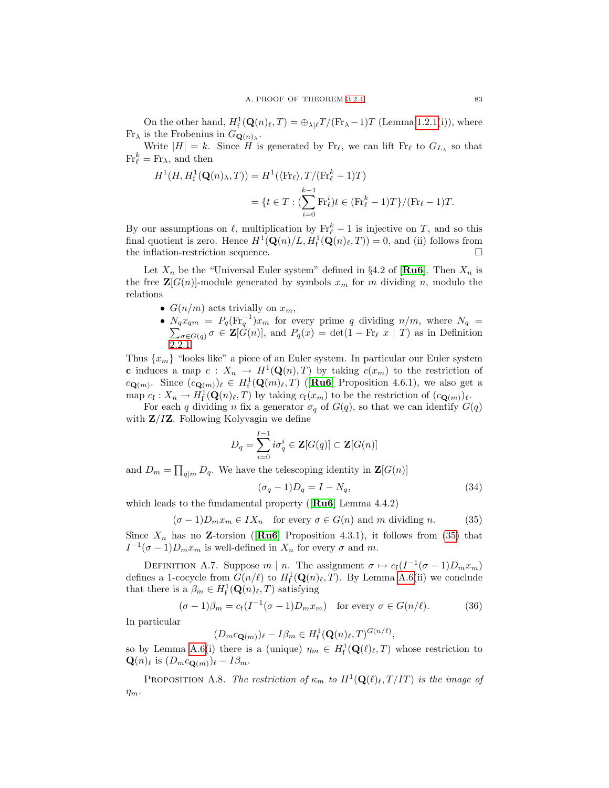On the other hand,  $H_f^1(\mathbf{Q}(n)_{\ell}, T) = \bigoplus_{\lambda|\ell} T/(\text{Fr}_{\lambda} - 1)T$  (Lemma [1.2.1\(](#page-15-0)i)), where  $\operatorname{Fr}_{\lambda}$  is the Frobenius in  $G_{\mathbf{Q}(n)_{\lambda}}$ .

Write  $|H| = k$ . Since H is generated by Fr<sub> $\ell$ </sub>, we can lift Fr<sub> $\ell$ </sub> to  $G_{L_\lambda}$  so that  $\operatorname{Fr}_{\ell}^k = \operatorname{Fr}_{\lambda}$ , and then

$$
H^1(H, H_f^1(\mathbf{Q}(n), T)) = H^1(\langle \text{Fr}_{\ell} \rangle, T/(\text{Fr}_{\ell}^k - 1)T)
$$
  
= 
$$
\{t \in T : (\sum_{i=0}^{k-1} \text{Fr}_{\ell}^i)t \in (\text{Fr}_{\ell}^k - 1)T\}/(\text{Fr}_{\ell} - 1)T.
$$

By our assumptions on  $\ell$ , multiplication by  $\mathrm{Fr}_\ell^k - 1$  is injective on T, and so this final quotient is zero. Hence  $H^1(\mathbf{Q}(n)/L, H^1_f(\mathbf{Q}(n)_\ell, T)) = 0$ , and (ii) follows from the inflation-restriction sequence.

Let  $X_n$  be the "Universal Euler system" defined in §4.2 of [[Ru6](#page-100-3)]. Then  $X_n$  is the free  $\mathbf{Z}[G(n)]$ -module generated by symbols  $x_m$  for m dividing n, modulo the relations

- $G(n/m)$  acts trivially on  $x_m$ ,
- $N_q x_{qm} = P_q(\text{Fr}_q^{-1})$ <br>  $\sum_{\sigma \in G(q)} \sigma \in \mathbf{Z} | G(q)$ ) $x_m$  for every prime q dividing  $n/m$ , where  $N_q =$  $\sigma \in \mathbf{Z}[G(n)]$ , and  $P_q(x) = \det(1 - \mathrm{Fr}_{\ell} x \mid T)$  as in Definition [2.2.1.](#page-21-0)

Thus  $\{x_m\}$  "looks like" a piece of an Euler system. In particular our Euler system c induces a map  $c: X_n \to H^1(\mathbf{Q}(n), T)$  by taking  $c(x_m)$  to the restriction of  $c_{\mathbf{Q}(m)}$ . Since  $(c_{\mathbf{Q}(m)})_l \in H^1_f(\mathbf{Q}(m)_l, T)$  ([[Ru6](#page-100-3)] Proposition 4.6.1), we also get a map  $c_f: X_n \to H^1_f(\mathbf{Q}(n)_\ell, T)$  by taking  $c_f(x_m)$  to be the restriction of  $(c_{\mathbf{Q}(m)})_\ell$ .

For each q dividing n fix a generator  $\sigma_q$  of  $G(q)$ , so that we can identify  $G(q)$ with  $\mathbf{Z}/I\mathbf{Z}$ . Following Kolyvagin we define

$$
D_q = \sum_{i=0}^{I-1} i \sigma_q^i \in \mathbf{Z}[G(q)] \subset \mathbf{Z}[G(n)]
$$

and  $D_m = \prod_{q|m} D_q$ . We have the telescoping identity in  $\mathbf{Z}[G(n)]$ 

<span id="page-88-2"></span>
$$
(\sigma_q - 1)D_q = I - N_q,\tag{34}
$$

<span id="page-88-0"></span>,

which leads to the fundamental property ( $\mathbf{R}\mathbf{u}$ 6) Lemma 4.4.2)

$$
(\sigma - 1)D_m x_m \in IX_n \quad \text{for every } \sigma \in G(n) \text{ and } m \text{ dividing } n. \tag{35}
$$

Since  $X_n$  has no **Z**-torsion ([**[Ru6](#page-100-3)**] Proposition 4.3.1), it follows from [\(35\)](#page-88-0) that  $I^{-1}(\sigma-1)D_mx_m$  is well-defined in  $X_n$  for every  $\sigma$  and  $m$ .

DEFINITION A.7. Suppose  $m \mid n$ . The assignment  $\sigma \mapsto c_f(I^{-1}(\sigma - 1)D_m x_m)$ defines a 1-cocycle from  $G(n/\ell)$  to  $H^1_f(\mathbf{Q}(n), T)$ . By Lemma [A.6\(](#page-87-0)ii) we conclude that there is a  $\beta_m \in H^1_f(\mathbf{Q}(n)_\ell, T)$  satisfying

$$
(\sigma - 1)\beta_m = c_f(I^{-1}(\sigma - 1)D_m x_m) \quad \text{for every } \sigma \in G(n/\ell). \tag{36}
$$

In particular

$$
(D_m c_{\mathbf{Q}(m)})_\ell - I\beta_m \in H^1_{\mathrm{f}}(\mathbf{Q}(n)_\ell, T)^{G(n/\ell)}
$$

so by Lemma [A.6\(](#page-87-0)i) there is a (unique)  $\eta_m \in H^1_f(\mathbf{Q}(\ell)_{\ell}, T)$  whose restriction to  $\mathbf{Q}(n)$ <sub>l</sub> is  $(D_m c_{\mathbf{Q}(m)})$ <sub>l</sub>  $-I\beta_m$ .

<span id="page-88-1"></span>PROPOSITION A.8. The restriction of  $\kappa_m$  to  $H^1(\mathbf{Q}(\ell)_\ell, T /IT)$  is the image of  $\eta_m$ .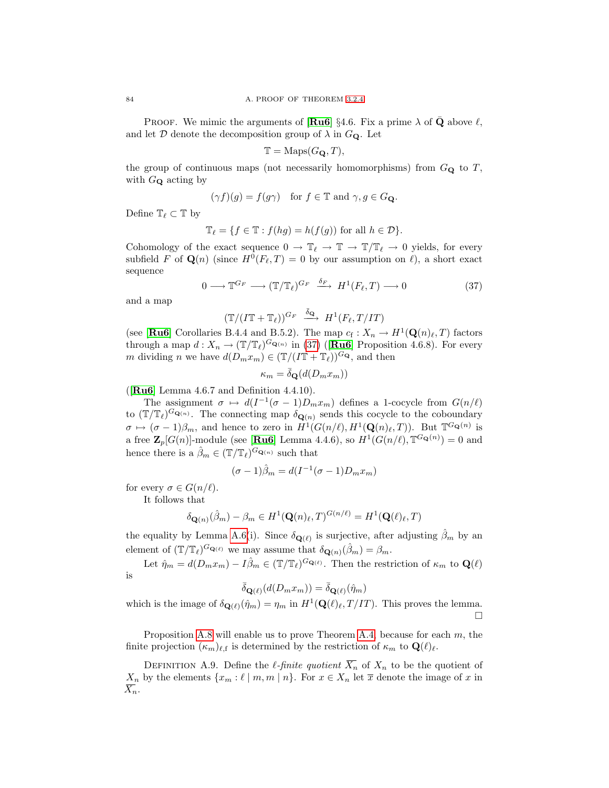**PROOF.** We mimic the arguments of  $\left[\mathbf{R}\mathbf{u}\mathbf{6}\right]\right\}$  4.6. Fix a prime  $\lambda$  of **Q** above  $\ell$ , and let  $\mathcal D$  denote the decomposition group of  $\lambda$  in  $G_{\mathbf Q}$ . Let

$$
\mathbb{T} = \text{Maps}(G_{\mathbf{Q}}, T),
$$

the group of continuous maps (not necessarily homomorphisms) from  $G_{\mathbf{Q}}$  to T, with  $G_{\mathbf{Q}}$  acting by

$$
(\gamma f)(g) = f(g\gamma) \quad \text{for } f \in \mathbb{T} \text{ and } \gamma, g \in G_{\mathbf{Q}}.
$$

Define  $\mathbb{T}_{\ell} \subset \mathbb{T}$  by

$$
\mathbb{T}_{\ell} = \{ f \in \mathbb{T} : f(hg) = h(f(g)) \text{ for all } h \in \mathcal{D} \}.
$$

Cohomology of the exact sequence  $0 \to \mathbb{T}_\ell \to \mathbb{T} \to \mathbb{T}/\mathbb{T}_\ell \to 0$  yields, for every subfield F of  $\mathbf{Q}(n)$  (since  $H^0(F_{\ell}, T) = 0$  by our assumption on  $\ell$ ), a short exact sequence

<span id="page-89-0"></span>
$$
0 \longrightarrow \mathbb{T}^{G_F} \longrightarrow (\mathbb{T}/\mathbb{T}_{\ell})^{G_F} \stackrel{\delta_F}{\longrightarrow} H^1(F_{\ell}, T) \longrightarrow 0
$$
 (37)

and a map

 $(\mathbb{T}/(I\mathbb{T}+\mathbb{T}_\ell))^{G_F} \stackrel{\bar{\delta}_{\mathbf{Q}}}{\longrightarrow} H^1(F_\ell, T/IT)$ 

(see [[Ru6](#page-100-3)] Corollaries B.4.4 and B.5.2). The map  $c_f: X_n \to H^1(\mathbf{Q}(n), T)$  factors through a map  $d: X_n \to (\mathbb{T}/\mathbb{T}_\ell)^{G_{\mathbf{Q}(n)}}$  in [\(37\)](#page-89-0) ([**[Ru6](#page-100-3)**] Proposition 4.6.8). For every m dividing n we have  $d(D_m x_m) \in (\mathbb{T}/(I\mathbb{T} + \mathbb{T}_\ell))^{G_{\mathbf{Q}}}$ , and then

$$
\kappa_m = \bar{\delta}_{\mathbf{Q}}(d(D_m x_m))
$$

( $\textbf{Ru6}$  $\textbf{Ru6}$  $\textbf{Ru6}$  Lemma 4.6.7 and Definition 4.4.10).

The assignment  $\sigma \mapsto d(I^{-1}(\sigma - 1)D_m x_m)$  defines a 1-cocycle from  $G(n/\ell)$ to  $(\mathbb{T}/\mathbb{T}_{\ell})^{G_{\mathbf{Q}(n)}}$ . The connecting map  $\delta_{\mathbf{Q}(n)}$  sends this cocycle to the coboundary  $\sigma \mapsto (\sigma - 1)\beta_m$ , and hence to zero in  $H^1(G(n/\ell), H^1(\mathbf{Q}(n)_\ell, T))$ . But  $\mathbb{T}^{G_{\mathbf{Q}}(n)}$  is a free  $\mathbf{Z}_p[G(n)]$ -module (see [[Ru6](#page-100-3)] Lemma 4.4.6), so  $H^1(G(n/\ell), \mathbb{T}^{G_{\mathbf{Q}}(n)}) = 0$  and hence there is a  $\hat{\beta}_m \in (\mathbb{T}/\mathbb{T}_{\ell})^{G_{\mathbf{Q}(n)}}$  such that

$$
(\sigma - 1)\hat{\beta}_m = d(I^{-1}(\sigma - 1)D_m x_m)
$$

for every  $\sigma \in G(n/\ell)$ .

It follows that

$$
\delta_{\mathbf{Q}(n)}(\hat{\beta}_m) - \beta_m \in H^1(\mathbf{Q}(n)_\ell, T)^{G(n/\ell)} = H^1(\mathbf{Q}(\ell)_\ell, T)
$$

the equality by Lemma [A.6\(](#page-87-0)i). Since  $\delta_{\mathbf{Q}(\ell)}$  is surjective, after adjusting  $\hat{\beta}_m$  by an element of  $(\mathbb{T}/\mathbb{T}_{\ell})^{G_{\mathbf{Q}(\ell)}}$  we may assume that  $\delta_{\mathbf{Q}(n)}(\hat{\beta}_m) = \beta_m$ .

Let  $\hat{\eta}_m = d(D_m x_m) - I \hat{\beta}_m \in (\mathbb{T}/\mathbb{T}_\ell)^{G_{\mathbf{Q}(\ell)}}$ . Then the restriction of  $\kappa_m$  to  $\mathbf{Q}(\ell)$ is

 $\bar{\delta}_{\mathbf{Q}(\ell)}(d(D_mx_m)) = \bar{\delta}_{\mathbf{Q}(\ell)}(\hat{\eta}_m)$ 

which is the image of  $\delta_{\mathbf{Q}(\ell)}(\hat{\eta}_m) = \eta_m$  in  $H^1(\mathbf{Q}(\ell)_\ell, T /IT)$ . This proves the lemma. П

Proposition [A.8](#page-88-1) will enable us to prove Theorem [A.4,](#page-85-0) because for each  $m$ , the finite projection  $(\kappa_m)_{\ell,\text{f}}$  is determined by the restriction of  $\kappa_m$  to  $\mathbf{Q}(\ell)_\ell$ .

<span id="page-89-1"></span>DEFINITION A.9. Define the *l*-finite quotient  $\overline{X}_n$  of  $X_n$  to be the quotient of  $X_n$  by the elements  $\{x_m : \ell \mid m, m \mid n\}$ . For  $x \in X_n$  let  $\overline{x}$  denote the image of x in  $\overline{X_n}$ .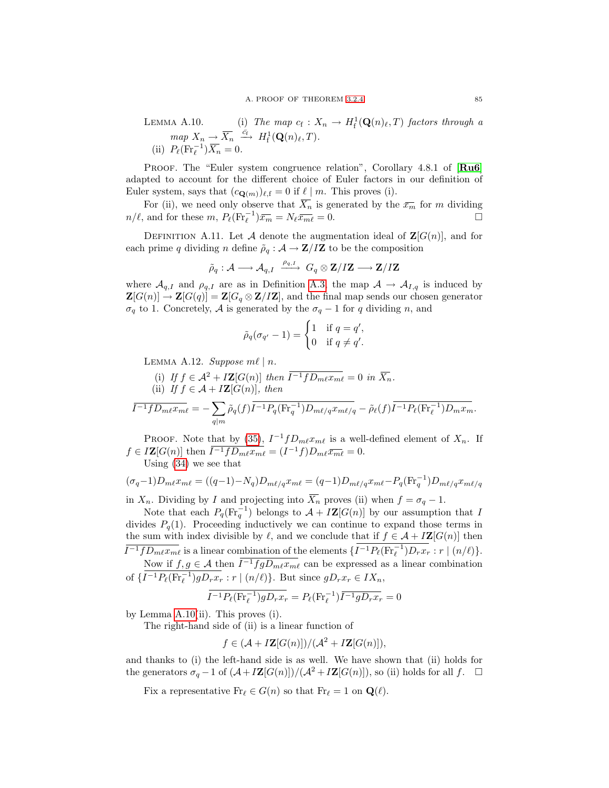LEMMA A.10. (i) The map  $c_f: X_n \to H^1_f(\mathbf{Q}(n)_\ell, T)$  factors through a  $map X_n \to \overline{X_n} \stackrel{\bar{c_f}}{\longrightarrow} H^1_{\mathrm{f}}(\mathbf{Q}(n)_\ell, T).$ (ii)  $P_{\ell}(\text{Fr}_{\ell}^{-1})\overline{X_n} = 0.$ 

PROOF. The "Euler system congruence relation", Corollary 4.8.1 of  $\left[\mathbf{R}\mathbf{u}\mathbf{6}\right]$ adapted to account for the different choice of Euler factors in our definition of Euler system, says that  $(c_{\mathbf{Q}(m)})_{\ell,\mathrm{f}} = 0$  if  $\ell \mid m$ . This proves (i).

For (ii), we need only observe that  $\overline{X_n}$  is generated by the  $\overline{x_m}$  for m dividing  $n/\ell$ , and for these  $m$ ,  $P_{\ell}(\text{Fr}_{\ell}^{-1})\bar{x}_{m} = N_{\ell}\bar{x}_{m\ell} = 0.$ 

DEFINITION A.11. Let A denote the augmentation ideal of  $\mathbf{Z}[G(n)]$ , and for each prime q dividing n define  $\tilde{\rho}_q : A \to \mathbf{Z}/I\mathbf{Z}$  to be the composition

$$
\tilde{\rho}_q: \mathcal{A} \longrightarrow \mathcal{A}_{q,I} \xrightarrow{\rho_{q,I}} G_q \otimes \mathbf{Z}/I\mathbf{Z} \longrightarrow \mathbf{Z}/I\mathbf{Z}
$$

where  $\mathcal{A}_{q,I}$  and  $\rho_{q,I}$  are as in Definition [A.3,](#page-85-2) the map  $\mathcal{A} \to \mathcal{A}_{I,q}$  is induced by  $\mathbf{Z}[G(n)] \to \mathbf{Z}[G(q)] = \mathbf{Z}[G_q \otimes \mathbf{Z}/I\mathbf{Z}]$ , and the final map sends our chosen generator  $\sigma_q$  to 1. Concretely, A is generated by the  $\sigma_q - 1$  for q dividing n, and

$$
\tilde{\rho}_q(\sigma_{q'}-1) = \begin{cases} 1 & \text{if } q = q', \\ 0 & \text{if } q \neq q'. \end{cases}
$$

<span id="page-90-0"></span>LEMMA A.12. Suppose  $m\ell \mid n$ .

(i) If  $f \in \mathcal{A}^2 + I\mathbf{Z}[G(n)]$  then  $\overline{I^{-1}fD_{m\ell}x_{m\ell}} = 0$  in  $\overline{X_n}$ . (ii) If  $f \in \mathcal{A} + I\mathbf{Z}[G(n)]$ , then

$$
\overline{I^{-1}fD_{m\ell}x_{m\ell}}=-\sum_{q|m}\tilde{\rho}_q(f)\overline{I^{-1}P_q(\text{Fr}_q^{-1})D_{m\ell/q}x_{m\ell/q}}-\tilde{\rho}_\ell(f)\overline{I^{-1}P_\ell(\text{Fr}_\ell^{-1})D_{m}x_m}.
$$

PROOF. Note that by [\(35\)](#page-88-0),  $I^{-1}fD_m\ell x_{m\ell}$  is a well-defined element of  $X_n$ . If  $f \in I\mathbf{Z}[G(n)]$  then  $\overline{I^{-1}fD_{m\ell}x_{m\ell}} = (I^{-1}f)D_{m\ell}\overline{x_{m\ell}} = 0.$ Using [\(34\)](#page-88-2) we see that

$$
(\sigma_q - 1)D_{m\ell}x_{m\ell} = ((q-1) - N_q)D_{m\ell/q}x_{m\ell} = (q-1)D_{m\ell/q}x_{m\ell} - P_q(\text{Fr}_q^{-1})D_{m\ell/q}x_{m\ell/q}
$$

in  $X_n$ . Dividing by I and projecting into  $X_n$  proves (ii) when  $f = \sigma_q - 1$ .

Note that each  $P_q(\text{Fr}_q^{-1})$  belongs to  $\mathcal{A} + I\mathbf{Z}[G(n)]$  by our assumption that I divides  $P_q(1)$ . Proceeding inductively we can continue to expand those terms in the sum with index divisible by  $\ell$ , and we conclude that if  $f \in \mathcal{A} + I\mathbf{Z}[G(n)]$  then  $\overline{I^{-1}fD_{m\ell}x_{m\ell}}$  is a linear combination of the elements  $\{\overline{I^{-1}P_{\ell}(\text{Fr}_{\ell}^{-1})D_rx_r} : r \mid (n/\ell)\}.$ 

Now if  $f, g \in A$  then  $\overline{I^{-1}fgD_{m\ell}x_{m\ell}}$  can be expressed as a linear combination of  $\{\overline{I^{-1}P_{\ell}(\text{Fr}_{\ell}^{-1})gD_rx_r}: r \mid (n/\ell)\}\)$ . But since  $gD_rx_r \in IX_n$ ,

$$
\overline{I^{-1}P_{\ell}(\text{Fr}_{\ell}^{-1})gD_rx_r} = P_{\ell}(\text{Fr}_{\ell}^{-1})\overline{I^{-1}gD_rx_r} = 0
$$

by Lemma [A.10\(](#page-89-1)ii). This proves (i).

The right-hand side of (ii) is a linear function of

$$
f \in (\mathcal{A} + I\mathbf{Z}[G(n)])/(\mathcal{A}^2 + I\mathbf{Z}[G(n)]),
$$

and thanks to (i) the left-hand side is as well. We have shown that (ii) holds for the generators  $\sigma_q - 1$  of  $(\mathcal{A} + I\mathbf{Z}[G(n)])/(\mathcal{A}^2 + I\mathbf{Z}[G(n)])$ , so (ii) holds for all  $f$ .  $\Box$ 

<span id="page-90-1"></span>Fix a representative  $Fr_\ell \in G(n)$  so that  $Fr_\ell = 1$  on  $\mathbf{Q}(\ell)$ .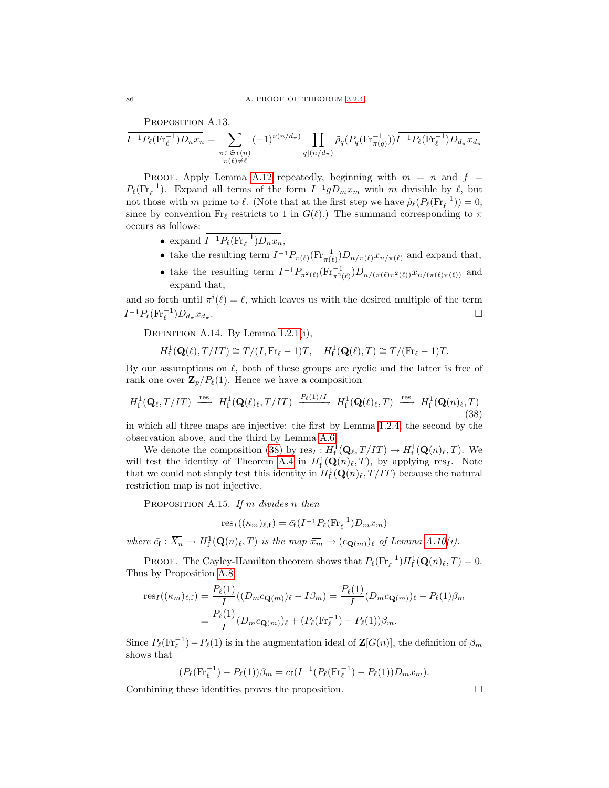PROPOSITION A.13.

$$
\overline{I^{-1}P_{\ell}(\text{Fr}_{\ell}^{-1})D_nx_n} = \sum_{\substack{\pi \in \mathfrak{S}_1(n) \\ \pi(\ell) \neq \ell}} (-1)^{\nu(n/d_{\pi})} \prod_{q | (n/d_{\pi})} \tilde{\rho}_q(P_q(\text{Fr}_{\pi(q)}^{-1})) \overline{I^{-1}P_{\ell}(\text{Fr}_{\ell}^{-1})D_{d_{\pi}}x_{d_{\pi}}}
$$

PROOF. Apply Lemma [A.12](#page-90-0) repeatedly, beginning with  $m = n$  and  $f =$  $P_{\ell}(\text{Fr}_{\ell}^{-1})$ . Expand all terms of the form  $\overline{I^{-1}gD_mx_m}$  with m divisible by  $\ell$ , but not those with m prime to  $\ell$ . (Note that at the first step we have  $\tilde{\rho}_{\ell}(P_{\ell}(\text{Fr}_{\ell}^{-1})) = 0$ , since by convention Fr<sub>l</sub> restricts to 1 in  $G(\ell)$ .) The summand corresponding to  $\pi$ occurs as follows:

- expand  $I^{-1}P_{\ell}(\text{Fr}_{\ell}^{-1})D_nx_n,$
- take the resulting term  $I^{-1}P_{\pi(\ell)}(\text{Fr}_{\pi(\ell)}^{-1})D_{n/\pi(\ell)}x_{n/\pi(\ell)}$  and expand that,
- take the resulting term  $I^{-1}P_{\pi^2(\ell)}(\mathrm{Fr}_{\pi^2(\ell)}^{-1})D_{n/(\pi(\ell)\pi^2(\ell))}x_{n/(\pi(\ell)\pi(\ell))}$  and expand that,

and so forth until  $\pi^{i}(\ell) = \ell$ , which leaves us with the desired multiple of the term  $I^{-1}P_{\ell}(\text{Fr}_{\ell}^{-1})D_{d_{\pi}}x_{d_{\pi}}$ . В последните последните последните последните последните последните последните последните последните последн<br>В 1990 година от селото на селото на селото на селото на селото на селото на селото на селото на селото на сел

Definition A.14. By Lemma [1.2.1\(](#page-15-0)i),

$$
H_{\mathrm{f}}^1(\mathbf{Q}(\ell), T/IT) \cong T/(I, \mathrm{Fr}_{\ell} - 1)T, \quad H_{\mathrm{f}}^1(\mathbf{Q}(\ell), T) \cong T/(\mathrm{Fr}_{\ell} - 1)T.
$$

By our assumptions on  $\ell$ , both of these groups are cyclic and the latter is free of rank one over  $\mathbf{Z}_p/P_{\ell}(1)$ . Hence we have a composition

$$
H_f^1(\mathbf{Q}_\ell, T/IT) \stackrel{\text{res}}{\longrightarrow} H_f^1(\mathbf{Q}(\ell)_\ell, T/IT) \stackrel{P_\ell(1)/I}{\longrightarrow} H_f^1(\mathbf{Q}(\ell)_\ell, T) \stackrel{\text{res}}{\longrightarrow} H_f^1(\mathbf{Q}(n)_\ell, T) \tag{38}
$$

in which all three maps are injective: the first by Lemma [1.2.4,](#page-16-0) the second by the observation above, and the third by Lemma [A.6.](#page-87-0)

We denote the composition [\(38\)](#page-91-0) by  $res_I: H_f^1(\mathbf{Q}_\ell, T/T) \to H_f^1(\mathbf{Q}(n)_\ell, T)$ . We will test the identity of Theorem [A.4](#page-85-0) in  $H^1_f(Q(n)_{\ell}, T)$ , by applying res<sub>I</sub>. Note that we could not simply test this identity in  $H<sub>f</sub><sup>1</sup>(\mathbf{Q}(n)_{\ell}, T /IT)$  because the natural restriction map is not injective.

<span id="page-91-1"></span>PROPOSITION A.15. If m divides n then

<span id="page-91-0"></span>
$$
res_I((\kappa_m)_{\ell,\text{f}}) = \bar{c}_{\text{f}}(\overline{I^{-1}P_{\ell}(\text{Fr}_{\ell}^{-1})D_mx_m})
$$

where  $\bar{c}_{\bar{f}} : \overline{X_n} \to H^1_{\bar{f}}(\mathbf{Q}(n)_\ell, T)$  is the map  $\bar{x}_m \mapsto (c_{\mathbf{Q}(m)})_\ell$  of Lemma [A.10\(](#page-89-1)i).

PROOF. The Cayley-Hamilton theorem shows that  $P_{\ell}(\text{Fr}_{\ell}^{-1})H_{\text{f}}^1(\mathbf{Q}(n)_{\ell},T) = 0$ . Thus by Proposition [A.8,](#page-88-1)

$$
\text{res}_{I}((\kappa_{m})_{\ell,\mathbf{f}}) = \frac{P_{\ell}(1)}{I}((D_{m}c_{\mathbf{Q}(m)})_{\ell} - I\beta_{m}) = \frac{P_{\ell}(1)}{I}(D_{m}c_{\mathbf{Q}(m)})_{\ell} - P_{\ell}(1)\beta_{m}
$$

$$
= \frac{P_{\ell}(1)}{I}(D_{m}c_{\mathbf{Q}(m)})_{\ell} + (P_{\ell}(\text{Fr}_{\ell}^{-1}) - P_{\ell}(1))\beta_{m}.
$$

Since  $P_{\ell}(\text{Fr}_{\ell}^{-1}) - P_{\ell}(1)$  is in the augmentation ideal of  $\mathbf{Z}[G(n)]$ , the definition of  $\beta_m$ shows that

$$
(P_{\ell}(\mathrm{Fr}_{\ell}^{-1}) - P_{\ell}(1))\beta_m = c_f(I^{-1}(P_{\ell}(\mathrm{Fr}_{\ell}^{-1}) - P_{\ell}(1))D_m x_m).
$$

Combining these identities proves the proposition.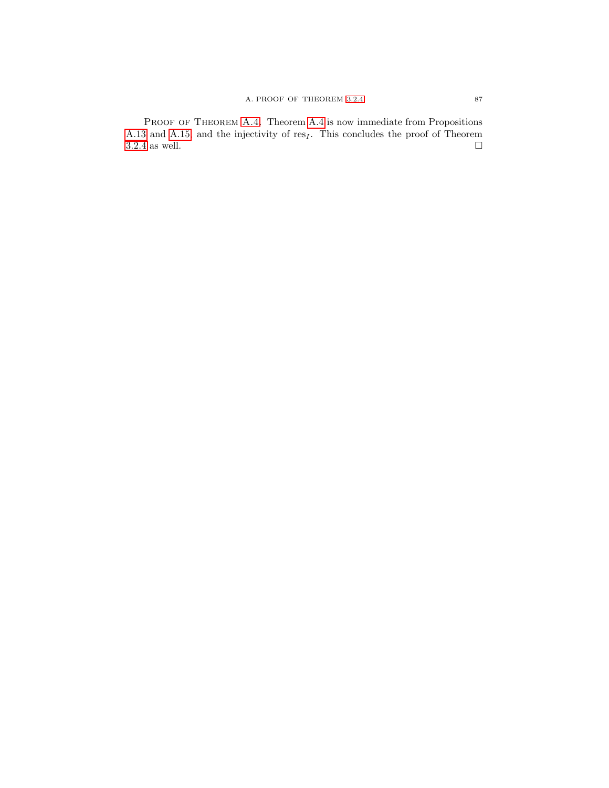PROOF OF THEOREM [A.4.](#page-85-0) Theorem [A.4](#page-85-0) is now immediate from Propositions [A.13](#page-90-1) and [A.15,](#page-91-1) and the injectivity of res<sub>I</sub>. This concludes the proof of Theorem 3.2.4 as well.  $\hfill\Box$  $3.2.4$  as well.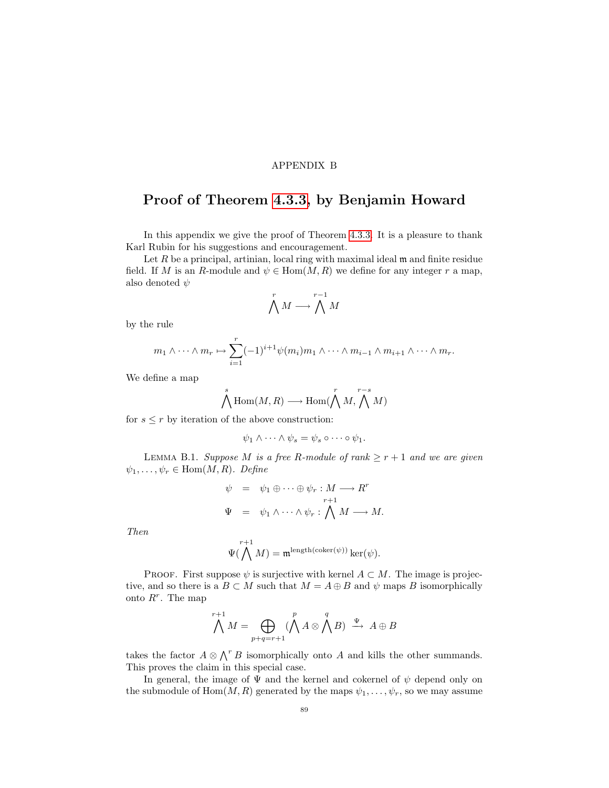## APPENDIX B

# Proof of Theorem [4.3.3,](#page-46-0) by Benjamin Howard

In this appendix we give the proof of Theorem [4.3.3.](#page-46-0) It is a pleasure to thank Karl Rubin for his suggestions and encouragement.

Let  $R$  be a principal, artinian, local ring with maximal ideal  $m$  and finite residue field. If M is an R-module and  $\psi \in \text{Hom}(M, R)$  we define for any integer r a map, also denoted  $\psi$ 

$$
\bigwedge^r M \longrightarrow \bigwedge^{r-1} M
$$

by the rule

$$
m_1 \wedge \cdots \wedge m_r \mapsto \sum_{i=1}^r (-1)^{i+1} \psi(m_i) m_1 \wedge \cdots \wedge m_{i-1} \wedge m_{i+1} \wedge \cdots \wedge m_r.
$$

We define a map

$$
\bigwedge^s \text{Hom}(M,R) \longrightarrow \text{Hom}(\bigwedge^r M, \bigwedge^{r-s} M)
$$

for  $s \leq r$  by iteration of the above construction:

$$
\psi_1 \wedge \cdots \wedge \psi_s = \psi_s \circ \cdots \circ \psi_1.
$$

<span id="page-94-0"></span>LEMMA B.1. Suppose M is a free R-module of rank  $\geq r+1$  and we are given  $\psi_1, \ldots, \psi_r \in \text{Hom}(M, R)$ . Define

$$
\psi = \psi_1 \oplus \cdots \oplus \psi_r : M \longrightarrow R^r
$$
  

$$
\Psi = \psi_1 \wedge \cdots \wedge \psi_r : \bigwedge^r M \longrightarrow M.
$$

Then

$$
\Psi(\bigwedge^{r+1}M)=\mathfrak{m}^{\mathrm{length}(\mathrm{coker}(\psi))}\ker(\psi).
$$

PROOF. First suppose  $\psi$  is surjective with kernel  $A \subset M$ . The image is projective, and so there is a  $B \subset M$  such that  $M = A \oplus B$  and  $\psi$  maps B isomorphically onto  $R^r$ . The map

$$
\bigwedge^{r+1} M = \bigoplus_{p+q=r+1} (\bigwedge^p A \otimes \bigwedge^q B) \stackrel{\Psi}{\longrightarrow} A \oplus B
$$

takes the factor  $A \otimes \bigwedge^r B$  isomorphically onto A and kills the other summands. This proves the claim in this special case.

In general, the image of  $\Psi$  and the kernel and cokernel of  $\psi$  depend only on the submodule of  $Hom(M, R)$  generated by the maps  $\psi_1, \ldots, \psi_r$ , so we may assume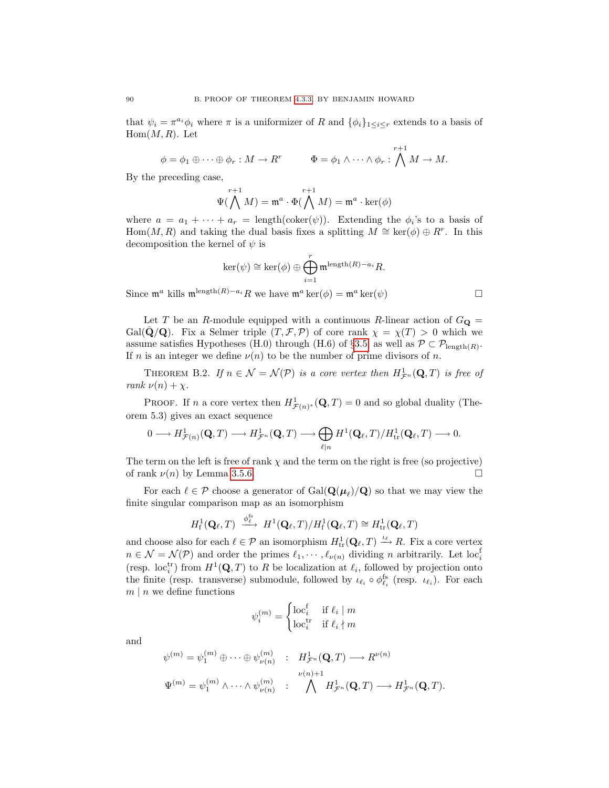that  $\psi_i = \pi^{a_i} \phi_i$  where  $\pi$  is a uniformizer of R and  $\{\phi_i\}_{1 \leq i \leq r}$  extends to a basis of  $Hom(M, R)$ . Let

$$
\phi = \phi_1 \oplus \cdots \oplus \phi_r : M \to R^r \qquad \Phi = \phi_1 \wedge \cdots \wedge \phi_r : \bigwedge^{r+1} M \to M.
$$

By the preceding case,

$$
\Psi(\bigwedge^{r+1}M)=\mathfrak{m}^a\cdot \Phi(\bigwedge^{r+1}M)=\mathfrak{m}^a\cdot \ker(\phi)
$$

where  $a = a_1 + \cdots + a_r = \text{length}(\text{coker}(\psi))$ . Extending the  $\phi_i$ 's to a basis of Hom $(M, R)$  and taking the dual basis fixes a splitting  $M \cong \ker(\phi) \oplus R^r$ . In this decomposition the kernel of  $\psi$  is

$$
\ker(\psi) \cong \ker(\phi) \oplus \bigoplus_{i=1}^r \mathfrak{m}^{\text{length}(R)-a_i} R.
$$

Since  $\mathfrak{m}^a$  kills  $\mathfrak{m}^{\text{length}(R)-a_i}R$  we have  $\mathfrak{m}^a \ker(\phi) = \mathfrak{m}^a \ker(\psi)$ 

Let T be an R-module equipped with a continuous R-linear action of  $G_{\mathbf{Q}} =$ Gal( $\bar{Q}/Q$ ). Fix a Selmer triple  $(T, \mathcal{F}, \mathcal{P})$  of core rank  $\chi = \chi(T) > 0$  which we assume satisfies Hypotheses (H.0) through (H.6) of §[3.5,](#page-32-0) as well as  $P \subset P_{\text{length}(R)}$ . If n is an integer we define  $\nu(n)$  to be the number of prime divisors of n.

<span id="page-95-0"></span>THEOREM B.2. If  $n \in \mathcal{N} = \mathcal{N}(\mathcal{P})$  is a core vertex then  $H^1_{\mathcal{F}^n}(\mathbf{Q},T)$  is free of rank  $\nu(n) + \chi$ .

**PROOF.** If n a core vertex then  $H^1_{\mathcal{F}(n)^*}(\mathbf{Q},T) = 0$  and so global duality (Theorem 5.3) gives an exact sequence

$$
0\longrightarrow H^{1}_{\mathcal{F}(n)}(\mathbf{Q},T)\longrightarrow H^{1}_{\mathcal{F}^n}(\mathbf{Q},T)\longrightarrow \bigoplus_{\ell\mid n}H^1(\mathbf{Q}_\ell,T)/H^1_{\mathrm{tr}}(\mathbf{Q}_\ell,T)\longrightarrow 0.
$$

The term on the left is free of rank  $\chi$  and the term on the right is free (so projective) of rank  $\nu(n)$  by Lemma [3.5.6.](#page-34-0)

For each  $\ell \in \mathcal{P}$  choose a generator of  $Gal(\mathbf{Q}(\mu_\ell)/\mathbf{Q})$  so that we may view the finite singular comparison map as an isomorphism

$$
H^1_{\mathrm{f}}(\mathbf{Q}_{\ell},T) \xrightarrow{\phi_{\ell}^{\mathrm{fs}}} H^1(\mathbf{Q}_{\ell},T)/H^1_{\mathrm{f}}(\mathbf{Q}_{\ell},T) \cong H^1_{\mathrm{tr}}(\mathbf{Q}_{\ell},T)
$$

and choose also for each  $\ell \in \mathcal{P}$  an isomorphism  $H_{\text{tr}}^1(\mathbf{Q}_\ell, T) \xrightarrow{\iota_\ell} R$ . Fix a core vertex  $n \in \mathcal{N} = \mathcal{N}(\mathcal{P})$  and order the primes  $\ell_1, \cdots, \ell_{\nu(n)}$  dividing n arbitrarily. Let loc<sup>f</sup> (resp. loc<sub>i</sub><sup>tr</sup>) from  $H^1(\mathbf{Q}, T)$  to R be localization at  $\ell_i$ , followed by projection onto the finite (resp. transverse) submodule, followed by  $\iota_{\ell_i} \circ \phi_{\ell_i}^{\text{fs}}$  (resp.  $\iota_{\ell_i}$ ). For each  $m \mid n$  we define functions

$$
\psi_i^{(m)} = \begin{cases} \text{loc}_i^{\text{f}} & \text{if } \ell_i \mid m \\ \text{loc}_i^{\text{tr}} & \text{if } \ell_i \nmid m \end{cases}
$$

and

<span id="page-95-1"></span>
$$
\psi^{(m)} = \psi_1^{(m)} \oplus \cdots \oplus \psi_{\nu(n)}^{(m)} : H^1_{\mathcal{F}^n}(\mathbf{Q}, T) \longrightarrow R^{\nu(n)}
$$

$$
\Psi^{(m)} = \psi_1^{(m)} \wedge \cdots \wedge \psi_{\nu(n)}^{(m)} : \bigwedge^{\nu(n)+1} H^1_{\mathcal{F}^n}(\mathbf{Q}, T) \longrightarrow H^1_{\mathcal{F}^n}(\mathbf{Q}, T).
$$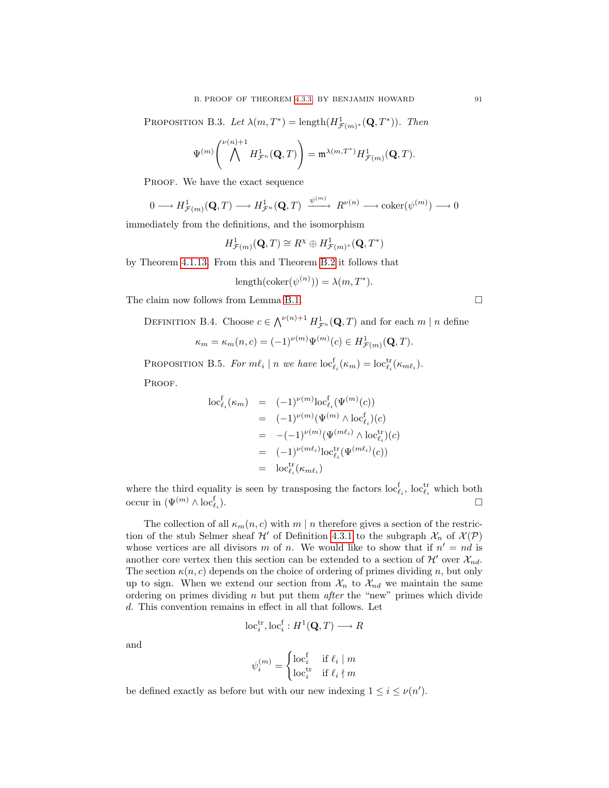PROPOSITION B.3. Let  $\lambda(m, T^*) = \text{length}(H^1_{\mathcal{F}(m)^*}(\mathbf{Q}, T^*))$ . Then

$$
\Psi^{(m)}\Bigg(\bigwedge^{\nu(n)+1}H^1_{\mathcal{F}^n}(\mathbf{Q},T)\Bigg)=\mathfrak{m}^{\lambda(m,T^*)}H^1_{\mathcal{F}(m)}(\mathbf{Q},T).
$$

PROOF. We have the exact sequence

$$
0 \longrightarrow H^1_{\mathcal{F}(m)}(\mathbf{Q}, T) \longrightarrow H^1_{\mathcal{F}^n}(\mathbf{Q}, T) \xrightarrow{\psi^{(m)}} R^{\nu(n)} \longrightarrow \text{coker}(\psi^{(m)}) \longrightarrow 0
$$

immediately from the definitions, and the isomorphism

$$
H^1_{\mathcal{F}(m)}(\mathbf{Q},T)\cong R^\chi\oplus H^1_{\mathcal{F}(m)^*}(\mathbf{Q},T^*)
$$

by Theorem [4.1.13.](#page-43-0) From this and Theorem [B.2](#page-95-0) it follows that

$$
length(\mathrm{coker}(\psi^{(n)})) = \lambda(m, T^*).
$$

<span id="page-96-1"></span>The claim now follows from Lemma [B.1.](#page-94-0)  $\Box$ 

DEFINITION B.4. Choose  $c \in \bigwedge^{\nu(n)+1} H^1_{\mathcal{F}^n}(\mathbf{Q},T)$  and for each  $m \mid n$  define

$$
\kappa_m = \kappa_m(n, c) = (-1)^{\nu(m)} \Psi^{(m)}(c) \in H^1_{\mathcal{F}(m)}(\mathbf{Q}, T).
$$

PROPOSITION B.5. For  $m\ell_i | n$  we have  $\text{loc}_{\ell_i}^f(\kappa_m) = \text{loc}_{\ell_i}^{\text{tr}}(\kappa_{m\ell_i}).$ 

PROOF.

$$
\begin{array}{rcl}\n\operatorname{loc}_{\ell_i}^{\mathsf{f}}(\kappa_m) & = & (-1)^{\nu(m)} \operatorname{loc}_{\ell_i}^{\mathsf{f}}(\Psi^{(m)}(c)) \\
& = & (-1)^{\nu(m)} (\Psi^{(m)} \wedge \operatorname{loc}_{\ell_i}^{\mathsf{f}})(c) \\
& = & -(-1)^{\nu(m)} (\Psi^{(m\ell_i)} \wedge \operatorname{loc}_{\ell_i}^{\mathsf{tr}})(c) \\
& = & (-1)^{\nu(m\ell_i)} \operatorname{loc}_{\ell_i}^{\mathsf{tr}}(\Psi^{(m\ell_i)}(c)) \\
& = & \operatorname{loc}_{\ell_i}^{\mathsf{tr}}(\kappa_{m\ell_i})\n\end{array}
$$

where the third equality is seen by transposing the factors  $\mathrm{loc}_{\ell_i}^{\mathrm{f}}$ ,  $\mathrm{loc}_{\ell_i}^{\mathrm{tr}}$  which both occur in  $(\Psi^{(m)} \wedge \text{loc}^{\text{f}}_{\ell_i})$  $\Box$ 

The collection of all  $\kappa_m(n, c)$  with m | n therefore gives a section of the restriction of the stub Selmer sheaf  $\mathcal{H}'$  of Definition [4.3.1](#page-46-1) to the subgraph  $\mathcal{X}_n$  of  $\mathcal{X}(P)$ whose vertices are all divisors m of n. We would like to show that if  $n' = nd$  is another core vertex then this section can be extended to a section of  $\mathcal{H}'$  over  $\mathcal{X}_{nd}$ . The section  $\kappa(n, c)$  depends on the choice of ordering of primes dividing n, but only up to sign. When we extend our section from  $\mathcal{X}_n$  to  $\mathcal{X}_{nd}$  we maintain the same ordering on primes dividing  $n$  but put them *after* the "new" primes which divide d. This convention remains in effect in all that follows. Let

$$
\mathrm{loc}_i^{\mathrm{tr}}, \mathrm{loc}_i^{\mathrm{f}} : H^1(\mathbf{Q}, T) \longrightarrow R
$$

and

$$
\psi_i^{(m)} = \begin{cases} \text{loc}_i^{\text{f}} & \text{if } \ell_i \mid m \\ \text{loc}_i^{\text{tr}} & \text{if } \ell_i \nmid m \end{cases}
$$

<span id="page-96-0"></span>be defined exactly as before but with our new indexing  $1 \leq i \leq \nu(n')$ .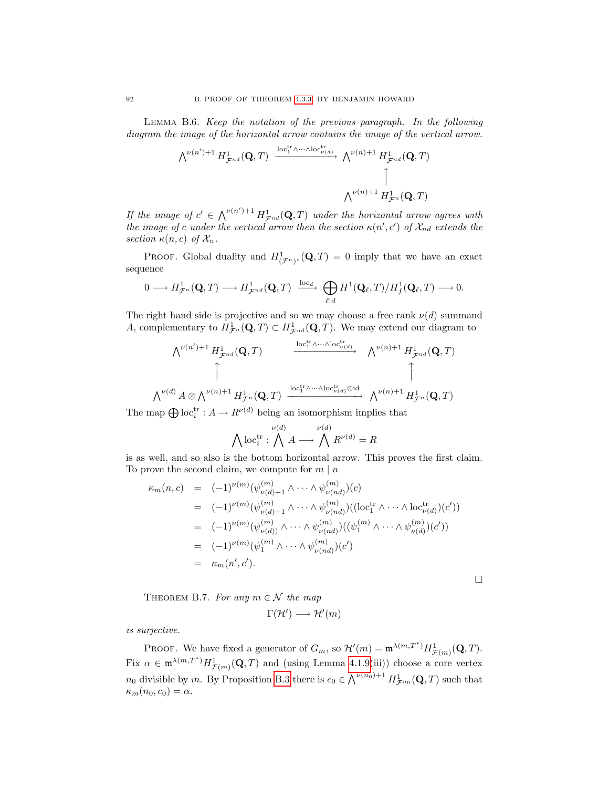Lemma B.6. Keep the notation of the previous paragraph. In the following diagram the image of the horizontal arrow contains the image of the vertical arrow.

$$
\begin{array}{ccc}\wedge^{\nu(n')+1}H^1_{{\mathcal{F}}^{nd}}({\bf Q},T)&\xrightarrow{\operatorname{loc}^{\operatorname{tr}}_1\wedge\cdots\wedge \operatorname{loc}^{\operatorname{tr}}_{{\mathcal{V}}(d)}} & \wedge^{\nu(n)+1}H^1_{{\mathcal{F}}^{nd}}({\bf Q},T)\\ &&\uparrow&&\uparrow\\ &&\wedge^{\nu(n)+1}H^1_{{\mathcal{F}}^n}({\bf Q},T)\end{array}
$$

If the image of  $c' \in \bigwedge^{\nu(n')+1} H^1_{\mathcal{F}^{nd}}(\mathbf{Q},T)$  under the horizontal arrow agrees with the image of c under the vertical arrow then the section  $\kappa(n',c')$  of  $\mathcal{X}_{nd}$  extends the section  $\kappa(n,c)$  of  $\mathcal{X}_n$ .

**PROOF.** Global duality and  $H^1_{(\mathcal{F}^n)^*}(\mathbf{Q},T) = 0$  imply that we have an exact sequence

$$
0 \longrightarrow H^1_{\mathcal{F}^n}(\mathbf{Q}, T) \longrightarrow H^1_{\mathcal{F}^{nd}}(\mathbf{Q}, T) \xrightarrow{\mathrm{loc}_d} \bigoplus_{\ell \mid d} H^1(\mathbf{Q}_{\ell}, T) / H^1_f(\mathbf{Q}_{\ell}, T) \longrightarrow 0.
$$

The right hand side is projective and so we may choose a free rank  $\nu(d)$  summand A, complementary to  $H^1_{\mathcal{F}^n}(\mathbf{Q},T) \subset H^1_{\mathcal{F}^{nd}}(\mathbf{Q},T)$ . We may extend our diagram to

$$
\begin{array}{cccc}\n\bigwedge^{\nu(n')+1} H^1_{\mathcal{F}^{nd}}(\mathbf{Q},T) & \xrightarrow{\operatorname{loc}_{1}^{\operatorname{tr}}\wedge\cdots\wedge\operatorname{loc}_{\nu(d)}^{\operatorname{tr}}} & \wedge^{\nu(n)+1} H^1_{\mathcal{F}^{nd}}(\mathbf{Q},T) \\
\uparrow & & \uparrow & & \uparrow \\
\wedge^{\nu(d)} A \otimes \wedge^{\nu(n)+1} H^1_{\mathcal{F}^n}(\mathbf{Q},T) & \xrightarrow{\operatorname{loc}_{1}^{\operatorname{tr}}\wedge\cdots\wedge\operatorname{loc}_{\nu(d)}^{\operatorname{tr}}\otimes\operatorname{id}} & \wedge^{\nu(n)+1} H^1_{\mathcal{F}^n}(\mathbf{Q},T)\n\end{array}
$$

The map  $\bigoplus \text{loc}_i^{\text{tr}} : A \to R^{\nu(d)}$  being an isomorphism implies that

$$
\bigwedge \text{loc}_{i}^{\text{tr}}: \bigwedge^{\nu(d)} A \longrightarrow \bigwedge^{\nu(d)} R^{\nu(d)} = R
$$

is as well, and so also is the bottom horizontal arrow. This proves the first claim. To prove the second claim, we compute for  $m \mid n$ 

$$
\kappa_m(n,c) = (-1)^{\nu(m)} (\psi_{\nu(d)+1}^{(m)} \wedge \cdots \wedge \psi_{\nu(nd)}^{(m)}) (c)
$$
  
\n
$$
= (-1)^{\nu(m)} (\psi_{\nu(d)+1}^{(m)} \wedge \cdots \wedge \psi_{\nu(nd)}^{(m)}) ((\text{loc}_{1}^{\text{tr}} \wedge \cdots \wedge \text{loc}_{\nu(d)}^{\text{tr}})(c'))
$$
  
\n
$$
= (-1)^{\nu(m)} (\psi_{\nu(d)}^{(m)} \wedge \cdots \wedge \psi_{\nu(nd)}^{(m)}) ((\psi_{1}^{(m)} \wedge \cdots \wedge \psi_{\nu(d)}^{(m)}) (c'))
$$
  
\n
$$
= (-1)^{\nu(m)} (\psi_{1}^{(m)} \wedge \cdots \wedge \psi_{\nu(nd)}^{(m)}) (c')
$$
  
\n
$$
= \kappa_m(n', c').
$$

 $\Box$ 

<span id="page-97-0"></span>THEOREM B.7. For any  $m \in \mathcal{N}$  the map

$$
\Gamma(\mathcal{H}') \longrightarrow \mathcal{H}'(m)
$$

is surjective.

PROOF. We have fixed a generator of  $G_m$ , so  $\mathcal{H}'(m) = \mathfrak{m}^{\lambda(m,T^*)} H^1_{\mathcal{F}(m)}(\mathbf{Q},T)$ . Fix  $\alpha \in \mathfrak{m}^{\lambda(m,T^*)} H^1_{\mathcal{F}(m)}(\mathbf{Q},T)$  and (using Lemma [4.1.9\(](#page-43-1)iii)) choose a core vertex  $n_0$  divisible by m. By Proposition [B.3](#page-95-1) there is  $c_0 \in \bigwedge^{\nu(n_0)+1} H^{1}_{\mathcal{F}^{n_0}}(\mathbf{Q}, T)$  such that  $\kappa_m(n_0, c_0) = \alpha.$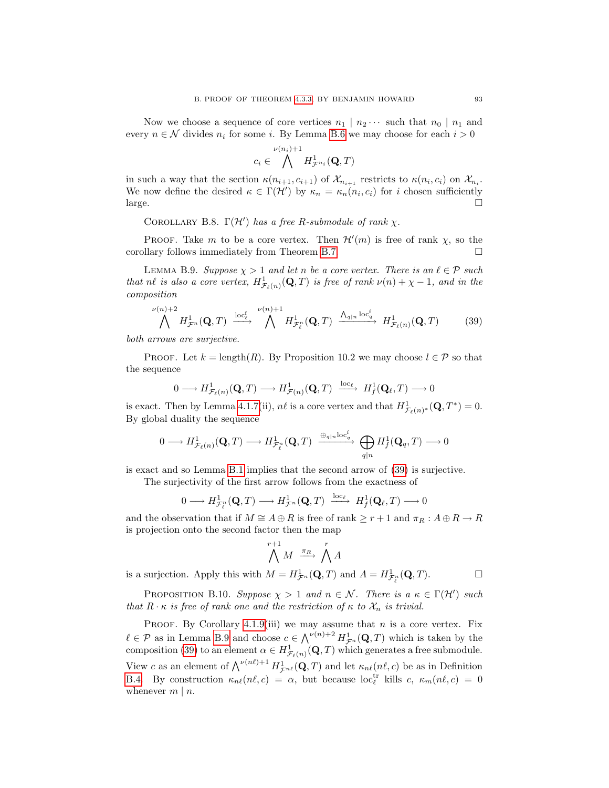Now we choose a sequence of core vertices  $n_1 | n_2 \cdots$  such that  $n_0 | n_1$  and every  $n \in \mathcal{N}$  divides  $n_i$  for some i. By Lemma [B.6](#page-96-0) we may choose for each  $i > 0$ 

$$
c_i \in \bigwedge^{\nu(n_i)+1} H^1_{\mathcal{F}^{n_i}}(\mathbf{Q},T)
$$

in such a way that the section  $\kappa(n_{i+1}, c_{i+1})$  of  $\mathcal{X}_{n_{i+1}}$  restricts to  $\kappa(n_i, c_i)$  on  $\mathcal{X}_{n_i}$ . We now define the desired  $\kappa \in \Gamma(\mathcal{H}')$  by  $\kappa_n = \kappa_n(n_i, c_i)$  for i chosen sufficiently  $\Box$ 

<span id="page-98-2"></span>COROLLARY B.8.  $\Gamma(\mathcal{H}')$  has a free R-submodule of rank  $\chi$ .

PROOF. Take m to be a core vertex. Then  $\mathcal{H}'(m)$  is free of rank  $\chi$ , so the corollary follows immediately from Theorem [B.7.](#page-97-0)

<span id="page-98-1"></span>LEMMA B.9. Suppose  $\chi > 1$  and let n be a core vertex. There is an  $\ell \in \mathcal{P}$  such that nl is also a core vertex,  $H^1_{\mathcal{F}_{\ell}(n)}(\mathbf{Q},T)$  is free of rank  $\nu(n) + \chi - 1$ , and in the composition

<span id="page-98-0"></span>
$$
\bigwedge^{\nu(n)+2} H^1_{\mathcal{F}^n}(\mathbf{Q},T) \xrightarrow{\mathrm{loc}_{\ell}^{\mathbf{f}}} \bigwedge^{\nu(n)+1} H^1_{\mathcal{F}^n_{\ell}}(\mathbf{Q},T) \xrightarrow{\Lambda_{q|n}\mathrm{loc}_{q}^{\mathbf{f}}} H^1_{\mathcal{F}_{\ell}(n)}(\mathbf{Q},T) \tag{39}
$$

both arrows are surjective.

PROOF. Let  $k = \text{length}(R)$ . By Proposition 10.2 we may choose  $l \in \mathcal{P}$  so that the sequence

$$
0 \longrightarrow H^1_{\mathcal{F}_{\ell}(n)}(\mathbf{Q}, T) \longrightarrow H^1_{\mathcal{F}(n)}(\mathbf{Q}, T) \xrightarrow{\mathrm{loc}_{\ell}} H^1_f(\mathbf{Q}_{\ell}, T) \longrightarrow 0
$$

is exact. Then by Lemma [4.1.7\(](#page-42-0)ii),  $n\ell$  is a core vertex and that  $H^1_{\mathcal{F}_{\ell}(n)*}(\mathbf{Q}, T^*) = 0$ . By global duality the sequence

$$
0 \longrightarrow H^1_{\mathcal{F}_{\ell}(n)}(\mathbf{Q}, T) \longrightarrow H^1_{\mathcal{F}_{\ell}^n}(\mathbf{Q}, T) \xrightarrow{\oplus_{q|n} \text{loc}_q^{\ell}} \bigoplus_{q|n} H^1_f(\mathbf{Q}_q, T) \longrightarrow 0
$$

is exact and so Lemma [B.1](#page-94-0) implies that the second arrow of [\(39\)](#page-98-0) is surjective.

The surjectivity of the first arrow follows from the exactness of

$$
0 \longrightarrow H^1_{\mathcal{F}_\ell^n}(\mathbf{Q}, T) \longrightarrow H^1_{\mathcal{F}^n}(\mathbf{Q}, T) \xrightarrow{\mathrm{loc}_{\ell}} H^1_f(\mathbf{Q}_{\ell}, T) \longrightarrow 0
$$

and the observation that if  $M \cong A \oplus R$  is free of rank  $\geq r+1$  and  $\pi_R : A \oplus R \to R$ is projection onto the second factor then the map

$$
\bigwedge^{r+1} M \xrightarrow{\pi_R} \bigwedge^r A
$$

is a surjection. Apply this with  $M = H^1_{\mathcal{F}^n}(\mathbf{Q}, T)$  and  $A = H^1_{\mathcal{F}^n_{\ell}}(\mathbf{Q}, T)$ .

PROPOSITION B.10. Suppose  $\chi > 1$  and  $n \in \mathcal{N}$ . There is a  $\kappa \in \Gamma(\mathcal{H}')$  such that  $R \cdot \kappa$  is free of rank one and the restriction of  $\kappa$  to  $\mathcal{X}_n$  is trivial.

PROOF. By Corollary [4.1.9\(](#page-43-1)iii) we may assume that  $n$  is a core vertex. Fix  $\ell \in \mathcal{P}$  as in Lemma [B.9](#page-98-1) and choose  $c \in \bigwedge^{\nu(n)+2} H^1_{\mathcal{F}^n}(\mathbf{Q}, T)$  which is taken by the composition [\(39\)](#page-98-0) to an element  $\alpha \in H^1_{\mathcal{F}_{\ell}(n)}(\mathbf{Q}, T)$  which generates a free submodule. View c as an element of  $\bigwedge^{\nu(n\ell)+1} H^1_{\mathcal{F}^{n\ell}}(\mathbf{Q}, T)$  and let  $\kappa_{n\ell}(n\ell, c)$  be as in Definition [B.4.](#page-96-1) By construction  $\kappa_{n\ell}(n\ell, c) = \alpha$ , but because loc<sub> $\ell$ </sub> kills c,  $\kappa_m(n\ell, c) = 0$ whenever  $m \mid n$ .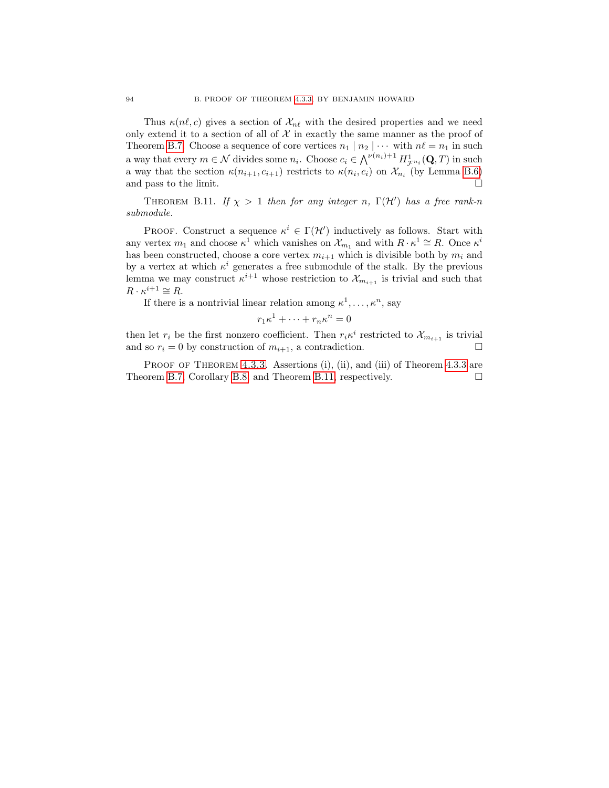Thus  $\kappa(n\ell, c)$  gives a section of  $\mathcal{X}_{n\ell}$  with the desired properties and we need only extend it to a section of all of  $X$  in exactly the same manner as the proof of Theorem [B.7.](#page-97-0) Choose a sequence of core vertices  $n_1 | n_2 | \cdots$  with  $n\ell = n_1$  in such a way that every  $m \in \mathcal{N}$  divides some  $n_i$ . Choose  $c_i \in \bigwedge^{\nu(n_i)+1} H^{1}_{\mathcal{F}^{n_i}}(\mathbf{Q}, T)$  in such a way that the section  $\kappa(n_{i+1}, c_{i+1})$  restricts to  $\kappa(n_i, c_i)$  on  $\mathcal{X}_{n_i}$  (by Lemma [B.6\)](#page-96-0) and pass to the limit.

<span id="page-99-0"></span>THEOREM B.11. If  $\chi > 1$  then for any integer n,  $\Gamma(\mathcal{H}')$  has a free rank-n submodule.

PROOF. Construct a sequence  $\kappa^i \in \Gamma(\mathcal{H}')$  inductively as follows. Start with any vertex  $m_1$  and choose  $\kappa^1$  which vanishes on  $\mathcal{X}_{m_1}$  and with  $R \cdot \kappa^1 \cong R$ . Once  $\kappa^i$ has been constructed, choose a core vertex  $m_{i+1}$  which is divisible both by  $m_i$  and by a vertex at which  $\kappa^i$  generates a free submodule of the stalk. By the previous lemma we may construct  $\kappa^{i+1}$  whose restriction to  $\mathcal{X}_{m_{i+1}}$  is trivial and such that  $R \cdot \kappa^{i+1} \cong R$ .

If there is a nontrivial linear relation among  $\kappa^1, \ldots, \kappa^n$ , say

$$
r_1\kappa^1 + \dots + r_n\kappa^n = 0
$$

then let  $r_i$  be the first nonzero coefficient. Then  $r_i \kappa^i$  restricted to  $\mathcal{X}_{m_{i+1}}$  is trivial and so  $r_i = 0$  by construction of  $m_{i+1}$ , a contradiction.

PROOF OF THEOREM [4.3.3.](#page-46-0) Assertions (i), (ii), and (iii) of Theorem [4.3.3](#page-46-0) are Theorem [B.7,](#page-97-0) Corollary [B.8,](#page-98-2) and Theorem [B.11,](#page-99-0) respectively.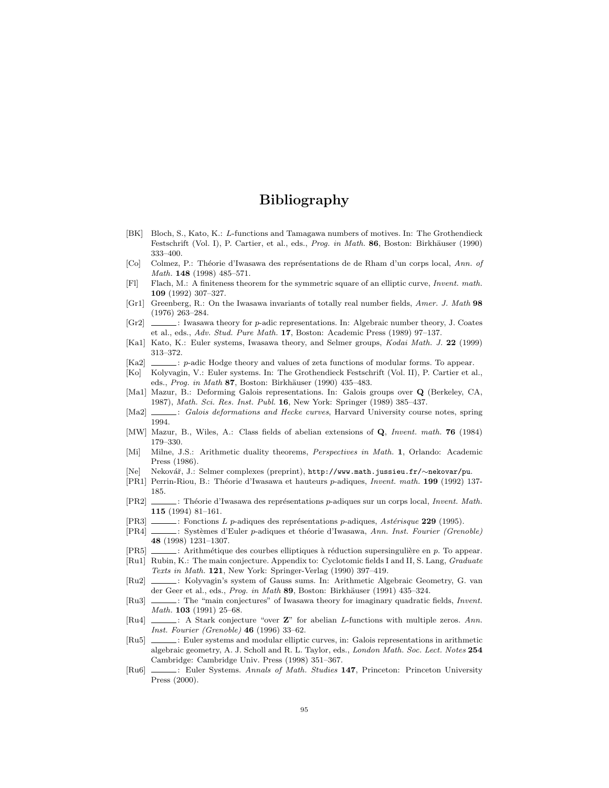# Bibliography

- [BK] Bloch, S., Kato, K.: L-functions and Tamagawa numbers of motives. In: The Grothendieck Festschrift (Vol. I), P. Cartier, et al., eds., Prog. in Math. 86, Boston: Birkhäuser (1990) 333–400.
- [Co] Colmez, P.: Théorie d'Iwasawa des représentations de de Rham d'un corps local, Ann. of Math. 148 (1998) 485–571.
- <span id="page-100-11"></span>[Fl] Flach, M.: A finiteness theorem for the symmetric square of an elliptic curve, Invent. math. 109 (1992) 307–327.
- <span id="page-100-1"></span>[Gr1] Greenberg, R.: On the Iwasawa invariants of totally real number fields, Amer. J. Math 98 (1976) 263–284.
- [Gr2]  $\ldots$ : Iwasawa theory for *p*-adic representations. In: Algebraic number theory, J. Coates et al., eds., Adv. Stud. Pure Math. 17, Boston: Academic Press (1989) 97–137.
- [Ka1] Kato, K.: Euler systems, Iwasawa theory, and Selmer groups, Kodai Math. J. 22 (1999) 313–372.
- <span id="page-100-7"></span>[Ka2]  $\ldots$ : p-adic Hodge theory and values of zeta functions of modular forms. To appear.
- <span id="page-100-5"></span>[Ko] Kolyvagin, V.: Euler systems. In: The Grothendieck Festschrift (Vol. II), P. Cartier et al., eds., Prog. in Math 87, Boston: Birkhäuser (1990) 435-483.
- [Ma1] Mazur, B.: Deforming Galois representations. In: Galois groups over Q (Berkeley, CA, 1987), Math. Sci. Res. Inst. Publ. 16, New York: Springer (1989) 385–437.
- <span id="page-100-12"></span>[Ma2]  $\_\_\_\_\$ : Galois deformations and Hecke curves, Harvard University course notes, spring 1994.
- <span id="page-100-4"></span>[MW] Mazur, B., Wiles, A.: Class fields of abelian extensions of Q, Invent. math. 76 (1984) 179–330.
- [Mi] Milne, J.S.: Arithmetic duality theorems, Perspectives in Math. 1, Orlando: Academic Press (1986).
- [Ne] Nekovář, J.: Selmer complexes (preprint), http://www.math.jussieu.fr/∼nekovar/pu.
- [PR1] Perrin-Riou, B.: Théorie d'Iwasawa et hauteurs p-adiques, Invent. math. 199 (1992) 137-185.
- [PR2] : Théorie d'Iwasawa des représentations p-adiques sur un corps local, *Invent. Math.* 115 (1994) 81–161.
- <span id="page-100-0"></span>[PR3]  $\ldots$ : Fonctions L p-adiques des représentations p-adiques, Astérisque 229 (1995).
- [PR4] : Systèmes d'Euler p-adiques et théorie d'Iwasawa, Ann. Inst. Fourier (Grenoble) 48 (1998) 1231–1307.
- <span id="page-100-9"></span>[PR5]  $\ldots$ : Arithmétique des courbes elliptiques à réduction supersingulière en p. To appear.
- <span id="page-100-6"></span>[Ru1] Rubin, K.: The main conjecture. Appendix to: Cyclotomic fields I and II, S. Lang, Graduate Texts in Math. 121, New York: Springer-Verlag (1990) 397-419.
- <span id="page-100-10"></span>[Ru2]  $\qquad \qquad$ : Kolyvagin's system of Gauss sums. In: Arithmetic Algebraic Geometry, G. van der Geer et al., eds., Prog. in Math 89, Boston: Birkhäuser (1991) 435-324.
- [Ru3]  $\quad$ : The "main conjectures" of Iwasawa theory for imaginary quadratic fields, *Invent.* Math. **103** (1991) 25–68.
- <span id="page-100-2"></span>[Ru4]  $\ldots$ : A Stark conjecture "over **Z**" for abelian *L*-functions with multiple zeros. Ann. Inst. Fourier (Grenoble) 46 (1996) 33–62.
- <span id="page-100-8"></span>[Ru5] : Euler systems and modular elliptic curves, in: Galois representations in arithmetic algebraic geometry, A. J. Scholl and R. L. Taylor, eds., London Math. Soc. Lect. Notes 254 Cambridge: Cambridge Univ. Press (1998) 351–367.
- <span id="page-100-3"></span>[Ru6]  $\Box$ : Euler Systems. Annals of Math. Studies 147, Princeton: Princeton University Press (2000).